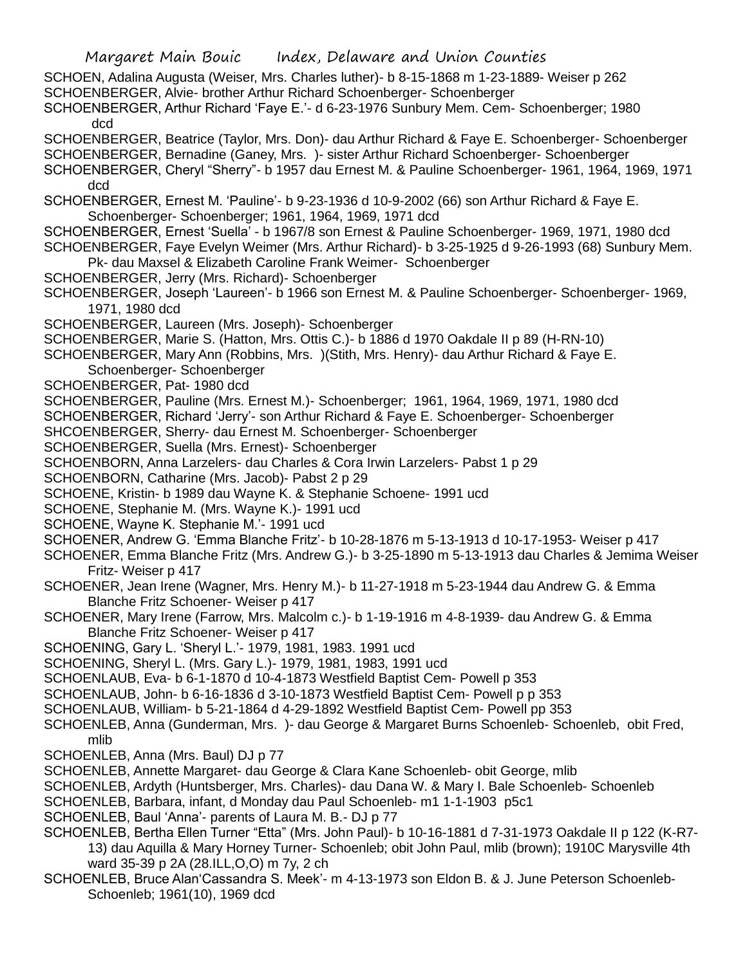- SCHOEN, Adalina Augusta (Weiser, Mrs. Charles luther)- b 8-15-1868 m 1-23-1889- Weiser p 262
- SCHOENBERGER, Alvie- brother Arthur Richard Schoenberger- Schoenberger
- SCHOENBERGER, Arthur Richard 'Faye E.'- d 6-23-1976 Sunbury Mem. Cem- Schoenberger; 1980 dcd
- SCHOENBERGER, Beatrice (Taylor, Mrs. Don)- dau Arthur Richard & Faye E. Schoenberger- Schoenberger SCHOENBERGER, Bernadine (Ganey, Mrs. )- sister Arthur Richard Schoenberger- Schoenberger
- SCHOENBERGER, Cheryl "Sherry"- b 1957 dau Ernest M. & Pauline Schoenberger- 1961, 1964, 1969, 1971 dcd
- SCHOENBERGER, Ernest M. 'Pauline'- b 9-23-1936 d 10-9-2002 (66) son Arthur Richard & Faye E. Schoenberger- Schoenberger; 1961, 1964, 1969, 1971 dcd
- SCHOENBERGER, Ernest 'Suella' b 1967/8 son Ernest & Pauline Schoenberger- 1969, 1971, 1980 dcd SCHOENBERGER, Faye Evelyn Weimer (Mrs. Arthur Richard)- b 3-25-1925 d 9-26-1993 (68) Sunbury Mem.
- Pk- dau Maxsel & Elizabeth Caroline Frank Weimer- Schoenberger
- SCHOENBERGER, Jerry (Mrs. Richard)- Schoenberger
- SCHOENBERGER, Joseph 'Laureen'- b 1966 son Ernest M. & Pauline Schoenberger- Schoenberger- 1969, 1971, 1980 dcd
- SCHOENBERGER, Laureen (Mrs. Joseph)- Schoenberger
- SCHOENBERGER, Marie S. (Hatton, Mrs. Ottis C.)- b 1886 d 1970 Oakdale II p 89 (H-RN-10)
- SCHOENBERGER, Mary Ann (Robbins, Mrs. )(Stith, Mrs. Henry)- dau Arthur Richard & Faye E. Schoenberger- Schoenberger
- SCHOENBERGER, Pat- 1980 dcd
- SCHOENBERGER, Pauline (Mrs. Ernest M.)- Schoenberger; 1961, 1964, 1969, 1971, 1980 dcd
- SCHOENBERGER, Richard 'Jerry'- son Arthur Richard & Faye E. Schoenberger- Schoenberger
- SHCOENBERGER, Sherry- dau Ernest M. Schoenberger- Schoenberger
- SCHOENBERGER, Suella (Mrs. Ernest)- Schoenberger
- SCHOENBORN, Anna Larzelers- dau Charles & Cora Irwin Larzelers- Pabst 1 p 29
- SCHOENBORN, Catharine (Mrs. Jacob)- Pabst 2 p 29
- SCHOENE, Kristin- b 1989 dau Wayne K. & Stephanie Schoene- 1991 ucd
- SCHOENE, Stephanie M. (Mrs. Wayne K.)- 1991 ucd
- SCHOENE, Wayne K. Stephanie M.'- 1991 ucd
- SCHOENER, Andrew G. 'Emma Blanche Fritz'- b 10-28-1876 m 5-13-1913 d 10-17-1953- Weiser p 417
- SCHOENER, Emma Blanche Fritz (Mrs. Andrew G.)- b 3-25-1890 m 5-13-1913 dau Charles & Jemima Weiser Fritz- Weiser p 417
- SCHOENER, Jean Irene (Wagner, Mrs. Henry M.)- b 11-27-1918 m 5-23-1944 dau Andrew G. & Emma Blanche Fritz Schoener- Weiser p 417
- SCHOENER, Mary Irene (Farrow, Mrs. Malcolm c.)- b 1-19-1916 m 4-8-1939- dau Andrew G. & Emma Blanche Fritz Schoener- Weiser p 417
- SCHOENING, Gary L. 'Sheryl L.'- 1979, 1981, 1983. 1991 ucd
- SCHOENING, Sheryl L. (Mrs. Gary L.)- 1979, 1981, 1983, 1991 ucd
- SCHOENLAUB, Eva- b 6-1-1870 d 10-4-1873 Westfield Baptist Cem- Powell p 353
- SCHOENLAUB, John- b 6-16-1836 d 3-10-1873 Westfield Baptist Cem- Powell p p 353
- SCHOENLAUB, William- b 5-21-1864 d 4-29-1892 Westfield Baptist Cem- Powell pp 353
- SCHOENLEB, Anna (Gunderman, Mrs. )- dau George & Margaret Burns Schoenleb- Schoenleb, obit Fred, mlib
- SCHOENLEB, Anna (Mrs. Baul) DJ p 77
- SCHOENLEB, Annette Margaret- dau George & Clara Kane Schoenleb- obit George, mlib
- SCHOENLEB, Ardyth (Huntsberger, Mrs. Charles)- dau Dana W. & Mary I. Bale Schoenleb- Schoenleb
- SCHOENLEB, Barbara, infant, d Monday dau Paul Schoenleb- m1 1-1-1903 p5c1
- SCHOENLEB, Baul 'Anna'- parents of Laura M. B.- DJ p 77
- SCHOENLEB, Bertha Ellen Turner "Etta" (Mrs. John Paul)- b 10-16-1881 d 7-31-1973 Oakdale II p 122 (K-R7- 13) dau Aquilla & Mary Horney Turner- Schoenleb; obit John Paul, mlib (brown); 1910C Marysville 4th ward 35-39 p 2A (28.ILL,O,O) m 7y, 2 ch
- SCHOENLEB, Bruce Alan'Cassandra S. Meek'- m 4-13-1973 son Eldon B. & J. June Peterson Schoenleb-Schoenleb; 1961(10), 1969 dcd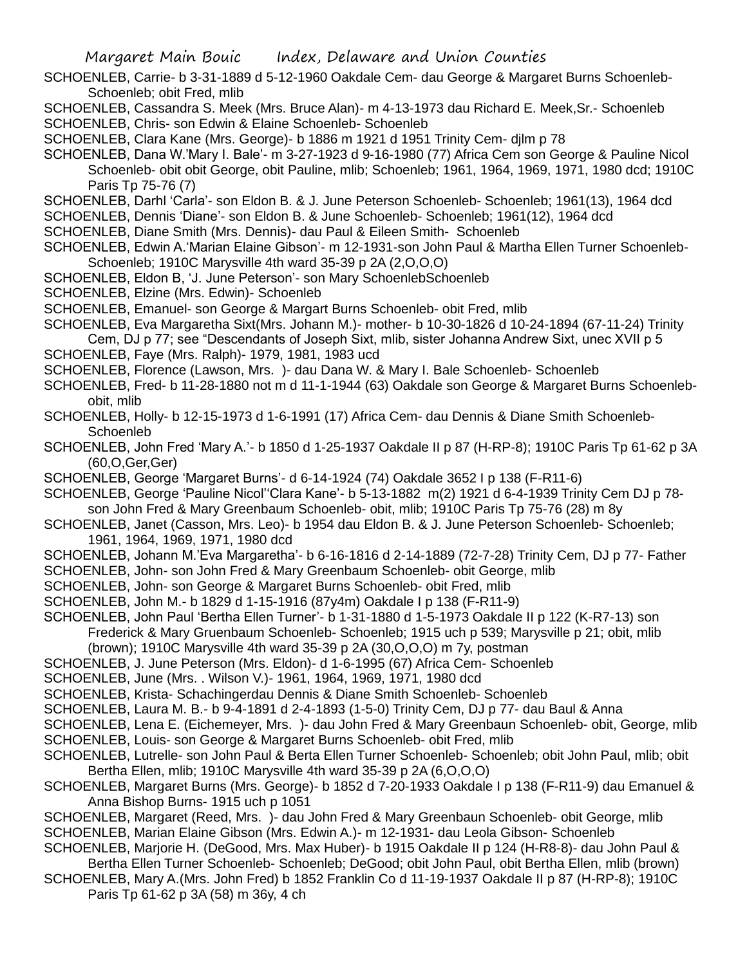- SCHOENLEB, Carrie- b 3-31-1889 d 5-12-1960 Oakdale Cem- dau George & Margaret Burns Schoenleb-Schoenleb; obit Fred, mlib
- SCHOENLEB, Cassandra S. Meek (Mrs. Bruce Alan)- m 4-13-1973 dau Richard E. Meek,Sr.- Schoenleb
- SCHOENLEB, Chris- son Edwin & Elaine Schoenleb- Schoenleb
- SCHOENLEB, Clara Kane (Mrs. George)- b 1886 m 1921 d 1951 Trinity Cem- djlm p 78
- SCHOENLEB, Dana W.'Mary I. Bale'- m 3-27-1923 d 9-16-1980 (77) Africa Cem son George & Pauline Nicol Schoenleb- obit obit George, obit Pauline, mlib; Schoenleb; 1961, 1964, 1969, 1971, 1980 dcd; 1910C Paris Tp 75-76 (7)
- SCHOENLEB, Darhl 'Carla'- son Eldon B. & J. June Peterson Schoenleb- Schoenleb; 1961(13), 1964 dcd
- SCHOENLEB, Dennis 'Diane'- son Eldon B. & June Schoenleb- Schoenleb; 1961(12), 1964 dcd
- SCHOENLEB, Diane Smith (Mrs. Dennis)- dau Paul & Eileen Smith- Schoenleb
- SCHOENLEB, Edwin A.'Marian Elaine Gibson'- m 12-1931-son John Paul & Martha Ellen Turner Schoenleb-Schoenleb; 1910C Marysville 4th ward 35-39 p 2A (2,O,O,O)
- SCHOENLEB, Eldon B, 'J. June Peterson'- son Mary SchoenlebSchoenleb
- SCHOENLEB, Elzine (Mrs. Edwin)- Schoenleb
- SCHOENLEB, Emanuel- son George & Margart Burns Schoenleb- obit Fred, mlib
- SCHOENLEB, Eva Margaretha Sixt(Mrs. Johann M.)- mother- b 10-30-1826 d 10-24-1894 (67-11-24) Trinity Cem, DJ p 77; see "Descendants of Joseph Sixt, mlib, sister Johanna Andrew Sixt, unec XVII p 5
- SCHOENLEB, Faye (Mrs. Ralph)- 1979, 1981, 1983 ucd
- SCHOENLEB, Florence (Lawson, Mrs. )- dau Dana W. & Mary I. Bale Schoenleb- Schoenleb
- SCHOENLEB, Fred- b 11-28-1880 not m d 11-1-1944 (63) Oakdale son George & Margaret Burns Schoenlebobit, mlib
- SCHOENLEB, Holly- b 12-15-1973 d 1-6-1991 (17) Africa Cem- dau Dennis & Diane Smith Schoenleb-**Schoenleb**
- SCHOENLEB, John Fred 'Mary A.'- b 1850 d 1-25-1937 Oakdale II p 87 (H-RP-8); 1910C Paris Tp 61-62 p 3A (60,O,Ger,Ger)
- SCHOENLEB, George 'Margaret Burns'- d 6-14-1924 (74) Oakdale 3652 I p 138 (F-R11-6)
- SCHOENLEB, George 'Pauline Nicol''Clara Kane'- b 5-13-1882 m(2) 1921 d 6-4-1939 Trinity Cem DJ p 78 son John Fred & Mary Greenbaum Schoenleb- obit, mlib; 1910C Paris Tp 75-76 (28) m 8y
- SCHOENLEB, Janet (Casson, Mrs. Leo)- b 1954 dau Eldon B. & J. June Peterson Schoenleb- Schoenleb; 1961, 1964, 1969, 1971, 1980 dcd
- SCHOENLEB, Johann M.'Eva Margaretha'- b 6-16-1816 d 2-14-1889 (72-7-28) Trinity Cem, DJ p 77- Father
- SCHOENLEB, John- son John Fred & Mary Greenbaum Schoenleb- obit George, mlib
- SCHOENLEB, John- son George & Margaret Burns Schoenleb- obit Fred, mlib
- SCHOENLEB, John M.- b 1829 d 1-15-1916 (87y4m) Oakdale I p 138 (F-R11-9)
- SCHOENLEB, John Paul 'Bertha Ellen Turner'- b 1-31-1880 d 1-5-1973 Oakdale II p 122 (K-R7-13) son Frederick & Mary Gruenbaum Schoenleb- Schoenleb; 1915 uch p 539; Marysville p 21; obit, mlib
	- (brown); 1910C Marysville 4th ward 35-39 p 2A (30,O,O,O) m 7y, postman
- SCHOENLEB, J. June Peterson (Mrs. Eldon)- d 1-6-1995 (67) Africa Cem- Schoenleb
- SCHOENLEB, June (Mrs. . Wilson V.)- 1961, 1964, 1969, 1971, 1980 dcd
- SCHOENLEB, Krista- Schachingerdau Dennis & Diane Smith Schoenleb- Schoenleb
- SCHOENLEB, Laura M. B.- b 9-4-1891 d 2-4-1893 (1-5-0) Trinity Cem, DJ p 77- dau Baul & Anna
- SCHOENLEB, Lena E. (Eichemeyer, Mrs. )- dau John Fred & Mary Greenbaun Schoenleb- obit, George, mlib SCHOENLEB, Louis- son George & Margaret Burns Schoenleb- obit Fred, mlib
- SCHOENLEB, Lutrelle- son John Paul & Berta Ellen Turner Schoenleb- Schoenleb; obit John Paul, mlib; obit Bertha Ellen, mlib; 1910C Marysville 4th ward 35-39 p 2A (6,O,O,O)
- SCHOENLEB, Margaret Burns (Mrs. George)- b 1852 d 7-20-1933 Oakdale I p 138 (F-R11-9) dau Emanuel & Anna Bishop Burns- 1915 uch p 1051
- SCHOENLEB, Margaret (Reed, Mrs. )- dau John Fred & Mary Greenbaun Schoenleb- obit George. mlib
- SCHOENLEB, Marian Elaine Gibson (Mrs. Edwin A.)- m 12-1931- dau Leola Gibson- Schoenleb
- SCHOENLEB, Marjorie H. (DeGood, Mrs. Max Huber)- b 1915 Oakdale II p 124 (H-R8-8)- dau John Paul & Bertha Ellen Turner Schoenleb- Schoenleb; DeGood; obit John Paul, obit Bertha Ellen, mlib (brown)
- SCHOENLEB, Mary A.(Mrs. John Fred) b 1852 Franklin Co d 11-19-1937 Oakdale II p 87 (H-RP-8); 1910C Paris Tp 61-62 p 3A (58) m 36y, 4 ch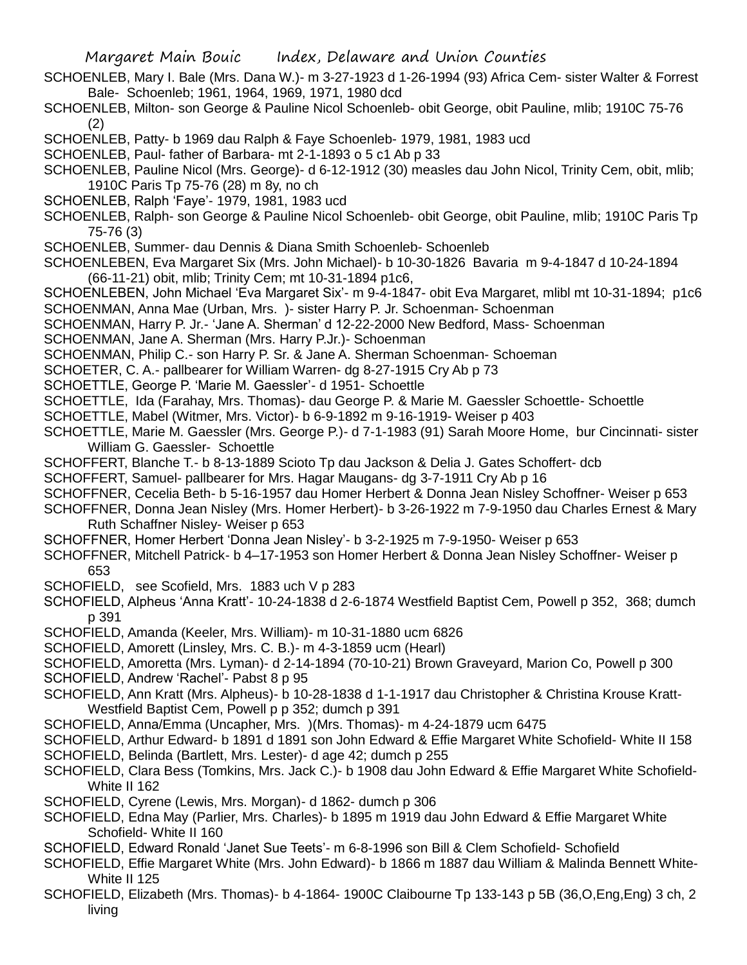- SCHOENLEB, Mary I. Bale (Mrs. Dana W.)- m 3-27-1923 d 1-26-1994 (93) Africa Cem- sister Walter & Forrest Bale- Schoenleb; 1961, 1964, 1969, 1971, 1980 dcd
- SCHOENLEB, Milton- son George & Pauline Nicol Schoenleb- obit George, obit Pauline, mlib; 1910C 75-76 (2)
- SCHOENLEB, Patty- b 1969 dau Ralph & Faye Schoenleb- 1979, 1981, 1983 ucd
- SCHOENLEB, Paul- father of Barbara- mt 2-1-1893 o 5 c1 Ab p 33
- SCHOENLEB, Pauline Nicol (Mrs. George)- d 6-12-1912 (30) measles dau John Nicol, Trinity Cem, obit, mlib; 1910C Paris Tp 75-76 (28) m 8y, no ch
- SCHOENLEB, Ralph 'Faye'- 1979, 1981, 1983 ucd
- SCHOENLEB, Ralph- son George & Pauline Nicol Schoenleb- obit George, obit Pauline, mlib; 1910C Paris Tp 75-76 (3)
- SCHOENLEB, Summer- dau Dennis & Diana Smith Schoenleb- Schoenleb
- SCHOENLEBEN, Eva Margaret Six (Mrs. John Michael)- b 10-30-1826 Bavaria m 9-4-1847 d 10-24-1894 (66-11-21) obit, mlib; Trinity Cem; mt 10-31-1894 p1c6,
- SCHOENLEBEN, John Michael 'Eva Margaret Six'- m 9-4-1847- obit Eva Margaret, mlibl mt 10-31-1894; p1c6 SCHOENMAN, Anna Mae (Urban, Mrs. )- sister Harry P. Jr. Schoenman- Schoenman
- SCHOENMAN, Harry P. Jr.- 'Jane A. Sherman' d 12-22-2000 New Bedford, Mass- Schoenman
- SCHOENMAN, Jane A. Sherman (Mrs. Harry P.Jr.)- Schoenman
- SCHOENMAN, Philip C.- son Harry P. Sr. & Jane A. Sherman Schoenman- Schoeman
- SCHOETER, C. A.- pallbearer for William Warren- dg 8-27-1915 Cry Ab p 73
- SCHOETTLE, George P. 'Marie M. Gaessler'- d 1951- Schoettle
- SCHOETTLE, Ida (Farahay, Mrs. Thomas)- dau George P. & Marie M. Gaessler Schoettle- Schoettle
- SCHOETTLE, Mabel (Witmer, Mrs. Victor)- b 6-9-1892 m 9-16-1919- Weiser p 403
- SCHOETTLE, Marie M. Gaessler (Mrs. George P.)- d 7-1-1983 (91) Sarah Moore Home, bur Cincinnati- sister William G. Gaessler- Schoettle
- SCHOFFERT, Blanche T.- b 8-13-1889 Scioto Tp dau Jackson & Delia J. Gates Schoffert- dcb
- SCHOFFERT, Samuel- pallbearer for Mrs. Hagar Maugans- dg 3-7-1911 Cry Ab p 16
- SCHOFFNER, Cecelia Beth- b 5-16-1957 dau Homer Herbert & Donna Jean Nisley Schoffner- Weiser p 653
- SCHOFFNER, Donna Jean Nisley (Mrs. Homer Herbert)- b 3-26-1922 m 7-9-1950 dau Charles Ernest & Mary Ruth Schaffner Nisley- Weiser p 653
- SCHOFFNER, Homer Herbert 'Donna Jean Nisley'- b 3-2-1925 m 7-9-1950- Weiser p 653
- SCHOFFNER, Mitchell Patrick- b 4–17-1953 son Homer Herbert & Donna Jean Nisley Schoffner- Weiser p 653
- SCHOFIELD, see Scofield, Mrs. 1883 uch V p 283
- SCHOFIELD, Alpheus 'Anna Kratt'- 10-24-1838 d 2-6-1874 Westfield Baptist Cem, Powell p 352, 368; dumch p 391
- SCHOFIELD, Amanda (Keeler, Mrs. William)- m 10-31-1880 ucm 6826
- SCHOFIELD, Amorett (Linsley, Mrs. C. B.)- m 4-3-1859 ucm (Hearl)
- SCHOFIELD, Amoretta (Mrs. Lyman)- d 2-14-1894 (70-10-21) Brown Graveyard, Marion Co, Powell p 300
- SCHOFIELD, Andrew 'Rachel'- Pabst 8 p 95
- SCHOFIELD, Ann Kratt (Mrs. Alpheus)- b 10-28-1838 d 1-1-1917 dau Christopher & Christina Krouse Kratt-Westfield Baptist Cem, Powell p p 352; dumch p 391
- SCHOFIELD, Anna/Emma (Uncapher, Mrs. )(Mrs. Thomas)- m 4-24-1879 ucm 6475
- SCHOFIELD, Arthur Edward- b 1891 d 1891 son John Edward & Effie Margaret White Schofield- White II 158
- SCHOFIELD, Belinda (Bartlett, Mrs. Lester)- d age 42; dumch p 255
- SCHOFIELD, Clara Bess (Tomkins, Mrs. Jack C.)- b 1908 dau John Edward & Effie Margaret White Schofield-White II 162
- SCHOFIELD, Cyrene (Lewis, Mrs. Morgan)- d 1862- dumch p 306
- SCHOFIELD, Edna May (Parlier, Mrs. Charles)- b 1895 m 1919 dau John Edward & Effie Margaret White Schofield- White II 160
- SCHOFIELD, Edward Ronald 'Janet Sue Teets'- m 6-8-1996 son Bill & Clem Schofield- Schofield
- SCHOFIELD, Effie Margaret White (Mrs. John Edward)- b 1866 m 1887 dau William & Malinda Bennett White-White II 125
- SCHOFIELD, Elizabeth (Mrs. Thomas)- b 4-1864- 1900C Claibourne Tp 133-143 p 5B (36,O,Eng,Eng) 3 ch, 2 living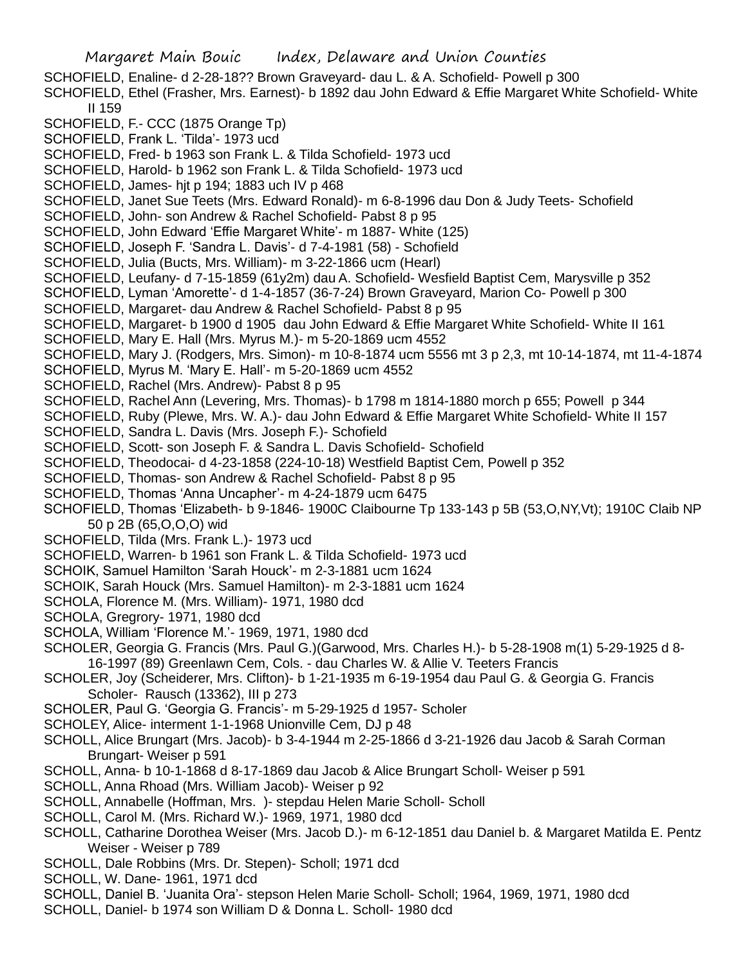Margaret Main Bouic Index, Delaware and Union Counties SCHOFIELD, Enaline- d 2-28-18?? Brown Graveyard- dau L. & A. Schofield- Powell p 300 SCHOFIELD, Ethel (Frasher, Mrs. Earnest)- b 1892 dau John Edward & Effie Margaret White Schofield- White II 159 SCHOFIELD, F.- CCC (1875 Orange Tp) SCHOFIELD, Frank L. 'Tilda'- 1973 ucd SCHOFIELD, Fred- b 1963 son Frank L. & Tilda Schofield- 1973 ucd SCHOFIELD, Harold- b 1962 son Frank L. & Tilda Schofield- 1973 ucd SCHOFIELD, James- hjt p 194; 1883 uch IV p 468 SCHOFIELD, Janet Sue Teets (Mrs. Edward Ronald)- m 6-8-1996 dau Don & Judy Teets- Schofield SCHOFIELD, John- son Andrew & Rachel Schofield- Pabst 8 p 95 SCHOFIELD, John Edward 'Effie Margaret White'- m 1887- White (125) SCHOFIELD, Joseph F. 'Sandra L. Davis'- d 7-4-1981 (58) - Schofield SCHOFIELD, Julia (Bucts, Mrs. William)- m 3-22-1866 ucm (Hearl) SCHOFIELD, Leufany- d 7-15-1859 (61y2m) dau A. Schofield- Wesfield Baptist Cem, Marysville p 352 SCHOFIELD, Lyman 'Amorette'- d 1-4-1857 (36-7-24) Brown Graveyard, Marion Co- Powell p 300 SCHOFIELD, Margaret- dau Andrew & Rachel Schofield- Pabst 8 p 95 SCHOFIELD, Margaret- b 1900 d 1905 dau John Edward & Effie Margaret White Schofield- White II 161 SCHOFIELD, Mary E. Hall (Mrs. Myrus M.)- m 5-20-1869 ucm 4552 SCHOFIELD, Mary J. (Rodgers, Mrs. Simon)- m 10-8-1874 ucm 5556 mt 3 p 2,3, mt 10-14-1874, mt 11-4-1874 SCHOFIELD, Myrus M. 'Mary E. Hall'- m 5-20-1869 ucm 4552 SCHOFIELD, Rachel (Mrs. Andrew)- Pabst 8 p 95 SCHOFIELD, Rachel Ann (Levering, Mrs. Thomas)- b 1798 m 1814-1880 morch p 655; Powell p 344 SCHOFIELD, Ruby (Plewe, Mrs. W. A.)- dau John Edward & Effie Margaret White Schofield- White II 157 SCHOFIELD, Sandra L. Davis (Mrs. Joseph F.)- Schofield SCHOFIELD, Scott- son Joseph F. & Sandra L. Davis Schofield- Schofield SCHOFIELD, Theodocai- d 4-23-1858 (224-10-18) Westfield Baptist Cem, Powell p 352 SCHOFIELD, Thomas- son Andrew & Rachel Schofield- Pabst 8 p 95 SCHOFIELD, Thomas 'Anna Uncapher'- m 4-24-1879 ucm 6475 SCHOFIELD, Thomas 'Elizabeth- b 9-1846- 1900C Claibourne Tp 133-143 p 5B (53,O,NY,Vt); 1910C Claib NP 50 p 2B (65,O,O,O) wid SCHOFIELD, Tilda (Mrs. Frank L.)- 1973 ucd SCHOFIELD, Warren- b 1961 son Frank L. & Tilda Schofield- 1973 ucd SCHOIK, Samuel Hamilton 'Sarah Houck'- m 2-3-1881 ucm 1624 SCHOIK, Sarah Houck (Mrs. Samuel Hamilton)- m 2-3-1881 ucm 1624 SCHOLA, Florence M. (Mrs. William)- 1971, 1980 dcd SCHOLA, Gregrory- 1971, 1980 dcd SCHOLA, William 'Florence M.'- 1969, 1971, 1980 dcd SCHOLER, Georgia G. Francis (Mrs. Paul G.)(Garwood, Mrs. Charles H.)- b 5-28-1908 m(1) 5-29-1925 d 8- 16-1997 (89) Greenlawn Cem, Cols. - dau Charles W. & Allie V. Teeters Francis SCHOLER, Joy (Scheiderer, Mrs. Clifton)- b 1-21-1935 m 6-19-1954 dau Paul G. & Georgia G. Francis Scholer- Rausch (13362), III p 273 SCHOLER, Paul G. 'Georgia G. Francis'- m 5-29-1925 d 1957- Scholer SCHOLEY, Alice- interment 1-1-1968 Unionville Cem, DJ p 48 SCHOLL, Alice Brungart (Mrs. Jacob)- b 3-4-1944 m 2-25-1866 d 3-21-1926 dau Jacob & Sarah Corman Brungart- Weiser p 591 SCHOLL, Anna- b 10-1-1868 d 8-17-1869 dau Jacob & Alice Brungart Scholl- Weiser p 591 SCHOLL, Anna Rhoad (Mrs. William Jacob)- Weiser p 92 SCHOLL, Annabelle (Hoffman, Mrs. )- stepdau Helen Marie Scholl- Scholl

- SCHOLL, Carol M. (Mrs. Richard W.)- 1969, 1971, 1980 dcd
- SCHOLL, Catharine Dorothea Weiser (Mrs. Jacob D.)- m 6-12-1851 dau Daniel b. & Margaret Matilda E. Pentz Weiser - Weiser p 789
- SCHOLL, Dale Robbins (Mrs. Dr. Stepen)- Scholl; 1971 dcd
- SCHOLL, W. Dane- 1961, 1971 dcd
- SCHOLL, Daniel B. 'Juanita Ora'- stepson Helen Marie Scholl- Scholl; 1964, 1969, 1971, 1980 dcd
- SCHOLL, Daniel- b 1974 son William D & Donna L. Scholl- 1980 dcd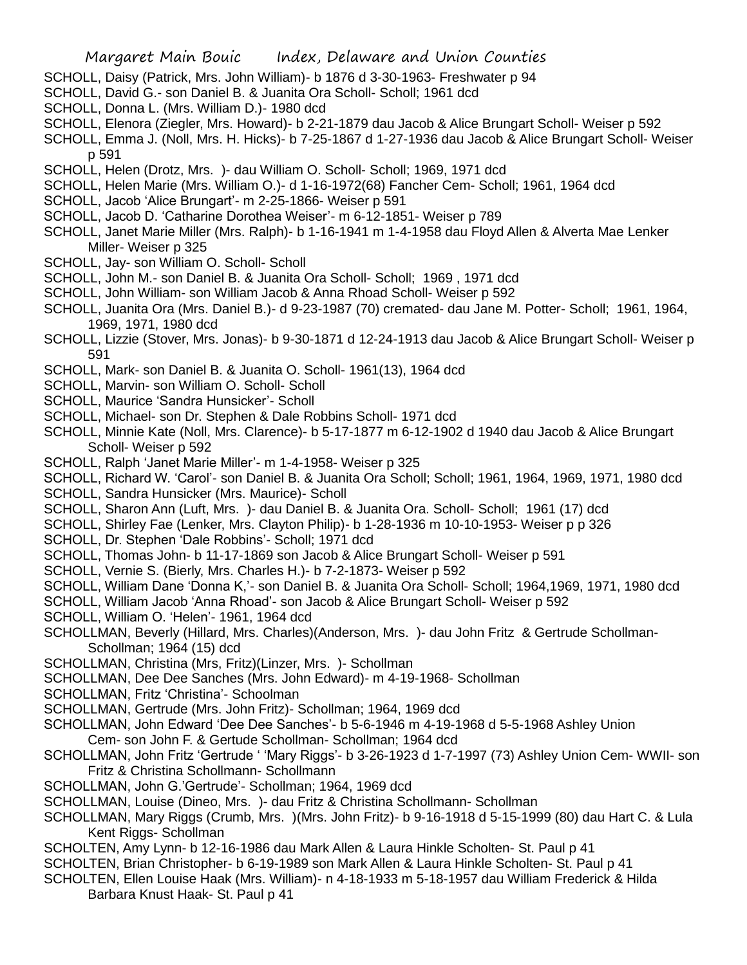- SCHOLL, Daisy (Patrick, Mrs. John William)- b 1876 d 3-30-1963- Freshwater p 94
- SCHOLL, David G.- son Daniel B. & Juanita Ora Scholl- Scholl; 1961 dcd
- SCHOLL, Donna L. (Mrs. William D.)- 1980 dcd
- SCHOLL, Elenora (Ziegler, Mrs. Howard)- b 2-21-1879 dau Jacob & Alice Brungart Scholl- Weiser p 592
- SCHOLL, Emma J. (Noll, Mrs. H. Hicks)- b 7-25-1867 d 1-27-1936 dau Jacob & Alice Brungart Scholl- Weiser p 591
- SCHOLL, Helen (Drotz, Mrs. )- dau William O. Scholl- Scholl; 1969, 1971 dcd
- SCHOLL, Helen Marie (Mrs. William O.)- d 1-16-1972(68) Fancher Cem- Scholl; 1961, 1964 dcd
- SCHOLL, Jacob 'Alice Brungart'- m 2-25-1866- Weiser p 591
- SCHOLL, Jacob D. 'Catharine Dorothea Weiser'- m 6-12-1851- Weiser p 789
- SCHOLL, Janet Marie Miller (Mrs. Ralph)- b 1-16-1941 m 1-4-1958 dau Floyd Allen & Alverta Mae Lenker Miller- Weiser p 325
- SCHOLL, Jay- son William O. Scholl- Scholl
- SCHOLL, John M.- son Daniel B. & Juanita Ora Scholl- Scholl; 1969 , 1971 dcd
- SCHOLL, John William- son William Jacob & Anna Rhoad Scholl- Weiser p 592
- SCHOLL, Juanita Ora (Mrs. Daniel B.)- d 9-23-1987 (70) cremated- dau Jane M. Potter- Scholl; 1961, 1964, 1969, 1971, 1980 dcd
- SCHOLL, Lizzie (Stover, Mrs. Jonas)- b 9-30-1871 d 12-24-1913 dau Jacob & Alice Brungart Scholl- Weiser p 591
- SCHOLL, Mark- son Daniel B. & Juanita O. Scholl- 1961(13), 1964 dcd
- SCHOLL, Marvin- son William O. Scholl- Scholl
- SCHOLL, Maurice 'Sandra Hunsicker'- Scholl
- SCHOLL, Michael- son Dr. Stephen & Dale Robbins Scholl- 1971 dcd
- SCHOLL, Minnie Kate (Noll, Mrs. Clarence)- b 5-17-1877 m 6-12-1902 d 1940 dau Jacob & Alice Brungart Scholl- Weiser p 592
- SCHOLL, Ralph 'Janet Marie Miller'- m 1-4-1958- Weiser p 325
- SCHOLL, Richard W. 'Carol'- son Daniel B. & Juanita Ora Scholl; Scholl; 1961, 1964, 1969, 1971, 1980 dcd
- SCHOLL, Sandra Hunsicker (Mrs. Maurice)- Scholl
- SCHOLL, Sharon Ann (Luft, Mrs. )- dau Daniel B. & Juanita Ora. Scholl- Scholl; 1961 (17) dcd
- SCHOLL, Shirley Fae (Lenker, Mrs. Clayton Philip)- b 1-28-1936 m 10-10-1953- Weiser p p 326
- SCHOLL, Dr. Stephen 'Dale Robbins'- Scholl; 1971 dcd
- SCHOLL, Thomas John- b 11-17-1869 son Jacob & Alice Brungart Scholl- Weiser p 591
- SCHOLL, Vernie S. (Bierly, Mrs. Charles H.)- b 7-2-1873- Weiser p 592
- SCHOLL, William Dane 'Donna K,'- son Daniel B. & Juanita Ora Scholl- Scholl; 1964,1969, 1971, 1980 dcd
- SCHOLL, William Jacob 'Anna Rhoad'- son Jacob & Alice Brungart Scholl- Weiser p 592
- SCHOLL, William O. 'Helen'- 1961, 1964 dcd
- SCHOLLMAN, Beverly (Hillard, Mrs. Charles)(Anderson, Mrs. )- dau John Fritz & Gertrude Schollman-Schollman; 1964 (15) dcd
- SCHOLLMAN, Christina (Mrs, Fritz)(Linzer, Mrs. )- Schollman
- SCHOLLMAN, Dee Dee Sanches (Mrs. John Edward)- m 4-19-1968- Schollman
- SCHOLLMAN, Fritz 'Christina'- Schoolman
- SCHOLLMAN, Gertrude (Mrs. John Fritz)- Schollman; 1964, 1969 dcd
- SCHOLLMAN, John Edward 'Dee Dee Sanches'- b 5-6-1946 m 4-19-1968 d 5-5-1968 Ashley Union
- Cem- son John F. & Gertude Schollman- Schollman; 1964 dcd
- SCHOLLMAN, John Fritz 'Gertrude ' 'Mary Riggs'- b 3-26-1923 d 1-7-1997 (73) Ashley Union Cem- WWII- son Fritz & Christina Schollmann- Schollmann
- SCHOLLMAN, John G.'Gertrude'- Schollman; 1964, 1969 dcd
- SCHOLLMAN, Louise (Dineo, Mrs. )- dau Fritz & Christina Schollmann- Schollman
- SCHOLLMAN, Mary Riggs (Crumb, Mrs. )(Mrs. John Fritz)- b 9-16-1918 d 5-15-1999 (80) dau Hart C. & Lula Kent Riggs- Schollman
- SCHOLTEN, Amy Lynn- b 12-16-1986 dau Mark Allen & Laura Hinkle Scholten- St. Paul p 41
- SCHOLTEN, Brian Christopher- b 6-19-1989 son Mark Allen & Laura Hinkle Scholten- St. Paul p 41
- SCHOLTEN, Ellen Louise Haak (Mrs. William)- n 4-18-1933 m 5-18-1957 dau William Frederick & Hilda Barbara Knust Haak- St. Paul p 41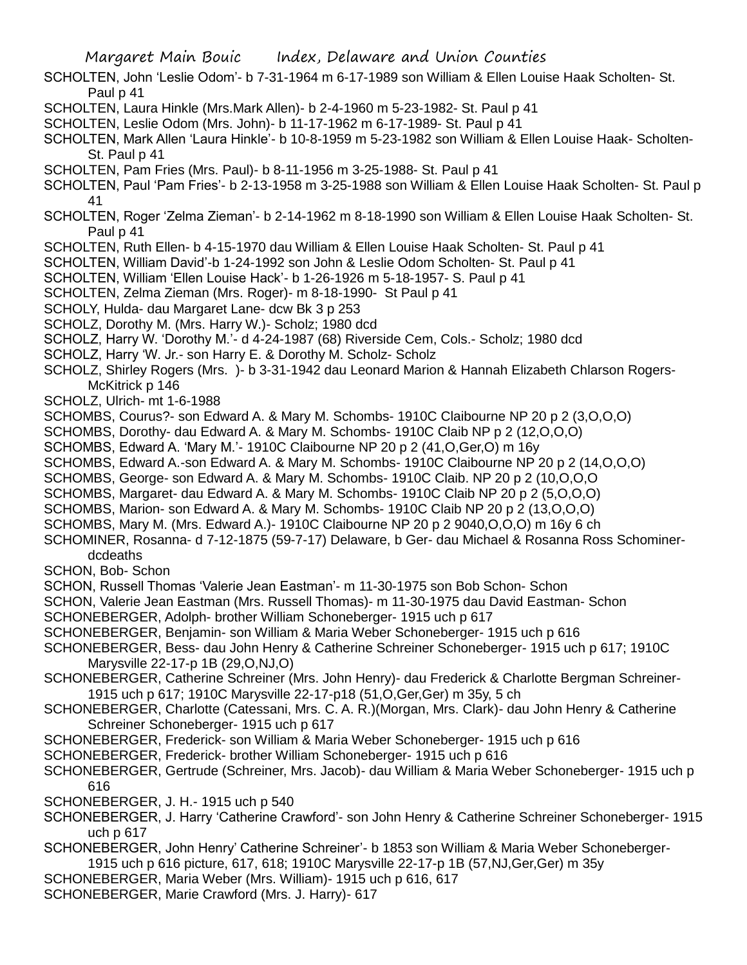- SCHOLTEN, John 'Leslie Odom'- b 7-31-1964 m 6-17-1989 son William & Ellen Louise Haak Scholten- St. Paul p 41
- SCHOLTEN, Laura Hinkle (Mrs.Mark Allen)- b 2-4-1960 m 5-23-1982- St. Paul p 41
- SCHOLTEN, Leslie Odom (Mrs. John)- b 11-17-1962 m 6-17-1989- St. Paul p 41
- SCHOLTEN, Mark Allen 'Laura Hinkle'- b 10-8-1959 m 5-23-1982 son William & Ellen Louise Haak- Scholten-St. Paul p 41
- SCHOLTEN, Pam Fries (Mrs. Paul)- b 8-11-1956 m 3-25-1988- St. Paul p 41
- SCHOLTEN, Paul 'Pam Fries'- b 2-13-1958 m 3-25-1988 son William & Ellen Louise Haak Scholten- St. Paul p 41
- SCHOLTEN, Roger 'Zelma Zieman'- b 2-14-1962 m 8-18-1990 son William & Ellen Louise Haak Scholten- St. Paul p 41
- SCHOLTEN, Ruth Ellen- b 4-15-1970 dau William & Ellen Louise Haak Scholten- St. Paul p 41
- SCHOLTEN, William David'-b 1-24-1992 son John & Leslie Odom Scholten- St. Paul p 41
- SCHOLTEN, William 'Ellen Louise Hack'- b 1-26-1926 m 5-18-1957- S. Paul p 41
- SCHOLTEN, Zelma Zieman (Mrs. Roger)- m 8-18-1990- St Paul p 41
- SCHOLY, Hulda- dau Margaret Lane- dcw Bk 3 p 253
- SCHOLZ, Dorothy M. (Mrs. Harry W.)- Scholz; 1980 dcd
- SCHOLZ, Harry W. 'Dorothy M.'- d 4-24-1987 (68) Riverside Cem, Cols.- Scholz; 1980 dcd
- SCHOLZ, Harry 'W. Jr.- son Harry E. & Dorothy M. Scholz- Scholz
- SCHOLZ, Shirley Rogers (Mrs. )- b 3-31-1942 dau Leonard Marion & Hannah Elizabeth Chlarson Rogers-McKitrick p 146
- SCHOLZ, Ulrich- mt 1-6-1988
- SCHOMBS, Courus?- son Edward A. & Mary M. Schombs- 1910C Claibourne NP 20 p 2 (3,O,O,O)
- SCHOMBS, Dorothy- dau Edward A. & Mary M. Schombs- 1910C Claib NP p 2 (12,O,O,O)
- SCHOMBS, Edward A. 'Mary M.'- 1910C Claibourne NP 20 p 2 (41,O,Ger,O) m 16y
- SCHOMBS, Edward A.-son Edward A. & Mary M. Schombs- 1910C Claibourne NP 20 p 2 (14,O,O,O)
- SCHOMBS, George- son Edward A. & Mary M. Schombs- 1910C Claib. NP 20 p 2 (10,O,O,O
- SCHOMBS, Margaret- dau Edward A. & Mary M. Schombs- 1910C Claib NP 20 p 2 (5,O,O,O)
- SCHOMBS, Marion- son Edward A. & Mary M. Schombs- 1910C Claib NP 20 p 2 (13,O,O,O)
- SCHOMBS, Mary M. (Mrs. Edward A.)- 1910C Claibourne NP 20 p 2 9040,O,O,O) m 16y 6 ch
- SCHOMINER, Rosanna- d 7-12-1875 (59-7-17) Delaware, b Ger- dau Michael & Rosanna Ross Schominerdcdeaths
- SCHON, Bob- Schon
- SCHON, Russell Thomas 'Valerie Jean Eastman'- m 11-30-1975 son Bob Schon- Schon
- SCHON, Valerie Jean Eastman (Mrs. Russell Thomas)- m 11-30-1975 dau David Eastman- Schon
- SCHONEBERGER, Adolph- brother William Schoneberger- 1915 uch p 617
- SCHONEBERGER, Benjamin- son William & Maria Weber Schoneberger- 1915 uch p 616
- SCHONEBERGER, Bess- dau John Henry & Catherine Schreiner Schoneberger- 1915 uch p 617; 1910C Marysville 22-17-p 1B (29,O,NJ,O)
- SCHONEBERGER, Catherine Schreiner (Mrs. John Henry)- dau Frederick & Charlotte Bergman Schreiner-1915 uch p 617; 1910C Marysville 22-17-p18 (51,O,Ger,Ger) m 35y, 5 ch
- SCHONEBERGER, Charlotte (Catessani, Mrs. C. A. R.)(Morgan, Mrs. Clark)- dau John Henry & Catherine Schreiner Schoneberger- 1915 uch p 617
- SCHONEBERGER, Frederick- son William & Maria Weber Schoneberger- 1915 uch p 616
- SCHONEBERGER, Frederick- brother William Schoneberger- 1915 uch p 616
- SCHONEBERGER, Gertrude (Schreiner, Mrs. Jacob)- dau William & Maria Weber Schoneberger- 1915 uch p 616
- SCHONEBERGER, J. H.- 1915 uch p 540
- SCHONEBERGER, J. Harry 'Catherine Crawford'- son John Henry & Catherine Schreiner Schoneberger- 1915 uch p 617
- SCHONEBERGER, John Henry' Catherine Schreiner'- b 1853 son William & Maria Weber Schoneberger-1915 uch p 616 picture, 617, 618; 1910C Marysville 22-17-p 1B (57,NJ,Ger,Ger) m 35y
- SCHONEBERGER, Maria Weber (Mrs. William)- 1915 uch p 616, 617
- SCHONEBERGER, Marie Crawford (Mrs. J. Harry)- 617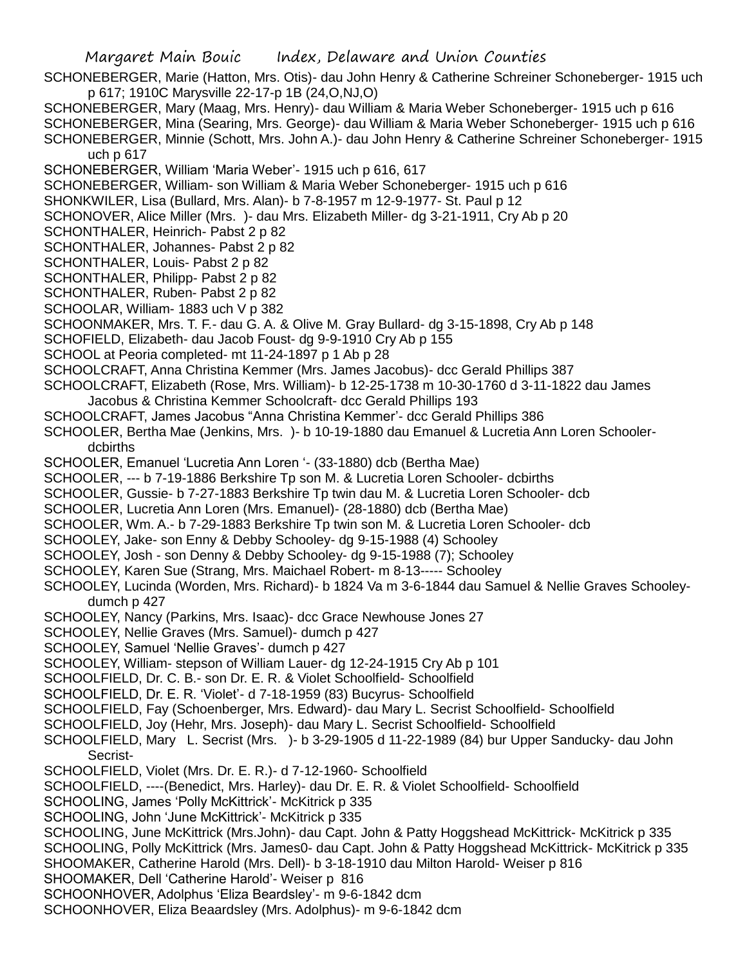- SCHONEBERGER, Marie (Hatton, Mrs. Otis)- dau John Henry & Catherine Schreiner Schoneberger- 1915 uch p 617; 1910C Marysville 22-17-p 1B (24,O,NJ,O)
- SCHONEBERGER, Mary (Maag, Mrs. Henry)- dau William & Maria Weber Schoneberger- 1915 uch p 616 SCHONEBERGER, Mina (Searing, Mrs. George)- dau William & Maria Weber Schoneberger- 1915 uch p 616 SCHONEBERGER, Minnie (Schott, Mrs. John A.)- dau John Henry & Catherine Schreiner Schoneberger- 1915 uch p 617
- SCHONEBERGER, William 'Maria Weber'- 1915 uch p 616, 617
- SCHONEBERGER, William- son William & Maria Weber Schoneberger- 1915 uch p 616
- SHONKWILER, Lisa (Bullard, Mrs. Alan)- b 7-8-1957 m 12-9-1977- St. Paul p 12
- SCHONOVER, Alice Miller (Mrs. )- dau Mrs. Elizabeth Miller- dg 3-21-1911, Cry Ab p 20
- SCHONTHALER, Heinrich- Pabst 2 p 82
- SCHONTHALER, Johannes- Pabst 2 p 82
- SCHONTHALER, Louis- Pabst 2 p 82
- SCHONTHALER, Philipp- Pabst 2 p 82
- SCHONTHALER, Ruben- Pabst 2 p 82
- SCHOOLAR, William- 1883 uch V p 382
- SCHOONMAKER, Mrs. T. F.- dau G. A. & Olive M. Gray Bullard- dg 3-15-1898, Cry Ab p 148
- SCHOFIELD, Elizabeth- dau Jacob Foust- dg 9-9-1910 Cry Ab p 155
- SCHOOL at Peoria completed- mt 11-24-1897 p 1 Ab p 28
- SCHOOLCRAFT, Anna Christina Kemmer (Mrs. James Jacobus)- dcc Gerald Phillips 387
- SCHOOLCRAFT, Elizabeth (Rose, Mrs. William)- b 12-25-1738 m 10-30-1760 d 3-11-1822 dau James Jacobus & Christina Kemmer Schoolcraft- dcc Gerald Phillips 193
- SCHOOLCRAFT, James Jacobus "Anna Christina Kemmer'- dcc Gerald Phillips 386
- SCHOOLER, Bertha Mae (Jenkins, Mrs. )- b 10-19-1880 dau Emanuel & Lucretia Ann Loren Schoolerdcbirths
- SCHOOLER, Emanuel 'Lucretia Ann Loren '- (33-1880) dcb (Bertha Mae)
- SCHOOLER, --- b 7-19-1886 Berkshire Tp son M. & Lucretia Loren Schooler- dcbirths
- SCHOOLER, Gussie- b 7-27-1883 Berkshire Tp twin dau M. & Lucretia Loren Schooler- dcb
- SCHOOLER, Lucretia Ann Loren (Mrs. Emanuel)- (28-1880) dcb (Bertha Mae)
- SCHOOLER, Wm. A.- b 7-29-1883 Berkshire Tp twin son M. & Lucretia Loren Schooler- dcb
- SCHOOLEY, Jake- son Enny & Debby Schooley- dg 9-15-1988 (4) Schooley
- SCHOOLEY, Josh son Denny & Debby Schooley- dg 9-15-1988 (7); Schooley
- SCHOOLEY, Karen Sue (Strang, Mrs. Maichael Robert- m 8-13----- Schooley
- SCHOOLEY, Lucinda (Worden, Mrs. Richard)- b 1824 Va m 3-6-1844 dau Samuel & Nellie Graves Schooleydumch p 427
- SCHOOLEY, Nancy (Parkins, Mrs. Isaac)- dcc Grace Newhouse Jones 27
- SCHOOLEY, Nellie Graves (Mrs. Samuel)- dumch p 427
- SCHOOLEY, Samuel 'Nellie Graves'- dumch p 427
- SCHOOLEY, William- stepson of William Lauer- dg 12-24-1915 Cry Ab p 101
- SCHOOLFIELD, Dr. C. B.- son Dr. E. R. & Violet Schoolfield- Schoolfield
- SCHOOLFIELD, Dr. E. R. 'Violet'- d 7-18-1959 (83) Bucyrus- Schoolfield
- SCHOOLFIELD, Fay (Schoenberger, Mrs. Edward)- dau Mary L. Secrist Schoolfield- Schoolfield
- SCHOOLFIELD, Joy (Hehr, Mrs. Joseph)- dau Mary L. Secrist Schoolfield- Schoolfield
- SCHOOLFIELD, Mary L. Secrist (Mrs. )- b 3-29-1905 d 11-22-1989 (84) bur Upper Sanducky- dau John Secrist-
- SCHOOLFIELD, Violet (Mrs. Dr. E. R.)- d 7-12-1960- Schoolfield
- SCHOOLFIELD, ----(Benedict, Mrs. Harley)- dau Dr. E. R. & Violet Schoolfield- Schoolfield
- SCHOOLING, James 'Polly McKittrick'- McKitrick p 335
- SCHOOLING, John 'June McKittrick'- McKitrick p 335
- SCHOOLING, June McKittrick (Mrs.John)- dau Capt. John & Patty Hoggshead McKittrick- McKitrick p 335 SCHOOLING, Polly McKittrick (Mrs. James0- dau Capt. John & Patty Hoggshead McKittrick- McKitrick p 335 SHOOMAKER, Catherine Harold (Mrs. Dell)- b 3-18-1910 dau Milton Harold- Weiser p 816
- SHOOMAKER, Dell 'Catherine Harold'- Weiser p 816
- SCHOONHOVER, Adolphus 'Eliza Beardsley'- m 9-6-1842 dcm
- SCHOONHOVER, Eliza Beaardsley (Mrs. Adolphus)- m 9-6-1842 dcm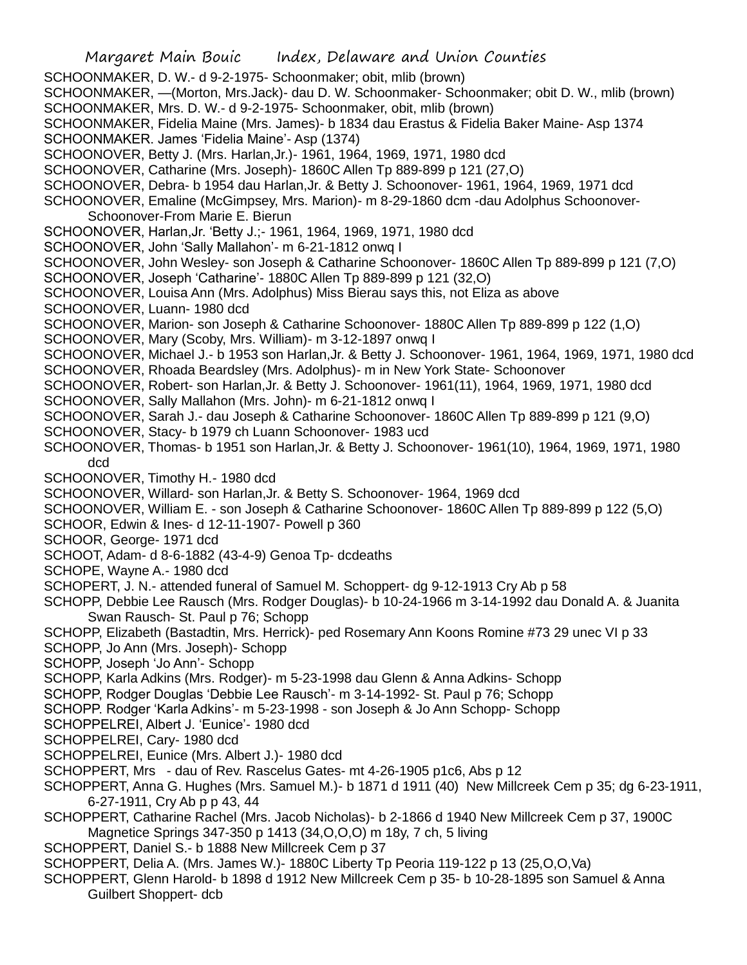SCHOONMAKER, D. W.- d 9-2-1975- Schoonmaker; obit, mlib (brown)

SCHOONMAKER, —(Morton, Mrs.Jack)- dau D. W. Schoonmaker- Schoonmaker; obit D. W., mlib (brown) SCHOONMAKER, Mrs. D. W.- d 9-2-1975- Schoonmaker, obit, mlib (brown)

- SCHOONMAKER, Fidelia Maine (Mrs. James)- b 1834 dau Erastus & Fidelia Baker Maine- Asp 1374
- SCHOONMAKER. James 'Fidelia Maine'- Asp (1374)
- SCHOONOVER, Betty J. (Mrs. Harlan,Jr.)- 1961, 1964, 1969, 1971, 1980 dcd
- SCHOONOVER, Catharine (Mrs. Joseph)- 1860C Allen Tp 889-899 p 121 (27,O)
- SCHOONOVER, Debra- b 1954 dau Harlan,Jr. & Betty J. Schoonover- 1961, 1964, 1969, 1971 dcd

SCHOONOVER, Emaline (McGimpsey, Mrs. Marion)- m 8-29-1860 dcm -dau Adolphus Schoonover-Schoonover-From Marie E. Bierun

- SCHOONOVER, Harlan,Jr. 'Betty J.;- 1961, 1964, 1969, 1971, 1980 dcd
- SCHOONOVER, John 'Sally Mallahon'- m 6-21-1812 onwq I
- SCHOONOVER, John Wesley- son Joseph & Catharine Schoonover- 1860C Allen Tp 889-899 p 121 (7,O)
- SCHOONOVER, Joseph 'Catharine'- 1880C Allen Tp 889-899 p 121 (32,O)
- SCHOONOVER, Louisa Ann (Mrs. Adolphus) Miss Bierau says this, not Eliza as above
- SCHOONOVER, Luann- 1980 dcd
- SCHOONOVER, Marion- son Joseph & Catharine Schoonover- 1880C Allen Tp 889-899 p 122 (1,O)
- SCHOONOVER, Mary (Scoby, Mrs. William)- m 3-12-1897 onwq I
- SCHOONOVER, Michael J.- b 1953 son Harlan,Jr. & Betty J. Schoonover- 1961, 1964, 1969, 1971, 1980 dcd SCHOONOVER, Rhoada Beardsley (Mrs. Adolphus)- m in New York State- Schoonover
- SCHOONOVER, Robert- son Harlan,Jr. & Betty J. Schoonover- 1961(11), 1964, 1969, 1971, 1980 dcd
- SCHOONOVER, Sally Mallahon (Mrs. John)- m 6-21-1812 onwq I
- SCHOONOVER, Sarah J.- dau Joseph & Catharine Schoonover- 1860C Allen Tp 889-899 p 121 (9,O)
- SCHOONOVER, Stacy- b 1979 ch Luann Schoonover- 1983 ucd
- SCHOONOVER, Thomas- b 1951 son Harlan,Jr. & Betty J. Schoonover- 1961(10), 1964, 1969, 1971, 1980 dcd
- SCHOONOVER, Timothy H.- 1980 dcd
- SCHOONOVER, Willard- son Harlan,Jr. & Betty S. Schoonover- 1964, 1969 dcd
- SCHOONOVER, William E. son Joseph & Catharine Schoonover- 1860C Allen Tp 889-899 p 122 (5,O)
- SCHOOR, Edwin & Ines- d 12-11-1907- Powell p 360
- SCHOOR, George- 1971 dcd
- SCHOOT, Adam- d 8-6-1882 (43-4-9) Genoa Tp- dcdeaths
- SCHOPE, Wayne A.- 1980 dcd
- SCHOPERT, J. N.- attended funeral of Samuel M. Schoppert- dg 9-12-1913 Cry Ab p 58
- SCHOPP, Debbie Lee Rausch (Mrs. Rodger Douglas)- b 10-24-1966 m 3-14-1992 dau Donald A. & Juanita Swan Rausch- St. Paul p 76; Schopp
- SCHOPP, Elizabeth (Bastadtin, Mrs. Herrick)- ped Rosemary Ann Koons Romine #73 29 unec VI p 33
- SCHOPP, Jo Ann (Mrs. Joseph)- Schopp
- SCHOPP, Joseph 'Jo Ann'- Schopp
- SCHOPP, Karla Adkins (Mrs. Rodger)- m 5-23-1998 dau Glenn & Anna Adkins- Schopp
- SCHOPP, Rodger Douglas 'Debbie Lee Rausch'- m 3-14-1992- St. Paul p 76; Schopp
- SCHOPP. Rodger 'Karla Adkins'- m 5-23-1998 son Joseph & Jo Ann Schopp- Schopp
- SCHOPPELREI, Albert J. 'Eunice'- 1980 dcd
- SCHOPPELREI, Cary- 1980 dcd
- SCHOPPELREI, Eunice (Mrs. Albert J.)- 1980 dcd
- SCHOPPERT, Mrs dau of Rev. Rascelus Gates- mt 4-26-1905 p1c6, Abs p 12
- SCHOPPERT, Anna G. Hughes (Mrs. Samuel M.)- b 1871 d 1911 (40) New Millcreek Cem p 35; dg 6-23-1911, 6-27-1911, Cry Ab p p 43, 44
- SCHOPPERT, Catharine Rachel (Mrs. Jacob Nicholas)- b 2-1866 d 1940 New Millcreek Cem p 37, 1900C Magnetice Springs 347-350 p 1413 (34,O,O,O) m 18y, 7 ch, 5 living
- SCHOPPERT, Daniel S.- b 1888 New Millcreek Cem p 37
- SCHOPPERT, Delia A. (Mrs. James W.)- 1880C Liberty Tp Peoria 119-122 p 13 (25,O,O,Va)
- SCHOPPERT, Glenn Harold- b 1898 d 1912 New Millcreek Cem p 35- b 10-28-1895 son Samuel & Anna Guilbert Shoppert- dcb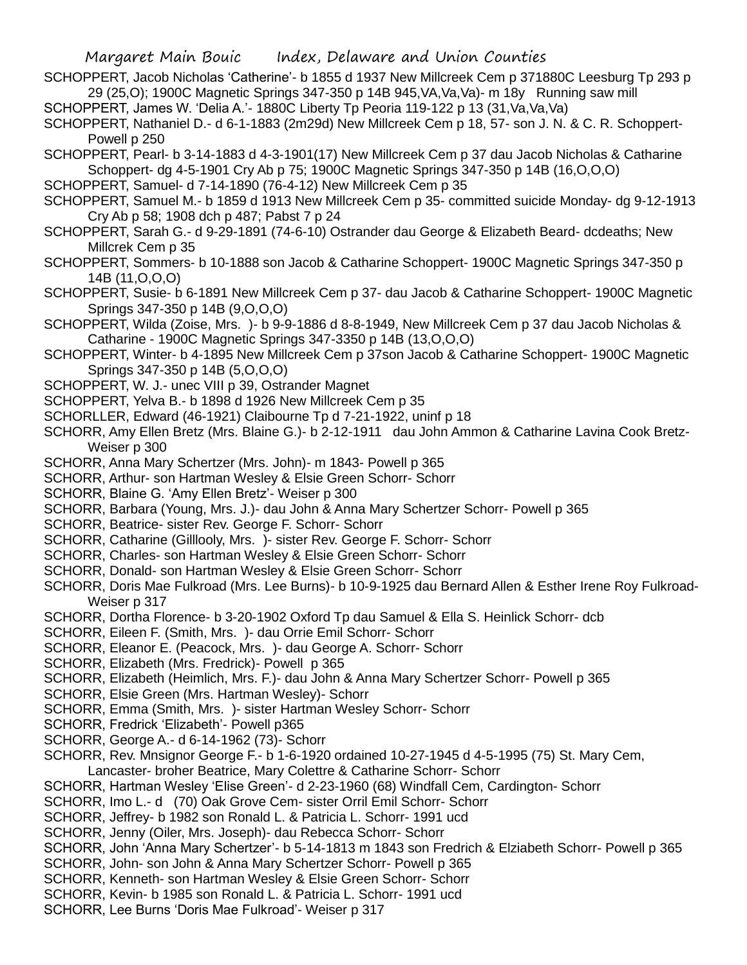SCHOPPERT, Jacob Nicholas 'Catherine'- b 1855 d 1937 New Millcreek Cem p 371880C Leesburg Tp 293 p 29 (25,O); 1900C Magnetic Springs 347-350 p 14B 945,VA,Va,Va)- m 18y Running saw mill

SCHOPPERT, James W. 'Delia A.'- 1880C Liberty Tp Peoria 119-122 p 13 (31,Va,Va,Va) SCHOPPERT, Nathaniel D.- d 6-1-1883 (2m29d) New Millcreek Cem p 18, 57- son J. N. & C. R. Schoppert-

Powell p 250 SCHOPPERT, Pearl- b 3-14-1883 d 4-3-1901(17) New Millcreek Cem p 37 dau Jacob Nicholas & Catharine

Schoppert- dg 4-5-1901 Cry Ab p 75; 1900C Magnetic Springs 347-350 p 14B (16,O,O,O)

- SCHOPPERT, Samuel- d 7-14-1890 (76-4-12) New Millcreek Cem p 35
- SCHOPPERT, Samuel M.- b 1859 d 1913 New Millcreek Cem p 35- committed suicide Monday- dg 9-12-1913 Cry Ab p 58; 1908 dch p 487; Pabst 7 p 24
- SCHOPPERT, Sarah G.- d 9-29-1891 (74-6-10) Ostrander dau George & Elizabeth Beard- dcdeaths; New Millcrek Cem p 35
- SCHOPPERT, Sommers- b 10-1888 son Jacob & Catharine Schoppert- 1900C Magnetic Springs 347-350 p 14B (11,O,O,O)

SCHOPPERT, Susie- b 6-1891 New Millcreek Cem p 37- dau Jacob & Catharine Schoppert- 1900C Magnetic Springs 347-350 p 14B (9,O,O,O)

- SCHOPPERT, Wilda (Zoise, Mrs. )- b 9-9-1886 d 8-8-1949, New Millcreek Cem p 37 dau Jacob Nicholas & Catharine - 1900C Magnetic Springs 347-3350 p 14B (13,O,O,O)
- SCHOPPERT, Winter- b 4-1895 New Millcreek Cem p 37son Jacob & Catharine Schoppert- 1900C Magnetic Springs 347-350 p 14B (5,O,O,O)
- SCHOPPERT, W. J.- unec VIII p 39, Ostrander Magnet
- SCHOPPERT, Yelva B.- b 1898 d 1926 New Millcreek Cem p 35
- SCHORLLER, Edward (46-1921) Claibourne Tp d 7-21-1922, uninf p 18
- SCHORR, Amy Ellen Bretz (Mrs. Blaine G.)- b 2-12-1911 dau John Ammon & Catharine Lavina Cook Bretz-Weiser p 300
- SCHORR, Anna Mary Schertzer (Mrs. John)- m 1843- Powell p 365
- SCHORR, Arthur- son Hartman Wesley & Elsie Green Schorr- Schorr
- SCHORR, Blaine G. 'Amy Ellen Bretz'- Weiser p 300
- SCHORR, Barbara (Young, Mrs. J.)- dau John & Anna Mary Schertzer Schorr- Powell p 365
- SCHORR, Beatrice- sister Rev. George F. Schorr- Schorr
- SCHORR, Catharine (Gilllooly, Mrs. )- sister Rev. George F. Schorr- Schorr
- SCHORR, Charles- son Hartman Wesley & Elsie Green Schorr- Schorr
- SCHORR, Donald- son Hartman Wesley & Elsie Green Schorr- Schorr
- SCHORR, Doris Mae Fulkroad (Mrs. Lee Burns)- b 10-9-1925 dau Bernard Allen & Esther Irene Roy Fulkroad-Weiser p 317
- SCHORR, Dortha Florence- b 3-20-1902 Oxford Tp dau Samuel & Ella S. Heinlick Schorr- dcb
- SCHORR, Eileen F. (Smith, Mrs. )- dau Orrie Emil Schorr- Schorr
- SCHORR, Eleanor E. (Peacock, Mrs. )- dau George A. Schorr- Schorr
- SCHORR, Elizabeth (Mrs. Fredrick)- Powell p 365
- SCHORR, Elizabeth (Heimlich, Mrs. F.)- dau John & Anna Mary Schertzer Schorr- Powell p 365
- SCHORR, Elsie Green (Mrs. Hartman Wesley)- Schorr
- SCHORR, Emma (Smith, Mrs. )- sister Hartman Wesley Schorr- Schorr
- SCHORR, Fredrick 'Elizabeth'- Powell p365
- SCHORR, George A.- d 6-14-1962 (73)- Schorr
- SCHORR, Rev. Mnsignor George F.- b 1-6-1920 ordained 10-27-1945 d 4-5-1995 (75) St. Mary Cem, Lancaster- broher Beatrice, Mary Colettre & Catharine Schorr- Schorr
- SCHORR, Hartman Wesley 'Elise Green'- d 2-23-1960 (68) Windfall Cem, Cardington- Schorr
- SCHORR, Imo L.- d (70) Oak Grove Cem- sister Orril Emil Schorr- Schorr
- SCHORR, Jeffrey- b 1982 son Ronald L. & Patricia L. Schorr- 1991 ucd
- SCHORR, Jenny (Oiler, Mrs. Joseph)- dau Rebecca Schorr- Schorr
- SCHORR, John 'Anna Mary Schertzer'- b 5-14-1813 m 1843 son Fredrich & Elziabeth Schorr- Powell p 365
- SCHORR, John- son John & Anna Mary Schertzer Schorr- Powell p 365
- SCHORR, Kenneth- son Hartman Wesley & Elsie Green Schorr- Schorr
- SCHORR, Kevin- b 1985 son Ronald L. & Patricia L. Schorr- 1991 ucd
- SCHORR, Lee Burns 'Doris Mae Fulkroad'- Weiser p 317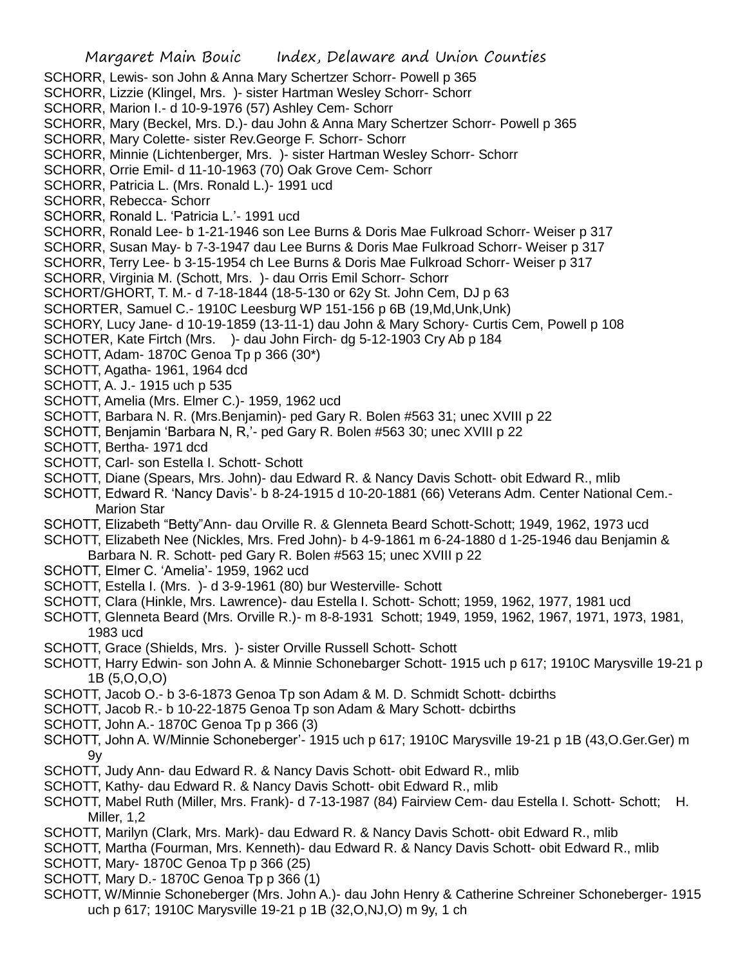SCHORR, Lewis- son John & Anna Mary Schertzer Schorr- Powell p 365

SCHORR, Lizzie (Klingel, Mrs. )- sister Hartman Wesley Schorr- Schorr

SCHORR, Marion I.- d 10-9-1976 (57) Ashley Cem- Schorr

SCHORR, Mary (Beckel, Mrs. D.)- dau John & Anna Mary Schertzer Schorr- Powell p 365

SCHORR, Mary Colette- sister Rev.George F. Schorr- Schorr

SCHORR, Minnie (Lichtenberger, Mrs. )- sister Hartman Wesley Schorr- Schorr

SCHORR, Orrie Emil- d 11-10-1963 (70) Oak Grove Cem- Schorr

SCHORR, Patricia L. (Mrs. Ronald L.)- 1991 ucd

SCHORR, Rebecca- Schorr

SCHORR, Ronald L. 'Patricia L.'- 1991 ucd

SCHORR, Ronald Lee- b 1-21-1946 son Lee Burns & Doris Mae Fulkroad Schorr- Weiser p 317

SCHORR, Susan May- b 7-3-1947 dau Lee Burns & Doris Mae Fulkroad Schorr- Weiser p 317

SCHORR, Terry Lee- b 3-15-1954 ch Lee Burns & Doris Mae Fulkroad Schorr- Weiser p 317

SCHORR, Virginia M. (Schott, Mrs. )- dau Orris Emil Schorr- Schorr

SCHORT/GHORT, T. M.- d 7-18-1844 (18-5-130 or 62y St. John Cem, DJ p 63

SCHORTER, Samuel C.- 1910C Leesburg WP 151-156 p 6B (19,Md,Unk,Unk)

SCHORY, Lucy Jane- d 10-19-1859 (13-11-1) dau John & Mary Schory- Curtis Cem, Powell p 108

SCHOTER, Kate Firtch (Mrs. )- dau John Firch- dg 5-12-1903 Cry Ab p 184

SCHOTT, Adam- 1870C Genoa Tp p 366 (30\*)

SCHOTT, Agatha- 1961, 1964 dcd

SCHOTT, A. J.- 1915 uch p 535

SCHOTT, Amelia (Mrs. Elmer C.)- 1959, 1962 ucd

SCHOTT, Barbara N. R. (Mrs.Benjamin)- ped Gary R. Bolen #563 31; unec XVIII p 22

SCHOTT, Benjamin 'Barbara N, R,'- ped Gary R. Bolen #563 30; unec XVIII p 22

SCHOTT, Bertha- 1971 dcd

SCHOTT, Carl- son Estella I. Schott- Schott

SCHOTT, Diane (Spears, Mrs. John)- dau Edward R. & Nancy Davis Schott- obit Edward R., mlib

SCHOTT, Edward R. 'Nancy Davis'- b 8-24-1915 d 10-20-1881 (66) Veterans Adm. Center National Cem.- Marion Star

SCHOTT, Elizabeth "Betty"Ann- dau Orville R. & Glenneta Beard Schott-Schott; 1949, 1962, 1973 ucd

SCHOTT, Elizabeth Nee (Nickles, Mrs. Fred John)- b 4-9-1861 m 6-24-1880 d 1-25-1946 dau Benjamin &

Barbara N. R. Schott- ped Gary R. Bolen #563 15; unec XVIII p 22

SCHOTT, Elmer C. 'Amelia'- 1959, 1962 ucd

SCHOTT, Estella I. (Mrs. )- d 3-9-1961 (80) bur Westerville- Schott

SCHOTT, Clara (Hinkle, Mrs. Lawrence)- dau Estella I. Schott- Schott; 1959, 1962, 1977, 1981 ucd

SCHOTT, Glenneta Beard (Mrs. Orville R.)- m 8-8-1931 Schott; 1949, 1959, 1962, 1967, 1971, 1973, 1981, 1983 ucd

SCHOTT, Grace (Shields, Mrs. )- sister Orville Russell Schott- Schott

SCHOTT, Harry Edwin- son John A. & Minnie Schonebarger Schott- 1915 uch p 617; 1910C Marysville 19-21 p 1B (5,O,O,O)

SCHOTT, Jacob O.- b 3-6-1873 Genoa Tp son Adam & M. D. Schmidt Schott- dcbirths

SCHOTT, Jacob R.- b 10-22-1875 Genoa Tp son Adam & Mary Schott- dcbirths

SCHOTT, John A.- 1870C Genoa Tp p 366 (3)

SCHOTT, John A. W/Minnie Schoneberger'- 1915 uch p 617; 1910C Marysville 19-21 p 1B (43,O.Ger.Ger) m 9y

SCHOTT, Judy Ann- dau Edward R. & Nancy Davis Schott- obit Edward R., mlib

SCHOTT, Kathy- dau Edward R. & Nancy Davis Schott- obit Edward R., mlib

SCHOTT, Mabel Ruth (Miller, Mrs. Frank)- d 7-13-1987 (84) Fairview Cem- dau Estella I. Schott- Schott; H. Miller, 1,2

SCHOTT, Marilyn (Clark, Mrs. Mark)- dau Edward R. & Nancy Davis Schott- obit Edward R., mlib

SCHOTT, Martha (Fourman, Mrs. Kenneth)- dau Edward R. & Nancy Davis Schott- obit Edward R., mlib

SCHOTT, Mary- 1870C Genoa Tp p 366 (25)

- SCHOTT, Mary D.- 1870C Genoa Tp p 366 (1)
- SCHOTT, W/Minnie Schoneberger (Mrs. John A.)- dau John Henry & Catherine Schreiner Schoneberger- 1915 uch p 617; 1910C Marysville 19-21 p 1B (32,O,NJ,O) m 9y, 1 ch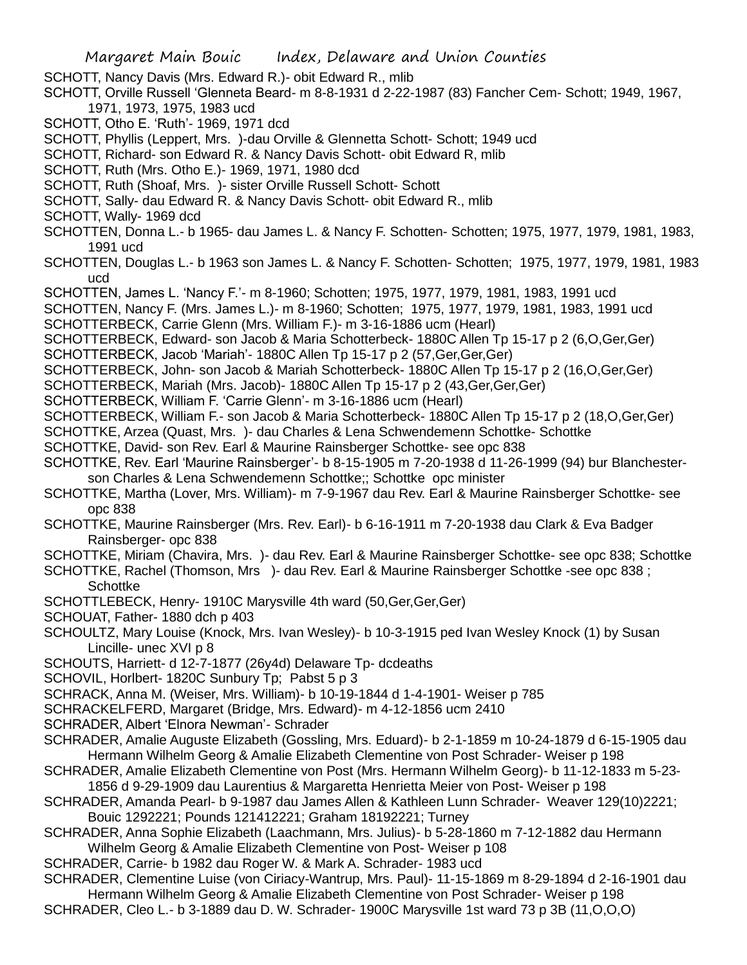SCHOTT, Nancy Davis (Mrs. Edward R.)- obit Edward R., mlib

SCHOTT, Orville Russell 'Glenneta Beard- m 8-8-1931 d 2-22-1987 (83) Fancher Cem- Schott; 1949, 1967, 1971, 1973, 1975, 1983 ucd

- SCHOTT, Otho E. 'Ruth'- 1969, 1971 dcd
- SCHOTT, Phyllis (Leppert, Mrs. )-dau Orville & Glennetta Schott- Schott; 1949 ucd
- SCHOTT, Richard- son Edward R. & Nancy Davis Schott- obit Edward R, mlib
- SCHOTT, Ruth (Mrs. Otho E.)- 1969, 1971, 1980 dcd
- SCHOTT, Ruth (Shoaf, Mrs. )- sister Orville Russell Schott- Schott
- SCHOTT, Sally- dau Edward R. & Nancy Davis Schott- obit Edward R., mlib
- SCHOTT, Wally- 1969 dcd
- SCHOTTEN, Donna L.- b 1965- dau James L. & Nancy F. Schotten- Schotten; 1975, 1977, 1979, 1981, 1983, 1991 ucd
- SCHOTTEN, Douglas L.- b 1963 son James L. & Nancy F. Schotten- Schotten; 1975, 1977, 1979, 1981, 1983 ucd
- SCHOTTEN, James L. 'Nancy F.'- m 8-1960; Schotten; 1975, 1977, 1979, 1981, 1983, 1991 ucd
- SCHOTTEN, Nancy F. (Mrs. James L.)- m 8-1960; Schotten; 1975, 1977, 1979, 1981, 1983, 1991 ucd SCHOTTERBECK, Carrie Glenn (Mrs. William F.)- m 3-16-1886 ucm (Hearl)
- SCHOTTERBECK, Edward- son Jacob & Maria Schotterbeck- 1880C Allen Tp 15-17 p 2 (6,O,Ger,Ger)
- SCHOTTERBECK, Jacob 'Mariah'- 1880C Allen Tp 15-17 p 2 (57,Ger,Ger,Ger)
- SCHOTTERBECK, John- son Jacob & Mariah Schotterbeck- 1880C Allen Tp 15-17 p 2 (16,O,Ger,Ger)
- SCHOTTERBECK, Mariah (Mrs. Jacob)- 1880C Allen Tp 15-17 p 2 (43,Ger,Ger,Ger)
- SCHOTTERBECK, William F. 'Carrie Glenn'- m 3-16-1886 ucm (Hearl)
- SCHOTTERBECK, William F.- son Jacob & Maria Schotterbeck- 1880C Allen Tp 15-17 p 2 (18,O,Ger,Ger)
- SCHOTTKE, Arzea (Quast, Mrs. )- dau Charles & Lena Schwendemenn Schottke- Schottke
- SCHOTTKE, David- son Rev. Earl & Maurine Rainsberger Schottke- see opc 838
- SCHOTTKE, Rev. Earl 'Maurine Rainsberger'- b 8-15-1905 m 7-20-1938 d 11-26-1999 (94) bur Blanchesterson Charles & Lena Schwendemenn Schottke;; Schottke opc minister
- SCHOTTKE, Martha (Lover, Mrs. William)- m 7-9-1967 dau Rev. Earl & Maurine Rainsberger Schottke- see opc 838
- SCHOTTKE, Maurine Rainsberger (Mrs. Rev. Earl)- b 6-16-1911 m 7-20-1938 dau Clark & Eva Badger Rainsberger- opc 838
- SCHOTTKE, Miriam (Chavira, Mrs. )- dau Rev. Earl & Maurine Rainsberger Schottke- see opc 838; Schottke
- SCHOTTKE, Rachel (Thomson, Mrs )- dau Rev. Earl & Maurine Rainsberger Schottke -see opc 838 ; **Schottke**
- SCHOTTLEBECK, Henry- 1910C Marysville 4th ward (50,Ger,Ger,Ger)
- SCHOUAT, Father- 1880 dch p 403
- SCHOULTZ, Mary Louise (Knock, Mrs. Ivan Wesley)- b 10-3-1915 ped Ivan Wesley Knock (1) by Susan Lincille- unec XVI p 8
- SCHOUTS, Harriett- d 12-7-1877 (26y4d) Delaware Tp- dcdeaths
- SCHOVIL, Horlbert- 1820C Sunbury Tp; Pabst 5 p 3
- SCHRACK, Anna M. (Weiser, Mrs. William)- b 10-19-1844 d 1-4-1901- Weiser p 785
- SCHRACKELFERD, Margaret (Bridge, Mrs. Edward)- m 4-12-1856 ucm 2410
- SCHRADER, Albert 'Elnora Newman'- Schrader
- SCHRADER, Amalie Auguste Elizabeth (Gossling, Mrs. Eduard)- b 2-1-1859 m 10-24-1879 d 6-15-1905 dau Hermann Wilhelm Georg & Amalie Elizabeth Clementine von Post Schrader- Weiser p 198
- SCHRADER, Amalie Elizabeth Clementine von Post (Mrs. Hermann Wilhelm Georg)- b 11-12-1833 m 5-23- 1856 d 9-29-1909 dau Laurentius & Margaretta Henrietta Meier von Post- Weiser p 198
- SCHRADER, Amanda Pearl- b 9-1987 dau James Allen & Kathleen Lunn Schrader- Weaver 129(10)2221; Bouic 1292221; Pounds 121412221; Graham 18192221; Turney
- SCHRADER, Anna Sophie Elizabeth (Laachmann, Mrs. Julius)- b 5-28-1860 m 7-12-1882 dau Hermann Wilhelm Georg & Amalie Elizabeth Clementine von Post- Weiser p 108
- SCHRADER, Carrie- b 1982 dau Roger W. & Mark A. Schrader- 1983 ucd
- SCHRADER, Clementine Luise (von Ciriacy-Wantrup, Mrs. Paul)- 11-15-1869 m 8-29-1894 d 2-16-1901 dau Hermann Wilhelm Georg & Amalie Elizabeth Clementine von Post Schrader- Weiser p 198
- SCHRADER, Cleo L.- b 3-1889 dau D. W. Schrader- 1900C Marysville 1st ward 73 p 3B (11,O,O,O)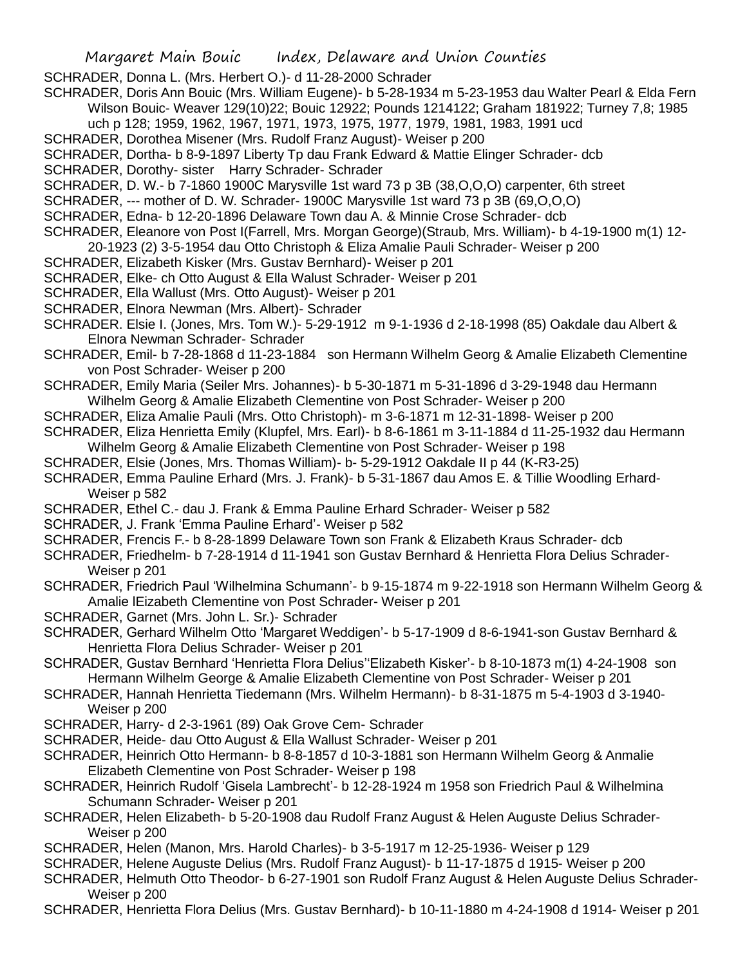- SCHRADER, Donna L. (Mrs. Herbert O.)- d 11-28-2000 Schrader
- SCHRADER, Doris Ann Bouic (Mrs. William Eugene)- b 5-28-1934 m 5-23-1953 dau Walter Pearl & Elda Fern Wilson Bouic- Weaver 129(10)22; Bouic 12922; Pounds 1214122; Graham 181922; Turney 7,8; 1985
- uch p 128; 1959, 1962, 1967, 1971, 1973, 1975, 1977, 1979, 1981, 1983, 1991 ucd
- SCHRADER, Dorothea Misener (Mrs. Rudolf Franz August)- Weiser p 200
- SCHRADER, Dortha- b 8-9-1897 Liberty Tp dau Frank Edward & Mattie Elinger Schrader- dcb
- SCHRADER, Dorothy- sister Harry Schrader- Schrader
- SCHRADER, D. W.- b 7-1860 1900C Marysville 1st ward 73 p 3B (38,O,O,O) carpenter, 6th street
- SCHRADER, --- mother of D. W. Schrader- 1900C Marysville 1st ward 73 p 3B (69,O,O,O)
- SCHRADER, Edna- b 12-20-1896 Delaware Town dau A. & Minnie Crose Schrader- dcb
- SCHRADER, Eleanore von Post I(Farrell, Mrs. Morgan George)(Straub, Mrs. William)- b 4-19-1900 m(1) 12-
- 20-1923 (2) 3-5-1954 dau Otto Christoph & Eliza Amalie Pauli Schrader- Weiser p 200
- SCHRADER, Elizabeth Kisker (Mrs. Gustav Bernhard)- Weiser p 201
- SCHRADER, Elke- ch Otto August & Ella Walust Schrader- Weiser p 201
- SCHRADER, Ella Wallust (Mrs. Otto August)- Weiser p 201
- SCHRADER, Elnora Newman (Mrs. Albert)- Schrader
- SCHRADER. Elsie I. (Jones, Mrs. Tom W.)- 5-29-1912 m 9-1-1936 d 2-18-1998 (85) Oakdale dau Albert & Elnora Newman Schrader- Schrader
- SCHRADER, Emil- b 7-28-1868 d 11-23-1884 son Hermann Wilhelm Georg & Amalie Elizabeth Clementine von Post Schrader- Weiser p 200
- SCHRADER, Emily Maria (Seiler Mrs. Johannes)- b 5-30-1871 m 5-31-1896 d 3-29-1948 dau Hermann Wilhelm Georg & Amalie Elizabeth Clementine von Post Schrader- Weiser p 200
- SCHRADER, Eliza Amalie Pauli (Mrs. Otto Christoph)- m 3-6-1871 m 12-31-1898- Weiser p 200
- SCHRADER, Eliza Henrietta Emily (Klupfel, Mrs. Earl)- b 8-6-1861 m 3-11-1884 d 11-25-1932 dau Hermann Wilhelm Georg & Amalie Elizabeth Clementine von Post Schrader- Weiser p 198
- SCHRADER, Elsie (Jones, Mrs. Thomas William)- b- 5-29-1912 Oakdale II p 44 (K-R3-25)
- SCHRADER, Emma Pauline Erhard (Mrs. J. Frank)- b 5-31-1867 dau Amos E. & Tillie Woodling Erhard-Weiser p 582
- SCHRADER, Ethel C.- dau J. Frank & Emma Pauline Erhard Schrader- Weiser p 582
- SCHRADER, J. Frank 'Emma Pauline Erhard'- Weiser p 582
- SCHRADER, Frencis F.- b 8-28-1899 Delaware Town son Frank & Elizabeth Kraus Schrader- dcb
- SCHRADER, Friedhelm- b 7-28-1914 d 11-1941 son Gustav Bernhard & Henrietta Flora Delius Schrader-Weiser p 201
- SCHRADER, Friedrich Paul 'Wilhelmina Schumann'- b 9-15-1874 m 9-22-1918 son Hermann Wilhelm Georg & Amalie lEizabeth Clementine von Post Schrader- Weiser p 201
- SCHRADER, Garnet (Mrs. John L. Sr.)- Schrader
- SCHRADER, Gerhard Wilhelm Otto 'Margaret Weddigen'- b 5-17-1909 d 8-6-1941-son Gustav Bernhard & Henrietta Flora Delius Schrader- Weiser p 201
- SCHRADER, Gustav Bernhard 'Henrietta Flora Delius''Elizabeth Kisker'- b 8-10-1873 m(1) 4-24-1908 son Hermann Wilhelm George & Amalie Elizabeth Clementine von Post Schrader- Weiser p 201
- SCHRADER, Hannah Henrietta Tiedemann (Mrs. Wilhelm Hermann)- b 8-31-1875 m 5-4-1903 d 3-1940- Weiser p 200
- SCHRADER, Harry- d 2-3-1961 (89) Oak Grove Cem- Schrader
- SCHRADER, Heide- dau Otto August & Ella Wallust Schrader- Weiser p 201
- SCHRADER, Heinrich Otto Hermann- b 8-8-1857 d 10-3-1881 son Hermann Wilhelm Georg & Anmalie Elizabeth Clementine von Post Schrader- Weiser p 198
- SCHRADER, Heinrich Rudolf 'Gisela Lambrecht'- b 12-28-1924 m 1958 son Friedrich Paul & Wilhelmina Schumann Schrader- Weiser p 201
- SCHRADER, Helen Elizabeth- b 5-20-1908 dau Rudolf Franz August & Helen Auguste Delius Schrader-Weiser p 200
- SCHRADER, Helen (Manon, Mrs. Harold Charles)- b 3-5-1917 m 12-25-1936- Weiser p 129
- SCHRADER, Helene Auguste Delius (Mrs. Rudolf Franz August)- b 11-17-1875 d 1915- Weiser p 200
- SCHRADER, Helmuth Otto Theodor- b 6-27-1901 son Rudolf Franz August & Helen Auguste Delius Schrader-Weiser p 200
- SCHRADER, Henrietta Flora Delius (Mrs. Gustav Bernhard)- b 10-11-1880 m 4-24-1908 d 1914- Weiser p 201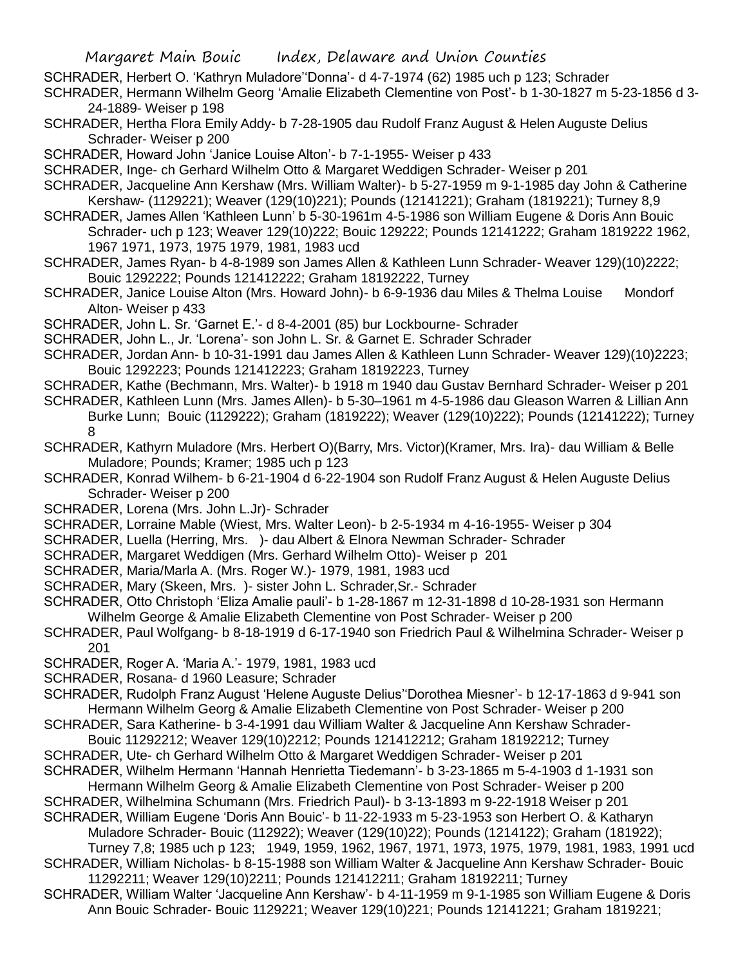- SCHRADER, Herbert O. 'Kathryn Muladore''Donna'- d 4-7-1974 (62) 1985 uch p 123; Schrader
- SCHRADER, Hermann Wilhelm Georg 'Amalie Elizabeth Clementine von Post'- b 1-30-1827 m 5-23-1856 d 3- 24-1889- Weiser p 198
- SCHRADER, Hertha Flora Emily Addy- b 7-28-1905 dau Rudolf Franz August & Helen Auguste Delius Schrader- Weiser p 200
- SCHRADER, Howard John 'Janice Louise Alton'- b 7-1-1955- Weiser p 433
- SCHRADER, Inge- ch Gerhard Wilhelm Otto & Margaret Weddigen Schrader- Weiser p 201
- SCHRADER, Jacqueline Ann Kershaw (Mrs. William Walter)- b 5-27-1959 m 9-1-1985 day John & Catherine Kershaw- (1129221); Weaver (129(10)221); Pounds (12141221); Graham (1819221); Turney 8,9
- SCHRADER, James Allen 'Kathleen Lunn' b 5-30-1961m 4-5-1986 son William Eugene & Doris Ann Bouic Schrader- uch p 123; Weaver 129(10)222; Bouic 129222; Pounds 12141222; Graham 1819222 1962, 1967 1971, 1973, 1975 1979, 1981, 1983 ucd
- SCHRADER, James Ryan- b 4-8-1989 son James Allen & Kathleen Lunn Schrader- Weaver 129)(10)2222; Bouic 1292222; Pounds 121412222; Graham 18192222, Turney
- SCHRADER, Janice Louise Alton (Mrs. Howard John)- b 6-9-1936 dau Miles & Thelma Louise Mondorf Alton- Weiser p 433
- SCHRADER, John L. Sr. 'Garnet E.'- d 8-4-2001 (85) bur Lockbourne- Schrader
- SCHRADER, John L., Jr. 'Lorena'- son John L. Sr. & Garnet E. Schrader Schrader
- SCHRADER, Jordan Ann- b 10-31-1991 dau James Allen & Kathleen Lunn Schrader- Weaver 129)(10)2223; Bouic 1292223; Pounds 121412223; Graham 18192223, Turney
- SCHRADER, Kathe (Bechmann, Mrs. Walter)- b 1918 m 1940 dau Gustav Bernhard Schrader- Weiser p 201
- SCHRADER, Kathleen Lunn (Mrs. James Allen)- b 5-30–1961 m 4-5-1986 dau Gleason Warren & Lillian Ann Burke Lunn; Bouic (1129222); Graham (1819222); Weaver (129(10)222); Pounds (12141222); Turney 8
- SCHRADER, Kathyrn Muladore (Mrs. Herbert O)(Barry, Mrs. Victor)(Kramer, Mrs. Ira)- dau William & Belle Muladore; Pounds; Kramer; 1985 uch p 123
- SCHRADER, Konrad Wilhem- b 6-21-1904 d 6-22-1904 son Rudolf Franz August & Helen Auguste Delius Schrader- Weiser p 200
- SCHRADER, Lorena (Mrs. John L.Jr)- Schrader
- SCHRADER, Lorraine Mable (Wiest, Mrs. Walter Leon)- b 2-5-1934 m 4-16-1955- Weiser p 304
- SCHRADER, Luella (Herring, Mrs. )- dau Albert & Elnora Newman Schrader- Schrader
- SCHRADER, Margaret Weddigen (Mrs. Gerhard Wilhelm Otto)- Weiser p 201
- SCHRADER, Maria/Marla A. (Mrs. Roger W.)- 1979, 1981, 1983 ucd
- SCHRADER, Mary (Skeen, Mrs. )- sister John L. Schrader,Sr.- Schrader
- SCHRADER, Otto Christoph 'Eliza Amalie pauli'- b 1-28-1867 m 12-31-1898 d 10-28-1931 son Hermann Wilhelm George & Amalie Elizabeth Clementine von Post Schrader- Weiser p 200
- SCHRADER, Paul Wolfgang- b 8-18-1919 d 6-17-1940 son Friedrich Paul & Wilhelmina Schrader- Weiser p 201
- SCHRADER, Roger A. 'Maria A.'- 1979, 1981, 1983 ucd
- SCHRADER, Rosana- d 1960 Leasure; Schrader
- SCHRADER, Rudolph Franz August 'Helene Auguste Delius''Dorothea Miesner'- b 12-17-1863 d 9-941 son Hermann Wilhelm Georg & Amalie Elizabeth Clementine von Post Schrader- Weiser p 200
- SCHRADER, Sara Katherine- b 3-4-1991 dau William Walter & Jacqueline Ann Kershaw Schrader-
	- Bouic 11292212; Weaver 129(10)2212; Pounds 121412212; Graham 18192212; Turney
- SCHRADER, Ute- ch Gerhard Wilhelm Otto & Margaret Weddigen Schrader- Weiser p 201
- SCHRADER, Wilhelm Hermann 'Hannah Henrietta Tiedemann'- b 3-23-1865 m 5-4-1903 d 1-1931 son
- Hermann Wilhelm Georg & Amalie Elizabeth Clementine von Post Schrader- Weiser p 200
- SCHRADER, Wilhelmina Schumann (Mrs. Friedrich Paul)- b 3-13-1893 m 9-22-1918 Weiser p 201
- SCHRADER, William Eugene 'Doris Ann Bouic'- b 11-22-1933 m 5-23-1953 son Herbert O. & Katharyn Muladore Schrader- Bouic (112922); Weaver (129(10)22); Pounds (1214122); Graham (181922);
- Turney 7,8; 1985 uch p 123; 1949, 1959, 1962, 1967, 1971, 1973, 1975, 1979, 1981, 1983, 1991 ucd SCHRADER, William Nicholas- b 8-15-1988 son William Walter & Jacqueline Ann Kershaw Schrader- Bouic
- 11292211; Weaver 129(10)2211; Pounds 121412211; Graham 18192211; Turney
- SCHRADER, William Walter 'Jacqueline Ann Kershaw'- b 4-11-1959 m 9-1-1985 son William Eugene & Doris Ann Bouic Schrader- Bouic 1129221; Weaver 129(10)221; Pounds 12141221; Graham 1819221;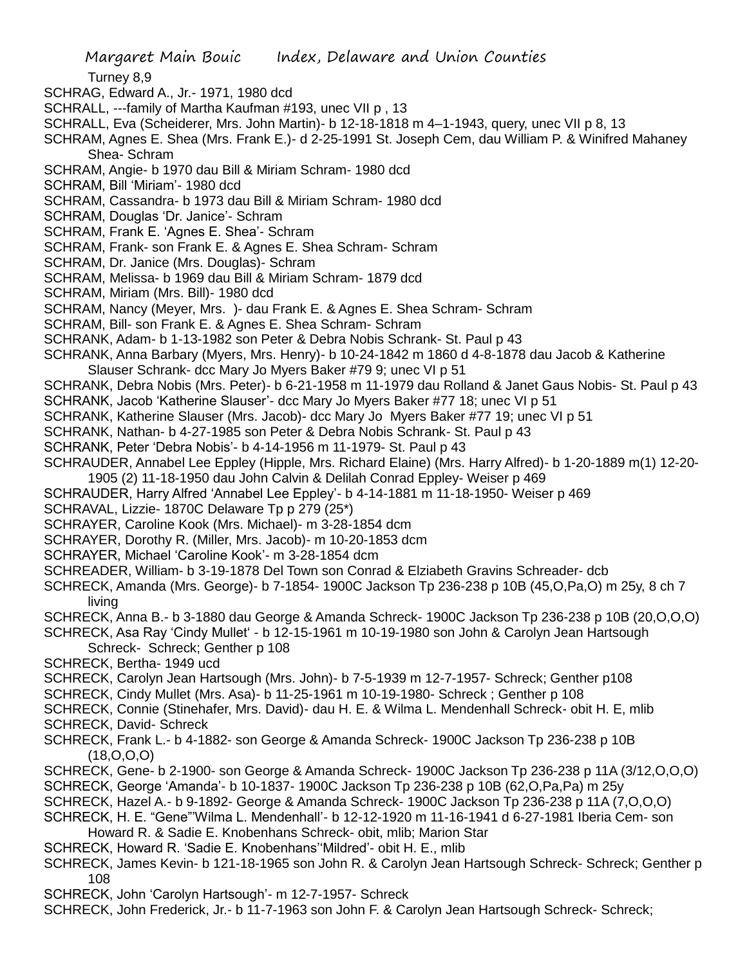Turney 8,9

- SCHRAG, Edward A., Jr.- 1971, 1980 dcd
- SCHRALL, ---family of Martha Kaufman #193, unec VII p , 13
- SCHRALL, Eva (Scheiderer, Mrs. John Martin)- b 12-18-1818 m 4–1-1943, query, unec VII p 8, 13
- SCHRAM, Agnes E. Shea (Mrs. Frank E.)- d 2-25-1991 St. Joseph Cem, dau William P. & Winifred Mahaney Shea- Schram
- SCHRAM, Angie- b 1970 dau Bill & Miriam Schram- 1980 dcd
- SCHRAM, Bill 'Miriam'- 1980 dcd
- SCHRAM, Cassandra- b 1973 dau Bill & Miriam Schram- 1980 dcd
- SCHRAM, Douglas 'Dr. Janice'- Schram
- SCHRAM, Frank E. 'Agnes E. Shea'- Schram
- SCHRAM, Frank- son Frank E. & Agnes E. Shea Schram- Schram
- SCHRAM, Dr. Janice (Mrs. Douglas)- Schram
- SCHRAM, Melissa- b 1969 dau Bill & Miriam Schram- 1879 dcd
- SCHRAM, Miriam (Mrs. Bill)- 1980 dcd
- SCHRAM, Nancy (Meyer, Mrs. )- dau Frank E. & Agnes E. Shea Schram- Schram
- SCHRAM, Bill- son Frank E. & Agnes E. Shea Schram- Schram
- SCHRANK, Adam- b 1-13-1982 son Peter & Debra Nobis Schrank- St. Paul p 43
- SCHRANK, Anna Barbary (Myers, Mrs. Henry)- b 10-24-1842 m 1860 d 4-8-1878 dau Jacob & Katherine Slauser Schrank- dcc Mary Jo Myers Baker #79 9; unec VI p 51
- SCHRANK, Debra Nobis (Mrs. Peter)- b 6-21-1958 m 11-1979 dau Rolland & Janet Gaus Nobis- St. Paul p 43
- SCHRANK, Jacob 'Katherine Slauser'- dcc Mary Jo Myers Baker #77 18; unec VI p 51
- SCHRANK, Katherine Slauser (Mrs. Jacob)- dcc Mary Jo Myers Baker #77 19; unec VI p 51
- SCHRANK, Nathan- b 4-27-1985 son Peter & Debra Nobis Schrank- St. Paul p 43
- SCHRANK, Peter 'Debra Nobis'- b 4-14-1956 m 11-1979- St. Paul p 43
- SCHRAUDER, Annabel Lee Eppley (Hipple, Mrs. Richard Elaine) (Mrs. Harry Alfred)- b 1-20-1889 m(1) 12-20- 1905 (2) 11-18-1950 dau John Calvin & Delilah Conrad Eppley- Weiser p 469
- SCHRAUDER, Harry Alfred 'Annabel Lee Eppley'- b 4-14-1881 m 11-18-1950- Weiser p 469
- SCHRAVAL, Lizzie- 1870C Delaware Tp p 279 (25\*)
- SCHRAYER, Caroline Kook (Mrs. Michael)- m 3-28-1854 dcm
- SCHRAYER, Dorothy R. (Miller, Mrs. Jacob)- m 10-20-1853 dcm
- SCHRAYER, Michael 'Caroline Kook'- m 3-28-1854 dcm
- SCHREADER, William- b 3-19-1878 Del Town son Conrad & Elziabeth Gravins Schreader- dcb
- SCHRECK, Amanda (Mrs. George)- b 7-1854- 1900C Jackson Tp 236-238 p 10B (45,O,Pa,O) m 25y, 8 ch 7 living
- SCHRECK, Anna B.- b 3-1880 dau George & Amanda Schreck- 1900C Jackson Tp 236-238 p 10B (20,O,O,O)
- SCHRECK, Asa Ray 'Cindy Mullet' b 12-15-1961 m 10-19-1980 son John & Carolyn Jean Hartsough
- Schreck- Schreck; Genther p 108
- SCHRECK, Bertha- 1949 ucd
- SCHRECK, Carolyn Jean Hartsough (Mrs. John)- b 7-5-1939 m 12-7-1957- Schreck; Genther p108
- SCHRECK, Cindy Mullet (Mrs. Asa)- b 11-25-1961 m 10-19-1980- Schreck ; Genther p 108
- SCHRECK, Connie (Stinehafer, Mrs. David)- dau H. E. & Wilma L. Mendenhall Schreck- obit H. E, mlib
- SCHRECK, David- Schreck
- SCHRECK, Frank L.- b 4-1882- son George & Amanda Schreck- 1900C Jackson Tp 236-238 p 10B (18,O,O,O)
- SCHRECK, Gene- b 2-1900- son George & Amanda Schreck- 1900C Jackson Tp 236-238 p 11A (3/12,O,O,O)
- SCHRECK, George 'Amanda'- b 10-1837- 1900C Jackson Tp 236-238 p 10B (62,O,Pa,Pa) m 25y
- SCHRECK, Hazel A.- b 9-1892- George & Amanda Schreck- 1900C Jackson Tp 236-238 p 11A (7,O,O,O)
- SCHRECK, H. E. "Gene"'Wilma L. Mendenhall'- b 12-12-1920 m 11-16-1941 d 6-27-1981 Iberia Cem- son Howard R. & Sadie E. Knobenhans Schreck- obit, mlib; Marion Star
- SCHRECK, Howard R. 'Sadie E. Knobenhans''Mildred'- obit H. E., mlib
- SCHRECK, James Kevin- b 121-18-1965 son John R. & Carolyn Jean Hartsough Schreck- Schreck; Genther p 108
- SCHRECK, John 'Carolyn Hartsough'- m 12-7-1957- Schreck
- SCHRECK, John Frederick, Jr.- b 11-7-1963 son John F. & Carolyn Jean Hartsough Schreck- Schreck;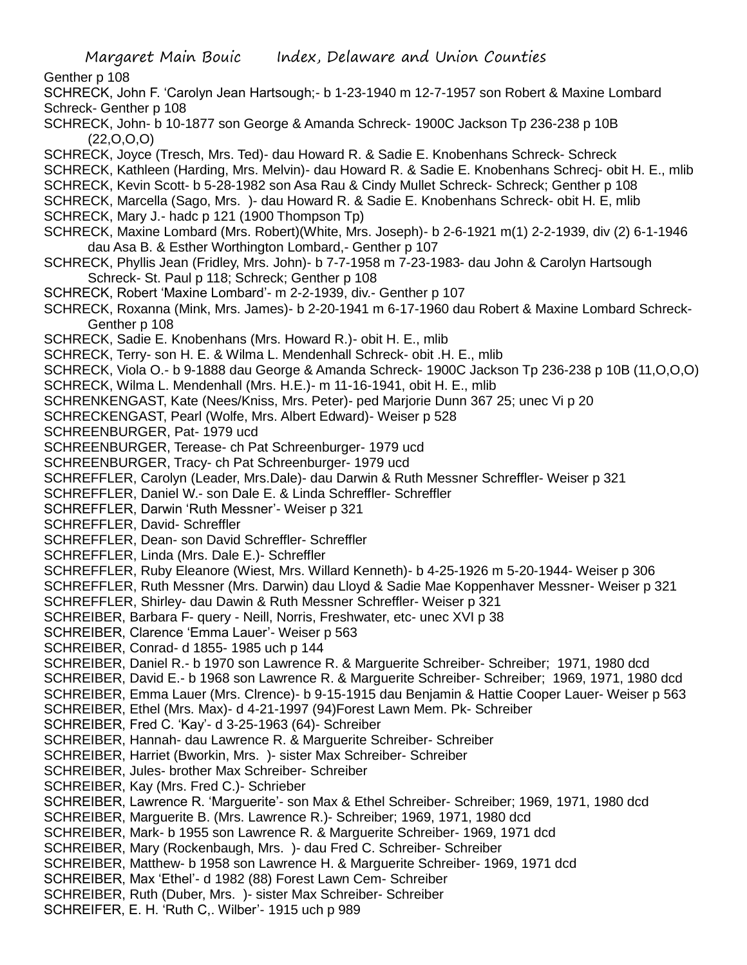Genther p 108

- SCHRECK, John F. 'Carolyn Jean Hartsough;- b 1-23-1940 m 12-7-1957 son Robert & Maxine Lombard Schreck- Genther p 108
- SCHRECK, John- b 10-1877 son George & Amanda Schreck- 1900C Jackson Tp 236-238 p 10B (22,O,O,O)
- SCHRECK, Joyce (Tresch, Mrs. Ted)- dau Howard R. & Sadie E. Knobenhans Schreck- Schreck
- SCHRECK, Kathleen (Harding, Mrs. Melvin)- dau Howard R. & Sadie E. Knobenhans Schrecj- obit H. E., mlib
- SCHRECK, Kevin Scott- b 5-28-1982 son Asa Rau & Cindy Mullet Schreck- Schreck; Genther p 108
- SCHRECK, Marcella (Sago, Mrs. )- dau Howard R. & Sadie E. Knobenhans Schreck- obit H. E, mlib SCHRECK, Mary J.- hadc p 121 (1900 Thompson Tp)
- SCHRECK, Maxine Lombard (Mrs. Robert)(White, Mrs. Joseph)- b 2-6-1921 m(1) 2-2-1939, div (2) 6-1-1946 dau Asa B. & Esther Worthington Lombard,- Genther p 107
- SCHRECK, Phyllis Jean (Fridley, Mrs. John)- b 7-7-1958 m 7-23-1983- dau John & Carolyn Hartsough Schreck- St. Paul p 118; Schreck; Genther p 108
- SCHRECK, Robert 'Maxine Lombard'- m 2-2-1939, div.- Genther p 107
- SCHRECK, Roxanna (Mink, Mrs. James)- b 2-20-1941 m 6-17-1960 dau Robert & Maxine Lombard Schreck-Genther p 108
- SCHRECK, Sadie E. Knobenhans (Mrs. Howard R.)- obit H. E., mlib
- SCHRECK, Terry- son H. E. & Wilma L. Mendenhall Schreck- obit .H. E., mlib
- SCHRECK, Viola O.- b 9-1888 dau George & Amanda Schreck- 1900C Jackson Tp 236-238 p 10B (11,O,O,O)
- SCHRECK, Wilma L. Mendenhall (Mrs. H.E.)- m 11-16-1941, obit H. E., mlib
- SCHRENKENGAST, Kate (Nees/Kniss, Mrs. Peter)- ped Marjorie Dunn 367 25; unec Vi p 20
- SCHRECKENGAST, Pearl (Wolfe, Mrs. Albert Edward)- Weiser p 528
- SCHREENBURGER, Pat- 1979 ucd
- SCHREENBURGER, Terease- ch Pat Schreenburger- 1979 ucd
- SCHREENBURGER, Tracy- ch Pat Schreenburger- 1979 ucd
- SCHREFFLER, Carolyn (Leader, Mrs.Dale)- dau Darwin & Ruth Messner Schreffler- Weiser p 321
- SCHREFFLER, Daniel W.- son Dale E. & Linda Schreffler- Schreffler
- SCHREFFLER, Darwin 'Ruth Messner'- Weiser p 321
- SCHREFFLER, David- Schreffler
- SCHREFFLER, Dean- son David Schreffler- Schreffler
- SCHREFFLER, Linda (Mrs. Dale E.)- Schreffler
- SCHREFFLER, Ruby Eleanore (Wiest, Mrs. Willard Kenneth)- b 4-25-1926 m 5-20-1944- Weiser p 306
- SCHREFFLER, Ruth Messner (Mrs. Darwin) dau Lloyd & Sadie Mae Koppenhaver Messner- Weiser p 321
- SCHREFFLER, Shirley- dau Dawin & Ruth Messner Schreffler- Weiser p 321
- SCHREIBER, Barbara F- query Neill, Norris, Freshwater, etc- unec XVI p 38
- SCHREIBER, Clarence 'Emma Lauer'- Weiser p 563
- SCHREIBER, Conrad- d 1855- 1985 uch p 144
- SCHREIBER, Daniel R.- b 1970 son Lawrence R. & Marguerite Schreiber- Schreiber; 1971, 1980 dcd
- SCHREIBER, David E.- b 1968 son Lawrence R. & Marguerite Schreiber- Schreiber; 1969, 1971, 1980 dcd
- SCHREIBER, Emma Lauer (Mrs. Clrence)- b 9-15-1915 dau Benjamin & Hattie Cooper Lauer- Weiser p 563
- SCHREIBER, Ethel (Mrs. Max)- d 4-21-1997 (94)Forest Lawn Mem. Pk- Schreiber
- SCHREIBER, Fred C. 'Kay'- d 3-25-1963 (64)- Schreiber
- SCHREIBER, Hannah- dau Lawrence R. & Marguerite Schreiber- Schreiber
- SCHREIBER, Harriet (Bworkin, Mrs. )- sister Max Schreiber- Schreiber
- SCHREIBER, Jules- brother Max Schreiber- Schreiber
- SCHREIBER, Kay (Mrs. Fred C.)- Schrieber
- SCHREIBER, Lawrence R. 'Marguerite'- son Max & Ethel Schreiber- Schreiber; 1969, 1971, 1980 dcd
- SCHREIBER, Marguerite B. (Mrs. Lawrence R.)- Schreiber; 1969, 1971, 1980 dcd
- SCHREIBER, Mark- b 1955 son Lawrence R. & Marguerite Schreiber- 1969, 1971 dcd
- SCHREIBER, Mary (Rockenbaugh, Mrs. )- dau Fred C. Schreiber- Schreiber
- SCHREIBER, Matthew- b 1958 son Lawrence H. & Marguerite Schreiber- 1969, 1971 dcd
- SCHREIBER, Max 'Ethel'- d 1982 (88) Forest Lawn Cem- Schreiber
- SCHREIBER, Ruth (Duber, Mrs. )- sister Max Schreiber- Schreiber
- SCHREIFER, E. H. 'Ruth C,. Wilber'- 1915 uch p 989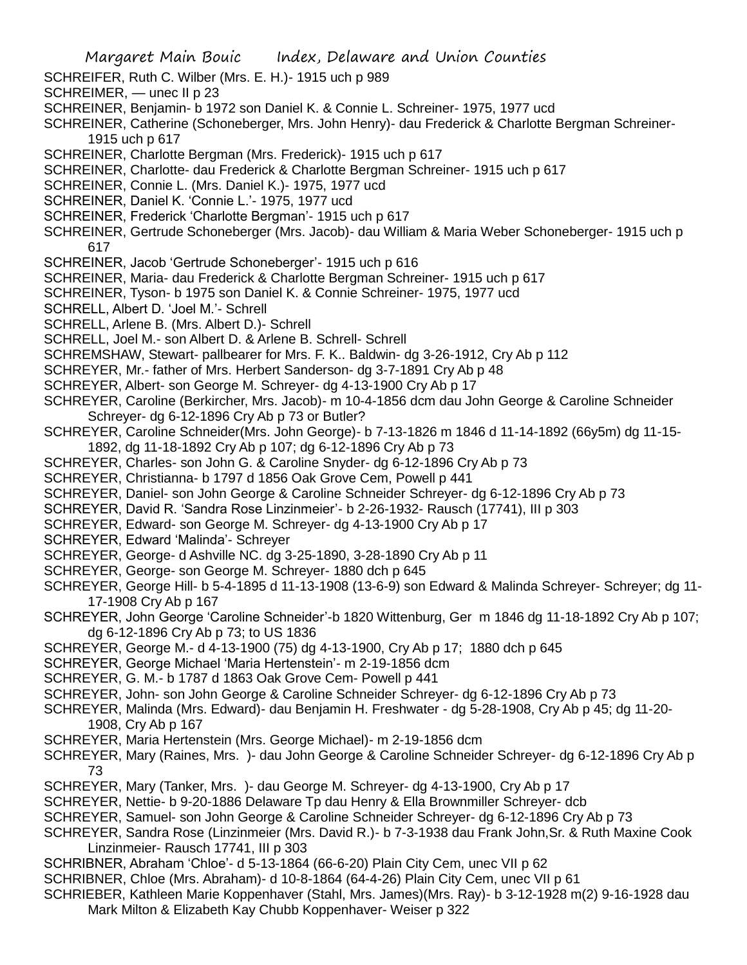- Margaret Main Bouic Index, Delaware and Union Counties SCHREIFER, Ruth C. Wilber (Mrs. E. H.)- 1915 uch p 989 SCHREIMER, — unec II p 23 SCHREINER, Benjamin- b 1972 son Daniel K. & Connie L. Schreiner- 1975, 1977 ucd SCHREINER, Catherine (Schoneberger, Mrs. John Henry)- dau Frederick & Charlotte Bergman Schreiner-1915 uch p 617 SCHREINER, Charlotte Bergman (Mrs. Frederick)- 1915 uch p 617 SCHREINER, Charlotte- dau Frederick & Charlotte Bergman Schreiner- 1915 uch p 617 SCHREINER, Connie L. (Mrs. Daniel K.)- 1975, 1977 ucd SCHREINER, Daniel K. 'Connie L.'- 1975, 1977 ucd SCHREINER, Frederick 'Charlotte Bergman'- 1915 uch p 617 SCHREINER, Gertrude Schoneberger (Mrs. Jacob)- dau William & Maria Weber Schoneberger- 1915 uch p 617 SCHREINER, Jacob 'Gertrude Schoneberger'- 1915 uch p 616 SCHREINER, Maria- dau Frederick & Charlotte Bergman Schreiner- 1915 uch p 617 SCHREINER, Tyson- b 1975 son Daniel K. & Connie Schreiner- 1975, 1977 ucd SCHRELL, Albert D. 'Joel M.'- Schrell SCHRELL, Arlene B. (Mrs. Albert D.)- Schrell SCHRELL, Joel M.- son Albert D. & Arlene B. Schrell- Schrell SCHREMSHAW, Stewart- pallbearer for Mrs. F. K.. Baldwin- dg 3-26-1912, Cry Ab p 112 SCHREYER, Mr.- father of Mrs. Herbert Sanderson- dg 3-7-1891 Cry Ab p 48 SCHREYER, Albert- son George M. Schreyer- dg 4-13-1900 Cry Ab p 17 SCHREYER, Caroline (Berkircher, Mrs. Jacob)- m 10-4-1856 dcm dau John George & Caroline Schneider Schreyer- dg 6-12-1896 Cry Ab p 73 or Butler? SCHREYER, Caroline Schneider(Mrs. John George)- b 7-13-1826 m 1846 d 11-14-1892 (66y5m) dg 11-15- 1892, dg 11-18-1892 Cry Ab p 107; dg 6-12-1896 Cry Ab p 73 SCHREYER, Charles- son John G. & Caroline Snyder- dg 6-12-1896 Cry Ab p 73 SCHREYER, Christianna- b 1797 d 1856 Oak Grove Cem, Powell p 441 SCHREYER, Daniel- son John George & Caroline Schneider Schreyer- dg 6-12-1896 Cry Ab p 73 SCHREYER, David R. 'Sandra Rose Linzinmeier'- b 2-26-1932- Rausch (17741), III p 303 SCHREYER, Edward- son George M. Schreyer- dg 4-13-1900 Cry Ab p 17 SCHREYER, Edward 'Malinda'- Schreyer SCHREYER, George- d Ashville NC. dg 3-25-1890, 3-28-1890 Cry Ab p 11 SCHREYER, George- son George M. Schreyer- 1880 dch p 645 SCHREYER, George Hill- b 5-4-1895 d 11-13-1908 (13-6-9) son Edward & Malinda Schreyer- Schreyer; dg 11- 17-1908 Cry Ab p 167 SCHREYER, John George 'Caroline Schneider'-b 1820 Wittenburg, Ger m 1846 dg 11-18-1892 Cry Ab p 107; dg 6-12-1896 Cry Ab p 73; to US 1836 SCHREYER, George M.- d 4-13-1900 (75) dg 4-13-1900, Cry Ab p 17; 1880 dch p 645 SCHREYER, George Michael 'Maria Hertenstein'- m 2-19-1856 dcm SCHREYER, G. M.- b 1787 d 1863 Oak Grove Cem- Powell p 441 SCHREYER, John- son John George & Caroline Schneider Schreyer- dg 6-12-1896 Cry Ab p 73 SCHREYER, Malinda (Mrs. Edward)- dau Benjamin H. Freshwater - dg 5-28-1908, Cry Ab p 45; dg 11-20- 1908, Cry Ab p 167 SCHREYER, Maria Hertenstein (Mrs. George Michael)- m 2-19-1856 dcm SCHREYER, Mary (Raines, Mrs. )- dau John George & Caroline Schneider Schreyer- dg 6-12-1896 Cry Ab p 73 SCHREYER, Mary (Tanker, Mrs. )- dau George M. Schreyer- dg 4-13-1900, Cry Ab p 17 SCHREYER, Nettie- b 9-20-1886 Delaware Tp dau Henry & Ella Brownmiller Schreyer- dcb SCHREYER, Samuel- son John George & Caroline Schneider Schreyer- dg 6-12-1896 Cry Ab p 73 SCHREYER, Sandra Rose (Linzinmeier (Mrs. David R.)- b 7-3-1938 dau Frank John,Sr. & Ruth Maxine Cook Linzinmeier- Rausch 17741, III p 303 SCHRIBNER, Abraham 'Chloe'- d 5-13-1864 (66-6-20) Plain City Cem, unec VII p 62 SCHRIBNER, Chloe (Mrs. Abraham)- d 10-8-1864 (64-4-26) Plain City Cem, unec VII p 61 SCHRIEBER, Kathleen Marie Koppenhaver (Stahl, Mrs. James)(Mrs. Ray)- b 3-12-1928 m(2) 9-16-1928 dau
	- Mark Milton & Elizabeth Kay Chubb Koppenhaver- Weiser p 322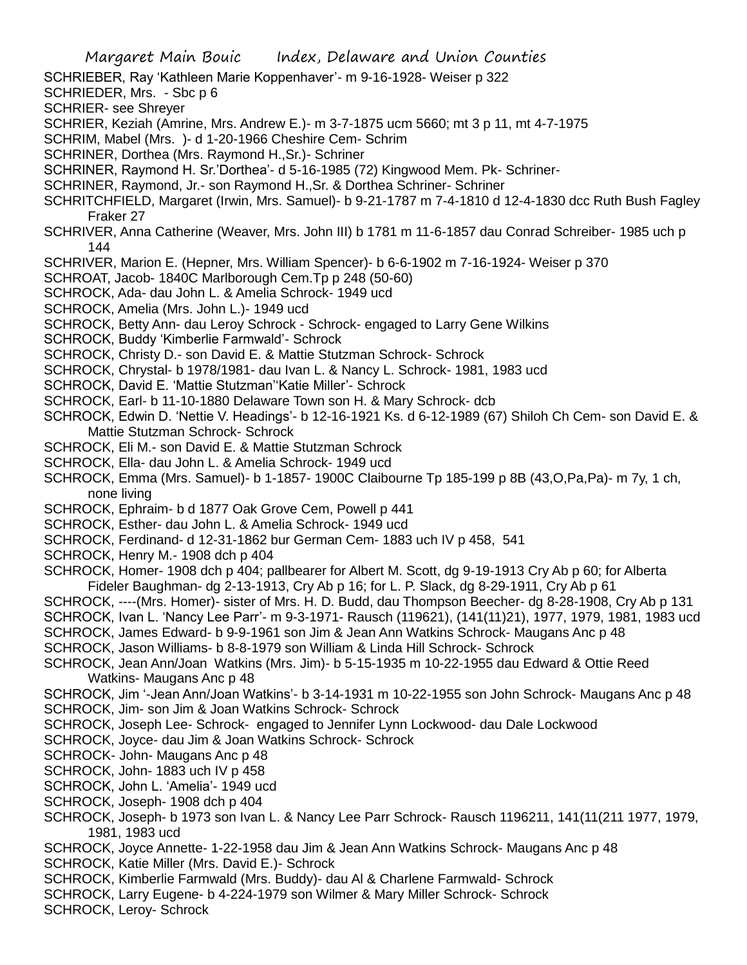SCHRIEBER, Ray 'Kathleen Marie Koppenhaver'- m 9-16-1928- Weiser p 322

SCHRIEDER, Mrs. - Sbc p 6

SCHRIER- see Shreyer

SCHRIER, Keziah (Amrine, Mrs. Andrew E.)- m 3-7-1875 ucm 5660; mt 3 p 11, mt 4-7-1975

- SCHRIM, Mabel (Mrs. )- d 1-20-1966 Cheshire Cem- Schrim
- SCHRINER, Dorthea (Mrs. Raymond H.,Sr.)- Schriner
- SCHRINER, Raymond H. Sr.'Dorthea'- d 5-16-1985 (72) Kingwood Mem. Pk- Schriner-
- SCHRINER, Raymond, Jr.- son Raymond H.,Sr. & Dorthea Schriner- Schriner
- SCHRITCHFIELD, Margaret (Irwin, Mrs. Samuel)- b 9-21-1787 m 7-4-1810 d 12-4-1830 dcc Ruth Bush Fagley Fraker 27
- SCHRIVER, Anna Catherine (Weaver, Mrs. John III) b 1781 m 11-6-1857 dau Conrad Schreiber- 1985 uch p 144
- SCHRIVER, Marion E. (Hepner, Mrs. William Spencer)- b 6-6-1902 m 7-16-1924- Weiser p 370
- SCHROAT, Jacob- 1840C Marlborough Cem.Tp p 248 (50-60)
- SCHROCK, Ada- dau John L. & Amelia Schrock- 1949 ucd
- SCHROCK, Amelia (Mrs. John L.)- 1949 ucd
- SCHROCK, Betty Ann- dau Leroy Schrock Schrock- engaged to Larry Gene Wilkins
- SCHROCK, Buddy 'Kimberlie Farmwald'- Schrock
- SCHROCK, Christy D.- son David E. & Mattie Stutzman Schrock- Schrock
- SCHROCK, Chrystal- b 1978/1981- dau Ivan L. & Nancy L. Schrock- 1981, 1983 ucd
- SCHROCK, David E. 'Mattie Stutzman''Katie Miller'- Schrock
- SCHROCK, Earl- b 11-10-1880 Delaware Town son H. & Mary Schrock- dcb
- SCHROCK, Edwin D. 'Nettie V. Headings'- b 12-16-1921 Ks. d 6-12-1989 (67) Shiloh Ch Cem- son David E. & Mattie Stutzman Schrock- Schrock
- SCHROCK, Eli M.- son David E. & Mattie Stutzman Schrock
- SCHROCK, Ella- dau John L. & Amelia Schrock- 1949 ucd
- SCHROCK, Emma (Mrs. Samuel)- b 1-1857- 1900C Claibourne Tp 185-199 p 8B (43,O,Pa,Pa)- m 7y, 1 ch, none living
- SCHROCK, Ephraim- b d 1877 Oak Grove Cem, Powell p 441
- SCHROCK, Esther- dau John L. & Amelia Schrock- 1949 ucd
- SCHROCK, Ferdinand- d 12-31-1862 bur German Cem- 1883 uch IV p 458, 541
- SCHROCK, Henry M.- 1908 dch p 404
- SCHROCK, Homer- 1908 dch p 404; pallbearer for Albert M. Scott, dg 9-19-1913 Cry Ab p 60; for Alberta Fideler Baughman- dg 2-13-1913, Cry Ab p 16; for L. P. Slack, dg 8-29-1911, Cry Ab p 61
- SCHROCK, ----(Mrs. Homer)- sister of Mrs. H. D. Budd, dau Thompson Beecher- dg 8-28-1908, Cry Ab p 131
- SCHROCK, Ivan L. 'Nancy Lee Parr'- m 9-3-1971- Rausch (119621), (141(11)21), 1977, 1979, 1981, 1983 ucd
- SCHROCK, James Edward- b 9-9-1961 son Jim & Jean Ann Watkins Schrock- Maugans Anc p 48
- SCHROCK, Jason Williams- b 8-8-1979 son William & Linda Hill Schrock- Schrock
- SCHROCK, Jean Ann/Joan Watkins (Mrs. Jim)- b 5-15-1935 m 10-22-1955 dau Edward & Ottie Reed Watkins- Maugans Anc p 48
- SCHROCK, Jim '-Jean Ann/Joan Watkins'- b 3-14-1931 m 10-22-1955 son John Schrock- Maugans Anc p 48 SCHROCK, Jim- son Jim & Joan Watkins Schrock- Schrock
- SCHROCK, Joseph Lee- Schrock- engaged to Jennifer Lynn Lockwood- dau Dale Lockwood
- SCHROCK, Joyce- dau Jim & Joan Watkins Schrock- Schrock
- SCHROCK- John- Maugans Anc p 48
- SCHROCK, John- 1883 uch IV p 458
- SCHROCK, John L. 'Amelia'- 1949 ucd
- SCHROCK, Joseph- 1908 dch p 404
- SCHROCK, Joseph- b 1973 son Ivan L. & Nancy Lee Parr Schrock- Rausch 1196211, 141(11(211 1977, 1979, 1981, 1983 ucd
- SCHROCK, Joyce Annette- 1-22-1958 dau Jim & Jean Ann Watkins Schrock- Maugans Anc p 48 SCHROCK, Katie Miller (Mrs. David E.)- Schrock
- SCHROCK, Kimberlie Farmwald (Mrs. Buddy)- dau Al & Charlene Farmwald- Schrock
- SCHROCK, Larry Eugene- b 4-224-1979 son Wilmer & Mary Miller Schrock- Schrock
- SCHROCK, Leroy- Schrock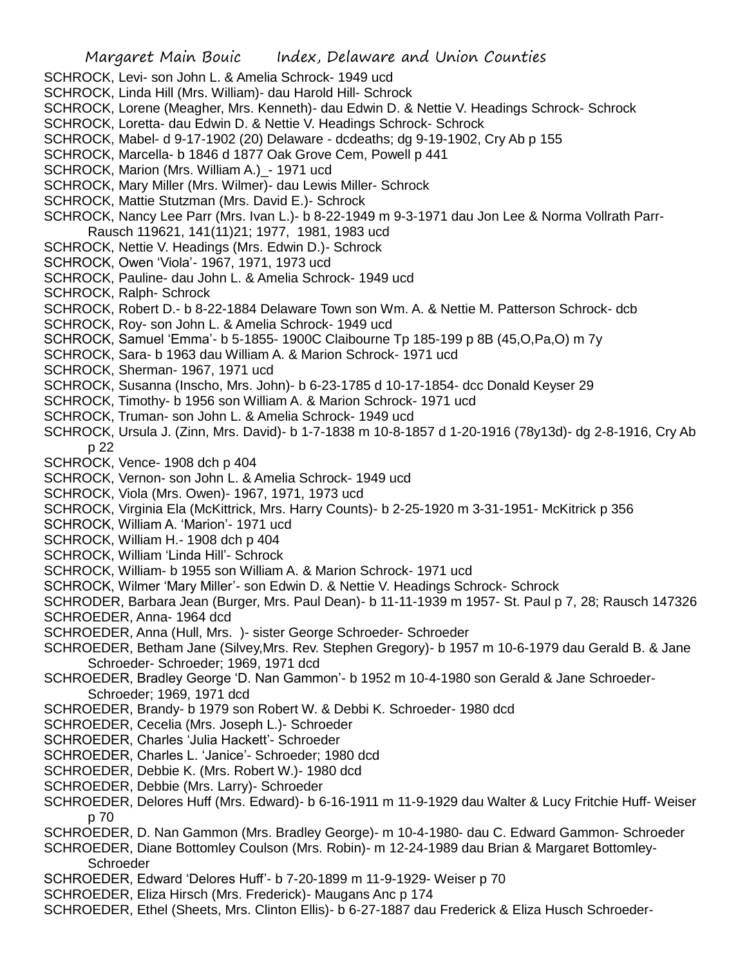SCHROCK, Levi- son John L. & Amelia Schrock- 1949 ucd

- SCHROCK, Linda Hill (Mrs. William)- dau Harold Hill- Schrock
- SCHROCK, Lorene (Meagher, Mrs. Kenneth)- dau Edwin D. & Nettie V. Headings Schrock- Schrock
- SCHROCK, Loretta- dau Edwin D. & Nettie V. Headings Schrock- Schrock
- SCHROCK, Mabel- d 9-17-1902 (20) Delaware dcdeaths; dg 9-19-1902, Cry Ab p 155
- SCHROCK, Marcella- b 1846 d 1877 Oak Grove Cem, Powell p 441
- SCHROCK, Marion (Mrs. William A.)\_- 1971 ucd
- SCHROCK, Mary Miller (Mrs. Wilmer)- dau Lewis Miller- Schrock
- SCHROCK, Mattie Stutzman (Mrs. David E.)- Schrock
- SCHROCK, Nancy Lee Parr (Mrs. Ivan L.)- b 8-22-1949 m 9-3-1971 dau Jon Lee & Norma Vollrath Parr-Rausch 119621, 141(11)21; 1977, 1981, 1983 ucd
- SCHROCK, Nettie V. Headings (Mrs. Edwin D.)- Schrock
- SCHROCK, Owen 'Viola'- 1967, 1971, 1973 ucd
- SCHROCK, Pauline- dau John L. & Amelia Schrock- 1949 ucd
- SCHROCK, Ralph- Schrock
- SCHROCK, Robert D.- b 8-22-1884 Delaware Town son Wm. A. & Nettie M. Patterson Schrock- dcb
- SCHROCK, Roy- son John L. & Amelia Schrock- 1949 ucd
- SCHROCK, Samuel 'Emma'- b 5-1855- 1900C Claibourne Tp 185-199 p 8B (45,O,Pa,O) m 7y
- SCHROCK, Sara- b 1963 dau William A. & Marion Schrock- 1971 ucd
- SCHROCK, Sherman- 1967, 1971 ucd
- SCHROCK, Susanna (Inscho, Mrs. John)- b 6-23-1785 d 10-17-1854- dcc Donald Keyser 29
- SCHROCK, Timothy- b 1956 son William A. & Marion Schrock- 1971 ucd
- SCHROCK, Truman- son John L. & Amelia Schrock- 1949 ucd
- SCHROCK, Ursula J. (Zinn, Mrs. David)- b 1-7-1838 m 10-8-1857 d 1-20-1916 (78y13d)- dg 2-8-1916, Cry Ab p 22
- SCHROCK, Vence- 1908 dch p 404
- SCHROCK, Vernon- son John L. & Amelia Schrock- 1949 ucd
- SCHROCK, Viola (Mrs. Owen)- 1967, 1971, 1973 ucd
- SCHROCK, Virginia Ela (McKittrick, Mrs. Harry Counts)- b 2-25-1920 m 3-31-1951- McKitrick p 356
- SCHROCK, William A. 'Marion'- 1971 ucd
- SCHROCK, William H.- 1908 dch p 404
- SCHROCK, William 'Linda Hill'- Schrock
- SCHROCK, William- b 1955 son William A. & Marion Schrock- 1971 ucd
- SCHROCK, Wilmer 'Mary Miller'- son Edwin D. & Nettie V. Headings Schrock- Schrock
- SCHRODER, Barbara Jean (Burger, Mrs. Paul Dean)- b 11-11-1939 m 1957- St. Paul p 7, 28; Rausch 147326 SCHROEDER, Anna- 1964 dcd
- SCHROEDER, Anna (Hull, Mrs. )- sister George Schroeder- Schroeder
- SCHROEDER, Betham Jane (Silvey,Mrs. Rev. Stephen Gregory)- b 1957 m 10-6-1979 dau Gerald B. & Jane Schroeder- Schroeder; 1969, 1971 dcd
- SCHROEDER, Bradley George 'D. Nan Gammon'- b 1952 m 10-4-1980 son Gerald & Jane Schroeder-Schroeder; 1969, 1971 dcd
- SCHROEDER, Brandy- b 1979 son Robert W. & Debbi K. Schroeder- 1980 dcd
- SCHROEDER, Cecelia (Mrs. Joseph L.)- Schroeder
- SCHROEDER, Charles 'Julia Hackett'- Schroeder
- SCHROEDER, Charles L. 'Janice'- Schroeder; 1980 dcd
- SCHROEDER, Debbie K. (Mrs. Robert W.)- 1980 dcd
- SCHROEDER, Debbie (Mrs. Larry)- Schroeder
- SCHROEDER, Delores Huff (Mrs. Edward)- b 6-16-1911 m 11-9-1929 dau Walter & Lucy Fritchie Huff- Weiser p 70
- SCHROEDER, D. Nan Gammon (Mrs. Bradley George)- m 10-4-1980- dau C. Edward Gammon- Schroeder
- SCHROEDER, Diane Bottomley Coulson (Mrs. Robin)- m 12-24-1989 dau Brian & Margaret Bottomley-**Schroeder**
- SCHROEDER, Edward 'Delores Huff'- b 7-20-1899 m 11-9-1929- Weiser p 70
- SCHROEDER, Eliza Hirsch (Mrs. Frederick)- Maugans Anc p 174
- SCHROEDER, Ethel (Sheets, Mrs. Clinton Ellis)- b 6-27-1887 dau Frederick & Eliza Husch Schroeder-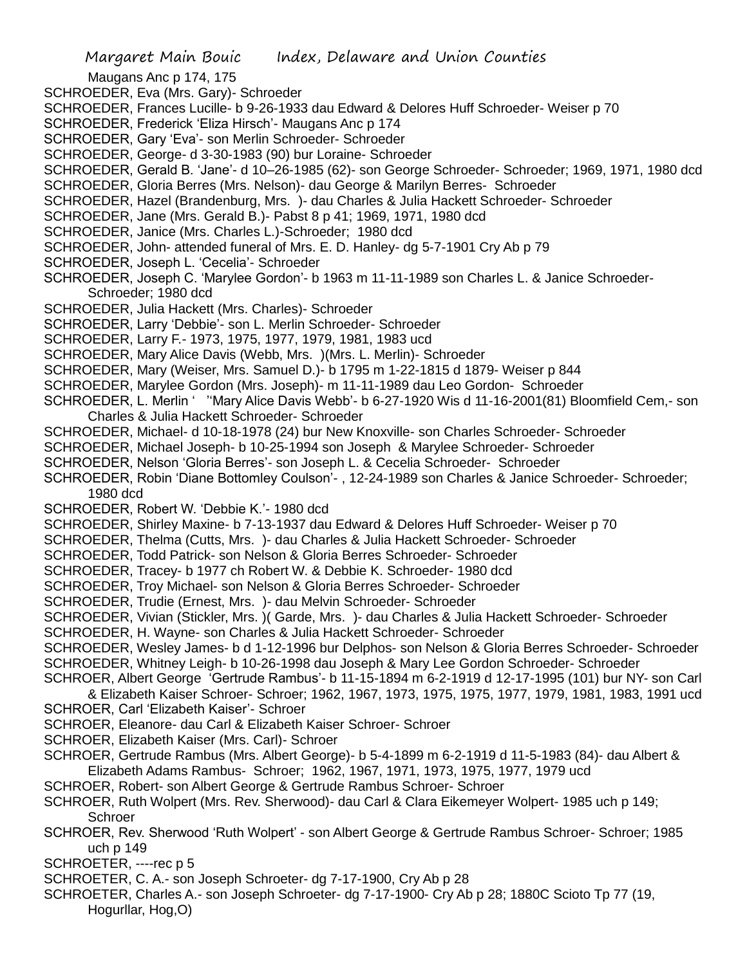Maugans Anc p 174, 175

- SCHROEDER, Eva (Mrs. Gary)- Schroeder
- SCHROEDER, Frances Lucille- b 9-26-1933 dau Edward & Delores Huff Schroeder- Weiser p 70
- SCHROEDER, Frederick 'Eliza Hirsch'- Maugans Anc p 174
- SCHROEDER, Gary 'Eva'- son Merlin Schroeder- Schroeder
- SCHROEDER, George- d 3-30-1983 (90) bur Loraine- Schroeder
- SCHROEDER, Gerald B. 'Jane'- d 10–26-1985 (62)- son George Schroeder- Schroeder; 1969, 1971, 1980 dcd
- SCHROEDER, Gloria Berres (Mrs. Nelson)- dau George & Marilyn Berres- Schroeder
- SCHROEDER, Hazel (Brandenburg, Mrs. )- dau Charles & Julia Hackett Schroeder- Schroeder
- SCHROEDER, Jane (Mrs. Gerald B.)- Pabst 8 p 41; 1969, 1971, 1980 dcd
- SCHROEDER, Janice (Mrs. Charles L.)-Schroeder; 1980 dcd
- SCHROEDER, John- attended funeral of Mrs. E. D. Hanley- dg 5-7-1901 Cry Ab p 79
- SCHROEDER, Joseph L. 'Cecelia'- Schroeder
- SCHROEDER, Joseph C. 'Marylee Gordon'- b 1963 m 11-11-1989 son Charles L. & Janice Schroeder-Schroeder; 1980 dcd
- SCHROEDER, Julia Hackett (Mrs. Charles)- Schroeder
- SCHROEDER, Larry 'Debbie'- son L. Merlin Schroeder- Schroeder
- SCHROEDER, Larry F.- 1973, 1975, 1977, 1979, 1981, 1983 ucd
- SCHROEDER, Mary Alice Davis (Webb, Mrs. )(Mrs. L. Merlin)- Schroeder
- SCHROEDER, Mary (Weiser, Mrs. Samuel D.)- b 1795 m 1-22-1815 d 1879- Weiser p 844
- SCHROEDER, Marylee Gordon (Mrs. Joseph)- m 11-11-1989 dau Leo Gordon- Schroeder
- SCHROEDER, L. Merlin ' ''Mary Alice Davis Webb'- b 6-27-1920 Wis d 11-16-2001(81) Bloomfield Cem,- son Charles & Julia Hackett Schroeder- Schroeder
- SCHROEDER, Michael- d 10-18-1978 (24) bur New Knoxville- son Charles Schroeder- Schroeder
- SCHROEDER, Michael Joseph- b 10-25-1994 son Joseph & Marylee Schroeder- Schroeder
- SCHROEDER, Nelson 'Gloria Berres'- son Joseph L. & Cecelia Schroeder- Schroeder
- SCHROEDER, Robin 'Diane Bottomley Coulson'- , 12-24-1989 son Charles & Janice Schroeder- Schroeder; 1980 dcd
- SCHROEDER, Robert W. 'Debbie K.'- 1980 dcd
- SCHROEDER, Shirley Maxine- b 7-13-1937 dau Edward & Delores Huff Schroeder- Weiser p 70
- SCHROEDER, Thelma (Cutts, Mrs. )- dau Charles & Julia Hackett Schroeder- Schroeder
- SCHROEDER, Todd Patrick- son Nelson & Gloria Berres Schroeder- Schroeder
- SCHROEDER, Tracey- b 1977 ch Robert W. & Debbie K. Schroeder- 1980 dcd
- SCHROEDER, Troy Michael- son Nelson & Gloria Berres Schroeder- Schroeder
- SCHROEDER, Trudie (Ernest, Mrs. )- dau Melvin Schroeder- Schroeder
- SCHROEDER, Vivian (Stickler, Mrs. )( Garde, Mrs. )- dau Charles & Julia Hackett Schroeder- Schroeder
- SCHROEDER, H. Wayne- son Charles & Julia Hackett Schroeder- Schroeder
- SCHROEDER, Wesley James- b d 1-12-1996 bur Delphos- son Nelson & Gloria Berres Schroeder- Schroeder SCHROEDER, Whitney Leigh- b 10-26-1998 dau Joseph & Mary Lee Gordon Schroeder- Schroeder
- SCHROER, Albert George 'Gertrude Rambus'- b 11-15-1894 m 6-2-1919 d 12-17-1995 (101) bur NY- son Carl & Elizabeth Kaiser Schroer- Schroer; 1962, 1967, 1973, 1975, 1975, 1977, 1979, 1981, 1983, 1991 ucd
- SCHROER, Carl 'Elizabeth Kaiser'- Schroer
- SCHROER, Eleanore- dau Carl & Elizabeth Kaiser Schroer- Schroer
- SCHROER, Elizabeth Kaiser (Mrs. Carl)- Schroer
- SCHROER, Gertrude Rambus (Mrs. Albert George)- b 5-4-1899 m 6-2-1919 d 11-5-1983 (84)- dau Albert & Elizabeth Adams Rambus- Schroer; 1962, 1967, 1971, 1973, 1975, 1977, 1979 ucd
- SCHROER, Robert- son Albert George & Gertrude Rambus Schroer- Schroer
- SCHROER, Ruth Wolpert (Mrs. Rev. Sherwood)- dau Carl & Clara Eikemeyer Wolpert- 1985 uch p 149; **Schroer**
- SCHROER, Rev. Sherwood 'Ruth Wolpert' son Albert George & Gertrude Rambus Schroer- Schroer; 1985 uch p 149
- SCHROETER, ----rec p 5
- SCHROETER, C. A.- son Joseph Schroeter- dg 7-17-1900, Cry Ab p 28
- SCHROETER, Charles A.- son Joseph Schroeter- dg 7-17-1900- Cry Ab p 28; 1880C Scioto Tp 77 (19, Hogurllar, Hog,O)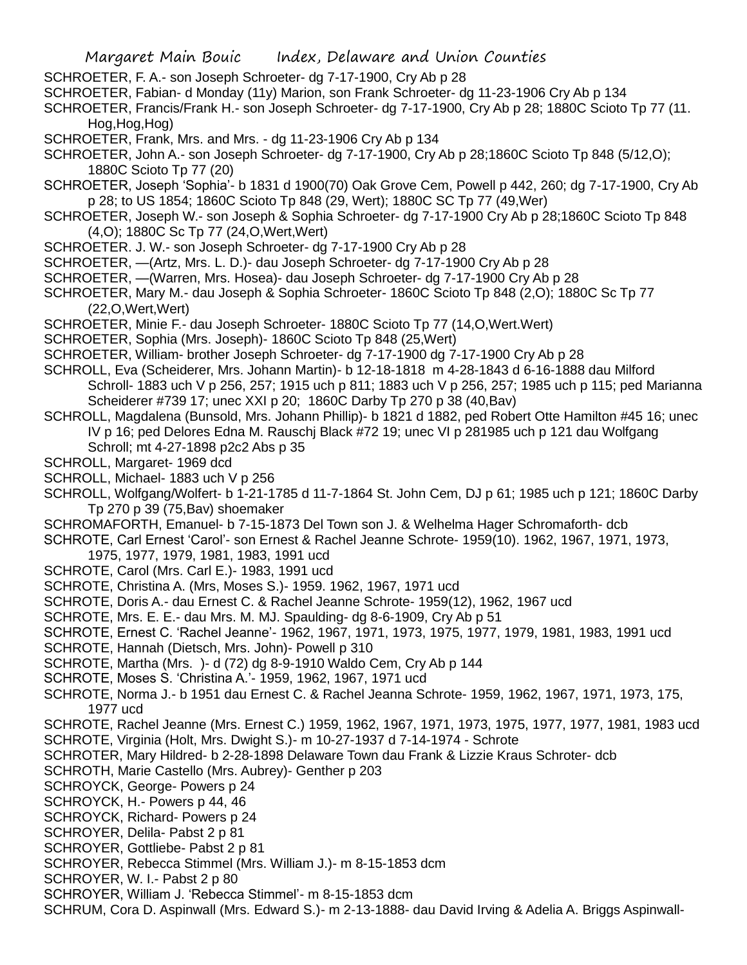- SCHROETER, F. A.- son Joseph Schroeter- dg 7-17-1900, Cry Ab p 28
- SCHROETER, Fabian- d Monday (11y) Marion, son Frank Schroeter- dg 11-23-1906 Cry Ab p 134

SCHROETER, Francis/Frank H.- son Joseph Schroeter- dg 7-17-1900, Cry Ab p 28; 1880C Scioto Tp 77 (11. Hog,Hog,Hog)

- SCHROETER, Frank, Mrs. and Mrs. dg 11-23-1906 Cry Ab p 134
- SCHROETER, John A.- son Joseph Schroeter- dg 7-17-1900, Cry Ab p 28;1860C Scioto Tp 848 (5/12,O); 1880C Scioto Tp 77 (20)
- SCHROETER, Joseph 'Sophia'- b 1831 d 1900(70) Oak Grove Cem, Powell p 442, 260; dg 7-17-1900, Cry Ab p 28; to US 1854; 1860C Scioto Tp 848 (29, Wert); 1880C SC Tp 77 (49,Wer)
- SCHROETER, Joseph W.- son Joseph & Sophia Schroeter- dg 7-17-1900 Cry Ab p 28;1860C Scioto Tp 848 (4,O); 1880C Sc Tp 77 (24,O,Wert,Wert)
- SCHROETER. J. W.- son Joseph Schroeter- dg 7-17-1900 Cry Ab p 28
- SCHROETER, —(Artz, Mrs. L. D.)- dau Joseph Schroeter- dg 7-17-1900 Cry Ab p 28
- SCHROETER, —(Warren, Mrs. Hosea)- dau Joseph Schroeter- dg 7-17-1900 Cry Ab p 28
- SCHROETER, Mary M.- dau Joseph & Sophia Schroeter- 1860C Scioto Tp 848 (2,O); 1880C Sc Tp 77 (22,O,Wert,Wert)
- SCHROETER, Minie F.- dau Joseph Schroeter- 1880C Scioto Tp 77 (14,O,Wert.Wert)
- SCHROETER, Sophia (Mrs. Joseph)- 1860C Scioto Tp 848 (25,Wert)
- SCHROETER, William- brother Joseph Schroeter- dg 7-17-1900 dg 7-17-1900 Cry Ab p 28
- SCHROLL, Eva (Scheiderer, Mrs. Johann Martin)- b 12-18-1818 m 4-28-1843 d 6-16-1888 dau Milford Schroll- 1883 uch V p 256, 257; 1915 uch p 811; 1883 uch V p 256, 257; 1985 uch p 115; ped Marianna Scheiderer #739 17; unec XXI p 20; 1860C Darby Tp 270 p 38 (40,Bav)
- SCHROLL, Magdalena (Bunsold, Mrs. Johann Phillip)- b 1821 d 1882, ped Robert Otte Hamilton #45 16; unec IV p 16; ped Delores Edna M. Rauschj Black #72 19; unec VI p 281985 uch p 121 dau Wolfgang Schroll; mt 4-27-1898 p2c2 Abs p 35
- SCHROLL, Margaret- 1969 dcd
- SCHROLL, Michael- 1883 uch V p 256
- SCHROLL, Wolfgang/Wolfert- b 1-21-1785 d 11-7-1864 St. John Cem, DJ p 61; 1985 uch p 121; 1860C Darby Tp 270 p 39 (75,Bav) shoemaker
- SCHROMAFORTH, Emanuel- b 7-15-1873 Del Town son J. & Welhelma Hager Schromaforth- dcb
- SCHROTE, Carl Ernest 'Carol'- son Ernest & Rachel Jeanne Schrote- 1959(10). 1962, 1967, 1971, 1973,
- 1975, 1977, 1979, 1981, 1983, 1991 ucd
- SCHROTE, Carol (Mrs. Carl E.)- 1983, 1991 ucd
- SCHROTE, Christina A. (Mrs, Moses S.)- 1959. 1962, 1967, 1971 ucd
- SCHROTE, Doris A.- dau Ernest C. & Rachel Jeanne Schrote- 1959(12), 1962, 1967 ucd
- SCHROTE, Mrs. E. E.- dau Mrs. M. MJ. Spaulding- dg 8-6-1909, Cry Ab p 51
- SCHROTE, Ernest C. 'Rachel Jeanne'- 1962, 1967, 1971, 1973, 1975, 1977, 1979, 1981, 1983, 1991 ucd
- SCHROTE, Hannah (Dietsch, Mrs. John)- Powell p 310
- SCHROTE, Martha (Mrs. )- d (72) dg 8-9-1910 Waldo Cem, Cry Ab p 144
- SCHROTE, Moses S. 'Christina A.'- 1959, 1962, 1967, 1971 ucd
- SCHROTE, Norma J.- b 1951 dau Ernest C. & Rachel Jeanna Schrote- 1959, 1962, 1967, 1971, 1973, 175, 1977 ucd
- SCHROTE, Rachel Jeanne (Mrs. Ernest C.) 1959, 1962, 1967, 1971, 1973, 1975, 1977, 1977, 1981, 1983 ucd
- SCHROTE, Virginia (Holt, Mrs. Dwight S.)- m 10-27-1937 d 7-14-1974 Schrote
- SCHROTER, Mary Hildred- b 2-28-1898 Delaware Town dau Frank & Lizzie Kraus Schroter- dcb
- SCHROTH, Marie Castello (Mrs. Aubrey)- Genther p 203
- SCHROYCK, George- Powers p 24
- SCHROYCK, H.- Powers p 44, 46
- SCHROYCK, Richard- Powers p 24
- SCHROYER, Delila- Pabst 2 p 81
- SCHROYER, Gottliebe- Pabst 2 p 81
- SCHROYER, Rebecca Stimmel (Mrs. William J.)- m 8-15-1853 dcm
- SCHROYER, W. I.- Pabst 2 p 80
- SCHROYER, William J. 'Rebecca Stimmel'- m 8-15-1853 dcm
- SCHRUM, Cora D. Aspinwall (Mrs. Edward S.)- m 2-13-1888- dau David Irving & Adelia A. Briggs Aspinwall-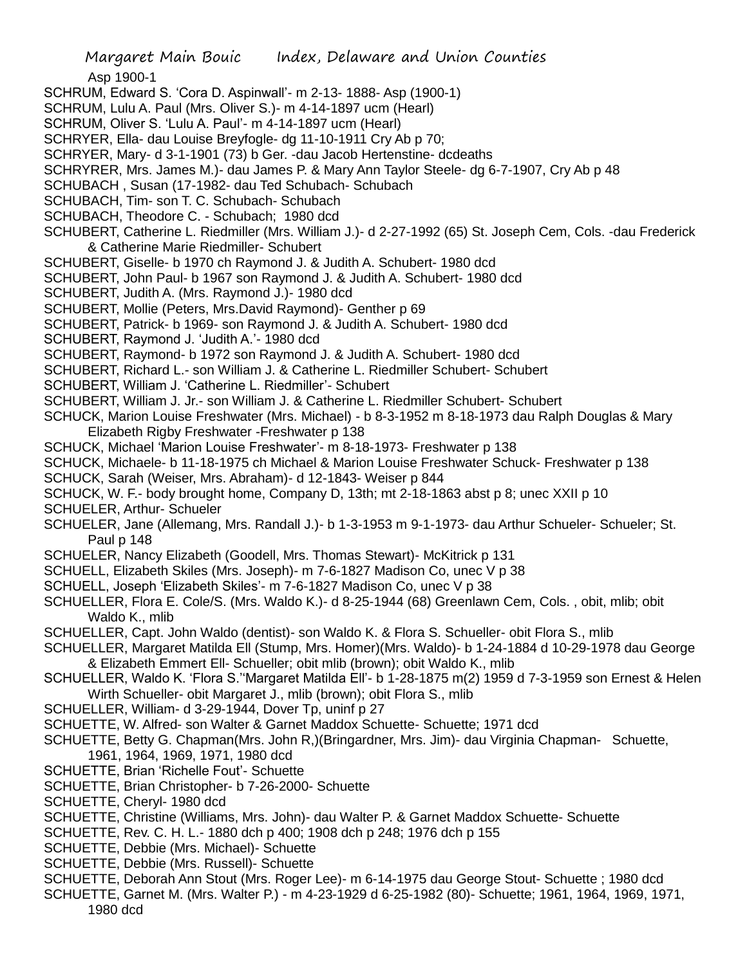Asp 1900-1

- SCHRUM, Edward S. 'Cora D. Aspinwall'- m 2-13- 1888- Asp (1900-1)
- SCHRUM, Lulu A. Paul (Mrs. Oliver S.)- m 4-14-1897 ucm (Hearl)
- SCHRUM, Oliver S. 'Lulu A. Paul'- m 4-14-1897 ucm (Hearl)
- SCHRYER, Ella- dau Louise Breyfogle- dg 11-10-1911 Cry Ab p 70;
- SCHRYER, Mary- d 3-1-1901 (73) b Ger. -dau Jacob Hertenstine- dcdeaths
- SCHRYRER, Mrs. James M.)- dau James P. & Mary Ann Taylor Steele- dg 6-7-1907, Cry Ab p 48
- SCHUBACH , Susan (17-1982- dau Ted Schubach- Schubach
- SCHUBACH, Tim- son T. C. Schubach- Schubach
- SCHUBACH, Theodore C. Schubach; 1980 dcd
- SCHUBERT, Catherine L. Riedmiller (Mrs. William J.)- d 2-27-1992 (65) St. Joseph Cem, Cols. -dau Frederick & Catherine Marie Riedmiller- Schubert
- SCHUBERT, Giselle- b 1970 ch Raymond J. & Judith A. Schubert- 1980 dcd
- SCHUBERT, John Paul- b 1967 son Raymond J. & Judith A. Schubert- 1980 dcd
- SCHUBERT, Judith A. (Mrs. Raymond J.)- 1980 dcd
- SCHUBERT, Mollie (Peters, Mrs.David Raymond)- Genther p 69
- SCHUBERT, Patrick- b 1969- son Raymond J. & Judith A. Schubert- 1980 dcd
- SCHUBERT, Raymond J. 'Judith A.'- 1980 dcd
- SCHUBERT, Raymond- b 1972 son Raymond J. & Judith A. Schubert- 1980 dcd
- SCHUBERT, Richard L.- son William J. & Catherine L. Riedmiller Schubert- Schubert
- SCHUBERT, William J. 'Catherine L. Riedmiller'- Schubert
- SCHUBERT, William J. Jr.- son William J. & Catherine L. Riedmiller Schubert- Schubert
- SCHUCK, Marion Louise Freshwater (Mrs. Michael) b 8-3-1952 m 8-18-1973 dau Ralph Douglas & Mary Elizabeth Rigby Freshwater -Freshwater p 138
- SCHUCK, Michael 'Marion Louise Freshwater'- m 8-18-1973- Freshwater p 138
- SCHUCK, Michaele- b 11-18-1975 ch Michael & Marion Louise Freshwater Schuck- Freshwater p 138
- SCHUCK, Sarah (Weiser, Mrs. Abraham)- d 12-1843- Weiser p 844
- SCHUCK, W. F.- body brought home, Company D, 13th; mt 2-18-1863 abst p 8; unec XXII p 10 SCHUELER, Arthur- Schueler
- SCHUELER, Jane (Allemang, Mrs. Randall J.)- b 1-3-1953 m 9-1-1973- dau Arthur Schueler- Schueler; St. Paul p 148
- SCHUELER, Nancy Elizabeth (Goodell, Mrs. Thomas Stewart)- McKitrick p 131
- SCHUELL, Elizabeth Skiles (Mrs. Joseph)- m 7-6-1827 Madison Co, unec V p 38
- SCHUELL, Joseph 'Elizabeth Skiles'- m 7-6-1827 Madison Co, unec V p 38
- SCHUELLER, Flora E. Cole/S. (Mrs. Waldo K.)- d 8-25-1944 (68) Greenlawn Cem, Cols. , obit, mlib; obit Waldo K., mlib
- SCHUELLER, Capt. John Waldo (dentist)- son Waldo K. & Flora S. Schueller- obit Flora S., mlib
- SCHUELLER, Margaret Matilda Ell (Stump, Mrs. Homer)(Mrs. Waldo)- b 1-24-1884 d 10-29-1978 dau George & Elizabeth Emmert Ell- Schueller; obit mlib (brown); obit Waldo K., mlib
- SCHUELLER, Waldo K. 'Flora S.''Margaret Matilda Ell'- b 1-28-1875 m(2) 1959 d 7-3-1959 son Ernest & Helen Wirth Schueller- obit Margaret J., mlib (brown); obit Flora S., mlib
- SCHUELLER, William- d 3-29-1944, Dover Tp, uninf p 27
- SCHUETTE, W. Alfred- son Walter & Garnet Maddox Schuette- Schuette; 1971 dcd
- SCHUETTE, Betty G. Chapman(Mrs. John R,)(Bringardner, Mrs. Jim)- dau Virginia Chapman- Schuette, 1961, 1964, 1969, 1971, 1980 dcd
- SCHUETTE, Brian 'Richelle Fout'- Schuette
- SCHUETTE, Brian Christopher- b 7-26-2000- Schuette
- SCHUETTE, Cheryl- 1980 dcd
- SCHUETTE, Christine (Williams, Mrs. John)- dau Walter P. & Garnet Maddox Schuette- Schuette
- SCHUETTE, Rev. C. H. L.- 1880 dch p 400; 1908 dch p 248; 1976 dch p 155
- SCHUETTE, Debbie (Mrs. Michael)- Schuette
- SCHUETTE, Debbie (Mrs. Russell)- Schuette
- SCHUETTE, Deborah Ann Stout (Mrs. Roger Lee)- m 6-14-1975 dau George Stout- Schuette ; 1980 dcd
- SCHUETTE, Garnet M. (Mrs. Walter P.) m 4-23-1929 d 6-25-1982 (80)- Schuette; 1961, 1964, 1969, 1971, 1980 dcd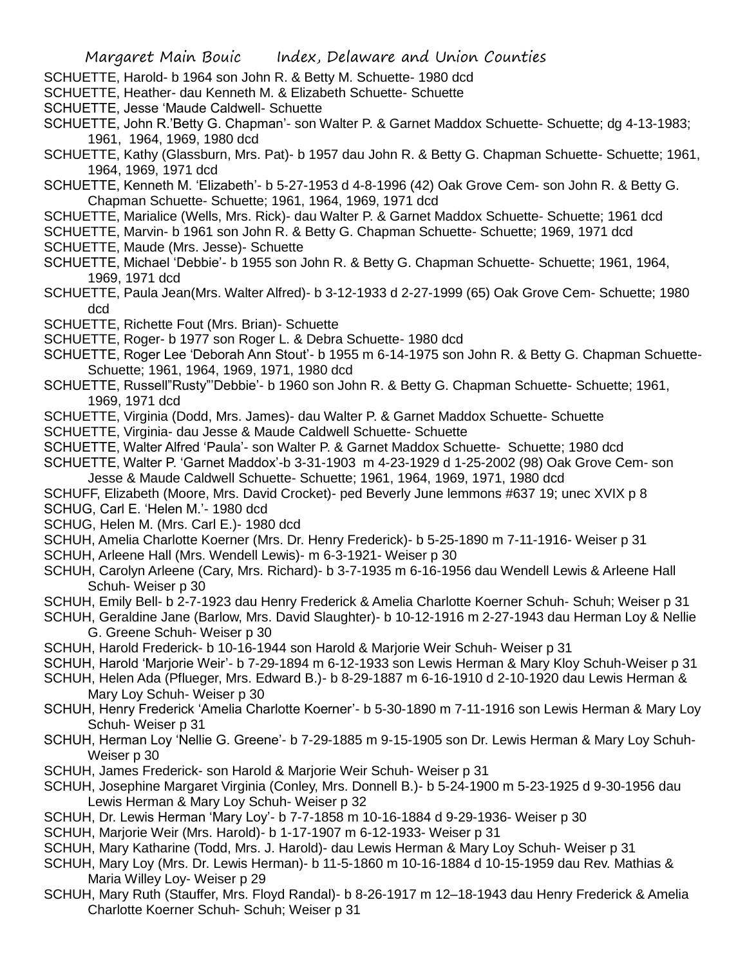- SCHUETTE, Harold- b 1964 son John R. & Betty M. Schuette- 1980 dcd
- SCHUETTE, Heather- dau Kenneth M. & Elizabeth Schuette- Schuette
- SCHUETTE, Jesse 'Maude Caldwell- Schuette
- SCHUETTE, John R.'Betty G. Chapman'- son Walter P. & Garnet Maddox Schuette- Schuette; dg 4-13-1983; 1961, 1964, 1969, 1980 dcd
- SCHUETTE, Kathy (Glassburn, Mrs. Pat)- b 1957 dau John R. & Betty G. Chapman Schuette- Schuette; 1961, 1964, 1969, 1971 dcd
- SCHUETTE, Kenneth M. 'Elizabeth'- b 5-27-1953 d 4-8-1996 (42) Oak Grove Cem- son John R. & Betty G. Chapman Schuette- Schuette; 1961, 1964, 1969, 1971 dcd
- SCHUETTE, Marialice (Wells, Mrs. Rick)- dau Walter P. & Garnet Maddox Schuette- Schuette; 1961 dcd
- SCHUETTE, Marvin- b 1961 son John R. & Betty G. Chapman Schuette- Schuette; 1969, 1971 dcd
- SCHUETTE, Maude (Mrs. Jesse)- Schuette
- SCHUETTE, Michael 'Debbie'- b 1955 son John R. & Betty G. Chapman Schuette- Schuette; 1961, 1964, 1969, 1971 dcd
- SCHUETTE, Paula Jean(Mrs. Walter Alfred)- b 3-12-1933 d 2-27-1999 (65) Oak Grove Cem- Schuette; 1980 dcd
- SCHUETTE, Richette Fout (Mrs. Brian)- Schuette
- SCHUETTE, Roger- b 1977 son Roger L. & Debra Schuette- 1980 dcd
- SCHUETTE, Roger Lee 'Deborah Ann Stout'- b 1955 m 6-14-1975 son John R. & Betty G. Chapman Schuette-Schuette; 1961, 1964, 1969, 1971, 1980 dcd
- SCHUETTE, Russell"Rusty"'Debbie'- b 1960 son John R. & Betty G. Chapman Schuette- Schuette; 1961, 1969, 1971 dcd
- SCHUETTE, Virginia (Dodd, Mrs. James)- dau Walter P. & Garnet Maddox Schuette- Schuette
- SCHUETTE, Virginia- dau Jesse & Maude Caldwell Schuette- Schuette
- SCHUETTE, Walter Alfred 'Paula'- son Walter P. & Garnet Maddox Schuette- Schuette; 1980 dcd
- SCHUETTE, Walter P. 'Garnet Maddox'-b 3-31-1903 m 4-23-1929 d 1-25-2002 (98) Oak Grove Cem- son Jesse & Maude Caldwell Schuette- Schuette; 1961, 1964, 1969, 1971, 1980 dcd
- SCHUFF, Elizabeth (Moore, Mrs. David Crocket)- ped Beverly June lemmons #637 19; unec XVIX p 8 SCHUG, Carl E. 'Helen M.'- 1980 dcd
- SCHUG, Helen M. (Mrs. Carl E.)- 1980 dcd
- SCHUH, Amelia Charlotte Koerner (Mrs. Dr. Henry Frederick)- b 5-25-1890 m 7-11-1916- Weiser p 31
- SCHUH, Arleene Hall (Mrs. Wendell Lewis)- m 6-3-1921- Weiser p 30
- SCHUH, Carolyn Arleene (Cary, Mrs. Richard)- b 3-7-1935 m 6-16-1956 dau Wendell Lewis & Arleene Hall Schuh- Weiser p 30
- SCHUH, Emily Bell- b 2-7-1923 dau Henry Frederick & Amelia Charlotte Koerner Schuh- Schuh; Weiser p 31
- SCHUH, Geraldine Jane (Barlow, Mrs. David Slaughter)- b 10-12-1916 m 2-27-1943 dau Herman Loy & Nellie G. Greene Schuh- Weiser p 30
- SCHUH, Harold Frederick- b 10-16-1944 son Harold & Marjorie Weir Schuh- Weiser p 31
- SCHUH, Harold 'Marjorie Weir'- b 7-29-1894 m 6-12-1933 son Lewis Herman & Mary Kloy Schuh-Weiser p 31
- SCHUH, Helen Ada (Pflueger, Mrs. Edward B.)- b 8-29-1887 m 6-16-1910 d 2-10-1920 dau Lewis Herman & Mary Loy Schuh- Weiser p 30
- SCHUH, Henry Frederick 'Amelia Charlotte Koerner'- b 5-30-1890 m 7-11-1916 son Lewis Herman & Mary Loy Schuh- Weiser p 31
- SCHUH, Herman Loy 'Nellie G. Greene'- b 7-29-1885 m 9-15-1905 son Dr. Lewis Herman & Mary Loy Schuh-Weiser p 30
- SCHUH, James Frederick- son Harold & Marjorie Weir Schuh- Weiser p 31
- SCHUH, Josephine Margaret Virginia (Conley, Mrs. Donnell B.)- b 5-24-1900 m 5-23-1925 d 9-30-1956 dau Lewis Herman & Mary Loy Schuh- Weiser p 32
- SCHUH, Dr. Lewis Herman 'Mary Loy'- b 7-7-1858 m 10-16-1884 d 9-29-1936- Weiser p 30
- SCHUH, Marjorie Weir (Mrs. Harold)- b 1-17-1907 m 6-12-1933- Weiser p 31
- SCHUH, Mary Katharine (Todd, Mrs. J. Harold)- dau Lewis Herman & Mary Loy Schuh- Weiser p 31
- SCHUH, Mary Loy (Mrs. Dr. Lewis Herman)- b 11-5-1860 m 10-16-1884 d 10-15-1959 dau Rev. Mathias & Maria Willey Loy- Weiser p 29
- SCHUH, Mary Ruth (Stauffer, Mrs. Floyd Randal)- b 8-26-1917 m 12–18-1943 dau Henry Frederick & Amelia Charlotte Koerner Schuh- Schuh; Weiser p 31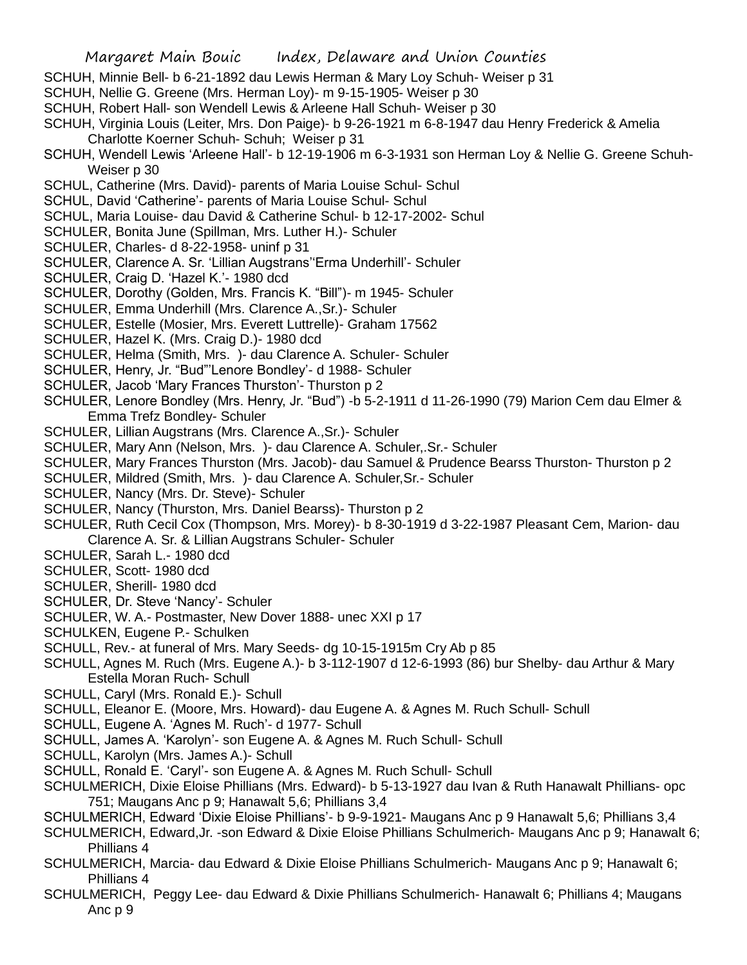- SCHUH, Minnie Bell- b 6-21-1892 dau Lewis Herman & Mary Loy Schuh- Weiser p 31
- SCHUH, Nellie G. Greene (Mrs. Herman Loy)- m 9-15-1905- Weiser p 30
- SCHUH, Robert Hall- son Wendell Lewis & Arleene Hall Schuh- Weiser p 30
- SCHUH, Virginia Louis (Leiter, Mrs. Don Paige)- b 9-26-1921 m 6-8-1947 dau Henry Frederick & Amelia Charlotte Koerner Schuh- Schuh; Weiser p 31
- SCHUH, Wendell Lewis 'Arleene Hall'- b 12-19-1906 m 6-3-1931 son Herman Loy & Nellie G. Greene Schuh-Weiser p 30
- SCHUL, Catherine (Mrs. David)- parents of Maria Louise Schul- Schul
- SCHUL, David 'Catherine'- parents of Maria Louise Schul- Schul
- SCHUL, Maria Louise- dau David & Catherine Schul- b 12-17-2002- Schul
- SCHULER, Bonita June (Spillman, Mrs. Luther H.)- Schuler
- SCHULER, Charles- d 8-22-1958- uninf p 31
- SCHULER, Clarence A. Sr. 'Lillian Augstrans''Erma Underhill'- Schuler
- SCHULER, Craig D. 'Hazel K.'- 1980 dcd
- SCHULER, Dorothy (Golden, Mrs. Francis K. "Bill")- m 1945- Schuler
- SCHULER, Emma Underhill (Mrs. Clarence A.,Sr.)- Schuler
- SCHULER, Estelle (Mosier, Mrs. Everett Luttrelle)- Graham 17562
- SCHULER, Hazel K. (Mrs. Craig D.)- 1980 dcd
- SCHULER, Helma (Smith, Mrs. )- dau Clarence A. Schuler- Schuler
- SCHULER, Henry, Jr. "Bud"'Lenore Bondley'- d 1988- Schuler
- SCHULER, Jacob 'Mary Frances Thurston'- Thurston p 2
- SCHULER, Lenore Bondley (Mrs. Henry, Jr. "Bud") -b 5-2-1911 d 11-26-1990 (79) Marion Cem dau Elmer & Emma Trefz Bondley- Schuler
- SCHULER, Lillian Augstrans (Mrs. Clarence A.,Sr.)- Schuler
- SCHULER, Mary Ann (Nelson, Mrs. )- dau Clarence A. Schuler,.Sr.- Schuler
- SCHULER, Mary Frances Thurston (Mrs. Jacob)- dau Samuel & Prudence Bearss Thurston- Thurston p 2
- SCHULER, Mildred (Smith, Mrs. )- dau Clarence A. Schuler,Sr.- Schuler
- SCHULER, Nancy (Mrs. Dr. Steve)- Schuler
- SCHULER, Nancy (Thurston, Mrs. Daniel Bearss)- Thurston p 2
- SCHULER, Ruth Cecil Cox (Thompson, Mrs. Morey)- b 8-30-1919 d 3-22-1987 Pleasant Cem, Marion- dau Clarence A. Sr. & Lillian Augstrans Schuler- Schuler
- SCHULER, Sarah L.- 1980 dcd
- SCHULER, Scott- 1980 dcd
- SCHULER, Sherill- 1980 dcd
- SCHULER, Dr. Steve 'Nancy'- Schuler
- SCHULER, W. A.- Postmaster, New Dover 1888- unec XXI p 17
- SCHULKEN, Eugene P.- Schulken
- SCHULL, Rev.- at funeral of Mrs. Mary Seeds- dg 10-15-1915m Cry Ab p 85
- SCHULL, Agnes M. Ruch (Mrs. Eugene A.)- b 3-112-1907 d 12-6-1993 (86) bur Shelby- dau Arthur & Mary Estella Moran Ruch- Schull
- SCHULL, Caryl (Mrs. Ronald E.)- Schull
- SCHULL, Eleanor E. (Moore, Mrs. Howard)- dau Eugene A. & Agnes M. Ruch Schull- Schull
- SCHULL, Eugene A. 'Agnes M. Ruch'- d 1977- Schull
- SCHULL, James A. 'Karolyn'- son Eugene A. & Agnes M. Ruch Schull- Schull
- SCHULL, Karolyn (Mrs. James A.)- Schull
- SCHULL, Ronald E. 'Caryl'- son Eugene A. & Agnes M. Ruch Schull- Schull
- SCHULMERICH, Dixie Eloise Phillians (Mrs. Edward)- b 5-13-1927 dau Ivan & Ruth Hanawalt Phillians- opc 751; Maugans Anc p 9; Hanawalt 5,6; Phillians 3,4
- SCHULMERICH, Edward 'Dixie Eloise Phillians'- b 9-9-1921- Maugans Anc p 9 Hanawalt 5,6; Phillians 3,4
- SCHULMERICH, Edward,Jr. -son Edward & Dixie Eloise Phillians Schulmerich- Maugans Anc p 9; Hanawalt 6; Phillians 4
- SCHULMERICH, Marcia- dau Edward & Dixie Eloise Phillians Schulmerich- Maugans Anc p 9; Hanawalt 6; Phillians 4
- SCHULMERICH, Peggy Lee- dau Edward & Dixie Phillians Schulmerich- Hanawalt 6; Phillians 4; Maugans Anc p 9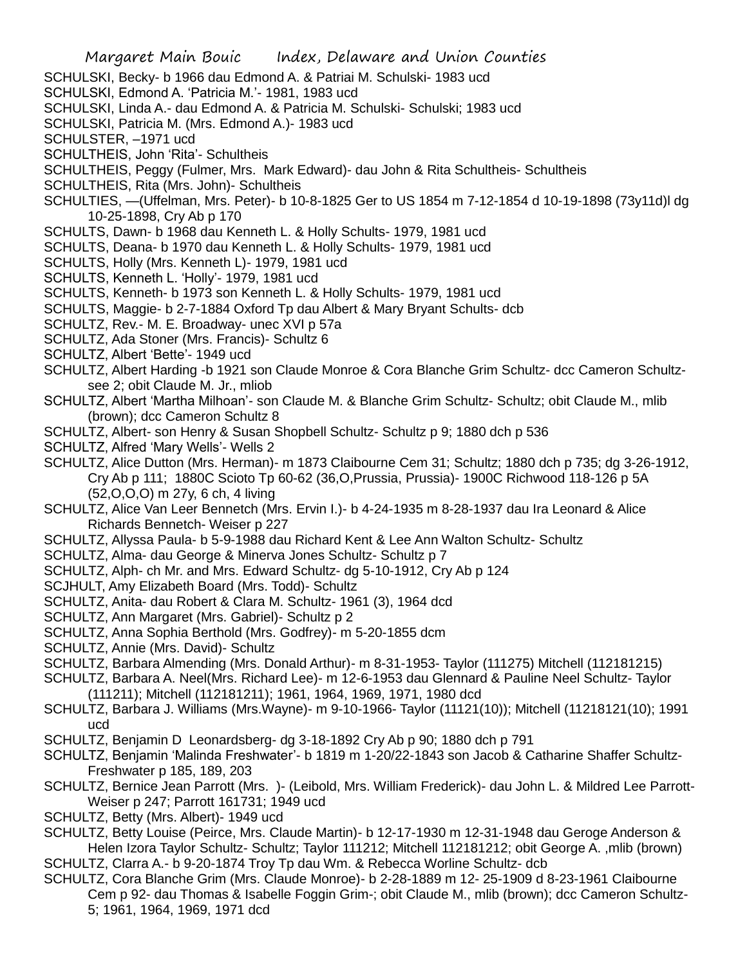- SCHULSKI, Becky- b 1966 dau Edmond A. & Patriai M. Schulski- 1983 ucd
- SCHULSKI, Edmond A. 'Patricia M.'- 1981, 1983 ucd
- SCHULSKI, Linda A.- dau Edmond A. & Patricia M. Schulski- Schulski; 1983 ucd
- SCHULSKI, Patricia M. (Mrs. Edmond A.)- 1983 ucd
- SCHULSTER, –1971 ucd
- SCHULTHEIS, John 'Rita'- Schultheis
- SCHULTHEIS, Peggy (Fulmer, Mrs. Mark Edward)- dau John & Rita Schultheis- Schultheis
- SCHULTHEIS, Rita (Mrs. John)- Schultheis
- SCHULTIES, —(Uffelman, Mrs. Peter)- b 10-8-1825 Ger to US 1854 m 7-12-1854 d 10-19-1898 (73y11d)l dg 10-25-1898, Cry Ab p 170
- SCHULTS, Dawn- b 1968 dau Kenneth L. & Holly Schults- 1979, 1981 ucd
- SCHULTS, Deana- b 1970 dau Kenneth L. & Holly Schults- 1979, 1981 ucd
- SCHULTS, Holly (Mrs. Kenneth L)- 1979, 1981 ucd
- SCHULTS, Kenneth L. 'Holly'- 1979, 1981 ucd
- SCHULTS, Kenneth- b 1973 son Kenneth L. & Holly Schults- 1979, 1981 ucd
- SCHULTS, Maggie- b 2-7-1884 Oxford Tp dau Albert & Mary Bryant Schults- dcb
- SCHULTZ, Rev.- M. E. Broadway- unec XVI p 57a
- SCHULTZ, Ada Stoner (Mrs. Francis)- Schultz 6
- SCHULTZ, Albert 'Bette'- 1949 ucd
- SCHULTZ, Albert Harding -b 1921 son Claude Monroe & Cora Blanche Grim Schultz- dcc Cameron Schultzsee 2; obit Claude M. Jr., mliob
- SCHULTZ, Albert 'Martha Milhoan'- son Claude M. & Blanche Grim Schultz- Schultz; obit Claude M., mlib (brown); dcc Cameron Schultz 8
- SCHULTZ, Albert- son Henry & Susan Shopbell Schultz- Schultz p 9; 1880 dch p 536
- SCHULTZ, Alfred 'Mary Wells'- Wells 2
- SCHULTZ, Alice Dutton (Mrs. Herman)- m 1873 Claibourne Cem 31; Schultz; 1880 dch p 735; dg 3-26-1912, Cry Ab p 111; 1880C Scioto Tp 60-62 (36,O,Prussia, Prussia)- 1900C Richwood 118-126 p 5A (52,O,O,O) m 27y, 6 ch, 4 living
- SCHULTZ, Alice Van Leer Bennetch (Mrs. Ervin I.)- b 4-24-1935 m 8-28-1937 dau Ira Leonard & Alice Richards Bennetch- Weiser p 227
- SCHULTZ, Allyssa Paula- b 5-9-1988 dau Richard Kent & Lee Ann Walton Schultz- Schultz
- SCHULTZ, Alma- dau George & Minerva Jones Schultz- Schultz p 7
- SCHULTZ, Alph- ch Mr. and Mrs. Edward Schultz- dg 5-10-1912, Cry Ab p 124
- SCJHULT, Amy Elizabeth Board (Mrs. Todd)- Schultz
- SCHULTZ, Anita- dau Robert & Clara M. Schultz- 1961 (3), 1964 dcd
- SCHULTZ, Ann Margaret (Mrs. Gabriel)- Schultz p 2
- SCHULTZ, Anna Sophia Berthold (Mrs. Godfrey)- m 5-20-1855 dcm
- SCHULTZ, Annie (Mrs. David)- Schultz
- SCHULTZ, Barbara Almending (Mrs. Donald Arthur)- m 8-31-1953- Taylor (111275) Mitchell (112181215)
- SCHULTZ, Barbara A. Neel(Mrs. Richard Lee)- m 12-6-1953 dau Glennard & Pauline Neel Schultz- Taylor (111211); Mitchell (112181211); 1961, 1964, 1969, 1971, 1980 dcd
- SCHULTZ, Barbara J. Williams (Mrs.Wayne)- m 9-10-1966- Taylor (11121(10)); Mitchell (11218121(10); 1991 ucd
- SCHULTZ, Benjamin D Leonardsberg- dg 3-18-1892 Cry Ab p 90; 1880 dch p 791
- SCHULTZ, Benjamin 'Malinda Freshwater'- b 1819 m 1-20/22-1843 son Jacob & Catharine Shaffer Schultz-Freshwater p 185, 189, 203
- SCHULTZ, Bernice Jean Parrott (Mrs. )- (Leibold, Mrs. William Frederick)- dau John L. & Mildred Lee Parrott-Weiser p 247; Parrott 161731; 1949 ucd
- SCHULTZ, Betty (Mrs. Albert)- 1949 ucd
- SCHULTZ, Betty Louise (Peirce, Mrs. Claude Martin)- b 12-17-1930 m 12-31-1948 dau Geroge Anderson & Helen Izora Taylor Schultz- Schultz; Taylor 111212; Mitchell 112181212; obit George A. ,mlib (brown) SCHULTZ, Clarra A.- b 9-20-1874 Troy Tp dau Wm. & Rebecca Worline Schultz- dcb
- SCHULTZ, Cora Blanche Grim (Mrs. Claude Monroe)- b 2-28-1889 m 12- 25-1909 d 8-23-1961 Claibourne Cem p 92- dau Thomas & Isabelle Foggin Grim-; obit Claude M., mlib (brown); dcc Cameron Schultz-5; 1961, 1964, 1969, 1971 dcd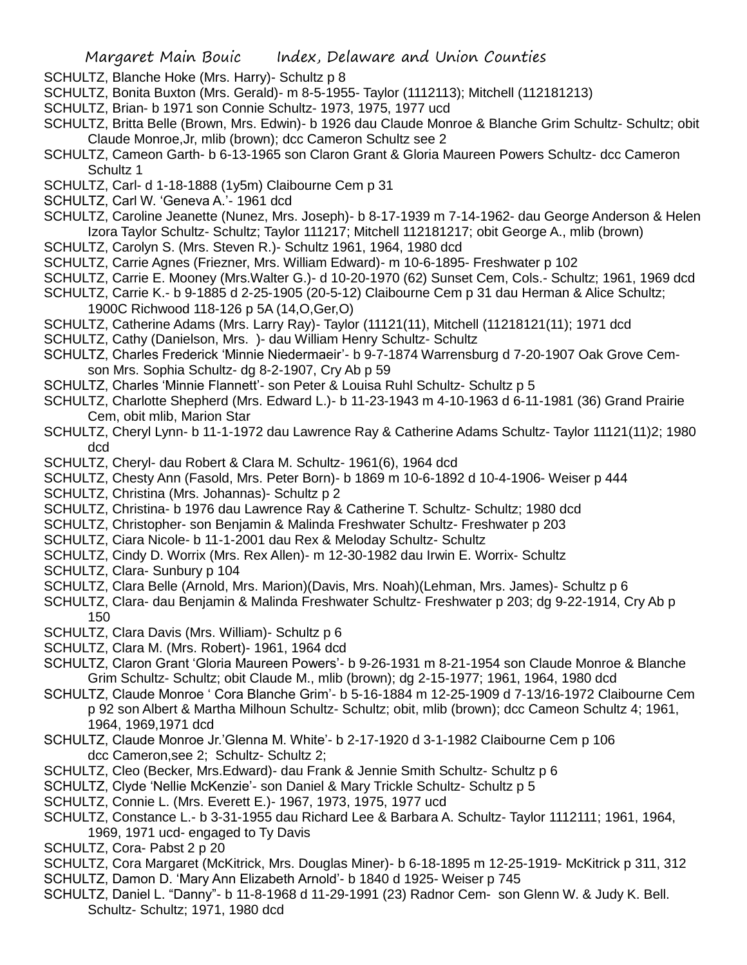- SCHULTZ, Blanche Hoke (Mrs. Harry)- Schultz p 8
- SCHULTZ, Bonita Buxton (Mrs. Gerald)- m 8-5-1955- Taylor (1112113); Mitchell (112181213)
- SCHULTZ, Brian- b 1971 son Connie Schultz- 1973, 1975, 1977 ucd
- SCHULTZ, Britta Belle (Brown, Mrs. Edwin)- b 1926 dau Claude Monroe & Blanche Grim Schultz- Schultz; obit Claude Monroe,Jr, mlib (brown); dcc Cameron Schultz see 2
- SCHULTZ, Cameon Garth- b 6-13-1965 son Claron Grant & Gloria Maureen Powers Schultz- dcc Cameron Schultz 1
- SCHULTZ, Carl- d 1-18-1888 (1y5m) Claibourne Cem p 31
- SCHULTZ, Carl W. 'Geneva A.'- 1961 dcd
- SCHULTZ, Caroline Jeanette (Nunez, Mrs. Joseph)- b 8-17-1939 m 7-14-1962- dau George Anderson & Helen Izora Taylor Schultz- Schultz; Taylor 111217; Mitchell 112181217; obit George A., mlib (brown)
- SCHULTZ, Carolyn S. (Mrs. Steven R.)- Schultz 1961, 1964, 1980 dcd
- SCHULTZ, Carrie Agnes (Friezner, Mrs. William Edward)- m 10-6-1895- Freshwater p 102
- SCHULTZ, Carrie E. Mooney (Mrs.Walter G.)- d 10-20-1970 (62) Sunset Cem, Cols.- Schultz; 1961, 1969 dcd
- SCHULTZ, Carrie K.- b 9-1885 d 2-25-1905 (20-5-12) Claibourne Cem p 31 dau Herman & Alice Schultz; 1900C Richwood 118-126 p 5A (14,O,Ger,O)
- SCHULTZ, Catherine Adams (Mrs. Larry Ray)- Taylor (11121(11), Mitchell (11218121(11); 1971 dcd
- SCHULTZ, Cathy (Danielson, Mrs. )- dau William Henry Schultz- Schultz
- SCHULTZ, Charles Frederick 'Minnie Niedermaeir'- b 9-7-1874 Warrensburg d 7-20-1907 Oak Grove Cemson Mrs. Sophia Schultz- dg 8-2-1907, Cry Ab p 59
- SCHULTZ, Charles 'Minnie Flannett'- son Peter & Louisa Ruhl Schultz- Schultz p 5
- SCHULTZ, Charlotte Shepherd (Mrs. Edward L.)- b 11-23-1943 m 4-10-1963 d 6-11-1981 (36) Grand Prairie Cem, obit mlib, Marion Star
- SCHULTZ, Cheryl Lynn- b 11-1-1972 dau Lawrence Ray & Catherine Adams Schultz- Taylor 11121(11)2; 1980 dcd
- SCHULTZ, Cheryl- dau Robert & Clara M. Schultz- 1961(6), 1964 dcd
- SCHULTZ, Chesty Ann (Fasold, Mrs. Peter Born)- b 1869 m 10-6-1892 d 10-4-1906- Weiser p 444
- SCHULTZ, Christina (Mrs. Johannas)- Schultz p 2
- SCHULTZ, Christina- b 1976 dau Lawrence Ray & Catherine T. Schultz- Schultz; 1980 dcd
- SCHULTZ, Christopher- son Benjamin & Malinda Freshwater Schultz- Freshwater p 203
- SCHULTZ, Ciara Nicole- b 11-1-2001 dau Rex & Meloday Schultz- Schultz
- SCHULTZ, Cindy D. Worrix (Mrs. Rex Allen)- m 12-30-1982 dau Irwin E. Worrix- Schultz
- SCHULTZ, Clara- Sunbury p 104
- SCHULTZ, Clara Belle (Arnold, Mrs. Marion)(Davis, Mrs. Noah)(Lehman, Mrs. James)- Schultz p 6
- SCHULTZ, Clara- dau Benjamin & Malinda Freshwater Schultz- Freshwater p 203; dg 9-22-1914, Cry Ab p 150
- SCHULTZ, Clara Davis (Mrs. William)- Schultz p 6
- SCHULTZ, Clara M. (Mrs. Robert)- 1961, 1964 dcd
- SCHULTZ, Claron Grant 'Gloria Maureen Powers'- b 9-26-1931 m 8-21-1954 son Claude Monroe & Blanche Grim Schultz- Schultz; obit Claude M., mlib (brown); dg 2-15-1977; 1961, 1964, 1980 dcd
- SCHULTZ, Claude Monroe ' Cora Blanche Grim'- b 5-16-1884 m 12-25-1909 d 7-13/16-1972 Claibourne Cem p 92 son Albert & Martha Milhoun Schultz- Schultz; obit, mlib (brown); dcc Cameon Schultz 4; 1961, 1964, 1969,1971 dcd
- SCHULTZ, Claude Monroe Jr.'Glenna M. White'- b 2-17-1920 d 3-1-1982 Claibourne Cem p 106 dcc Cameron,see 2; Schultz- Schultz 2;
- SCHULTZ, Cleo (Becker, Mrs.Edward)- dau Frank & Jennie Smith Schultz- Schultz p 6
- SCHULTZ, Clyde 'Nellie McKenzie'- son Daniel & Mary Trickle Schultz- Schultz p 5
- SCHULTZ, Connie L. (Mrs. Everett E.)- 1967, 1973, 1975, 1977 ucd
- SCHULTZ, Constance L.- b 3-31-1955 dau Richard Lee & Barbara A. Schultz- Taylor 1112111; 1961, 1964, 1969, 1971 ucd- engaged to Ty Davis
- SCHULTZ, Cora- Pabst 2 p 20
- SCHULTZ, Cora Margaret (McKitrick, Mrs. Douglas Miner)- b 6-18-1895 m 12-25-1919- McKitrick p 311, 312
- SCHULTZ, Damon D. 'Mary Ann Elizabeth Arnold'- b 1840 d 1925- Weiser p 745
- SCHULTZ, Daniel L. "Danny"- b 11-8-1968 d 11-29-1991 (23) Radnor Cem- son Glenn W. & Judy K. Bell. Schultz- Schultz; 1971, 1980 dcd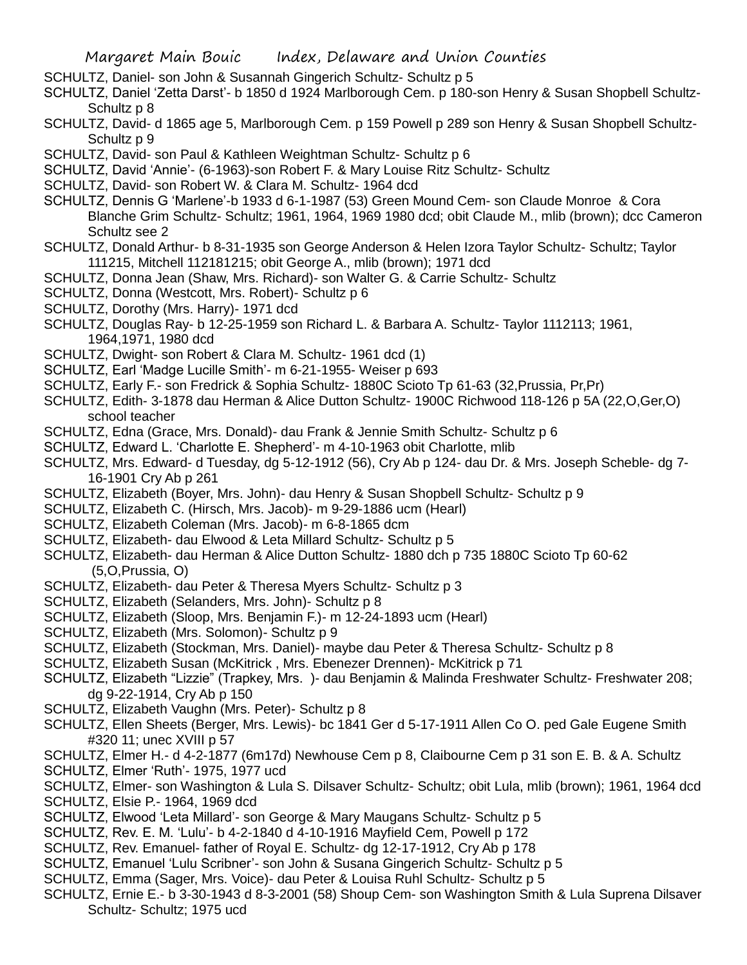SCHULTZ, Daniel- son John & Susannah Gingerich Schultz- Schultz p 5

SCHULTZ, Daniel 'Zetta Darst'- b 1850 d 1924 Marlborough Cem. p 180-son Henry & Susan Shopbell Schultz-Schultz p 8

- SCHULTZ, David- d 1865 age 5, Marlborough Cem. p 159 Powell p 289 son Henry & Susan Shopbell Schultz-Schultz p 9
- SCHULTZ, David- son Paul & Kathleen Weightman Schultz- Schultz p 6
- SCHULTZ, David 'Annie'- (6-1963)-son Robert F. & Mary Louise Ritz Schultz- Schultz
- SCHULTZ, David- son Robert W. & Clara M. Schultz- 1964 dcd
- SCHULTZ, Dennis G 'Marlene'-b 1933 d 6-1-1987 (53) Green Mound Cem- son Claude Monroe & Cora Blanche Grim Schultz- Schultz; 1961, 1964, 1969 1980 dcd; obit Claude M., mlib (brown); dcc Cameron Schultz see 2
- SCHULTZ, Donald Arthur- b 8-31-1935 son George Anderson & Helen Izora Taylor Schultz- Schultz; Taylor 111215, Mitchell 112181215; obit George A., mlib (brown); 1971 dcd
- SCHULTZ, Donna Jean (Shaw, Mrs. Richard)- son Walter G. & Carrie Schultz- Schultz
- SCHULTZ, Donna (Westcott, Mrs. Robert)- Schultz p 6
- SCHULTZ, Dorothy (Mrs. Harry)- 1971 dcd
- SCHULTZ, Douglas Ray- b 12-25-1959 son Richard L. & Barbara A. Schultz- Taylor 1112113; 1961, 1964,1971, 1980 dcd
- SCHULTZ, Dwight- son Robert & Clara M. Schultz- 1961 dcd (1)
- SCHULTZ, Earl 'Madge Lucille Smith'- m 6-21-1955- Weiser p 693
- SCHULTZ, Early F.- son Fredrick & Sophia Schultz- 1880C Scioto Tp 61-63 (32,Prussia, Pr,Pr)
- SCHULTZ, Edith- 3-1878 dau Herman & Alice Dutton Schultz- 1900C Richwood 118-126 p 5A (22,O,Ger,O) school teacher
- SCHULTZ, Edna (Grace, Mrs. Donald)- dau Frank & Jennie Smith Schultz- Schultz p 6
- SCHULTZ, Edward L. 'Charlotte E. Shepherd'- m 4-10-1963 obit Charlotte, mlib
- SCHULTZ, Mrs. Edward- d Tuesday, dg 5-12-1912 (56), Cry Ab p 124- dau Dr. & Mrs. Joseph Scheble- dg 7- 16-1901 Cry Ab p 261
- SCHULTZ, Elizabeth (Boyer, Mrs. John)- dau Henry & Susan Shopbell Schultz- Schultz p 9
- SCHULTZ, Elizabeth C. (Hirsch, Mrs. Jacob)- m 9-29-1886 ucm (Hearl)
- SCHULTZ, Elizabeth Coleman (Mrs. Jacob)- m 6-8-1865 dcm
- SCHULTZ, Elizabeth- dau Elwood & Leta Millard Schultz- Schultz p 5
- SCHULTZ, Elizabeth- dau Herman & Alice Dutton Schultz- 1880 dch p 735 1880C Scioto Tp 60-62 (5,O,Prussia, O)
- SCHULTZ, Elizabeth- dau Peter & Theresa Myers Schultz- Schultz p 3
- SCHULTZ, Elizabeth (Selanders, Mrs. John)- Schultz p 8
- SCHULTZ, Elizabeth (Sloop, Mrs. Benjamin F.)- m 12-24-1893 ucm (Hearl)
- SCHULTZ, Elizabeth (Mrs. Solomon)- Schultz p 9
- SCHULTZ, Elizabeth (Stockman, Mrs. Daniel)- maybe dau Peter & Theresa Schultz- Schultz p 8
- SCHULTZ, Elizabeth Susan (McKitrick , Mrs. Ebenezer Drennen)- McKitrick p 71
- SCHULTZ, Elizabeth "Lizzie" (Trapkey, Mrs. )- dau Benjamin & Malinda Freshwater Schultz- Freshwater 208; dg 9-22-1914, Cry Ab p 150
- SCHULTZ, Elizabeth Vaughn (Mrs. Peter)- Schultz p 8
- SCHULTZ, Ellen Sheets (Berger, Mrs. Lewis)- bc 1841 Ger d 5-17-1911 Allen Co O. ped Gale Eugene Smith #320 11; unec XVIII p 57
- SCHULTZ, Elmer H.- d 4-2-1877 (6m17d) Newhouse Cem p 8, Claibourne Cem p 31 son E. B. & A. Schultz
- SCHULTZ, Elmer 'Ruth'- 1975, 1977 ucd
- SCHULTZ, Elmer- son Washington & Lula S. Dilsaver Schultz- Schultz; obit Lula, mlib (brown); 1961, 1964 dcd
- SCHULTZ, Elsie P.- 1964, 1969 dcd
- SCHULTZ, Elwood 'Leta Millard'- son George & Mary Maugans Schultz- Schultz p 5
- SCHULTZ, Rev. E. M. 'Lulu'- b 4-2-1840 d 4-10-1916 Mayfield Cem, Powell p 172
- SCHULTZ, Rev. Emanuel- father of Royal E. Schultz- dg 12-17-1912, Cry Ab p 178
- SCHULTZ, Emanuel 'Lulu Scribner'- son John & Susana Gingerich Schultz- Schultz p 5
- SCHULTZ, Emma (Sager, Mrs. Voice)- dau Peter & Louisa Ruhl Schultz- Schultz p 5
- SCHULTZ, Ernie E.- b 3-30-1943 d 8-3-2001 (58) Shoup Cem- son Washington Smith & Lula Suprena Dilsaver Schultz- Schultz; 1975 ucd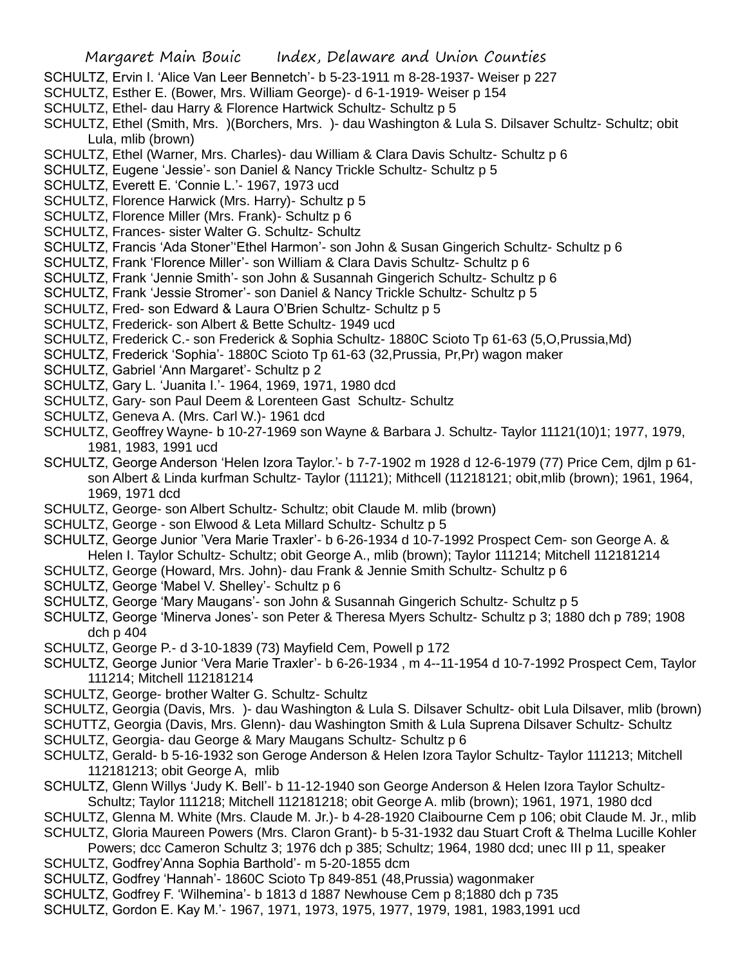- SCHULTZ, Ervin I. 'Alice Van Leer Bennetch'- b 5-23-1911 m 8-28-1937- Weiser p 227
- SCHULTZ, Esther E. (Bower, Mrs. William George)- d 6-1-1919- Weiser p 154
- SCHULTZ, Ethel- dau Harry & Florence Hartwick Schultz- Schultz p 5
- SCHULTZ, Ethel (Smith, Mrs. )(Borchers, Mrs. )- dau Washington & Lula S. Dilsaver Schultz- Schultz; obit Lula, mlib (brown)
- SCHULTZ, Ethel (Warner, Mrs. Charles)- dau William & Clara Davis Schultz- Schultz p 6
- SCHULTZ, Eugene 'Jessie'- son Daniel & Nancy Trickle Schultz- Schultz p 5
- SCHULTZ, Everett E. 'Connie L.'- 1967, 1973 ucd
- SCHULTZ, Florence Harwick (Mrs. Harry)- Schultz p 5
- SCHULTZ, Florence Miller (Mrs. Frank)- Schultz p 6
- SCHULTZ, Frances- sister Walter G. Schultz- Schultz
- SCHULTZ, Francis 'Ada Stoner''Ethel Harmon'- son John & Susan Gingerich Schultz- Schultz p 6
- SCHULTZ, Frank 'Florence Miller'- son William & Clara Davis Schultz- Schultz p 6
- SCHULTZ, Frank 'Jennie Smith'- son John & Susannah Gingerich Schultz- Schultz p 6
- SCHULTZ, Frank 'Jessie Stromer'- son Daniel & Nancy Trickle Schultz- Schultz p 5
- SCHULTZ, Fred- son Edward & Laura O'Brien Schultz- Schultz p 5
- SCHULTZ, Frederick- son Albert & Bette Schultz- 1949 ucd
- SCHULTZ, Frederick C.- son Frederick & Sophia Schultz- 1880C Scioto Tp 61-63 (5,O,Prussia,Md)
- SCHULTZ, Frederick 'Sophia'- 1880C Scioto Tp 61-63 (32,Prussia, Pr,Pr) wagon maker
- SCHULTZ, Gabriel 'Ann Margaret'- Schultz p 2
- SCHULTZ, Gary L. 'Juanita I.'- 1964, 1969, 1971, 1980 dcd
- SCHULTZ, Gary- son Paul Deem & Lorenteen Gast Schultz- Schultz
- SCHULTZ, Geneva A. (Mrs. Carl W.)- 1961 dcd
- SCHULTZ, Geoffrey Wayne- b 10-27-1969 son Wayne & Barbara J. Schultz- Taylor 11121(10)1; 1977, 1979, 1981, 1983, 1991 ucd
- SCHULTZ, George Anderson 'Helen Izora Taylor.'- b 7-7-1902 m 1928 d 12-6-1979 (77) Price Cem, djlm p 61 son Albert & Linda kurfman Schultz- Taylor (11121); Mithcell (11218121; obit,mlib (brown); 1961, 1964, 1969, 1971 dcd
- SCHULTZ, George- son Albert Schultz- Schultz; obit Claude M. mlib (brown)
- SCHULTZ, George son Elwood & Leta Millard Schultz- Schultz p 5
- SCHULTZ, George Junior 'Vera Marie Traxler'- b 6-26-1934 d 10-7-1992 Prospect Cem- son George A. & Helen I. Taylor Schultz- Schultz; obit George A., mlib (brown); Taylor 111214; Mitchell 112181214
- SCHULTZ, George (Howard, Mrs. John)- dau Frank & Jennie Smith Schultz- Schultz p 6
- SCHULTZ, George 'Mabel V. Shelley'- Schultz p 6
- SCHULTZ, George 'Mary Maugans'- son John & Susannah Gingerich Schultz- Schultz p 5
- SCHULTZ, George 'Minerva Jones'- son Peter & Theresa Myers Schultz- Schultz p 3; 1880 dch p 789; 1908 dch p 404
- SCHULTZ, George P.- d 3-10-1839 (73) Mayfield Cem, Powell p 172
- SCHULTZ, George Junior 'Vera Marie Traxler'- b 6-26-1934 , m 4--11-1954 d 10-7-1992 Prospect Cem, Taylor 111214; Mitchell 112181214
- SCHULTZ, George- brother Walter G. Schultz- Schultz
- SCHULTZ, Georgia (Davis, Mrs. )- dau Washington & Lula S. Dilsaver Schultz- obit Lula Dilsaver, mlib (brown)
- SCHUTTZ, Georgia (Davis, Mrs. Glenn)- dau Washington Smith & Lula Suprena Dilsaver Schultz- Schultz
- SCHULTZ, Georgia- dau George & Mary Maugans Schultz- Schultz p 6
- SCHULTZ, Gerald- b 5-16-1932 son Geroge Anderson & Helen Izora Taylor Schultz- Taylor 111213; Mitchell 112181213; obit George A, mlib
- SCHULTZ, Glenn Willys 'Judy K. Bell'- b 11-12-1940 son George Anderson & Helen Izora Taylor Schultz-Schultz; Taylor 111218; Mitchell 112181218; obit George A. mlib (brown); 1961, 1971, 1980 dcd
- SCHULTZ, Glenna M. White (Mrs. Claude M. Jr.)- b 4-28-1920 Claibourne Cem p 106; obit Claude M. Jr., mlib SCHULTZ, Gloria Maureen Powers (Mrs. Claron Grant)- b 5-31-1932 dau Stuart Croft & Thelma Lucille Kohler
- Powers; dcc Cameron Schultz 3; 1976 dch p 385; Schultz; 1964, 1980 dcd; unec III p 11, speaker SCHULTZ, Godfrey'Anna Sophia Barthold'- m 5-20-1855 dcm
- 
- SCHULTZ, Godfrey 'Hannah'- 1860C Scioto Tp 849-851 (48,Prussia) wagonmaker
- SCHULTZ, Godfrey F. 'Wilhemina'- b 1813 d 1887 Newhouse Cem p 8;1880 dch p 735
- SCHULTZ, Gordon E. Kay M.'- 1967, 1971, 1973, 1975, 1977, 1979, 1981, 1983,1991 ucd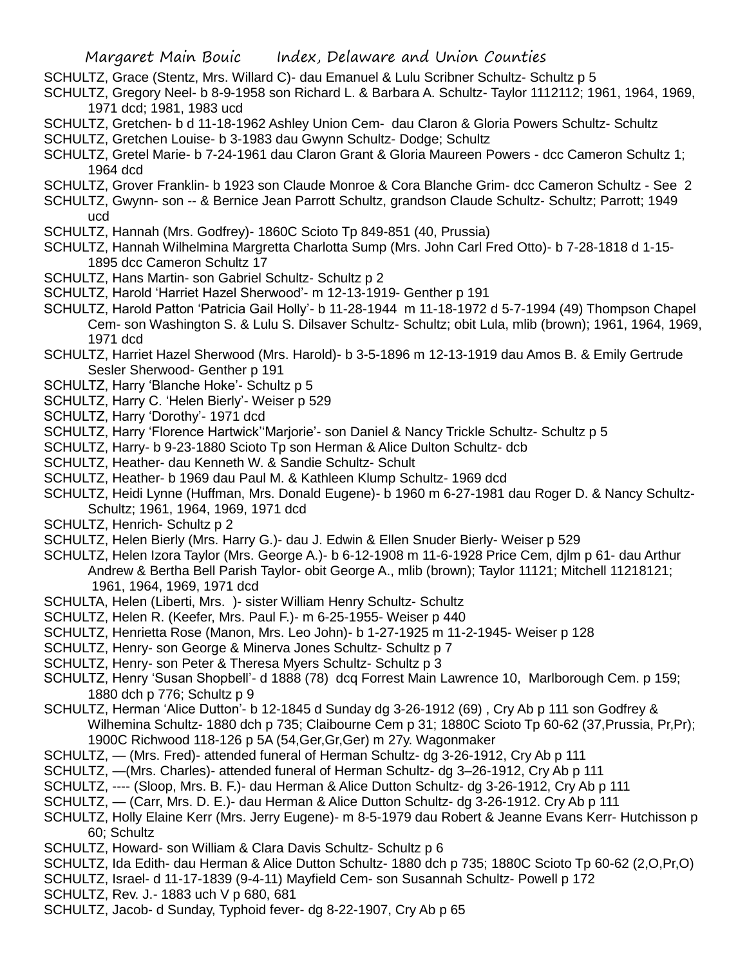- SCHULTZ, Grace (Stentz, Mrs. Willard C)- dau Emanuel & Lulu Scribner Schultz- Schultz p 5
- SCHULTZ, Gregory Neel- b 8-9-1958 son Richard L. & Barbara A. Schultz- Taylor 1112112; 1961, 1964, 1969, 1971 dcd; 1981, 1983 ucd
- SCHULTZ, Gretchen- b d 11-18-1962 Ashley Union Cem- dau Claron & Gloria Powers Schultz- Schultz
- SCHULTZ, Gretchen Louise- b 3-1983 dau Gwynn Schultz- Dodge; Schultz
- SCHULTZ, Gretel Marie- b 7-24-1961 dau Claron Grant & Gloria Maureen Powers dcc Cameron Schultz 1; 1964 dcd
- SCHULTZ, Grover Franklin- b 1923 son Claude Monroe & Cora Blanche Grim- dcc Cameron Schultz See 2
- SCHULTZ, Gwynn- son -- & Bernice Jean Parrott Schultz, grandson Claude Schultz- Schultz; Parrott; 1949 ucd
- SCHULTZ, Hannah (Mrs. Godfrey)- 1860C Scioto Tp 849-851 (40, Prussia)
- SCHULTZ, Hannah Wilhelmina Margretta Charlotta Sump (Mrs. John Carl Fred Otto)- b 7-28-1818 d 1-15- 1895 dcc Cameron Schultz 17
- SCHULTZ, Hans Martin- son Gabriel Schultz- Schultz p 2
- SCHULTZ, Harold 'Harriet Hazel Sherwood'- m 12-13-1919- Genther p 191
- SCHULTZ, Harold Patton 'Patricia Gail Holly'- b 11-28-1944 m 11-18-1972 d 5-7-1994 (49) Thompson Chapel Cem- son Washington S. & Lulu S. Dilsaver Schultz- Schultz; obit Lula, mlib (brown); 1961, 1964, 1969, 1971 dcd
- SCHULTZ, Harriet Hazel Sherwood (Mrs. Harold)- b 3-5-1896 m 12-13-1919 dau Amos B. & Emily Gertrude Sesler Sherwood- Genther p 191
- SCHULTZ, Harry 'Blanche Hoke'- Schultz p 5
- SCHULTZ, Harry C. 'Helen Bierly'- Weiser p 529
- SCHULTZ, Harry 'Dorothy'- 1971 dcd
- SCHULTZ, Harry 'Florence Hartwick''Marjorie'- son Daniel & Nancy Trickle Schultz- Schultz p 5
- SCHULTZ, Harry- b 9-23-1880 Scioto Tp son Herman & Alice Dulton Schultz- dcb
- SCHULTZ, Heather- dau Kenneth W. & Sandie Schultz- Schult
- SCHULTZ, Heather- b 1969 dau Paul M. & Kathleen Klump Schultz- 1969 dcd
- SCHULTZ, Heidi Lynne (Huffman, Mrs. Donald Eugene)- b 1960 m 6-27-1981 dau Roger D. & Nancy Schultz-Schultz; 1961, 1964, 1969, 1971 dcd
- SCHULTZ, Henrich- Schultz p 2
- SCHULTZ, Helen Bierly (Mrs. Harry G.)- dau J. Edwin & Ellen Snuder Bierly- Weiser p 529
- SCHULTZ, Helen Izora Taylor (Mrs. George A.)- b 6-12-1908 m 11-6-1928 Price Cem, djlm p 61- dau Arthur Andrew & Bertha Bell Parish Taylor- obit George A., mlib (brown); Taylor 11121; Mitchell 11218121; 1961, 1964, 1969, 1971 dcd
- SCHULTA, Helen (Liberti, Mrs. )- sister William Henry Schultz- Schultz
- SCHULTZ, Helen R. (Keefer, Mrs. Paul F.)- m 6-25-1955- Weiser p 440
- SCHULTZ, Henrietta Rose (Manon, Mrs. Leo John)- b 1-27-1925 m 11-2-1945- Weiser p 128
- SCHULTZ, Henry- son George & Minerva Jones Schultz- Schultz p 7
- SCHULTZ, Henry- son Peter & Theresa Myers Schultz- Schultz p 3
- SCHULTZ, Henry 'Susan Shopbell'- d 1888 (78) dcq Forrest Main Lawrence 10, Marlborough Cem. p 159; 1880 dch p 776; Schultz p 9
- SCHULTZ, Herman 'Alice Dutton'- b 12-1845 d Sunday dg 3-26-1912 (69) , Cry Ab p 111 son Godfrey & Wilhemina Schultz- 1880 dch p 735; Claibourne Cem p 31; 1880C Scioto Tp 60-62 (37, Prussia, Pr, Pr); 1900C Richwood 118-126 p 5A (54,Ger,Gr,Ger) m 27y. Wagonmaker
- SCHULTZ, (Mrs. Fred)- attended funeral of Herman Schultz- dg 3-26-1912, Cry Ab p 111
- SCHULTZ, —(Mrs. Charles)- attended funeral of Herman Schultz- dg 3–26-1912, Cry Ab p 111
- SCHULTZ, ---- (Sloop, Mrs. B. F.)- dau Herman & Alice Dutton Schultz- dg 3-26-1912, Cry Ab p 111
- SCHULTZ, (Carr, Mrs. D. E.)- dau Herman & Alice Dutton Schultz- dg 3-26-1912. Cry Ab p 111
- SCHULTZ, Holly Elaine Kerr (Mrs. Jerry Eugene)- m 8-5-1979 dau Robert & Jeanne Evans Kerr- Hutchisson p 60; Schultz
- SCHULTZ, Howard- son William & Clara Davis Schultz- Schultz p 6
- SCHULTZ, Ida Edith- dau Herman & Alice Dutton Schultz- 1880 dch p 735; 1880C Scioto Tp 60-62 (2,O,Pr,O)
- SCHULTZ, Israel- d 11-17-1839 (9-4-11) Mayfield Cem- son Susannah Schultz- Powell p 172
- SCHULTZ, Rev. J.- 1883 uch V p 680, 681
- SCHULTZ, Jacob- d Sunday, Typhoid fever- dg 8-22-1907, Cry Ab p 65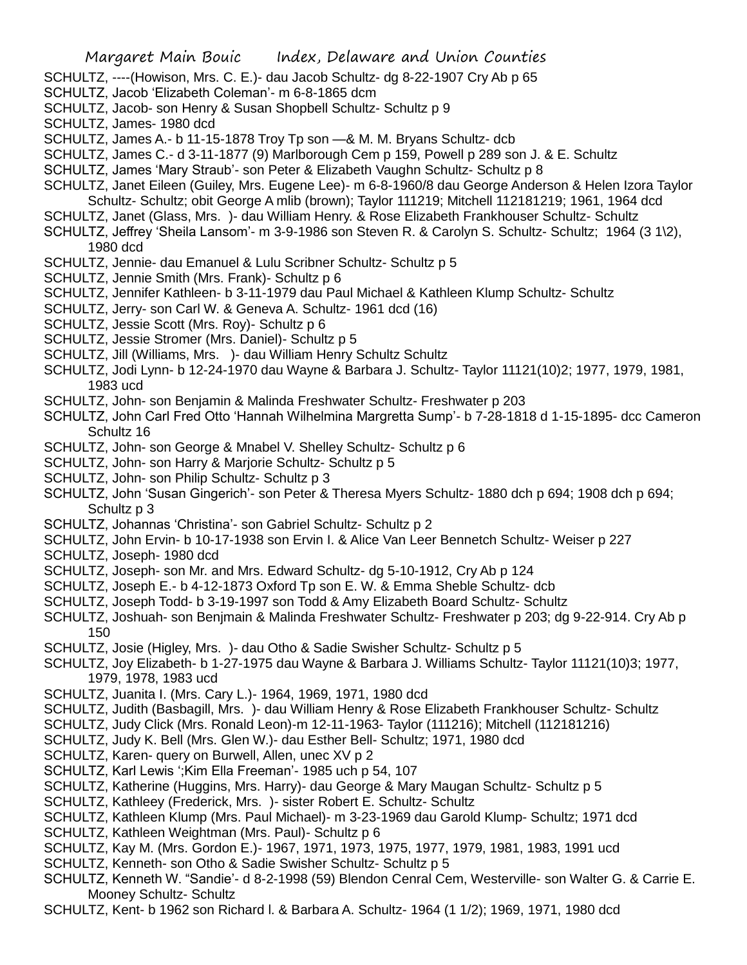- SCHULTZ, ----(Howison, Mrs. C. E.)- dau Jacob Schultz- dg 8-22-1907 Cry Ab p 65
- SCHULTZ, Jacob 'Elizabeth Coleman'- m 6-8-1865 dcm
- SCHULTZ, Jacob- son Henry & Susan Shopbell Schultz- Schultz p 9
- SCHULTZ, James- 1980 dcd
- SCHULTZ, James A.- b 11-15-1878 Troy Tp son —& M. M. Bryans Schultz- dcb
- SCHULTZ, James C.- d 3-11-1877 (9) Marlborough Cem p 159, Powell p 289 son J. & E. Schultz
- SCHULTZ, James 'Mary Straub'- son Peter & Elizabeth Vaughn Schultz- Schultz p 8
- SCHULTZ, Janet Eileen (Guiley, Mrs. Eugene Lee)- m 6-8-1960/8 dau George Anderson & Helen Izora Taylor Schultz- Schultz; obit George A mlib (brown); Taylor 111219; Mitchell 112181219; 1961, 1964 dcd
- SCHULTZ, Janet (Glass, Mrs. )- dau William Henry. & Rose Elizabeth Frankhouser Schultz- Schultz
- SCHULTZ, Jeffrey 'Sheila Lansom'- m 3-9-1986 son Steven R. & Carolyn S. Schultz- Schultz; 1964 (3 1\2), 1980 dcd
- SCHULTZ, Jennie- dau Emanuel & Lulu Scribner Schultz- Schultz p 5
- SCHULTZ, Jennie Smith (Mrs. Frank)- Schultz p 6
- SCHULTZ, Jennifer Kathleen- b 3-11-1979 dau Paul Michael & Kathleen Klump Schultz- Schultz
- SCHULTZ, Jerry- son Carl W. & Geneva A. Schultz- 1961 dcd (16)
- SCHULTZ, Jessie Scott (Mrs. Roy)- Schultz p 6
- SCHULTZ, Jessie Stromer (Mrs. Daniel)- Schultz p 5
- SCHULTZ, Jill (Williams, Mrs. )- dau William Henry Schultz Schultz
- SCHULTZ, Jodi Lynn- b 12-24-1970 dau Wayne & Barbara J. Schultz- Taylor 11121(10)2; 1977, 1979, 1981, 1983 ucd
- SCHULTZ, John- son Benjamin & Malinda Freshwater Schultz- Freshwater p 203
- SCHULTZ, John Carl Fred Otto 'Hannah Wilhelmina Margretta Sump'- b 7-28-1818 d 1-15-1895- dcc Cameron Schultz 16
- SCHULTZ, John- son George & Mnabel V. Shelley Schultz- Schultz p 6
- SCHULTZ, John- son Harry & Marjorie Schultz- Schultz p 5
- SCHULTZ, John- son Philip Schultz- Schultz p 3
- SCHULTZ, John 'Susan Gingerich'- son Peter & Theresa Myers Schultz- 1880 dch p 694; 1908 dch p 694; Schultz p 3
- SCHULTZ, Johannas 'Christina'- son Gabriel Schultz- Schultz p 2
- SCHULTZ, John Ervin- b 10-17-1938 son Ervin I. & Alice Van Leer Bennetch Schultz- Weiser p 227
- SCHULTZ, Joseph- 1980 dcd
- SCHULTZ, Joseph- son Mr. and Mrs. Edward Schultz- dg 5-10-1912, Cry Ab p 124
- SCHULTZ, Joseph E.- b 4-12-1873 Oxford Tp son E. W. & Emma Sheble Schultz- dcb
- SCHULTZ, Joseph Todd- b 3-19-1997 son Todd & Amy Elizabeth Board Schultz- Schultz
- SCHULTZ, Joshuah- son Benjmain & Malinda Freshwater Schultz- Freshwater p 203; dg 9-22-914. Cry Ab p 150
- SCHULTZ, Josie (Higley, Mrs. )- dau Otho & Sadie Swisher Schultz- Schultz p 5
- SCHULTZ, Joy Elizabeth- b 1-27-1975 dau Wayne & Barbara J. Williams Schultz- Taylor 11121(10)3; 1977, 1979, 1978, 1983 ucd
- SCHULTZ, Juanita I. (Mrs. Cary L.)- 1964, 1969, 1971, 1980 dcd
- SCHULTZ, Judith (Basbagill, Mrs. )- dau William Henry & Rose Elizabeth Frankhouser Schultz- Schultz
- SCHULTZ, Judy Click (Mrs. Ronald Leon)-m 12-11-1963- Taylor (111216); Mitchell (112181216)
- SCHULTZ, Judy K. Bell (Mrs. Glen W.)- dau Esther Bell- Schultz; 1971, 1980 dcd
- SCHULTZ, Karen- query on Burwell, Allen, unec XV p 2
- SCHULTZ, Karl Lewis ';Kim Ella Freeman'- 1985 uch p 54, 107
- SCHULTZ, Katherine (Huggins, Mrs. Harry)- dau George & Mary Maugan Schultz- Schultz p 5
- SCHULTZ, Kathleey (Frederick, Mrs. )- sister Robert E. Schultz- Schultz
- SCHULTZ, Kathleen Klump (Mrs. Paul Michael)- m 3-23-1969 dau Garold Klump- Schultz; 1971 dcd
- SCHULTZ, Kathleen Weightman (Mrs. Paul)- Schultz p 6
- SCHULTZ, Kay M. (Mrs. Gordon E.)- 1967, 1971, 1973, 1975, 1977, 1979, 1981, 1983, 1991 ucd
- SCHULTZ, Kenneth- son Otho & Sadie Swisher Schultz- Schultz p 5
- SCHULTZ, Kenneth W. "Sandie'- d 8-2-1998 (59) Blendon Cenral Cem, Westerville- son Walter G. & Carrie E. Mooney Schultz- Schultz
- SCHULTZ, Kent- b 1962 son Richard l. & Barbara A. Schultz- 1964 (1 1/2); 1969, 1971, 1980 dcd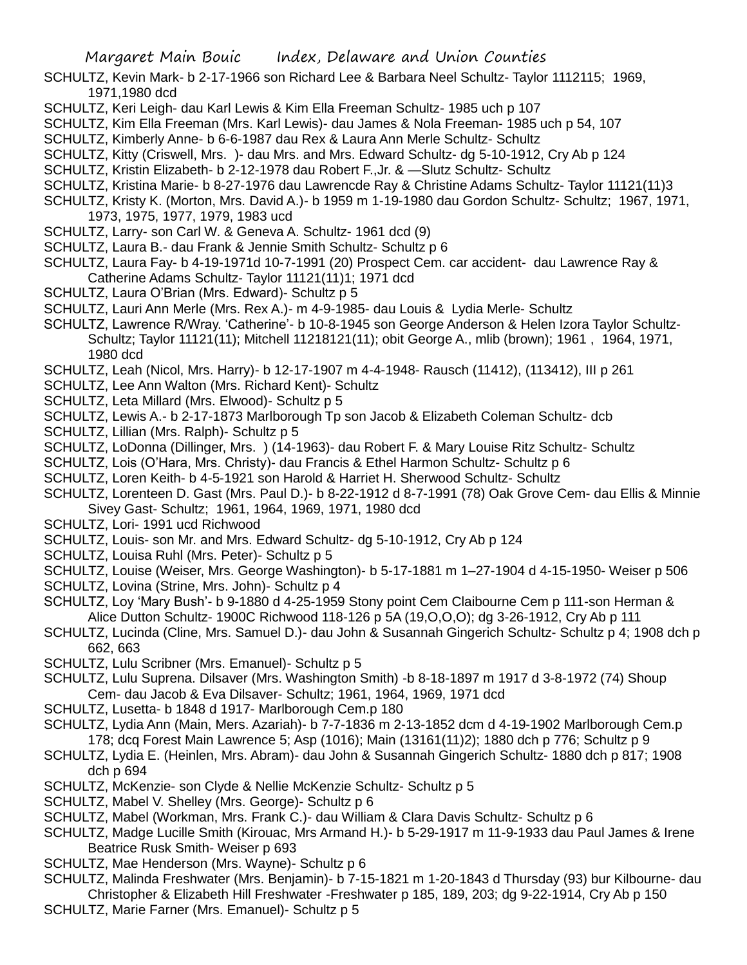- SCHULTZ, Kevin Mark- b 2-17-1966 son Richard Lee & Barbara Neel Schultz- Taylor 1112115; 1969, 1971,1980 dcd
- SCHULTZ, Keri Leigh- dau Karl Lewis & Kim Ella Freeman Schultz- 1985 uch p 107
- SCHULTZ, Kim Ella Freeman (Mrs. Karl Lewis)- dau James & Nola Freeman- 1985 uch p 54, 107
- SCHULTZ, Kimberly Anne- b 6-6-1987 dau Rex & Laura Ann Merle Schultz- Schultz
- SCHULTZ, Kitty (Criswell, Mrs. )- dau Mrs. and Mrs. Edward Schultz- dg 5-10-1912, Cry Ab p 124
- SCHULTZ, Kristin Elizabeth- b 2-12-1978 dau Robert F.,Jr. & —Slutz Schultz- Schultz
- SCHULTZ, Kristina Marie- b 8-27-1976 dau Lawrencde Ray & Christine Adams Schultz- Taylor 11121(11)3
- SCHULTZ, Kristy K. (Morton, Mrs. David A.)- b 1959 m 1-19-1980 dau Gordon Schultz- Schultz; 1967, 1971, 1973, 1975, 1977, 1979, 1983 ucd
- SCHULTZ, Larry- son Carl W. & Geneva A. Schultz- 1961 dcd (9)
- SCHULTZ, Laura B.- dau Frank & Jennie Smith Schultz- Schultz p 6
- SCHULTZ, Laura Fay- b 4-19-1971d 10-7-1991 (20) Prospect Cem. car accident- dau Lawrence Ray & Catherine Adams Schultz- Taylor 11121(11)1; 1971 dcd
- SCHULTZ, Laura O'Brian (Mrs. Edward)- Schultz p 5
- SCHULTZ, Lauri Ann Merle (Mrs. Rex A.)- m 4-9-1985- dau Louis & Lydia Merle- Schultz
- SCHULTZ, Lawrence R/Wray. 'Catherine'- b 10-8-1945 son George Anderson & Helen Izora Taylor Schultz-Schultz; Taylor 11121(11); Mitchell 11218121(11); obit George A., mlib (brown); 1961 , 1964, 1971, 1980 dcd
- SCHULTZ, Leah (Nicol, Mrs. Harry)- b 12-17-1907 m 4-4-1948- Rausch (11412), (113412), III p 261
- SCHULTZ, Lee Ann Walton (Mrs. Richard Kent)- Schultz
- SCHULTZ, Leta Millard (Mrs. Elwood)- Schultz p 5
- SCHULTZ, Lewis A.- b 2-17-1873 Marlborough Tp son Jacob & Elizabeth Coleman Schultz- dcb
- SCHULTZ, Lillian (Mrs. Ralph)- Schultz p 5
- SCHULTZ, LoDonna (Dillinger, Mrs. ) (14-1963)- dau Robert F. & Mary Louise Ritz Schultz- Schultz
- SCHULTZ, Lois (O'Hara, Mrs. Christy)- dau Francis & Ethel Harmon Schultz- Schultz p 6
- SCHULTZ, Loren Keith- b 4-5-1921 son Harold & Harriet H. Sherwood Schultz- Schultz
- SCHULTZ, Lorenteen D. Gast (Mrs. Paul D.)- b 8-22-1912 d 8-7-1991 (78) Oak Grove Cem- dau Ellis & Minnie Sivey Gast- Schultz; 1961, 1964, 1969, 1971, 1980 dcd
- SCHULTZ, Lori- 1991 ucd Richwood
- SCHULTZ, Louis- son Mr. and Mrs. Edward Schultz- dg 5-10-1912, Cry Ab p 124
- SCHULTZ, Louisa Ruhl (Mrs. Peter)- Schultz p 5
- SCHULTZ, Louise (Weiser, Mrs. George Washington)- b 5-17-1881 m 1–27-1904 d 4-15-1950- Weiser p 506
- SCHULTZ, Lovina (Strine, Mrs. John)- Schultz p 4
- SCHULTZ, Loy 'Mary Bush'- b 9-1880 d 4-25-1959 Stony point Cem Claibourne Cem p 111-son Herman & Alice Dutton Schultz- 1900C Richwood 118-126 p 5A (19,O,O,O); dg 3-26-1912, Cry Ab p 111
- SCHULTZ, Lucinda (Cline, Mrs. Samuel D.)- dau John & Susannah Gingerich Schultz- Schultz p 4; 1908 dch p 662, 663
- SCHULTZ, Lulu Scribner (Mrs. Emanuel)- Schultz p 5
- SCHULTZ, Lulu Suprena. Dilsaver (Mrs. Washington Smith) -b 8-18-1897 m 1917 d 3-8-1972 (74) Shoup Cem- dau Jacob & Eva Dilsaver- Schultz; 1961, 1964, 1969, 1971 dcd
- SCHULTZ, Lusetta- b 1848 d 1917- Marlborough Cem.p 180
- SCHULTZ, Lydia Ann (Main, Mers. Azariah)- b 7-7-1836 m 2-13-1852 dcm d 4-19-1902 Marlborough Cem.p 178; dcq Forest Main Lawrence 5; Asp (1016); Main (13161(11)2); 1880 dch p 776; Schultz p 9
- SCHULTZ, Lydia E. (Heinlen, Mrs. Abram)- dau John & Susannah Gingerich Schultz- 1880 dch p 817; 1908 dch p 694
- SCHULTZ, McKenzie- son Clyde & Nellie McKenzie Schultz- Schultz p 5
- SCHULTZ, Mabel V. Shelley (Mrs. George)- Schultz p 6
- SCHULTZ, Mabel (Workman, Mrs. Frank C.)- dau William & Clara Davis Schultz- Schultz p 6
- SCHULTZ, Madge Lucille Smith (Kirouac, Mrs Armand H.)- b 5-29-1917 m 11-9-1933 dau Paul James & Irene Beatrice Rusk Smith- Weiser p 693
- SCHULTZ, Mae Henderson (Mrs. Wayne)- Schultz p 6
- SCHULTZ, Malinda Freshwater (Mrs. Benjamin)- b 7-15-1821 m 1-20-1843 d Thursday (93) bur Kilbourne- dau Christopher & Elizabeth Hill Freshwater -Freshwater p 185, 189, 203; dg 9-22-1914, Cry Ab p 150
- SCHULTZ, Marie Farner (Mrs. Emanuel)- Schultz p 5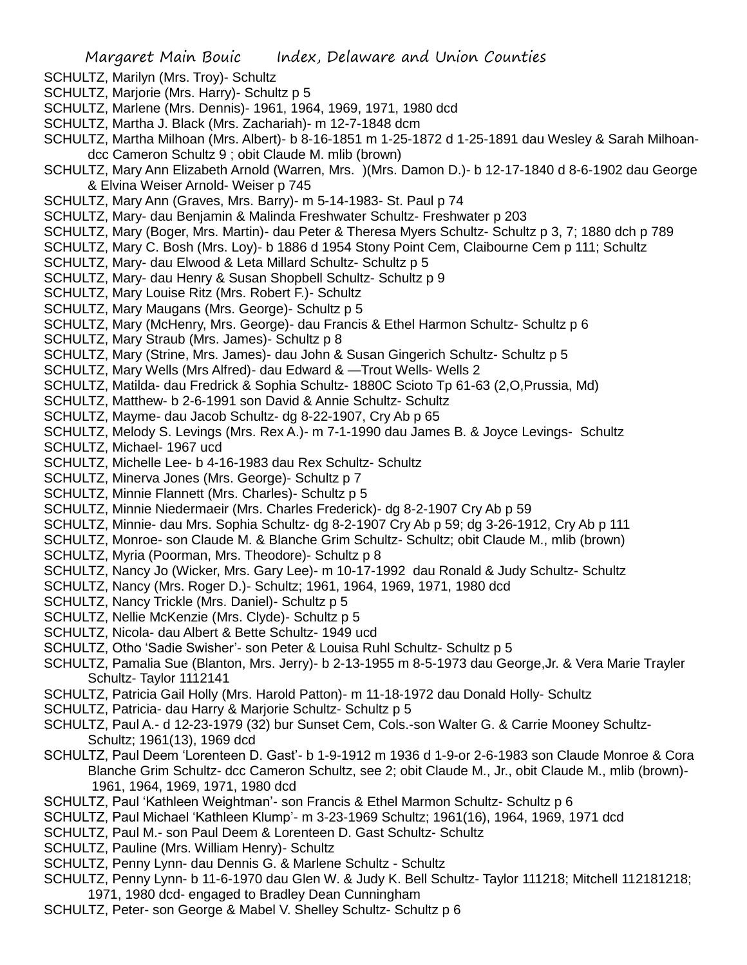- SCHULTZ, Marilyn (Mrs. Troy)- Schultz
- SCHULTZ, Marjorie (Mrs. Harry)- Schultz p 5
- SCHULTZ, Marlene (Mrs. Dennis)- 1961, 1964, 1969, 1971, 1980 dcd
- SCHULTZ, Martha J. Black (Mrs. Zachariah)- m 12-7-1848 dcm
- SCHULTZ, Martha Milhoan (Mrs. Albert)- b 8-16-1851 m 1-25-1872 d 1-25-1891 dau Wesley & Sarah Milhoandcc Cameron Schultz 9 ; obit Claude M. mlib (brown)
- SCHULTZ, Mary Ann Elizabeth Arnold (Warren, Mrs. )(Mrs. Damon D.)- b 12-17-1840 d 8-6-1902 dau George & Elvina Weiser Arnold- Weiser p 745
- SCHULTZ, Mary Ann (Graves, Mrs. Barry)- m 5-14-1983- St. Paul p 74
- SCHULTZ, Mary- dau Benjamin & Malinda Freshwater Schultz- Freshwater p 203
- SCHULTZ, Mary (Boger, Mrs. Martin)- dau Peter & Theresa Myers Schultz- Schultz p 3, 7; 1880 dch p 789
- SCHULTZ, Mary C. Bosh (Mrs. Loy)- b 1886 d 1954 Stony Point Cem, Claibourne Cem p 111; Schultz
- SCHULTZ, Mary- dau Elwood & Leta Millard Schultz- Schultz p 5
- SCHULTZ, Mary- dau Henry & Susan Shopbell Schultz- Schultz p 9
- SCHULTZ, Mary Louise Ritz (Mrs. Robert F.)- Schultz
- SCHULTZ, Mary Maugans (Mrs. George)- Schultz p 5
- SCHULTZ, Mary (McHenry, Mrs. George)- dau Francis & Ethel Harmon Schultz- Schultz p 6
- SCHULTZ, Mary Straub (Mrs. James)- Schultz p 8
- SCHULTZ, Mary (Strine, Mrs. James)- dau John & Susan Gingerich Schultz- Schultz p 5
- SCHULTZ, Mary Wells (Mrs Alfred)- dau Edward & —Trout Wells- Wells 2
- SCHULTZ, Matilda- dau Fredrick & Sophia Schultz- 1880C Scioto Tp 61-63 (2,O,Prussia, Md)
- SCHULTZ, Matthew- b 2-6-1991 son David & Annie Schultz- Schultz
- SCHULTZ, Mayme- dau Jacob Schultz- dg 8-22-1907, Cry Ab p 65
- SCHULTZ, Melody S. Levings (Mrs. Rex A.)- m 7-1-1990 dau James B. & Joyce Levings- Schultz
- SCHULTZ, Michael- 1967 ucd
- SCHULTZ, Michelle Lee- b 4-16-1983 dau Rex Schultz- Schultz
- SCHULTZ, Minerva Jones (Mrs. George)- Schultz p 7
- SCHULTZ, Minnie Flannett (Mrs. Charles)- Schultz p 5
- SCHULTZ, Minnie Niedermaeir (Mrs. Charles Frederick)- dg 8-2-1907 Cry Ab p 59
- SCHULTZ, Minnie- dau Mrs. Sophia Schultz- dg 8-2-1907 Cry Ab p 59; dg 3-26-1912, Cry Ab p 111
- SCHULTZ, Monroe- son Claude M. & Blanche Grim Schultz- Schultz; obit Claude M., mlib (brown)
- SCHULTZ, Myria (Poorman, Mrs. Theodore)- Schultz p 8
- SCHULTZ, Nancy Jo (Wicker, Mrs. Gary Lee)- m 10-17-1992 dau Ronald & Judy Schultz- Schultz
- SCHULTZ, Nancy (Mrs. Roger D.)- Schultz; 1961, 1964, 1969, 1971, 1980 dcd
- SCHULTZ, Nancy Trickle (Mrs. Daniel)- Schultz p 5
- SCHULTZ, Nellie McKenzie (Mrs. Clyde)- Schultz p 5
- SCHULTZ, Nicola- dau Albert & Bette Schultz- 1949 ucd
- SCHULTZ, Otho 'Sadie Swisher'- son Peter & Louisa Ruhl Schultz- Schultz p 5
- SCHULTZ, Pamalia Sue (Blanton, Mrs. Jerry)- b 2-13-1955 m 8-5-1973 dau George,Jr. & Vera Marie Trayler Schultz- Taylor 1112141
- SCHULTZ, Patricia Gail Holly (Mrs. Harold Patton)- m 11-18-1972 dau Donald Holly- Schultz
- SCHULTZ, Patricia- dau Harry & Marjorie Schultz- Schultz p 5
- SCHULTZ, Paul A.- d 12-23-1979 (32) bur Sunset Cem, Cols.-son Walter G. & Carrie Mooney Schultz-Schultz; 1961(13), 1969 dcd
- SCHULTZ, Paul Deem 'Lorenteen D. Gast'- b 1-9-1912 m 1936 d 1-9-or 2-6-1983 son Claude Monroe & Cora Blanche Grim Schultz- dcc Cameron Schultz, see 2; obit Claude M., Jr., obit Claude M., mlib (brown)- 1961, 1964, 1969, 1971, 1980 dcd
- SCHULTZ, Paul 'Kathleen Weightman'- son Francis & Ethel Marmon Schultz- Schultz p 6
- SCHULTZ, Paul Michael 'Kathleen Klump'- m 3-23-1969 Schultz; 1961(16), 1964, 1969, 1971 dcd
- SCHULTZ, Paul M.- son Paul Deem & Lorenteen D. Gast Schultz- Schultz
- SCHULTZ, Pauline (Mrs. William Henry)- Schultz
- SCHULTZ, Penny Lynn- dau Dennis G. & Marlene Schultz Schultz
- SCHULTZ, Penny Lynn- b 11-6-1970 dau Glen W. & Judy K. Bell Schultz- Taylor 111218; Mitchell 112181218; 1971, 1980 dcd- engaged to Bradley Dean Cunningham
- SCHULTZ, Peter- son George & Mabel V. Shelley Schultz- Schultz p 6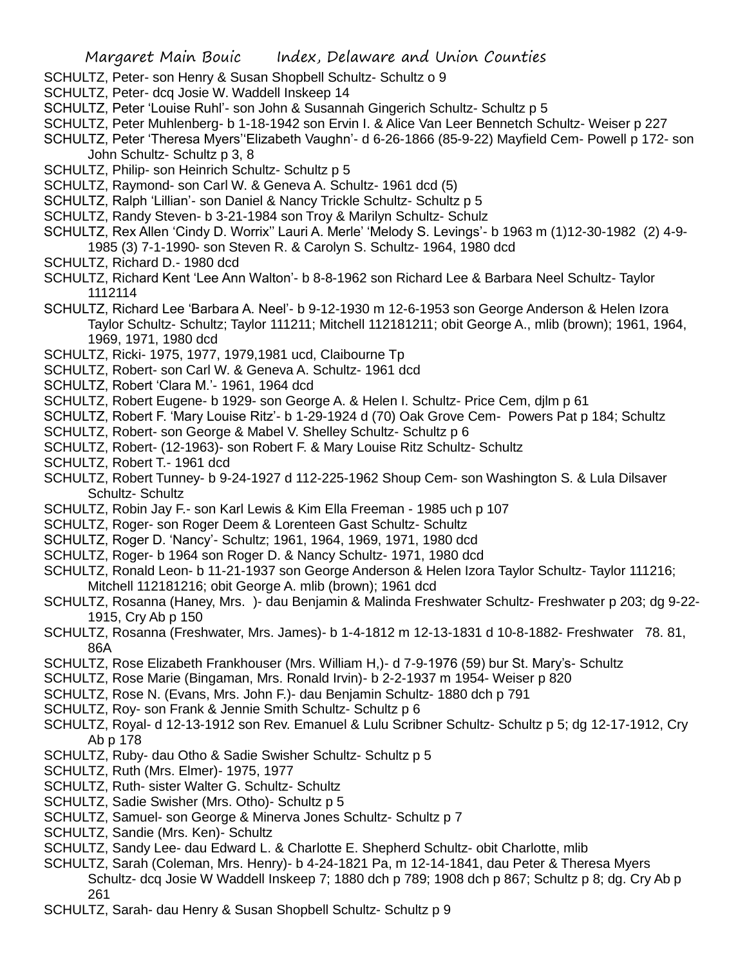- SCHULTZ, Peter- son Henry & Susan Shopbell Schultz- Schultz o 9
- SCHULTZ, Peter- dcq Josie W. Waddell Inskeep 14
- SCHULTZ, Peter 'Louise Ruhl'- son John & Susannah Gingerich Schultz- Schultz p 5
- SCHULTZ, Peter Muhlenberg- b 1-18-1942 son Ervin I. & Alice Van Leer Bennetch Schultz- Weiser p 227
- SCHULTZ, Peter 'Theresa Myers''Elizabeth Vaughn'- d 6-26-1866 (85-9-22) Mayfield Cem- Powell p 172- son John Schultz- Schultz p 3, 8
- SCHULTZ, Philip- son Heinrich Schultz- Schultz p 5
- SCHULTZ, Raymond- son Carl W. & Geneva A. Schultz- 1961 dcd (5)
- SCHULTZ, Ralph 'Lillian'- son Daniel & Nancy Trickle Schultz- Schultz p 5
- SCHULTZ, Randy Steven- b 3-21-1984 son Troy & Marilyn Schultz- Schulz
- SCHULTZ, Rex Allen 'Cindy D. Worrix'' Lauri A. Merle' 'Melody S. Levings'- b 1963 m (1)12-30-1982 (2) 4-9-
- 1985 (3) 7-1-1990- son Steven R. & Carolyn S. Schultz- 1964, 1980 dcd
- SCHULTZ, Richard D.- 1980 dcd
- SCHULTZ, Richard Kent 'Lee Ann Walton'- b 8-8-1962 son Richard Lee & Barbara Neel Schultz- Taylor 1112114
- SCHULTZ, Richard Lee 'Barbara A. Neel'- b 9-12-1930 m 12-6-1953 son George Anderson & Helen Izora Taylor Schultz- Schultz; Taylor 111211; Mitchell 112181211; obit George A., mlib (brown); 1961, 1964, 1969, 1971, 1980 dcd
- SCHULTZ, Ricki- 1975, 1977, 1979,1981 ucd, Claibourne Tp
- SCHULTZ, Robert- son Carl W. & Geneva A. Schultz- 1961 dcd
- SCHULTZ, Robert 'Clara M.'- 1961, 1964 dcd
- SCHULTZ, Robert Eugene- b 1929- son George A. & Helen I. Schultz- Price Cem, djlm p 61
- SCHULTZ, Robert F. 'Mary Louise Ritz'- b 1-29-1924 d (70) Oak Grove Cem- Powers Pat p 184; Schultz
- SCHULTZ, Robert- son George & Mabel V. Shelley Schultz- Schultz p 6
- SCHULTZ, Robert- (12-1963)- son Robert F. & Mary Louise Ritz Schultz- Schultz
- SCHULTZ, Robert T.- 1961 dcd
- SCHULTZ, Robert Tunney- b 9-24-1927 d 112-225-1962 Shoup Cem- son Washington S. & Lula Dilsaver Schultz- Schultz
- SCHULTZ, Robin Jay F.- son Karl Lewis & Kim Ella Freeman 1985 uch p 107
- SCHULTZ, Roger- son Roger Deem & Lorenteen Gast Schultz- Schultz
- SCHULTZ, Roger D. 'Nancy'- Schultz; 1961, 1964, 1969, 1971, 1980 dcd
- SCHULTZ, Roger- b 1964 son Roger D. & Nancy Schultz- 1971, 1980 dcd
- SCHULTZ, Ronald Leon- b 11-21-1937 son George Anderson & Helen Izora Taylor Schultz- Taylor 111216; Mitchell 112181216; obit George A. mlib (brown); 1961 dcd
- SCHULTZ, Rosanna (Haney, Mrs. )- dau Benjamin & Malinda Freshwater Schultz- Freshwater p 203; dg 9-22- 1915, Cry Ab p 150
- SCHULTZ, Rosanna (Freshwater, Mrs. James)- b 1-4-1812 m 12-13-1831 d 10-8-1882- Freshwater 78. 81, 86A
- SCHULTZ, Rose Elizabeth Frankhouser (Mrs. William H,)- d 7-9-1976 (59) bur St. Mary's- Schultz
- SCHULTZ, Rose Marie (Bingaman, Mrs. Ronald Irvin)- b 2-2-1937 m 1954- Weiser p 820
- SCHULTZ, Rose N. (Evans, Mrs. John F.)- dau Benjamin Schultz- 1880 dch p 791
- SCHULTZ, Roy- son Frank & Jennie Smith Schultz- Schultz p 6
- SCHULTZ, Royal- d 12-13-1912 son Rev. Emanuel & Lulu Scribner Schultz- Schultz p 5; dg 12-17-1912, Cry Ab p 178
- SCHULTZ, Ruby- dau Otho & Sadie Swisher Schultz- Schultz p 5
- SCHULTZ, Ruth (Mrs. Elmer)- 1975, 1977
- SCHULTZ, Ruth- sister Walter G. Schultz- Schultz
- SCHULTZ, Sadie Swisher (Mrs. Otho)- Schultz p 5
- SCHULTZ, Samuel- son George & Minerva Jones Schultz- Schultz p 7
- SCHULTZ, Sandie (Mrs. Ken)- Schultz
- SCHULTZ, Sandy Lee- dau Edward L. & Charlotte E. Shepherd Schultz- obit Charlotte, mlib
- SCHULTZ, Sarah (Coleman, Mrs. Henry)- b 4-24-1821 Pa, m 12-14-1841, dau Peter & Theresa Myers Schultz- dcq Josie W Waddell Inskeep 7; 1880 dch p 789; 1908 dch p 867; Schultz p 8; dg. Cry Ab p 261
- SCHULTZ, Sarah- dau Henry & Susan Shopbell Schultz- Schultz p 9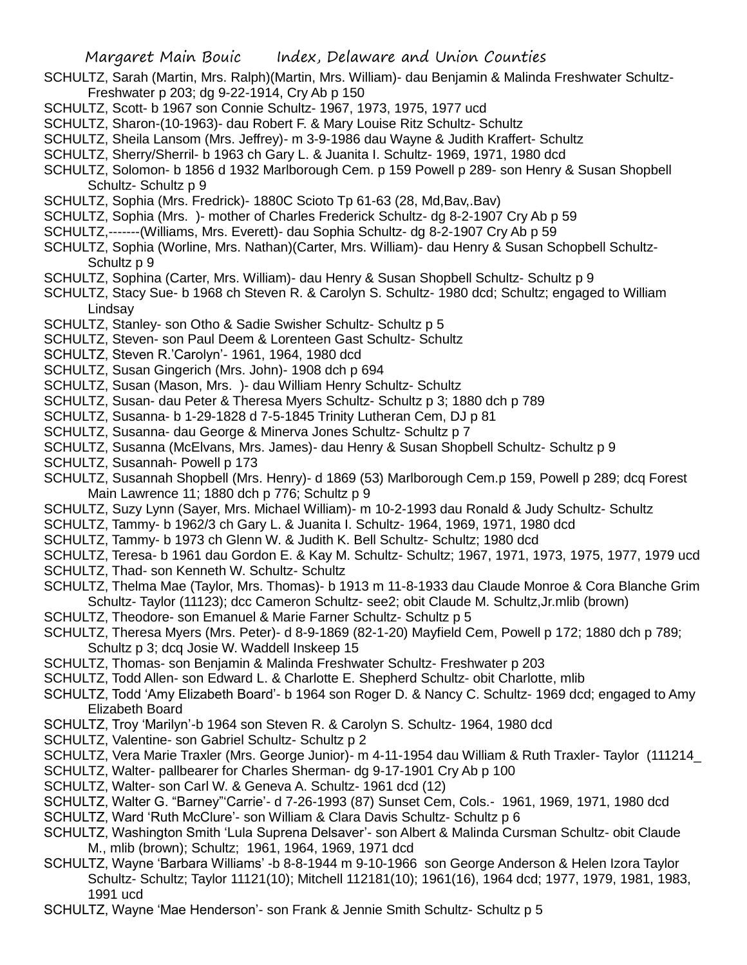- SCHULTZ, Sarah (Martin, Mrs. Ralph)(Martin, Mrs. William)- dau Benjamin & Malinda Freshwater Schultz-Freshwater p 203; dg 9-22-1914, Cry Ab p 150
- SCHULTZ, Scott- b 1967 son Connie Schultz- 1967, 1973, 1975, 1977 ucd
- SCHULTZ, Sharon-(10-1963)- dau Robert F. & Mary Louise Ritz Schultz- Schultz
- SCHULTZ, Sheila Lansom (Mrs. Jeffrey)- m 3-9-1986 dau Wayne & Judith Kraffert- Schultz
- SCHULTZ, Sherry/Sherril- b 1963 ch Gary L. & Juanita I. Schultz- 1969, 1971, 1980 dcd
- SCHULTZ, Solomon- b 1856 d 1932 Marlborough Cem. p 159 Powell p 289- son Henry & Susan Shopbell Schultz- Schultz p 9
- SCHULTZ, Sophia (Mrs. Fredrick)- 1880C Scioto Tp 61-63 (28, Md,Bav,.Bav)
- SCHULTZ, Sophia (Mrs. )- mother of Charles Frederick Schultz- dg 8-2-1907 Cry Ab p 59
- SCHULTZ,-------(Williams, Mrs. Everett)- dau Sophia Schultz- dg 8-2-1907 Cry Ab p 59
- SCHULTZ, Sophia (Worline, Mrs. Nathan)(Carter, Mrs. William)- dau Henry & Susan Schopbell Schultz-Schultz p 9
- SCHULTZ, Sophina (Carter, Mrs. William)- dau Henry & Susan Shopbell Schultz- Schultz p 9
- SCHULTZ, Stacy Sue- b 1968 ch Steven R. & Carolyn S. Schultz- 1980 dcd; Schultz; engaged to William Lindsay
- SCHULTZ, Stanley- son Otho & Sadie Swisher Schultz- Schultz p 5
- SCHULTZ, Steven- son Paul Deem & Lorenteen Gast Schultz- Schultz
- SCHULTZ, Steven R.'Carolyn'- 1961, 1964, 1980 dcd
- SCHULTZ, Susan Gingerich (Mrs. John)- 1908 dch p 694
- SCHULTZ, Susan (Mason, Mrs. )- dau William Henry Schultz- Schultz
- SCHULTZ, Susan- dau Peter & Theresa Myers Schultz- Schultz p 3; 1880 dch p 789
- SCHULTZ, Susanna- b 1-29-1828 d 7-5-1845 Trinity Lutheran Cem, DJ p 81
- SCHULTZ, Susanna- dau George & Minerva Jones Schultz- Schultz p 7
- SCHULTZ, Susanna (McElvans, Mrs. James)- dau Henry & Susan Shopbell Schultz- Schultz p 9
- SCHULTZ, Susannah- Powell p 173
- SCHULTZ, Susannah Shopbell (Mrs. Henry)- d 1869 (53) Marlborough Cem.p 159, Powell p 289; dcq Forest Main Lawrence 11; 1880 dch p 776; Schultz p 9
- SCHULTZ, Suzy Lynn (Sayer, Mrs. Michael William)- m 10-2-1993 dau Ronald & Judy Schultz- Schultz
- SCHULTZ, Tammy- b 1962/3 ch Gary L. & Juanita I. Schultz- 1964, 1969, 1971, 1980 dcd
- SCHULTZ, Tammy- b 1973 ch Glenn W. & Judith K. Bell Schultz- Schultz; 1980 dcd
- SCHULTZ, Teresa- b 1961 dau Gordon E. & Kay M. Schultz- Schultz; 1967, 1971, 1973, 1975, 1977, 1979 ucd SCHULTZ, Thad- son Kenneth W. Schultz- Schultz
- SCHULTZ, Thelma Mae (Taylor, Mrs. Thomas)- b 1913 m 11-8-1933 dau Claude Monroe & Cora Blanche Grim Schultz- Taylor (11123); dcc Cameron Schultz- see2; obit Claude M. Schultz,Jr.mlib (brown)
- SCHULTZ, Theodore- son Emanuel & Marie Farner Schultz- Schultz p 5
- SCHULTZ, Theresa Myers (Mrs. Peter)- d 8-9-1869 (82-1-20) Mayfield Cem, Powell p 172; 1880 dch p 789; Schultz p 3; dcq Josie W. Waddell Inskeep 15
- SCHULTZ, Thomas- son Benjamin & Malinda Freshwater Schultz- Freshwater p 203
- SCHULTZ, Todd Allen- son Edward L. & Charlotte E. Shepherd Schultz- obit Charlotte, mlib
- SCHULTZ, Todd 'Amy Elizabeth Board'- b 1964 son Roger D. & Nancy C. Schultz- 1969 dcd; engaged to Amy Elizabeth Board
- SCHULTZ, Troy 'Marilyn'-b 1964 son Steven R. & Carolyn S. Schultz- 1964, 1980 dcd
- SCHULTZ, Valentine- son Gabriel Schultz- Schultz p 2
- SCHULTZ, Vera Marie Traxler (Mrs. George Junior)- m 4-11-1954 dau William & Ruth Traxler- Taylor (111214\_
- SCHULTZ, Walter- pallbearer for Charles Sherman- dg 9-17-1901 Cry Ab p 100
- SCHULTZ, Walter- son Carl W. & Geneva A. Schultz- 1961 dcd (12)
- SCHULTZ, Walter G. "Barney"'Carrie'- d 7-26-1993 (87) Sunset Cem, Cols.- 1961, 1969, 1971, 1980 dcd
- SCHULTZ, Ward 'Ruth McClure'- son William & Clara Davis Schultz- Schultz p 6
- SCHULTZ, Washington Smith 'Lula Suprena Delsaver'- son Albert & Malinda Cursman Schultz- obit Claude M., mlib (brown); Schultz; 1961, 1964, 1969, 1971 dcd
- SCHULTZ, Wayne 'Barbara Williams' -b 8-8-1944 m 9-10-1966 son George Anderson & Helen Izora Taylor Schultz- Schultz; Taylor 11121(10); Mitchell 112181(10); 1961(16), 1964 dcd; 1977, 1979, 1981, 1983, 1991 ucd
- SCHULTZ, Wayne 'Mae Henderson'- son Frank & Jennie Smith Schultz- Schultz p 5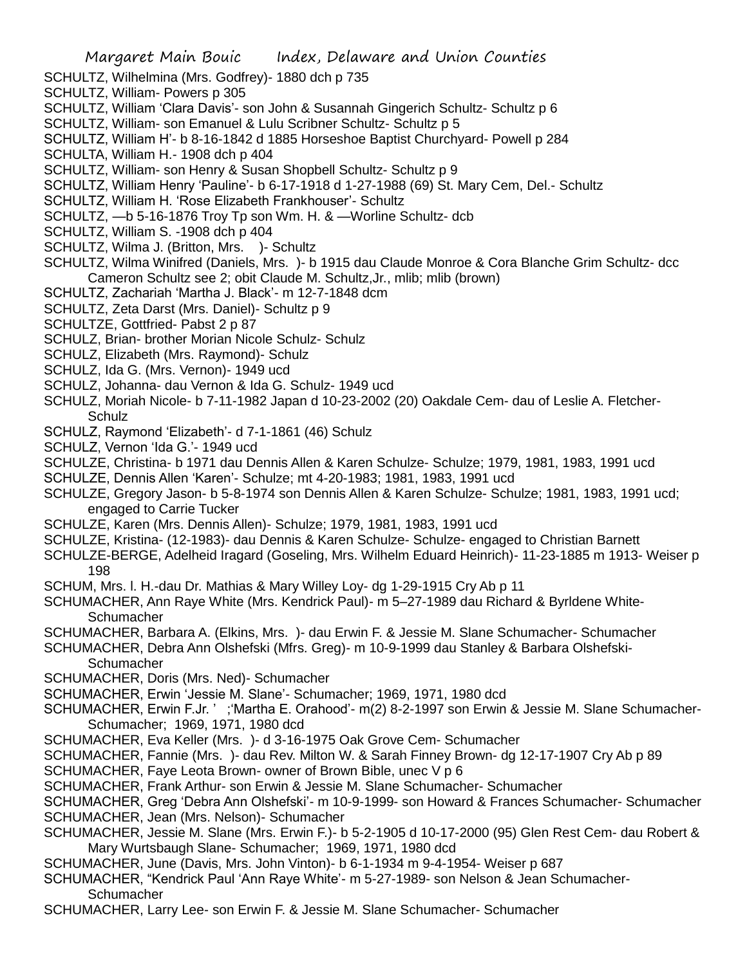- SCHULTZ, Wilhelmina (Mrs. Godfrey)- 1880 dch p 735
- SCHULTZ, William- Powers p 305
- SCHULTZ, William 'Clara Davis'- son John & Susannah Gingerich Schultz- Schultz p 6
- SCHULTZ, William- son Emanuel & Lulu Scribner Schultz- Schultz p 5
- SCHULTZ, William H'- b 8-16-1842 d 1885 Horseshoe Baptist Churchyard- Powell p 284
- SCHULTA, William H.- 1908 dch p 404
- SCHULTZ, William- son Henry & Susan Shopbell Schultz- Schultz p 9
- SCHULTZ, William Henry 'Pauline'- b 6-17-1918 d 1-27-1988 (69) St. Mary Cem, Del.- Schultz
- SCHULTZ, William H. 'Rose Elizabeth Frankhouser'- Schultz
- SCHULTZ, —b 5-16-1876 Troy Tp son Wm. H. & —Worline Schultz- dcb
- SCHULTZ, William S. -1908 dch p 404
- SCHULTZ, Wilma J. (Britton, Mrs. )- Schultz
- SCHULTZ, Wilma Winifred (Daniels, Mrs. )- b 1915 dau Claude Monroe & Cora Blanche Grim Schultz- dcc Cameron Schultz see 2; obit Claude M. Schultz,Jr., mlib; mlib (brown)
- SCHULTZ, Zachariah 'Martha J. Black'- m 12-7-1848 dcm
- SCHULTZ, Zeta Darst (Mrs. Daniel)- Schultz p 9
- SCHULTZE, Gottfried- Pabst 2 p 87
- SCHULZ, Brian- brother Morian Nicole Schulz- Schulz
- SCHULZ, Elizabeth (Mrs. Raymond)- Schulz
- SCHULZ, Ida G. (Mrs. Vernon)- 1949 ucd
- SCHULZ, Johanna- dau Vernon & Ida G. Schulz- 1949 ucd
- SCHULZ, Moriah Nicole- b 7-11-1982 Japan d 10-23-2002 (20) Oakdale Cem- dau of Leslie A. Fletcher-**Schulz**
- SCHULZ, Raymond 'Elizabeth'- d 7-1-1861 (46) Schulz
- SCHULZ, Vernon 'Ida G.'- 1949 ucd
- SCHULZE, Christina- b 1971 dau Dennis Allen & Karen Schulze- Schulze; 1979, 1981, 1983, 1991 ucd
- SCHULZE, Dennis Allen 'Karen'- Schulze; mt 4-20-1983; 1981, 1983, 1991 ucd
- SCHULZE, Gregory Jason- b 5-8-1974 son Dennis Allen & Karen Schulze- Schulze; 1981, 1983, 1991 ucd; engaged to Carrie Tucker
- SCHULZE, Karen (Mrs. Dennis Allen)- Schulze; 1979, 1981, 1983, 1991 ucd
- SCHULZE, Kristina- (12-1983)- dau Dennis & Karen Schulze- Schulze- engaged to Christian Barnett
- SCHULZE-BERGE, Adelheid Iragard (Goseling, Mrs. Wilhelm Eduard Heinrich)- 11-23-1885 m 1913- Weiser p 198
- SCHUM, Mrs. l. H.-dau Dr. Mathias & Mary Willey Loy- dg 1-29-1915 Cry Ab p 11
- SCHUMACHER, Ann Raye White (Mrs. Kendrick Paul)- m 5–27-1989 dau Richard & Byrldene White-**Schumacher**
- SCHUMACHER, Barbara A. (Elkins, Mrs. )- dau Erwin F. & Jessie M. Slane Schumacher- Schumacher
- SCHUMACHER, Debra Ann Olshefski (Mfrs. Greg)- m 10-9-1999 dau Stanley & Barbara Olshefski-**Schumacher**
- SCHUMACHER, Doris (Mrs. Ned)- Schumacher
- SCHUMACHER, Erwin 'Jessie M. Slane'- Schumacher; 1969, 1971, 1980 dcd
- SCHUMACHER, Erwin F.Jr. ' ;'Martha E. Orahood'- m(2) 8-2-1997 son Erwin & Jessie M. Slane Schumacher-Schumacher; 1969, 1971, 1980 dcd
- SCHUMACHER, Eva Keller (Mrs. )- d 3-16-1975 Oak Grove Cem- Schumacher
- SCHUMACHER, Fannie (Mrs. )- dau Rev. Milton W. & Sarah Finney Brown- dg 12-17-1907 Cry Ab p 89
- SCHUMACHER, Faye Leota Brown- owner of Brown Bible, unec V p 6
- SCHUMACHER, Frank Arthur- son Erwin & Jessie M. Slane Schumacher- Schumacher
- SCHUMACHER, Greg 'Debra Ann Olshefski'- m 10-9-1999- son Howard & Frances Schumacher- Schumacher
- SCHUMACHER, Jean (Mrs. Nelson)- Schumacher
- SCHUMACHER, Jessie M. Slane (Mrs. Erwin F.)- b 5-2-1905 d 10-17-2000 (95) Glen Rest Cem- dau Robert & Mary Wurtsbaugh Slane- Schumacher; 1969, 1971, 1980 dcd
- SCHUMACHER, June (Davis, Mrs. John Vinton)- b 6-1-1934 m 9-4-1954- Weiser p 687
- SCHUMACHER, "Kendrick Paul 'Ann Raye White'- m 5-27-1989- son Nelson & Jean Schumacher-**Schumacher**
- SCHUMACHER, Larry Lee- son Erwin F. & Jessie M. Slane Schumacher- Schumacher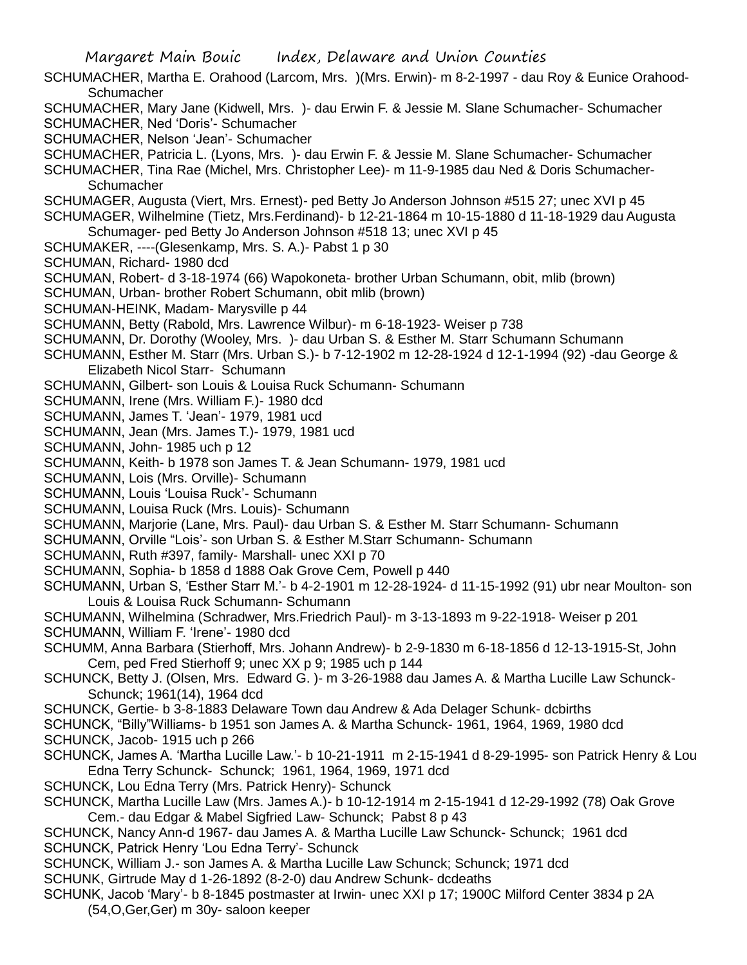SCHUMACHER, Martha E. Orahood (Larcom, Mrs. )(Mrs. Erwin)- m 8-2-1997 - dau Roy & Eunice Orahood-**Schumacher** 

SCHUMACHER, Mary Jane (Kidwell, Mrs. )- dau Erwin F. & Jessie M. Slane Schumacher- Schumacher SCHUMACHER, Ned 'Doris'- Schumacher

SCHUMACHER, Nelson 'Jean'- Schumacher

SCHUMACHER, Patricia L. (Lyons, Mrs. )- dau Erwin F. & Jessie M. Slane Schumacher- Schumacher

SCHUMACHER, Tina Rae (Michel, Mrs. Christopher Lee)- m 11-9-1985 dau Ned & Doris Schumacher-Schumacher

SCHUMAGER, Augusta (Viert, Mrs. Ernest)- ped Betty Jo Anderson Johnson #515 27; unec XVI p 45

SCHUMAGER, Wilhelmine (Tietz, Mrs.Ferdinand)- b 12-21-1864 m 10-15-1880 d 11-18-1929 dau Augusta Schumager- ped Betty Jo Anderson Johnson #518 13; unec XVI p 45

SCHUMAKER, ----(Glesenkamp, Mrs. S. A.)- Pabst 1 p 30

SCHUMAN, Richard- 1980 dcd

SCHUMAN, Robert- d 3-18-1974 (66) Wapokoneta- brother Urban Schumann, obit, mlib (brown)

SCHUMAN, Urban- brother Robert Schumann, obit mlib (brown)

SCHUMAN-HEINK, Madam- Marysville p 44

SCHUMANN, Betty (Rabold, Mrs. Lawrence Wilbur)- m 6-18-1923- Weiser p 738

SCHUMANN, Dr. Dorothy (Wooley, Mrs. )- dau Urban S. & Esther M. Starr Schumann Schumann

SCHUMANN, Esther M. Starr (Mrs. Urban S.)- b 7-12-1902 m 12-28-1924 d 12-1-1994 (92) -dau George & Elizabeth Nicol Starr- Schumann

SCHUMANN, Gilbert- son Louis & Louisa Ruck Schumann- Schumann

SCHUMANN, Irene (Mrs. William F.)- 1980 dcd

SCHUMANN, James T. 'Jean'- 1979, 1981 ucd

SCHUMANN, Jean (Mrs. James T.)- 1979, 1981 ucd

SCHUMANN, John- 1985 uch p 12

SCHUMANN, Keith- b 1978 son James T. & Jean Schumann- 1979, 1981 ucd

SCHUMANN, Lois (Mrs. Orville)- Schumann

SCHUMANN, Louis 'Louisa Ruck'- Schumann

SCHUMANN, Louisa Ruck (Mrs. Louis)- Schumann

SCHUMANN, Marjorie (Lane, Mrs. Paul)- dau Urban S. & Esther M. Starr Schumann- Schumann

SCHUMANN, Orville "Lois'- son Urban S. & Esther M.Starr Schumann- Schumann

SCHUMANN, Ruth #397, family- Marshall- unec XXI p 70

SCHUMANN, Sophia- b 1858 d 1888 Oak Grove Cem, Powell p 440

SCHUMANN, Urban S, 'Esther Starr M.'- b 4-2-1901 m 12-28-1924- d 11-15-1992 (91) ubr near Moulton- son Louis & Louisa Ruck Schumann- Schumann

SCHUMANN, Wilhelmina (Schradwer, Mrs.Friedrich Paul)- m 3-13-1893 m 9-22-1918- Weiser p 201 SCHUMANN, William F. 'Irene'- 1980 dcd

SCHUMM, Anna Barbara (Stierhoff, Mrs. Johann Andrew)- b 2-9-1830 m 6-18-1856 d 12-13-1915-St, John Cem, ped Fred Stierhoff 9; unec XX p 9; 1985 uch p 144

SCHUNCK, Betty J. (Olsen, Mrs. Edward G. )- m 3-26-1988 dau James A. & Martha Lucille Law Schunck-Schunck; 1961(14), 1964 dcd

SCHUNCK, Gertie- b 3-8-1883 Delaware Town dau Andrew & Ada Delager Schunk- dcbirths

SCHUNCK, "Billy"Williams- b 1951 son James A. & Martha Schunck- 1961, 1964, 1969, 1980 dcd

SCHUNCK, Jacob- 1915 uch p 266

SCHUNCK, James A. 'Martha Lucille Law.'- b 10-21-1911 m 2-15-1941 d 8-29-1995- son Patrick Henry & Lou Edna Terry Schunck- Schunck; 1961, 1964, 1969, 1971 dcd

SCHUNCK, Lou Edna Terry (Mrs. Patrick Henry)- Schunck

SCHUNCK, Martha Lucille Law (Mrs. James A.)- b 10-12-1914 m 2-15-1941 d 12-29-1992 (78) Oak Grove Cem.- dau Edgar & Mabel Sigfried Law- Schunck; Pabst 8 p 43

SCHUNCK, Nancy Ann-d 1967- dau James A. & Martha Lucille Law Schunck- Schunck; 1961 dcd SCHUNCK, Patrick Henry 'Lou Edna Terry'- Schunck

SCHUNCK, William J.- son James A. & Martha Lucille Law Schunck; Schunck; 1971 dcd

SCHUNK, Girtrude May d 1-26-1892 (8-2-0) dau Andrew Schunk- dcdeaths

SCHUNK, Jacob 'Mary'- b 8-1845 postmaster at Irwin- unec XXI p 17; 1900C Milford Center 3834 p 2A (54,O,Ger,Ger) m 30y- saloon keeper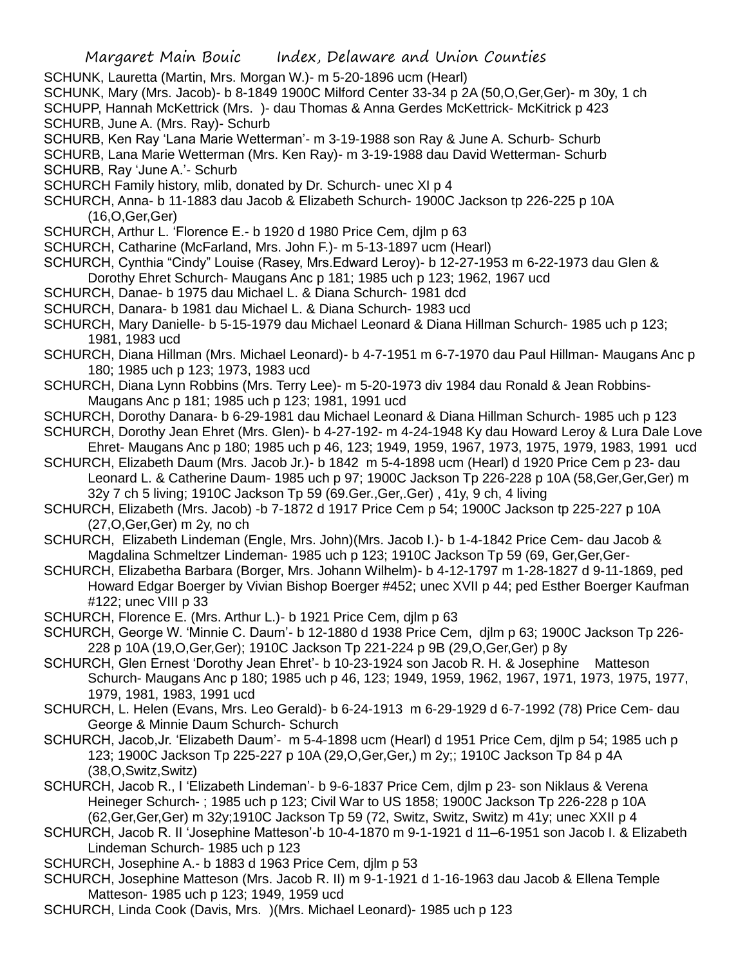SCHUNK, Lauretta (Martin, Mrs. Morgan W.)- m 5-20-1896 ucm (Hearl)

SCHUNK, Mary (Mrs. Jacob)- b 8-1849 1900C Milford Center 33-34 p 2A (50,O,Ger,Ger)- m 30y, 1 ch

SCHUPP, Hannah McKettrick (Mrs. )- dau Thomas & Anna Gerdes McKettrick- McKitrick p 423 SCHURB, June A. (Mrs. Ray)- Schurb

SCHURB, Ken Ray 'Lana Marie Wetterman'- m 3-19-1988 son Ray & June A. Schurb- Schurb

SCHURB, Lana Marie Wetterman (Mrs. Ken Ray)- m 3-19-1988 dau David Wetterman- Schurb SCHURB, Ray 'June A.'- Schurb

SCHURCH Family history, mlib, donated by Dr. Schurch- unec XI p 4

SCHURCH, Anna- b 11-1883 dau Jacob & Elizabeth Schurch- 1900C Jackson tp 226-225 p 10A (16,O,Ger,Ger)

SCHURCH, Arthur L. 'Florence E.- b 1920 d 1980 Price Cem, djlm p 63

SCHURCH, Catharine (McFarland, Mrs. John F.)- m 5-13-1897 ucm (Hearl)

SCHURCH, Cynthia "Cindy" Louise (Rasey, Mrs.Edward Leroy)- b 12-27-1953 m 6-22-1973 dau Glen & Dorothy Ehret Schurch- Maugans Anc p 181; 1985 uch p 123; 1962, 1967 ucd

SCHURCH, Danae- b 1975 dau Michael L. & Diana Schurch- 1981 dcd

SCHURCH, Danara- b 1981 dau Michael L. & Diana Schurch- 1983 ucd

SCHURCH, Mary Danielle- b 5-15-1979 dau Michael Leonard & Diana Hillman Schurch- 1985 uch p 123; 1981, 1983 ucd

SCHURCH, Diana Hillman (Mrs. Michael Leonard)- b 4-7-1951 m 6-7-1970 dau Paul Hillman- Maugans Anc p 180; 1985 uch p 123; 1973, 1983 ucd

SCHURCH, Diana Lynn Robbins (Mrs. Terry Lee)- m 5-20-1973 div 1984 dau Ronald & Jean Robbins-Maugans Anc p 181; 1985 uch p 123; 1981, 1991 ucd

SCHURCH, Dorothy Danara- b 6-29-1981 dau Michael Leonard & Diana Hillman Schurch- 1985 uch p 123

SCHURCH, Dorothy Jean Ehret (Mrs. Glen)- b 4-27-192- m 4-24-1948 Ky dau Howard Leroy & Lura Dale Love Ehret- Maugans Anc p 180; 1985 uch p 46, 123; 1949, 1959, 1967, 1973, 1975, 1979, 1983, 1991 ucd

SCHURCH, Elizabeth Daum (Mrs. Jacob Jr.)- b 1842 m 5-4-1898 ucm (Hearl) d 1920 Price Cem p 23- dau Leonard L. & Catherine Daum- 1985 uch p 97; 1900C Jackson Tp 226-228 p 10A (58,Ger,Ger,Ger) m

32y 7 ch 5 living; 1910C Jackson Tp 59 (69.Ger.,Ger,.Ger) , 41y, 9 ch, 4 living

SCHURCH, Elizabeth (Mrs. Jacob) -b 7-1872 d 1917 Price Cem p 54; 1900C Jackson tp 225-227 p 10A (27,O,Ger,Ger) m 2y, no ch

SCHURCH, Elizabeth Lindeman (Engle, Mrs. John)(Mrs. Jacob I.)- b 1-4-1842 Price Cem- dau Jacob & Magdalina Schmeltzer Lindeman- 1985 uch p 123; 1910C Jackson Tp 59 (69, Ger,Ger,Ger-

SCHURCH, Elizabetha Barbara (Borger, Mrs. Johann Wilhelm)- b 4-12-1797 m 1-28-1827 d 9-11-1869, ped Howard Edgar Boerger by Vivian Bishop Boerger #452; unec XVII p 44; ped Esther Boerger Kaufman #122; unec VIII p 33

SCHURCH, Florence E. (Mrs. Arthur L.)- b 1921 Price Cem, djlm p 63

SCHURCH, George W. 'Minnie C. Daum'- b 12-1880 d 1938 Price Cem, djlm p 63; 1900C Jackson Tp 226- 228 p 10A (19,O,Ger,Ger); 1910C Jackson Tp 221-224 p 9B (29,O,Ger,Ger) p 8y

SCHURCH, Glen Ernest 'Dorothy Jean Ehret'- b 10-23-1924 son Jacob R. H. & Josephine Matteson Schurch- Maugans Anc p 180; 1985 uch p 46, 123; 1949, 1959, 1962, 1967, 1971, 1973, 1975, 1977, 1979, 1981, 1983, 1991 ucd

SCHURCH, L. Helen (Evans, Mrs. Leo Gerald)- b 6-24-1913 m 6-29-1929 d 6-7-1992 (78) Price Cem- dau George & Minnie Daum Schurch- Schurch

SCHURCH, Jacob,Jr. 'Elizabeth Daum'- m 5-4-1898 ucm (Hearl) d 1951 Price Cem, djlm p 54; 1985 uch p 123; 1900C Jackson Tp 225-227 p 10A (29,O,Ger,Ger,) m 2y;; 1910C Jackson Tp 84 p 4A (38,O,Switz,Switz)

SCHURCH, Jacob R., I 'Elizabeth Lindeman'- b 9-6-1837 Price Cem, djlm p 23- son Niklaus & Verena Heineger Schurch- ; 1985 uch p 123; Civil War to US 1858; 1900C Jackson Tp 226-228 p 10A (62,Ger,Ger,Ger) m 32y;1910C Jackson Tp 59 (72, Switz, Switz, Switz) m 41y; unec XXII p 4

SCHURCH, Jacob R. II 'Josephine Matteson'-b 10-4-1870 m 9-1-1921 d 11–6-1951 son Jacob I. & Elizabeth Lindeman Schurch- 1985 uch p 123

SCHURCH, Josephine A.- b 1883 d 1963 Price Cem, djlm p 53

SCHURCH, Josephine Matteson (Mrs. Jacob R. II) m 9-1-1921 d 1-16-1963 dau Jacob & Ellena Temple Matteson- 1985 uch p 123; 1949, 1959 ucd

SCHURCH, Linda Cook (Davis, Mrs. )(Mrs. Michael Leonard)- 1985 uch p 123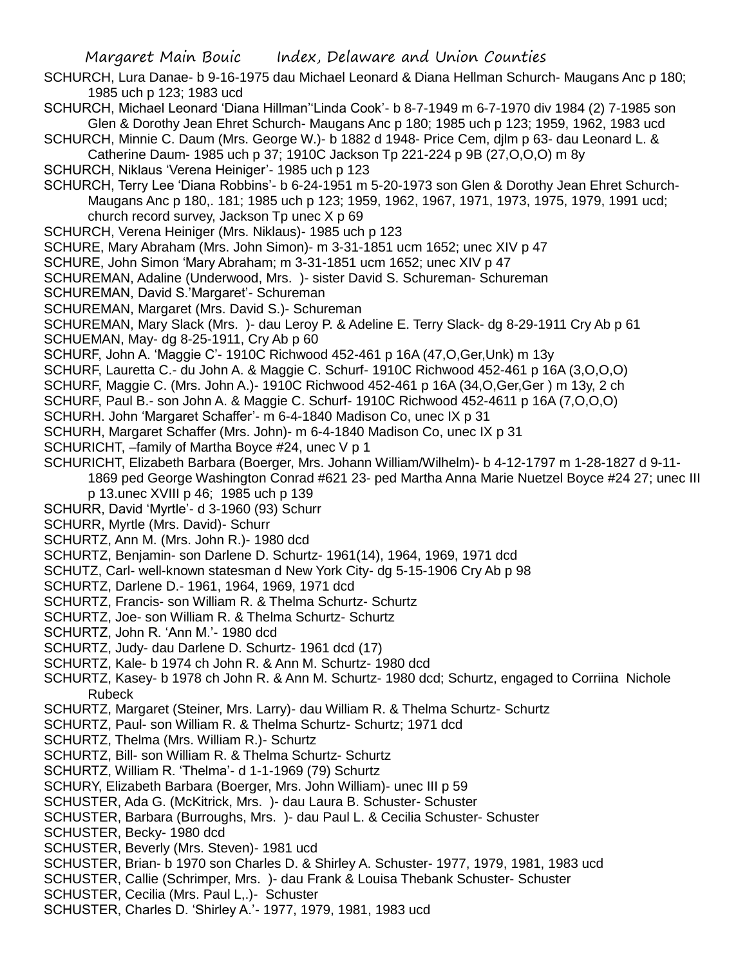- SCHURCH, Lura Danae- b 9-16-1975 dau Michael Leonard & Diana Hellman Schurch- Maugans Anc p 180; 1985 uch p 123; 1983 ucd
- SCHURCH, Michael Leonard 'Diana Hillman''Linda Cook'- b 8-7-1949 m 6-7-1970 div 1984 (2) 7-1985 son Glen & Dorothy Jean Ehret Schurch- Maugans Anc p 180; 1985 uch p 123; 1959, 1962, 1983 ucd
- SCHURCH, Minnie C. Daum (Mrs. George W.)- b 1882 d 1948- Price Cem, djlm p 63- dau Leonard L. & Catherine Daum- 1985 uch p 37; 1910C Jackson Tp 221-224 p 9B (27,O,O,O) m 8y
- SCHURCH, Niklaus 'Verena Heiniger'- 1985 uch p 123

SCHURCH, Terry Lee 'Diana Robbins'- b 6-24-1951 m 5-20-1973 son Glen & Dorothy Jean Ehret Schurch-Maugans Anc p 180,. 181; 1985 uch p 123; 1959, 1962, 1967, 1971, 1973, 1975, 1979, 1991 ucd; church record survey, Jackson Tp unec X p 69

- SCHURCH, Verena Heiniger (Mrs. Niklaus)- 1985 uch p 123
- SCHURE, Mary Abraham (Mrs. John Simon)- m 3-31-1851 ucm 1652; unec XIV p 47
- SCHURE, John Simon 'Mary Abraham; m 3-31-1851 ucm 1652; unec XIV p 47
- SCHUREMAN, Adaline (Underwood, Mrs. )- sister David S. Schureman- Schureman
- SCHUREMAN, David S.'Margaret'- Schureman
- SCHUREMAN, Margaret (Mrs. David S.)- Schureman
- SCHUREMAN, Mary Slack (Mrs. )- dau Leroy P. & Adeline E. Terry Slack- dg 8-29-1911 Cry Ab p 61
- SCHUEMAN, May- dg 8-25-1911, Cry Ab p 60
- SCHURF, John A. 'Maggie C'- 1910C Richwood 452-461 p 16A (47,O,Ger,Unk) m 13y
- SCHURF, Lauretta C.- du John A. & Maggie C. Schurf- 1910C Richwood 452-461 p 16A (3,O,O,O)
- SCHURF, Maggie C. (Mrs. John A.)- 1910C Richwood 452-461 p 16A (34,O,Ger,Ger ) m 13y, 2 ch
- SCHURF, Paul B.- son John A. & Maggie C. Schurf- 1910C Richwood 452-4611 p 16A (7,O,O,O)
- SCHURH. John 'Margaret Schaffer'- m 6-4-1840 Madison Co, unec IX p 31
- SCHURH, Margaret Schaffer (Mrs. John)- m 6-4-1840 Madison Co, unec IX p 31
- SCHURICHT, –family of Martha Boyce #24, unec V p 1
- SCHURICHT, Elizabeth Barbara (Boerger, Mrs. Johann William/Wilhelm)- b 4-12-1797 m 1-28-1827 d 9-11- 1869 ped George Washington Conrad #621 23- ped Martha Anna Marie Nuetzel Boyce #24 27; unec III
	- p 13.unec XVIII p 46; 1985 uch p 139
- SCHURR, David 'Myrtle'- d 3-1960 (93) Schurr
- SCHURR, Myrtle (Mrs. David)- Schurr
- SCHURTZ, Ann M. (Mrs. John R.)- 1980 dcd
- SCHURTZ, Benjamin- son Darlene D. Schurtz- 1961(14), 1964, 1969, 1971 dcd
- SCHUTZ, Carl- well-known statesman d New York City- dg 5-15-1906 Cry Ab p 98
- SCHURTZ, Darlene D.- 1961, 1964, 1969, 1971 dcd
- SCHURTZ, Francis- son William R. & Thelma Schurtz- Schurtz
- SCHURTZ, Joe- son William R. & Thelma Schurtz- Schurtz
- SCHURTZ, John R. 'Ann M.'- 1980 dcd
- SCHURTZ, Judy- dau Darlene D. Schurtz- 1961 dcd (17)
- SCHURTZ, Kale- b 1974 ch John R. & Ann M. Schurtz- 1980 dcd
- SCHURTZ, Kasey- b 1978 ch John R. & Ann M. Schurtz- 1980 dcd; Schurtz, engaged to Corriina Nichole Rubeck
- SCHURTZ, Margaret (Steiner, Mrs. Larry)- dau William R. & Thelma Schurtz- Schurtz
- SCHURTZ, Paul- son William R. & Thelma Schurtz- Schurtz; 1971 dcd
- SCHURTZ, Thelma (Mrs. William R.)- Schurtz
- SCHURTZ, Bill- son William R. & Thelma Schurtz- Schurtz
- SCHURTZ, William R. 'Thelma'- d 1-1-1969 (79) Schurtz
- SCHURY, Elizabeth Barbara (Boerger, Mrs. John William)- unec III p 59
- SCHUSTER, Ada G. (McKitrick, Mrs. )- dau Laura B. Schuster- Schuster
- SCHUSTER, Barbara (Burroughs, Mrs. )- dau Paul L. & Cecilia Schuster- Schuster
- SCHUSTER, Becky- 1980 dcd
- SCHUSTER, Beverly (Mrs. Steven)- 1981 ucd
- SCHUSTER, Brian- b 1970 son Charles D. & Shirley A. Schuster- 1977, 1979, 1981, 1983 ucd
- SCHUSTER, Callie (Schrimper, Mrs. )- dau Frank & Louisa Thebank Schuster- Schuster
- SCHUSTER, Cecilia (Mrs. Paul L,.)- Schuster
- SCHUSTER, Charles D. 'Shirley A.'- 1977, 1979, 1981, 1983 ucd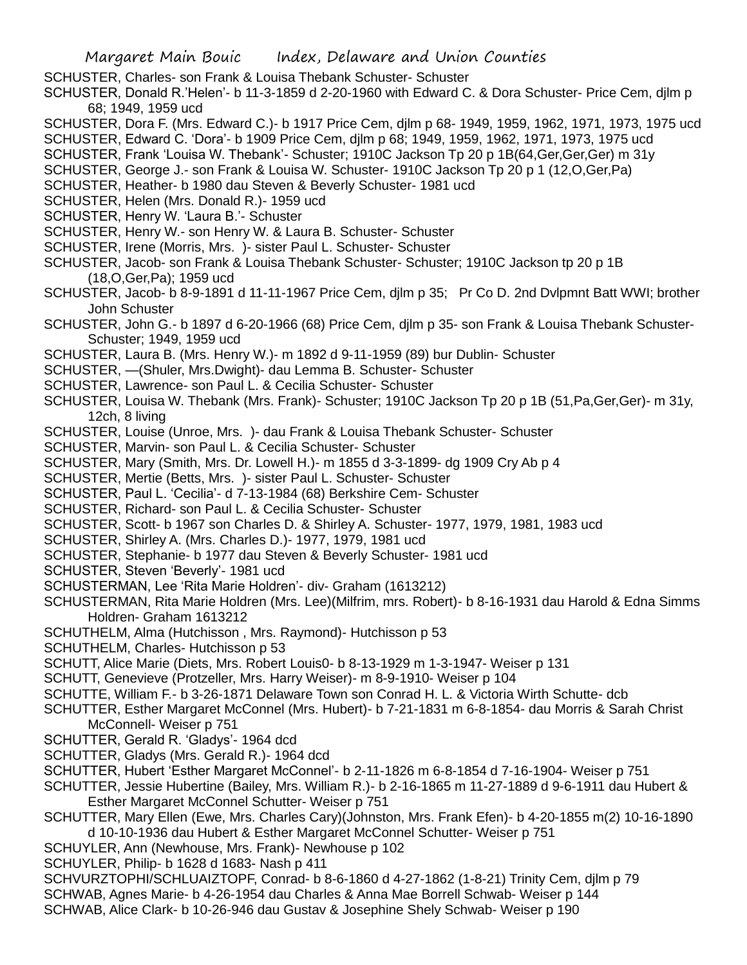SCHUSTER, Charles- son Frank & Louisa Thebank Schuster- Schuster

SCHUSTER, Donald R.'Helen'- b 11-3-1859 d 2-20-1960 with Edward C. & Dora Schuster- Price Cem, djlm p 68; 1949, 1959 ucd

SCHUSTER, Dora F. (Mrs. Edward C.)- b 1917 Price Cem, djlm p 68- 1949, 1959, 1962, 1971, 1973, 1975 ucd

SCHUSTER, Edward C. 'Dora'- b 1909 Price Cem, djlm p 68; 1949, 1959, 1962, 1971, 1973, 1975 ucd

- SCHUSTER, Frank 'Louisa W. Thebank'- Schuster; 1910C Jackson Tp 20 p 1B(64,Ger,Ger,Ger) m 31y
- SCHUSTER, George J.- son Frank & Louisa W. Schuster- 1910C Jackson Tp 20 p 1 (12,O,Ger,Pa)
- SCHUSTER, Heather- b 1980 dau Steven & Beverly Schuster- 1981 ucd
- SCHUSTER, Helen (Mrs. Donald R.)- 1959 ucd
- SCHUSTER, Henry W. 'Laura B.'- Schuster
- SCHUSTER, Henry W.- son Henry W. & Laura B. Schuster- Schuster
- SCHUSTER, Irene (Morris, Mrs. )- sister Paul L. Schuster- Schuster
- SCHUSTER, Jacob- son Frank & Louisa Thebank Schuster- Schuster; 1910C Jackson tp 20 p 1B (18,O,Ger,Pa); 1959 ucd
- SCHUSTER, Jacob- b 8-9-1891 d 11-11-1967 Price Cem, djlm p 35; Pr Co D. 2nd Dvlpmnt Batt WWI; brother John Schuster
- SCHUSTER, John G.- b 1897 d 6-20-1966 (68) Price Cem, djlm p 35- son Frank & Louisa Thebank Schuster-Schuster; 1949, 1959 ucd
- SCHUSTER, Laura B. (Mrs. Henry W.)- m 1892 d 9-11-1959 (89) bur Dublin- Schuster
- SCHUSTER, —(Shuler, Mrs.Dwight)- dau Lemma B. Schuster- Schuster
- SCHUSTER, Lawrence- son Paul L. & Cecilia Schuster- Schuster
- SCHUSTER, Louisa W. Thebank (Mrs. Frank)- Schuster; 1910C Jackson Tp 20 p 1B (51,Pa,Ger,Ger)- m 31y, 12ch, 8 living
- SCHUSTER, Louise (Unroe, Mrs. )- dau Frank & Louisa Thebank Schuster- Schuster
- SCHUSTER, Marvin- son Paul L. & Cecilia Schuster- Schuster
- SCHUSTER, Mary (Smith, Mrs. Dr. Lowell H.)- m 1855 d 3-3-1899- dg 1909 Cry Ab p 4
- SCHUSTER, Mertie (Betts, Mrs. )- sister Paul L. Schuster- Schuster
- SCHUSTER, Paul L. 'Cecilia'- d 7-13-1984 (68) Berkshire Cem- Schuster
- SCHUSTER, Richard- son Paul L. & Cecilia Schuster- Schuster
- SCHUSTER, Scott- b 1967 son Charles D. & Shirley A. Schuster- 1977, 1979, 1981, 1983 ucd
- SCHUSTER, Shirley A. (Mrs. Charles D.)- 1977, 1979, 1981 ucd
- SCHUSTER, Stephanie- b 1977 dau Steven & Beverly Schuster- 1981 ucd
- SCHUSTER, Steven 'Beverly'- 1981 ucd
- SCHUSTERMAN, Lee 'Rita Marie Holdren'- div- Graham (1613212)
- SCHUSTERMAN, Rita Marie Holdren (Mrs. Lee)(Milfrim, mrs. Robert)- b 8-16-1931 dau Harold & Edna Simms Holdren- Graham 1613212
- SCHUTHELM, Alma (Hutchisson , Mrs. Raymond)- Hutchisson p 53
- SCHUTHELM, Charles- Hutchisson p 53
- SCHUTT, Alice Marie (Diets, Mrs. Robert Louis0- b 8-13-1929 m 1-3-1947- Weiser p 131
- SCHUTT, Genevieve (Protzeller, Mrs. Harry Weiser)- m 8-9-1910- Weiser p 104
- SCHUTTE, William F.- b 3-26-1871 Delaware Town son Conrad H. L. & Victoria Wirth Schutte- dcb
- SCHUTTER, Esther Margaret McConnel (Mrs. Hubert)- b 7-21-1831 m 6-8-1854- dau Morris & Sarah Christ McConnell- Weiser p 751
- SCHUTTER, Gerald R. 'Gladys'- 1964 dcd
- SCHUTTER, Gladys (Mrs. Gerald R.)- 1964 dcd
- SCHUTTER, Hubert 'Esther Margaret McConnel'- b 2-11-1826 m 6-8-1854 d 7-16-1904- Weiser p 751
- SCHUTTER, Jessie Hubertine (Bailey, Mrs. William R.)- b 2-16-1865 m 11-27-1889 d 9-6-1911 dau Hubert & Esther Margaret McConnel Schutter- Weiser p 751
- SCHUTTER, Mary Ellen (Ewe, Mrs. Charles Cary)(Johnston, Mrs. Frank Efen)- b 4-20-1855 m(2) 10-16-1890 d 10-10-1936 dau Hubert & Esther Margaret McConnel Schutter- Weiser p 751
- SCHUYLER, Ann (Newhouse, Mrs. Frank)- Newhouse p 102
- SCHUYLER, Philip- b 1628 d 1683- Nash p 411
- SCHVURZTOPHI/SCHLUAIZTOPF, Conrad- b 8-6-1860 d 4-27-1862 (1-8-21) Trinity Cem, djlm p 79
- SCHWAB, Agnes Marie- b 4-26-1954 dau Charles & Anna Mae Borrell Schwab- Weiser p 144
- SCHWAB, Alice Clark- b 10-26-946 dau Gustav & Josephine Shely Schwab- Weiser p 190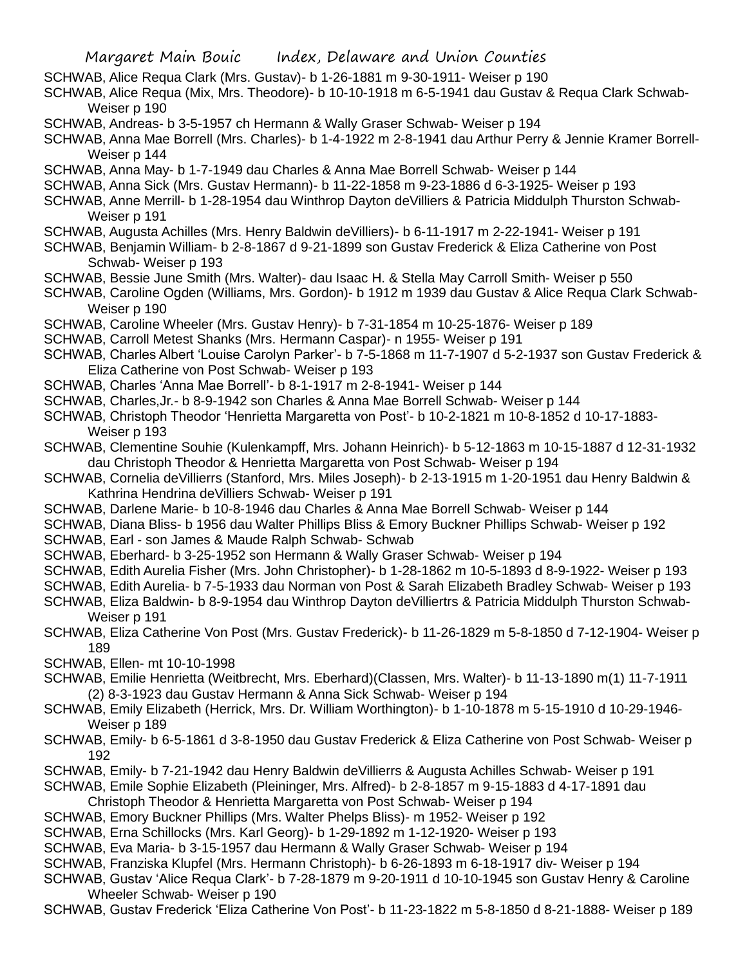- SCHWAB, Alice Requa Clark (Mrs. Gustav)- b 1-26-1881 m 9-30-1911- Weiser p 190
- SCHWAB, Alice Requa (Mix, Mrs. Theodore)- b 10-10-1918 m 6-5-1941 dau Gustav & Requa Clark Schwab-Weiser p 190
- SCHWAB, Andreas- b 3-5-1957 ch Hermann & Wally Graser Schwab- Weiser p 194
- SCHWAB, Anna Mae Borrell (Mrs. Charles)- b 1-4-1922 m 2-8-1941 dau Arthur Perry & Jennie Kramer Borrell-Weiser p 144
- SCHWAB, Anna May- b 1-7-1949 dau Charles & Anna Mae Borrell Schwab- Weiser p 144
- SCHWAB, Anna Sick (Mrs. Gustav Hermann)- b 11-22-1858 m 9-23-1886 d 6-3-1925- Weiser p 193
- SCHWAB, Anne Merrill- b 1-28-1954 dau Winthrop Dayton deVilliers & Patricia Middulph Thurston Schwab-Weiser p 191
- SCHWAB, Augusta Achilles (Mrs. Henry Baldwin deVilliers)- b 6-11-1917 m 2-22-1941- Weiser p 191
- SCHWAB, Benjamin William- b 2-8-1867 d 9-21-1899 son Gustav Frederick & Eliza Catherine von Post Schwab- Weiser p 193
- SCHWAB, Bessie June Smith (Mrs. Walter)- dau Isaac H. & Stella May Carroll Smith- Weiser p 550
- SCHWAB, Caroline Ogden (Williams, Mrs. Gordon)- b 1912 m 1939 dau Gustav & Alice Requa Clark Schwab-Weiser p 190
- SCHWAB, Caroline Wheeler (Mrs. Gustav Henry)- b 7-31-1854 m 10-25-1876- Weiser p 189
- SCHWAB, Carroll Metest Shanks (Mrs. Hermann Caspar)- n 1955- Weiser p 191
- SCHWAB, Charles Albert 'Louise Carolyn Parker'- b 7-5-1868 m 11-7-1907 d 5-2-1937 son Gustav Frederick & Eliza Catherine von Post Schwab- Weiser p 193
- SCHWAB, Charles 'Anna Mae Borrell'- b 8-1-1917 m 2-8-1941- Weiser p 144
- SCHWAB, Charles,Jr.- b 8-9-1942 son Charles & Anna Mae Borrell Schwab- Weiser p 144
- SCHWAB, Christoph Theodor 'Henrietta Margaretta von Post'- b 10-2-1821 m 10-8-1852 d 10-17-1883- Weiser p 193
- SCHWAB, Clementine Souhie (Kulenkampff, Mrs. Johann Heinrich)- b 5-12-1863 m 10-15-1887 d 12-31-1932 dau Christoph Theodor & Henrietta Margaretta von Post Schwab- Weiser p 194
- SCHWAB, Cornelia deVillierrs (Stanford, Mrs. Miles Joseph)- b 2-13-1915 m 1-20-1951 dau Henry Baldwin & Kathrina Hendrina deVilliers Schwab- Weiser p 191
- SCHWAB, Darlene Marie- b 10-8-1946 dau Charles & Anna Mae Borrell Schwab- Weiser p 144
- SCHWAB, Diana Bliss- b 1956 dau Walter Phillips Bliss & Emory Buckner Phillips Schwab- Weiser p 192
- SCHWAB, Earl son James & Maude Ralph Schwab- Schwab
- SCHWAB, Eberhard- b 3-25-1952 son Hermann & Wally Graser Schwab- Weiser p 194
- SCHWAB, Edith Aurelia Fisher (Mrs. John Christopher)- b 1-28-1862 m 10-5-1893 d 8-9-1922- Weiser p 193
- SCHWAB, Edith Aurelia- b 7-5-1933 dau Norman von Post & Sarah Elizabeth Bradley Schwab- Weiser p 193
- SCHWAB, Eliza Baldwin- b 8-9-1954 dau Winthrop Dayton deVilliertrs & Patricia Middulph Thurston Schwab-Weiser p 191
- SCHWAB, Eliza Catherine Von Post (Mrs. Gustav Frederick)- b 11-26-1829 m 5-8-1850 d 7-12-1904- Weiser p 189
- SCHWAB, Ellen- mt 10-10-1998
- SCHWAB, Emilie Henrietta (Weitbrecht, Mrs. Eberhard)(Classen, Mrs. Walter)- b 11-13-1890 m(1) 11-7-1911 (2) 8-3-1923 dau Gustav Hermann & Anna Sick Schwab- Weiser p 194
- SCHWAB, Emily Elizabeth (Herrick, Mrs. Dr. William Worthington)- b 1-10-1878 m 5-15-1910 d 10-29-1946- Weiser p 189
- SCHWAB, Emily- b 6-5-1861 d 3-8-1950 dau Gustav Frederick & Eliza Catherine von Post Schwab- Weiser p 192
- SCHWAB, Emily- b 7-21-1942 dau Henry Baldwin deVillierrs & Augusta Achilles Schwab- Weiser p 191
- SCHWAB, Emile Sophie Elizabeth (Pleininger, Mrs. Alfred)- b 2-8-1857 m 9-15-1883 d 4-17-1891 dau Christoph Theodor & Henrietta Margaretta von Post Schwab- Weiser p 194
- SCHWAB, Emory Buckner Phillips (Mrs. Walter Phelps Bliss)- m 1952- Weiser p 192
- SCHWAB, Erna Schillocks (Mrs. Karl Georg)- b 1-29-1892 m 1-12-1920- Weiser p 193
- SCHWAB, Eva Maria- b 3-15-1957 dau Hermann & Wally Graser Schwab- Weiser p 194
- SCHWAB, Franziska Klupfel (Mrs. Hermann Christoph)- b 6-26-1893 m 6-18-1917 div- Weiser p 194
- SCHWAB, Gustav 'Alice Requa Clark'- b 7-28-1879 m 9-20-1911 d 10-10-1945 son Gustav Henry & Caroline Wheeler Schwab- Weiser p 190
- SCHWAB, Gustav Frederick 'Eliza Catherine Von Post'- b 11-23-1822 m 5-8-1850 d 8-21-1888- Weiser p 189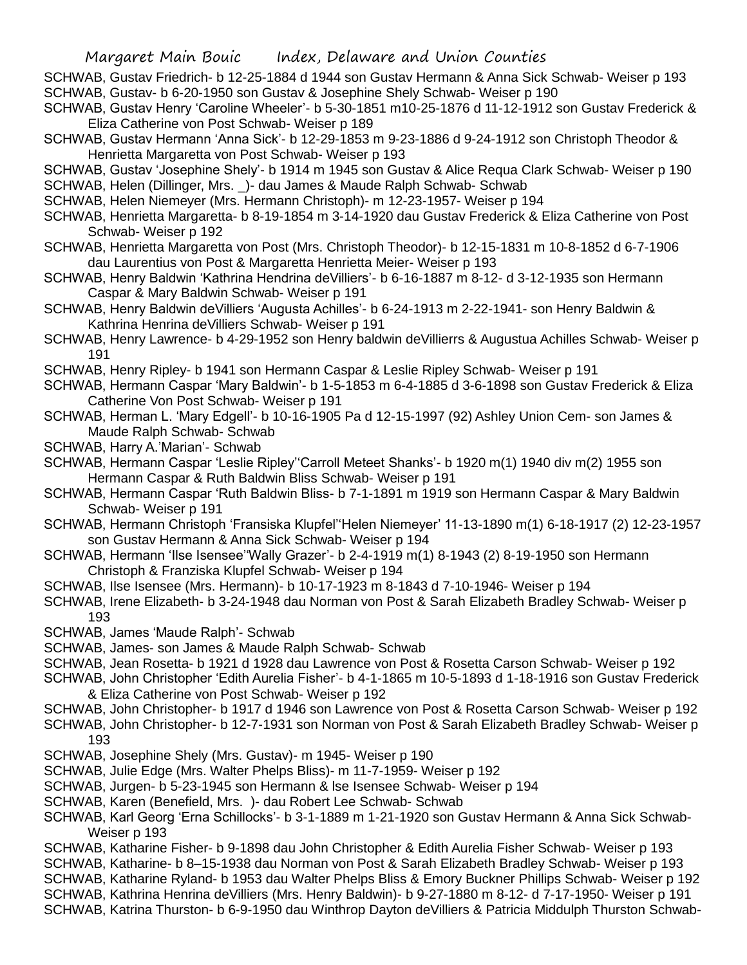SCHWAB, Gustav Friedrich- b 12-25-1884 d 1944 son Gustav Hermann & Anna Sick Schwab- Weiser p 193 SCHWAB, Gustav- b 6-20-1950 son Gustav & Josephine Shely Schwab- Weiser p 190

- SCHWAB, Gustav Henry 'Caroline Wheeler'- b 5-30-1851 m10-25-1876 d 11-12-1912 son Gustav Frederick & Eliza Catherine von Post Schwab- Weiser p 189
- SCHWAB, Gustav Hermann 'Anna Sick'- b 12-29-1853 m 9-23-1886 d 9-24-1912 son Christoph Theodor & Henrietta Margaretta von Post Schwab- Weiser p 193
- SCHWAB, Gustav 'Josephine Shely'- b 1914 m 1945 son Gustav & Alice Requa Clark Schwab- Weiser p 190 SCHWAB, Helen (Dillinger, Mrs. \_)- dau James & Maude Ralph Schwab- Schwab
- SCHWAB, Helen Niemeyer (Mrs. Hermann Christoph)- m 12-23-1957- Weiser p 194
- SCHWAB, Henrietta Margaretta- b 8-19-1854 m 3-14-1920 dau Gustav Frederick & Eliza Catherine von Post Schwab- Weiser p 192
- SCHWAB, Henrietta Margaretta von Post (Mrs. Christoph Theodor)- b 12-15-1831 m 10-8-1852 d 6-7-1906 dau Laurentius von Post & Margaretta Henrietta Meier- Weiser p 193
- SCHWAB, Henry Baldwin 'Kathrina Hendrina deVilliers'- b 6-16-1887 m 8-12- d 3-12-1935 son Hermann Caspar & Mary Baldwin Schwab- Weiser p 191
- SCHWAB, Henry Baldwin deVilliers 'Augusta Achilles'- b 6-24-1913 m 2-22-1941- son Henry Baldwin & Kathrina Henrina deVilliers Schwab- Weiser p 191
- SCHWAB, Henry Lawrence- b 4-29-1952 son Henry baldwin deVillierrs & Augustua Achilles Schwab- Weiser p 191
- SCHWAB, Henry Ripley- b 1941 son Hermann Caspar & Leslie Ripley Schwab- Weiser p 191
- SCHWAB, Hermann Caspar 'Mary Baldwin'- b 1-5-1853 m 6-4-1885 d 3-6-1898 son Gustav Frederick & Eliza Catherine Von Post Schwab- Weiser p 191
- SCHWAB, Herman L. 'Mary Edgell'- b 10-16-1905 Pa d 12-15-1997 (92) Ashley Union Cem- son James & Maude Ralph Schwab- Schwab
- SCHWAB, Harry A.'Marian'- Schwab
- SCHWAB, Hermann Caspar 'Leslie Ripley''Carroll Meteet Shanks'- b 1920 m(1) 1940 div m(2) 1955 son Hermann Caspar & Ruth Baldwin Bliss Schwab- Weiser p 191
- SCHWAB, Hermann Caspar 'Ruth Baldwin Bliss- b 7-1-1891 m 1919 son Hermann Caspar & Mary Baldwin Schwab- Weiser p 191
- SCHWAB, Hermann Christoph 'Fransiska Klupfel''Helen Niemeyer' 11-13-1890 m(1) 6-18-1917 (2) 12-23-1957 son Gustav Hermann & Anna Sick Schwab- Weiser p 194
- SCHWAB, Hermann 'Ilse Isensee''Wally Grazer'- b 2-4-1919 m(1) 8-1943 (2) 8-19-1950 son Hermann Christoph & Franziska Klupfel Schwab- Weiser p 194
- SCHWAB, Ilse Isensee (Mrs. Hermann)- b 10-17-1923 m 8-1843 d 7-10-1946- Weiser p 194
- SCHWAB, Irene Elizabeth- b 3-24-1948 dau Norman von Post & Sarah Elizabeth Bradley Schwab- Weiser p 193
- SCHWAB, James 'Maude Ralph'- Schwab
- SCHWAB, James- son James & Maude Ralph Schwab- Schwab
- SCHWAB, Jean Rosetta- b 1921 d 1928 dau Lawrence von Post & Rosetta Carson Schwab- Weiser p 192
- SCHWAB, John Christopher 'Edith Aurelia Fisher'- b 4-1-1865 m 10-5-1893 d 1-18-1916 son Gustav Frederick & Eliza Catherine von Post Schwab- Weiser p 192
- SCHWAB, John Christopher- b 1917 d 1946 son Lawrence von Post & Rosetta Carson Schwab- Weiser p 192
- SCHWAB, John Christopher- b 12-7-1931 son Norman von Post & Sarah Elizabeth Bradley Schwab- Weiser p 193
- SCHWAB, Josephine Shely (Mrs. Gustav)- m 1945- Weiser p 190
- SCHWAB, Julie Edge (Mrs. Walter Phelps Bliss)- m 11-7-1959- Weiser p 192
- SCHWAB, Jurgen- b 5-23-1945 son Hermann & lse Isensee Schwab- Weiser p 194
- SCHWAB, Karen (Benefield, Mrs. )- dau Robert Lee Schwab- Schwab
- SCHWAB, Karl Georg 'Erna Schillocks'- b 3-1-1889 m 1-21-1920 son Gustav Hermann & Anna Sick Schwab-Weiser p 193
- SCHWAB, Katharine Fisher- b 9-1898 dau John Christopher & Edith Aurelia Fisher Schwab- Weiser p 193
- SCHWAB, Katharine- b 8–15-1938 dau Norman von Post & Sarah Elizabeth Bradley Schwab- Weiser p 193
- SCHWAB, Katharine Ryland- b 1953 dau Walter Phelps Bliss & Emory Buckner Phillips Schwab- Weiser p 192
- SCHWAB, Kathrina Henrina deVilliers (Mrs. Henry Baldwin)- b 9-27-1880 m 8-12- d 7-17-1950- Weiser p 191
- SCHWAB, Katrina Thurston- b 6-9-1950 dau Winthrop Dayton deVilliers & Patricia Middulph Thurston Schwab-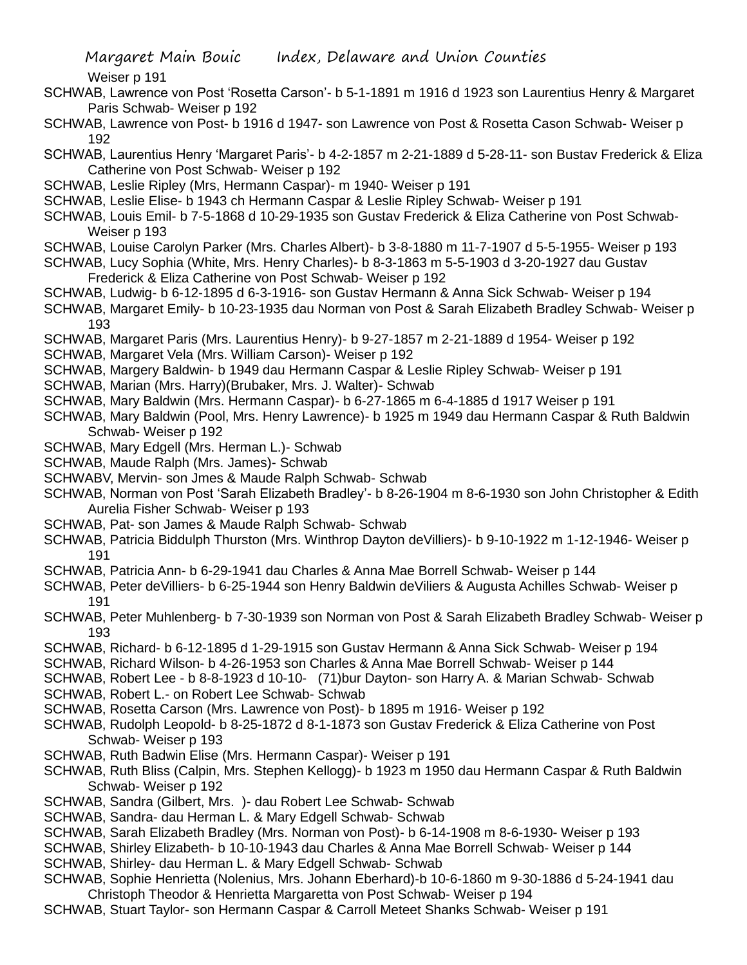Weiser p 191

- SCHWAB, Lawrence von Post 'Rosetta Carson'- b 5-1-1891 m 1916 d 1923 son Laurentius Henry & Margaret Paris Schwab- Weiser p 192
- SCHWAB, Lawrence von Post- b 1916 d 1947- son Lawrence von Post & Rosetta Cason Schwab- Weiser p 192
- SCHWAB, Laurentius Henry 'Margaret Paris'- b 4-2-1857 m 2-21-1889 d 5-28-11- son Bustav Frederick & Eliza Catherine von Post Schwab- Weiser p 192
- SCHWAB, Leslie Ripley (Mrs, Hermann Caspar)- m 1940- Weiser p 191
- SCHWAB, Leslie Elise- b 1943 ch Hermann Caspar & Leslie Ripley Schwab- Weiser p 191
- SCHWAB, Louis Emil- b 7-5-1868 d 10-29-1935 son Gustav Frederick & Eliza Catherine von Post Schwab-Weiser p 193
- SCHWAB, Louise Carolyn Parker (Mrs. Charles Albert)- b 3-8-1880 m 11-7-1907 d 5-5-1955- Weiser p 193
- SCHWAB, Lucy Sophia (White, Mrs. Henry Charles)- b 8-3-1863 m 5-5-1903 d 3-20-1927 dau Gustav Frederick & Eliza Catherine von Post Schwab- Weiser p 192
- SCHWAB, Ludwig- b 6-12-1895 d 6-3-1916- son Gustav Hermann & Anna Sick Schwab- Weiser p 194
- SCHWAB, Margaret Emily- b 10-23-1935 dau Norman von Post & Sarah Elizabeth Bradley Schwab- Weiser p 193
- SCHWAB, Margaret Paris (Mrs. Laurentius Henry)- b 9-27-1857 m 2-21-1889 d 1954- Weiser p 192
- SCHWAB, Margaret Vela (Mrs. William Carson)- Weiser p 192
- SCHWAB, Margery Baldwin- b 1949 dau Hermann Caspar & Leslie Ripley Schwab- Weiser p 191
- SCHWAB, Marian (Mrs. Harry)(Brubaker, Mrs. J. Walter)- Schwab
- SCHWAB, Mary Baldwin (Mrs. Hermann Caspar)- b 6-27-1865 m 6-4-1885 d 1917 Weiser p 191
- SCHWAB, Mary Baldwin (Pool, Mrs. Henry Lawrence)- b 1925 m 1949 dau Hermann Caspar & Ruth Baldwin Schwab- Weiser p 192
- SCHWAB, Mary Edgell (Mrs. Herman L.)- Schwab
- SCHWAB, Maude Ralph (Mrs. James)- Schwab
- SCHWABV, Mervin- son Jmes & Maude Ralph Schwab- Schwab
- SCHWAB, Norman von Post 'Sarah Elizabeth Bradley'- b 8-26-1904 m 8-6-1930 son John Christopher & Edith Aurelia Fisher Schwab- Weiser p 193
- SCHWAB, Pat- son James & Maude Ralph Schwab- Schwab
- SCHWAB, Patricia Biddulph Thurston (Mrs. Winthrop Dayton deVilliers)- b 9-10-1922 m 1-12-1946- Weiser p 191
- SCHWAB, Patricia Ann- b 6-29-1941 dau Charles & Anna Mae Borrell Schwab- Weiser p 144
- SCHWAB, Peter deVilliers- b 6-25-1944 son Henry Baldwin deViliers & Augusta Achilles Schwab- Weiser p 191
- SCHWAB, Peter Muhlenberg- b 7-30-1939 son Norman von Post & Sarah Elizabeth Bradley Schwab- Weiser p 193
- SCHWAB, Richard- b 6-12-1895 d 1-29-1915 son Gustav Hermann & Anna Sick Schwab- Weiser p 194
- SCHWAB, Richard Wilson- b 4-26-1953 son Charles & Anna Mae Borrell Schwab- Weiser p 144
- SCHWAB, Robert Lee b 8-8-1923 d 10-10- (71)bur Dayton- son Harry A. & Marian Schwab- Schwab
- SCHWAB, Robert L.- on Robert Lee Schwab- Schwab
- SCHWAB, Rosetta Carson (Mrs. Lawrence von Post)- b 1895 m 1916- Weiser p 192
- SCHWAB, Rudolph Leopold- b 8-25-1872 d 8-1-1873 son Gustav Frederick & Eliza Catherine von Post Schwab- Weiser p 193
- SCHWAB, Ruth Badwin Elise (Mrs. Hermann Caspar)- Weiser p 191
- SCHWAB, Ruth Bliss (Calpin, Mrs. Stephen Kellogg)- b 1923 m 1950 dau Hermann Caspar & Ruth Baldwin Schwab- Weiser p 192
- SCHWAB, Sandra (Gilbert, Mrs. )- dau Robert Lee Schwab- Schwab
- SCHWAB, Sandra- dau Herman L. & Mary Edgell Schwab- Schwab
- SCHWAB, Sarah Elizabeth Bradley (Mrs. Norman von Post)- b 6-14-1908 m 8-6-1930- Weiser p 193
- SCHWAB, Shirley Elizabeth- b 10-10-1943 dau Charles & Anna Mae Borrell Schwab- Weiser p 144
- SCHWAB, Shirley- dau Herman L. & Mary Edgell Schwab- Schwab
- SCHWAB, Sophie Henrietta (Nolenius, Mrs. Johann Eberhard)-b 10-6-1860 m 9-30-1886 d 5-24-1941 dau Christoph Theodor & Henrietta Margaretta von Post Schwab- Weiser p 194
- SCHWAB, Stuart Taylor- son Hermann Caspar & Carroll Meteet Shanks Schwab- Weiser p 191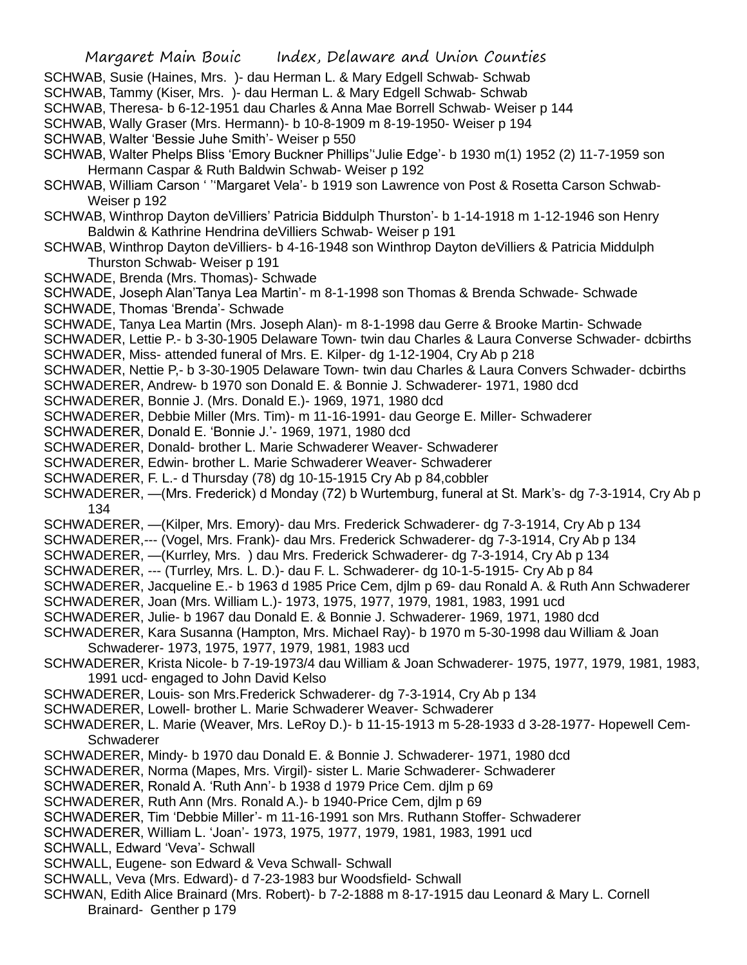- SCHWAB, Susie (Haines, Mrs. )- dau Herman L. & Mary Edgell Schwab- Schwab
- SCHWAB, Tammy (Kiser, Mrs. )- dau Herman L. & Mary Edgell Schwab- Schwab
- SCHWAB, Theresa- b 6-12-1951 dau Charles & Anna Mae Borrell Schwab- Weiser p 144
- SCHWAB, Wally Graser (Mrs. Hermann)- b 10-8-1909 m 8-19-1950- Weiser p 194
- SCHWAB, Walter 'Bessie Juhe Smith'- Weiser p 550
- SCHWAB, Walter Phelps Bliss 'Emory Buckner Phillips''Julie Edge'- b 1930 m(1) 1952 (2) 11-7-1959 son Hermann Caspar & Ruth Baldwin Schwab- Weiser p 192
- SCHWAB, William Carson ' ''Margaret Vela'- b 1919 son Lawrence von Post & Rosetta Carson Schwab-Weiser p 192
- SCHWAB, Winthrop Dayton deVilliers' Patricia Biddulph Thurston'- b 1-14-1918 m 1-12-1946 son Henry Baldwin & Kathrine Hendrina deVilliers Schwab- Weiser p 191
- SCHWAB, Winthrop Dayton deVilliers- b 4-16-1948 son Winthrop Dayton deVilliers & Patricia Middulph Thurston Schwab- Weiser p 191
- SCHWADE, Brenda (Mrs. Thomas)- Schwade
- SCHWADE, Joseph Alan'Tanya Lea Martin'- m 8-1-1998 son Thomas & Brenda Schwade- Schwade SCHWADE, Thomas 'Brenda'- Schwade
- SCHWADE, Tanya Lea Martin (Mrs. Joseph Alan)- m 8-1-1998 dau Gerre & Brooke Martin- Schwade
- SCHWADER, Lettie P.- b 3-30-1905 Delaware Town- twin dau Charles & Laura Converse Schwader- dcbirths SCHWADER, Miss- attended funeral of Mrs. E. Kilper- dg 1-12-1904, Cry Ab p 218
- SCHWADER, Nettie P,- b 3-30-1905 Delaware Town- twin dau Charles & Laura Convers Schwader- dcbirths
- SCHWADERER, Andrew- b 1970 son Donald E. & Bonnie J. Schwaderer- 1971, 1980 dcd
- SCHWADERER, Bonnie J. (Mrs. Donald E.)- 1969, 1971, 1980 dcd
- SCHWADERER, Debbie Miller (Mrs. Tim)- m 11-16-1991- dau George E. Miller- Schwaderer
- SCHWADERER, Donald E. 'Bonnie J.'- 1969, 1971, 1980 dcd
- SCHWADERER, Donald- brother L. Marie Schwaderer Weaver- Schwaderer
- SCHWADERER, Edwin- brother L. Marie Schwaderer Weaver- Schwaderer
- SCHWADERER, F. L.- d Thursday (78) dg 10-15-1915 Cry Ab p 84,cobbler
- SCHWADERER, —(Mrs. Frederick) d Monday (72) b Wurtemburg, funeral at St. Mark's- dg 7-3-1914, Cry Ab p 134
- SCHWADERER, —(Kilper, Mrs. Emory)- dau Mrs. Frederick Schwaderer- dg 7-3-1914, Cry Ab p 134
- SCHWADERER,--- (Vogel, Mrs. Frank)- dau Mrs. Frederick Schwaderer- dg 7-3-1914, Cry Ab p 134
- SCHWADERER, —(Kurrley, Mrs. ) dau Mrs. Frederick Schwaderer- dg 7-3-1914, Cry Ab p 134
- SCHWADERER, --- (Turrley, Mrs. L. D.)- dau F. L. Schwaderer- dg 10-1-5-1915- Cry Ab p 84
- SCHWADERER, Jacqueline E.- b 1963 d 1985 Price Cem, djlm p 69- dau Ronald A. & Ruth Ann Schwaderer
- SCHWADERER, Joan (Mrs. William L.)- 1973, 1975, 1977, 1979, 1981, 1983, 1991 ucd
- SCHWADERER, Julie- b 1967 dau Donald E. & Bonnie J. Schwaderer- 1969, 1971, 1980 dcd
- SCHWADERER, Kara Susanna (Hampton, Mrs. Michael Ray)- b 1970 m 5-30-1998 dau William & Joan Schwaderer- 1973, 1975, 1977, 1979, 1981, 1983 ucd
- SCHWADERER, Krista Nicole- b 7-19-1973/4 dau William & Joan Schwaderer- 1975, 1977, 1979, 1981, 1983, 1991 ucd- engaged to John David Kelso
- SCHWADERER, Louis- son Mrs.Frederick Schwaderer- dg 7-3-1914, Cry Ab p 134
- SCHWADERER, Lowell- brother L. Marie Schwaderer Weaver- Schwaderer
- SCHWADERER, L. Marie (Weaver, Mrs. LeRoy D.)- b 11-15-1913 m 5-28-1933 d 3-28-1977- Hopewell Cem-**Schwaderer**
- SCHWADERER, Mindy- b 1970 dau Donald E. & Bonnie J. Schwaderer- 1971, 1980 dcd
- SCHWADERER, Norma (Mapes, Mrs. Virgil)- sister L. Marie Schwaderer- Schwaderer
- SCHWADERER, Ronald A. 'Ruth Ann'- b 1938 d 1979 Price Cem. djlm p 69
- SCHWADERER, Ruth Ann (Mrs. Ronald A.)- b 1940-Price Cem, djlm p 69
- SCHWADERER, Tim 'Debbie Miller'- m 11-16-1991 son Mrs. Ruthann Stoffer- Schwaderer
- SCHWADERER, William L. 'Joan'- 1973, 1975, 1977, 1979, 1981, 1983, 1991 ucd
- SCHWALL, Edward 'Veva'- Schwall
- SCHWALL, Eugene- son Edward & Veva Schwall- Schwall
- SCHWALL, Veva (Mrs. Edward)- d 7-23-1983 bur Woodsfield- Schwall
- SCHWAN, Edith Alice Brainard (Mrs. Robert)- b 7-2-1888 m 8-17-1915 dau Leonard & Mary L. Cornell Brainard- Genther p 179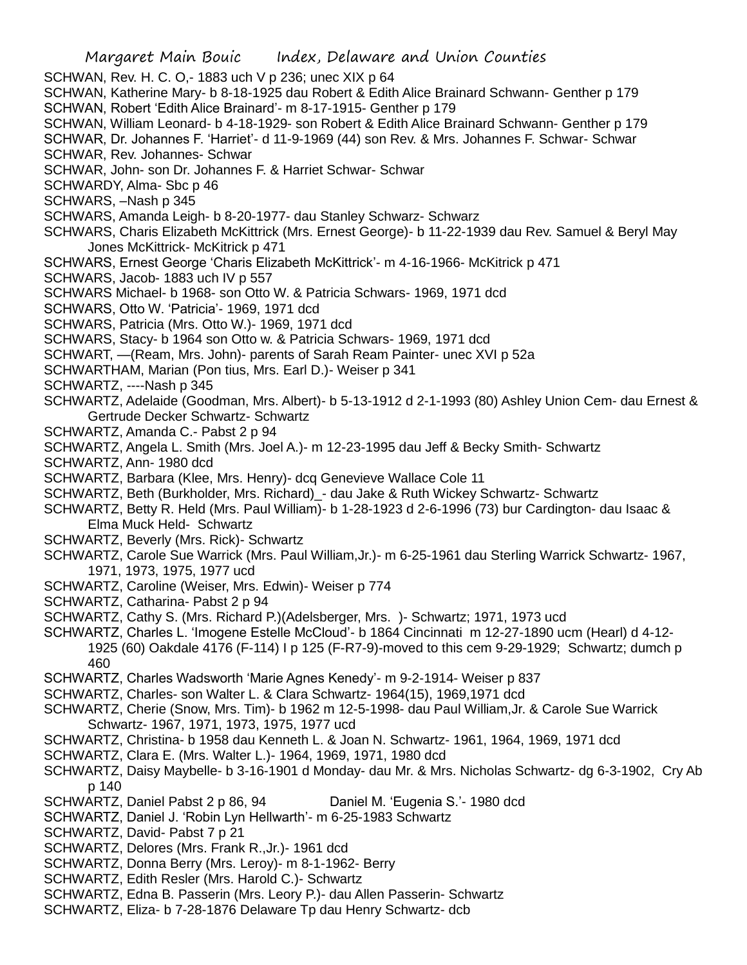Margaret Main Bouic Index, Delaware and Union Counties SCHWAN, Rev. H. C. O,- 1883 uch V p 236; unec XIX p 64 SCHWAN, Katherine Mary- b 8-18-1925 dau Robert & Edith Alice Brainard Schwann- Genther p 179 SCHWAN, Robert 'Edith Alice Brainard'- m 8-17-1915- Genther p 179 SCHWAN, William Leonard- b 4-18-1929- son Robert & Edith Alice Brainard Schwann- Genther p 179 SCHWAR, Dr. Johannes F. 'Harriet'- d 11-9-1969 (44) son Rev. & Mrs. Johannes F. Schwar- Schwar SCHWAR, Rev. Johannes- Schwar SCHWAR, John- son Dr. Johannes F. & Harriet Schwar- Schwar SCHWARDY, Alma- Sbc p 46 SCHWARS, –Nash p 345 SCHWARS, Amanda Leigh- b 8-20-1977- dau Stanley Schwarz- Schwarz SCHWARS, Charis Elizabeth McKittrick (Mrs. Ernest George)- b 11-22-1939 dau Rev. Samuel & Beryl May Jones McKittrick- McKitrick p 471 SCHWARS, Ernest George 'Charis Elizabeth McKittrick'- m 4-16-1966- McKitrick p 471 SCHWARS, Jacob- 1883 uch IV p 557 SCHWARS Michael- b 1968- son Otto W. & Patricia Schwars- 1969, 1971 dcd SCHWARS, Otto W. 'Patricia'- 1969, 1971 dcd SCHWARS, Patricia (Mrs. Otto W.)- 1969, 1971 dcd SCHWARS, Stacy- b 1964 son Otto w. & Patricia Schwars- 1969, 1971 dcd SCHWART, —(Ream, Mrs. John)- parents of Sarah Ream Painter- unec XVI p 52a SCHWARTHAM, Marian (Pon tius, Mrs. Earl D.)- Weiser p 341 SCHWARTZ, ----Nash p 345 SCHWARTZ, Adelaide (Goodman, Mrs. Albert)- b 5-13-1912 d 2-1-1993 (80) Ashley Union Cem- dau Ernest & Gertrude Decker Schwartz- Schwartz SCHWARTZ, Amanda C.- Pabst 2 p 94 SCHWARTZ, Angela L. Smith (Mrs. Joel A.)- m 12-23-1995 dau Jeff & Becky Smith- Schwartz SCHWARTZ, Ann- 1980 dcd SCHWARTZ, Barbara (Klee, Mrs. Henry)- dcq Genevieve Wallace Cole 11 SCHWARTZ, Beth (Burkholder, Mrs. Richard)\_- dau Jake & Ruth Wickey Schwartz- Schwartz SCHWARTZ, Betty R. Held (Mrs. Paul William)- b 1-28-1923 d 2-6-1996 (73) bur Cardington- dau Isaac & Elma Muck Held- Schwartz SCHWARTZ, Beverly (Mrs. Rick)- Schwartz SCHWARTZ, Carole Sue Warrick (Mrs. Paul William,Jr.)- m 6-25-1961 dau Sterling Warrick Schwartz- 1967, 1971, 1973, 1975, 1977 ucd SCHWARTZ, Caroline (Weiser, Mrs. Edwin)- Weiser p 774 SCHWARTZ, Catharina- Pabst 2 p 94 SCHWARTZ, Cathy S. (Mrs. Richard P.)(Adelsberger, Mrs. )- Schwartz; 1971, 1973 ucd SCHWARTZ, Charles L. 'Imogene Estelle McCloud'- b 1864 Cincinnati m 12-27-1890 ucm (Hearl) d 4-12- 1925 (60) Oakdale 4176 (F-114) I p 125 (F-R7-9)-moved to this cem 9-29-1929; Schwartz; dumch p 460 SCHWARTZ, Charles Wadsworth 'Marie Agnes Kenedy'- m 9-2-1914- Weiser p 837 SCHWARTZ, Charles- son Walter L. & Clara Schwartz- 1964(15), 1969,1971 dcd SCHWARTZ, Cherie (Snow, Mrs. Tim)- b 1962 m 12-5-1998- dau Paul William,Jr. & Carole Sue Warrick Schwartz- 1967, 1971, 1973, 1975, 1977 ucd SCHWARTZ, Christina- b 1958 dau Kenneth L. & Joan N. Schwartz- 1961, 1964, 1969, 1971 dcd SCHWARTZ, Clara E. (Mrs. Walter L.)- 1964, 1969, 1971, 1980 dcd SCHWARTZ, Daisy Maybelle- b 3-16-1901 d Monday- dau Mr. & Mrs. Nicholas Schwartz- dg 6-3-1902, Cry Ab p 140 SCHWARTZ, Daniel Pabst 2 p 86, 94 Daniel M. 'Eugenia S.'- 1980 dcd SCHWARTZ, Daniel J. 'Robin Lyn Hellwarth'- m 6-25-1983 Schwartz SCHWARTZ, David- Pabst 7 p 21 SCHWARTZ, Delores (Mrs. Frank R.,Jr.)- 1961 dcd SCHWARTZ, Donna Berry (Mrs. Leroy)- m 8-1-1962- Berry SCHWARTZ, Edith Resler (Mrs. Harold C.)- Schwartz SCHWARTZ, Edna B. Passerin (Mrs. Leory P.)- dau Allen Passerin- Schwartz

SCHWARTZ, Eliza- b 7-28-1876 Delaware Tp dau Henry Schwartz- dcb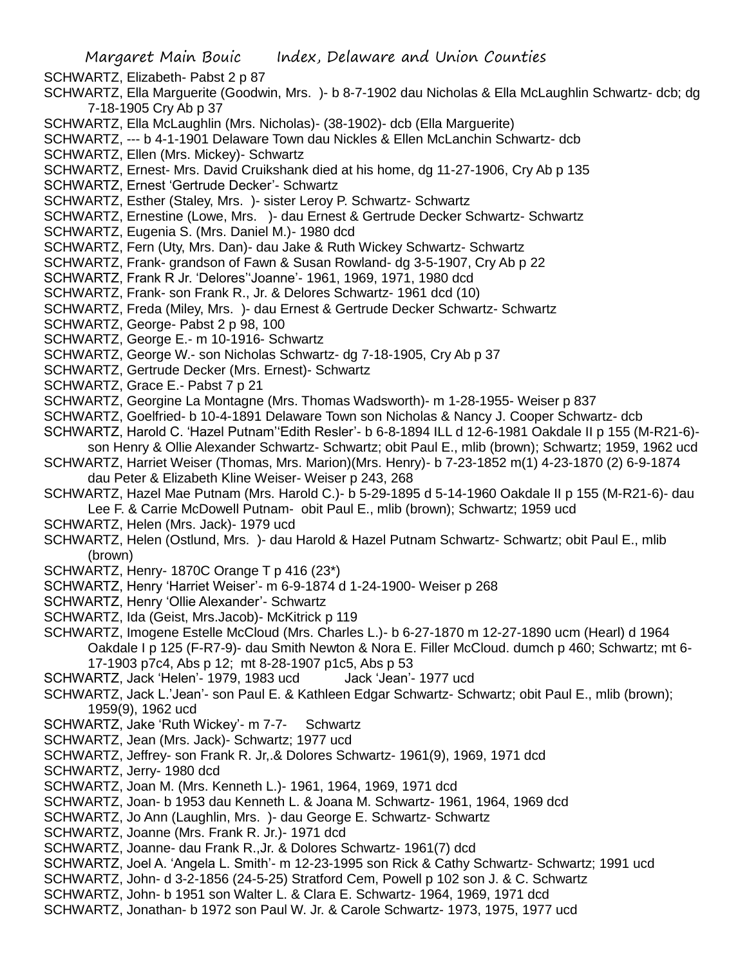SCHWARTZ, Elizabeth- Pabst 2 p 87

- SCHWARTZ, Ella Marguerite (Goodwin, Mrs. )- b 8-7-1902 dau Nicholas & Ella McLaughlin Schwartz- dcb; dg 7-18-1905 Cry Ab p 37
- SCHWARTZ, Ella McLaughlin (Mrs. Nicholas)- (38-1902)- dcb (Ella Marguerite)
- SCHWARTZ, --- b 4-1-1901 Delaware Town dau Nickles & Ellen McLanchin Schwartz- dcb
- SCHWARTZ, Ellen (Mrs. Mickey)- Schwartz
- SCHWARTZ, Ernest- Mrs. David Cruikshank died at his home, dg 11-27-1906, Cry Ab p 135
- SCHWARTZ, Ernest 'Gertrude Decker'- Schwartz
- SCHWARTZ, Esther (Staley, Mrs. )- sister Leroy P. Schwartz- Schwartz
- SCHWARTZ, Ernestine (Lowe, Mrs. )- dau Ernest & Gertrude Decker Schwartz- Schwartz
- SCHWARTZ, Eugenia S. (Mrs. Daniel M.)- 1980 dcd
- SCHWARTZ, Fern (Uty, Mrs. Dan)- dau Jake & Ruth Wickey Schwartz- Schwartz
- SCHWARTZ, Frank- grandson of Fawn & Susan Rowland- dg 3-5-1907, Cry Ab p 22
- SCHWARTZ, Frank R Jr. 'Delores''Joanne'- 1961, 1969, 1971, 1980 dcd
- SCHWARTZ, Frank- son Frank R., Jr. & Delores Schwartz- 1961 dcd (10)
- SCHWARTZ, Freda (Miley, Mrs. )- dau Ernest & Gertrude Decker Schwartz- Schwartz
- SCHWARTZ, George- Pabst 2 p 98, 100
- SCHWARTZ, George E.- m 10-1916- Schwartz
- SCHWARTZ, George W.- son Nicholas Schwartz- dg 7-18-1905, Cry Ab p 37
- SCHWARTZ, Gertrude Decker (Mrs. Ernest)- Schwartz
- SCHWARTZ, Grace E.- Pabst 7 p 21
- SCHWARTZ, Georgine La Montagne (Mrs. Thomas Wadsworth)- m 1-28-1955- Weiser p 837
- SCHWARTZ, Goelfried- b 10-4-1891 Delaware Town son Nicholas & Nancy J. Cooper Schwartz- dcb
- SCHWARTZ, Harold C. 'Hazel Putnam''Edith Resler'- b 6-8-1894 ILL d 12-6-1981 Oakdale II p 155 (M-R21-6) son Henry & Ollie Alexander Schwartz- Schwartz; obit Paul E., mlib (brown); Schwartz; 1959, 1962 ucd
- SCHWARTZ, Harriet Weiser (Thomas, Mrs. Marion)(Mrs. Henry)- b 7-23-1852 m(1) 4-23-1870 (2) 6-9-1874 dau Peter & Elizabeth Kline Weiser- Weiser p 243, 268
- SCHWARTZ, Hazel Mae Putnam (Mrs. Harold C.)- b 5-29-1895 d 5-14-1960 Oakdale II p 155 (M-R21-6)- dau
	- Lee F. & Carrie McDowell Putnam- obit Paul E., mlib (brown); Schwartz; 1959 ucd
- SCHWARTZ, Helen (Mrs. Jack)- 1979 ucd
- SCHWARTZ, Helen (Ostlund, Mrs. )- dau Harold & Hazel Putnam Schwartz- Schwartz; obit Paul E., mlib (brown)
- SCHWARTZ, Henry- 1870C Orange T p 416 (23\*)
- SCHWARTZ, Henry 'Harriet Weiser'- m 6-9-1874 d 1-24-1900- Weiser p 268
- SCHWARTZ, Henry 'Ollie Alexander'- Schwartz
- SCHWARTZ, Ida (Geist, Mrs.Jacob)- McKitrick p 119
- SCHWARTZ, Imogene Estelle McCloud (Mrs. Charles L.)- b 6-27-1870 m 12-27-1890 ucm (Hearl) d 1964 Oakdale I p 125 (F-R7-9)- dau Smith Newton & Nora E. Filler McCloud. dumch p 460; Schwartz; mt 6- 17-1903 p7c4, Abs p 12; mt 8-28-1907 p1c5, Abs p 53
- SCHWARTZ, Jack 'Helen'- 1979, 1983 ucd Jack 'Jean'- 1977 ucd
- SCHWARTZ, Jack L.'Jean'- son Paul E. & Kathleen Edgar Schwartz- Schwartz; obit Paul E., mlib (brown); 1959(9), 1962 ucd
- SCHWARTZ, Jake 'Ruth Wickey'- m 7-7- Schwartz
- SCHWARTZ, Jean (Mrs. Jack)- Schwartz; 1977 ucd
- SCHWARTZ, Jeffrey- son Frank R. Jr,.& Dolores Schwartz- 1961(9), 1969, 1971 dcd
- SCHWARTZ, Jerry- 1980 dcd
- SCHWARTZ, Joan M. (Mrs. Kenneth L.)- 1961, 1964, 1969, 1971 dcd
- SCHWARTZ, Joan- b 1953 dau Kenneth L. & Joana M. Schwartz- 1961, 1964, 1969 dcd
- SCHWARTZ, Jo Ann (Laughlin, Mrs. )- dau George E. Schwartz- Schwartz
- SCHWARTZ, Joanne (Mrs. Frank R. Jr.)- 1971 dcd
- SCHWARTZ, Joanne- dau Frank R.,Jr. & Dolores Schwartz- 1961(7) dcd
- SCHWARTZ, Joel A. 'Angela L. Smith'- m 12-23-1995 son Rick & Cathy Schwartz- Schwartz; 1991 ucd
- SCHWARTZ, John- d 3-2-1856 (24-5-25) Stratford Cem, Powell p 102 son J. & C. Schwartz
- SCHWARTZ, John- b 1951 son Walter L. & Clara E. Schwartz- 1964, 1969, 1971 dcd
- SCHWARTZ, Jonathan- b 1972 son Paul W. Jr. & Carole Schwartz- 1973, 1975, 1977 ucd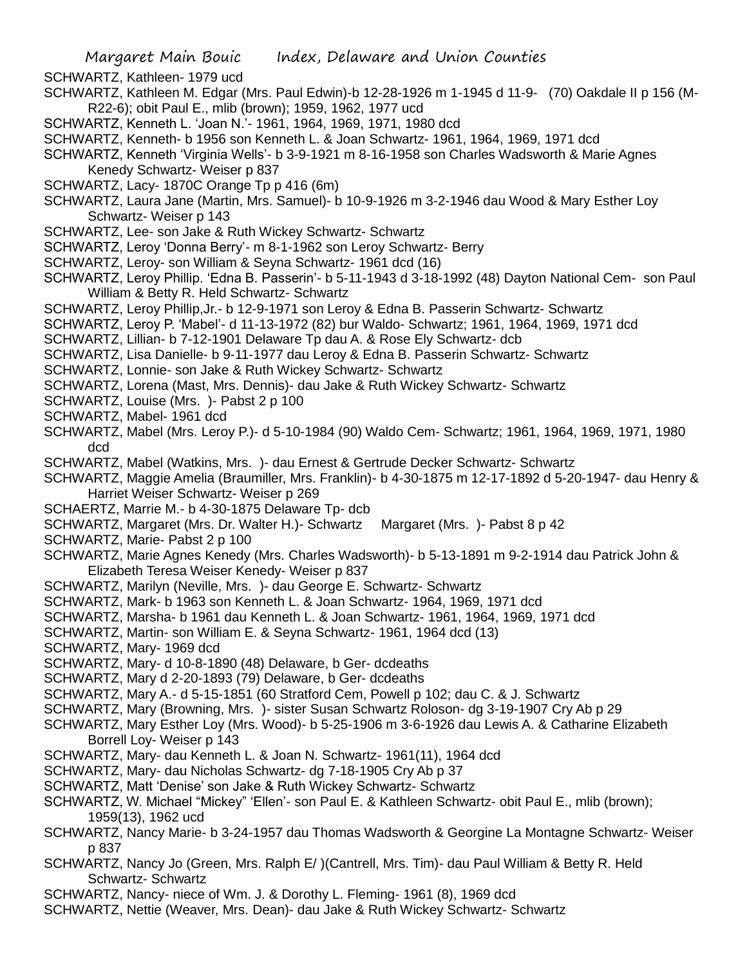SCHWARTZ, Kathleen- 1979 ucd

- SCHWARTZ, Kathleen M. Edgar (Mrs. Paul Edwin)-b 12-28-1926 m 1-1945 d 11-9- (70) Oakdale II p 156 (M-R22-6); obit Paul E., mlib (brown); 1959, 1962, 1977 ucd
- SCHWARTZ, Kenneth L. 'Joan N.'- 1961, 1964, 1969, 1971, 1980 dcd
- SCHWARTZ, Kenneth- b 1956 son Kenneth L. & Joan Schwartz- 1961, 1964, 1969, 1971 dcd
- SCHWARTZ, Kenneth 'Virginia Wells'- b 3-9-1921 m 8-16-1958 son Charles Wadsworth & Marie Agnes Kenedy Schwartz- Weiser p 837
- SCHWARTZ, Lacy- 1870C Orange Tp p 416 (6m)
- SCHWARTZ, Laura Jane (Martin, Mrs. Samuel)- b 10-9-1926 m 3-2-1946 dau Wood & Mary Esther Loy Schwartz- Weiser p 143
- SCHWARTZ, Lee- son Jake & Ruth Wickey Schwartz- Schwartz
- SCHWARTZ, Leroy 'Donna Berry'- m 8-1-1962 son Leroy Schwartz- Berry
- SCHWARTZ, Leroy- son William & Seyna Schwartz- 1961 dcd (16)
- SCHWARTZ, Leroy Phillip. 'Edna B. Passerin'- b 5-11-1943 d 3-18-1992 (48) Dayton National Cem- son Paul William & Betty R. Held Schwartz- Schwartz
- SCHWARTZ, Leroy Phillip,Jr.- b 12-9-1971 son Leroy & Edna B. Passerin Schwartz- Schwartz
- SCHWARTZ, Leroy P. 'Mabel'- d 11-13-1972 (82) bur Waldo- Schwartz; 1961, 1964, 1969, 1971 dcd
- SCHWARTZ, Lillian- b 7-12-1901 Delaware Tp dau A. & Rose Ely Schwartz- dcb
- SCHWARTZ, Lisa Danielle- b 9-11-1977 dau Leroy & Edna B. Passerin Schwartz- Schwartz
- SCHWARTZ, Lonnie- son Jake & Ruth Wickey Schwartz- Schwartz
- SCHWARTZ, Lorena (Mast, Mrs. Dennis)- dau Jake & Ruth Wickey Schwartz- Schwartz
- SCHWARTZ, Louise (Mrs. )- Pabst 2 p 100
- SCHWARTZ, Mabel- 1961 dcd
- SCHWARTZ, Mabel (Mrs. Leroy P.)- d 5-10-1984 (90) Waldo Cem- Schwartz; 1961, 1964, 1969, 1971, 1980 dcd
- SCHWARTZ, Mabel (Watkins, Mrs. )- dau Ernest & Gertrude Decker Schwartz- Schwartz
- SCHWARTZ, Maggie Amelia (Braumiller, Mrs. Franklin)- b 4-30-1875 m 12-17-1892 d 5-20-1947- dau Henry & Harriet Weiser Schwartz- Weiser p 269
- SCHAERTZ, Marrie M.- b 4-30-1875 Delaware Tp- dcb
- SCHWARTZ, Margaret (Mrs. Dr. Walter H.)- Schwartz Margaret (Mrs. )- Pabst 8 p 42
- SCHWARTZ, Marie- Pabst 2 p 100
- SCHWARTZ, Marie Agnes Kenedy (Mrs. Charles Wadsworth)- b 5-13-1891 m 9-2-1914 dau Patrick John & Elizabeth Teresa Weiser Kenedy- Weiser p 837
- SCHWARTZ, Marilyn (Neville, Mrs. )- dau George E. Schwartz- Schwartz
- SCHWARTZ, Mark- b 1963 son Kenneth L. & Joan Schwartz- 1964, 1969, 1971 dcd
- SCHWARTZ, Marsha- b 1961 dau Kenneth L. & Joan Schwartz- 1961, 1964, 1969, 1971 dcd
- SCHWARTZ, Martin- son William E. & Seyna Schwartz- 1961, 1964 dcd (13)
- SCHWARTZ, Mary- 1969 dcd
- SCHWARTZ, Mary- d 10-8-1890 (48) Delaware, b Ger- dcdeaths
- SCHWARTZ, Mary d 2-20-1893 (79) Delaware, b Ger- dcdeaths
- SCHWARTZ, Mary A.- d 5-15-1851 (60 Stratford Cem, Powell p 102; dau C. & J. Schwartz
- SCHWARTZ, Mary (Browning, Mrs. )- sister Susan Schwartz Roloson- dg 3-19-1907 Cry Ab p 29
- SCHWARTZ, Mary Esther Loy (Mrs. Wood)- b 5-25-1906 m 3-6-1926 dau Lewis A. & Catharine Elizabeth Borrell Loy- Weiser p 143
- SCHWARTZ, Mary- dau Kenneth L. & Joan N. Schwartz- 1961(11), 1964 dcd
- SCHWARTZ, Mary- dau Nicholas Schwartz- dg 7-18-1905 Cry Ab p 37
- SCHWARTZ, Matt 'Denise' son Jake & Ruth Wickey Schwartz- Schwartz
- SCHWARTZ, W. Michael "Mickey" 'Ellen'- son Paul E. & Kathleen Schwartz- obit Paul E., mlib (brown); 1959(13), 1962 ucd
- SCHWARTZ, Nancy Marie- b 3-24-1957 dau Thomas Wadsworth & Georgine La Montagne Schwartz- Weiser p 837
- SCHWARTZ, Nancy Jo (Green, Mrs. Ralph E/ )(Cantrell, Mrs. Tim)- dau Paul William & Betty R. Held Schwartz- Schwartz
- SCHWARTZ, Nancy- niece of Wm. J. & Dorothy L. Fleming- 1961 (8), 1969 dcd
- SCHWARTZ, Nettie (Weaver, Mrs. Dean)- dau Jake & Ruth Wickey Schwartz- Schwartz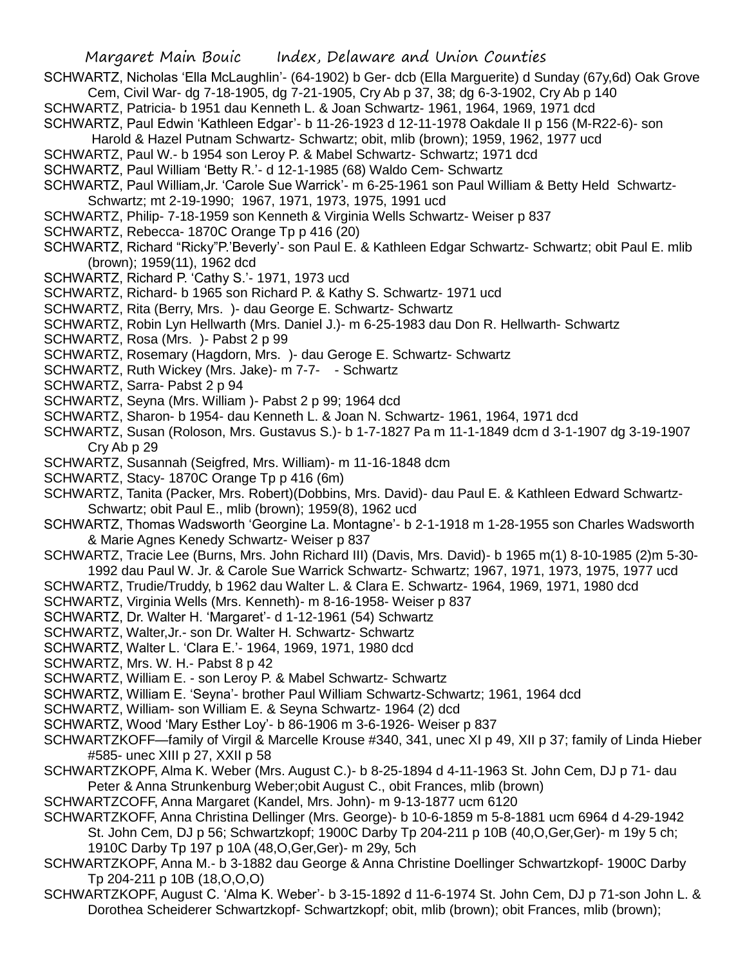- SCHWARTZ, Nicholas 'Ella McLaughlin'- (64-1902) b Ger- dcb (Ella Marguerite) d Sunday (67y,6d) Oak Grove Cem, Civil War- dg 7-18-1905, dg 7-21-1905, Cry Ab p 37, 38; dg 6-3-1902, Cry Ab p 140
- SCHWARTZ, Patricia- b 1951 dau Kenneth L. & Joan Schwartz- 1961, 1964, 1969, 1971 dcd
- SCHWARTZ, Paul Edwin 'Kathleen Edgar'- b 11-26-1923 d 12-11-1978 Oakdale II p 156 (M-R22-6)- son Harold & Hazel Putnam Schwartz- Schwartz; obit, mlib (brown); 1959, 1962, 1977 ucd
- SCHWARTZ, Paul W.- b 1954 son Leroy P. & Mabel Schwartz- Schwartz; 1971 dcd
- SCHWARTZ, Paul William 'Betty R.'- d 12-1-1985 (68) Waldo Cem- Schwartz
- SCHWARTZ, Paul William,Jr. 'Carole Sue Warrick'- m 6-25-1961 son Paul William & Betty Held Schwartz-Schwartz; mt 2-19-1990; 1967, 1971, 1973, 1975, 1991 ucd
- SCHWARTZ, Philip- 7-18-1959 son Kenneth & Virginia Wells Schwartz- Weiser p 837
- SCHWARTZ, Rebecca- 1870C Orange Tp p 416 (20)
- SCHWARTZ, Richard "Ricky"P.'Beverly'- son Paul E. & Kathleen Edgar Schwartz- Schwartz; obit Paul E. mlib (brown); 1959(11), 1962 dcd
- SCHWARTZ, Richard P. 'Cathy S.'- 1971, 1973 ucd
- SCHWARTZ, Richard- b 1965 son Richard P. & Kathy S. Schwartz- 1971 ucd
- SCHWARTZ, Rita (Berry, Mrs. )- dau George E. Schwartz- Schwartz
- SCHWARTZ, Robin Lyn Hellwarth (Mrs. Daniel J.)- m 6-25-1983 dau Don R. Hellwarth- Schwartz
- SCHWARTZ, Rosa (Mrs. )- Pabst 2 p 99
- SCHWARTZ, Rosemary (Hagdorn, Mrs. )- dau Geroge E. Schwartz- Schwartz
- SCHWARTZ, Ruth Wickey (Mrs. Jake)- m 7-7- Schwartz
- SCHWARTZ, Sarra- Pabst 2 p 94
- SCHWARTZ, Seyna (Mrs. William )- Pabst 2 p 99; 1964 dcd
- SCHWARTZ, Sharon- b 1954- dau Kenneth L. & Joan N. Schwartz- 1961, 1964, 1971 dcd
- SCHWARTZ, Susan (Roloson, Mrs. Gustavus S.)- b 1-7-1827 Pa m 11-1-1849 dcm d 3-1-1907 dg 3-19-1907 Cry Ab p 29
- SCHWARTZ, Susannah (Seigfred, Mrs. William)- m 11-16-1848 dcm
- SCHWARTZ, Stacy- 1870C Orange Tp p 416 (6m)
- SCHWARTZ, Tanita (Packer, Mrs. Robert)(Dobbins, Mrs. David)- dau Paul E. & Kathleen Edward Schwartz-Schwartz; obit Paul E., mlib (brown); 1959(8), 1962 ucd
- SCHWARTZ, Thomas Wadsworth 'Georgine La. Montagne'- b 2-1-1918 m 1-28-1955 son Charles Wadsworth & Marie Agnes Kenedy Schwartz- Weiser p 837
- SCHWARTZ, Tracie Lee (Burns, Mrs. John Richard III) (Davis, Mrs. David)- b 1965 m(1) 8-10-1985 (2)m 5-30-
- 1992 dau Paul W. Jr. & Carole Sue Warrick Schwartz- Schwartz; 1967, 1971, 1973, 1975, 1977 ucd
- SCHWARTZ, Trudie/Truddy, b 1962 dau Walter L. & Clara E. Schwartz- 1964, 1969, 1971, 1980 dcd
- SCHWARTZ, Virginia Wells (Mrs. Kenneth)- m 8-16-1958- Weiser p 837
- SCHWARTZ, Dr. Walter H. 'Margaret'- d 1-12-1961 (54) Schwartz
- SCHWARTZ, Walter,Jr.- son Dr. Walter H. Schwartz- Schwartz
- SCHWARTZ, Walter L. 'Clara E.'- 1964, 1969, 1971, 1980 dcd
- SCHWARTZ, Mrs. W. H.- Pabst 8 p 42
- SCHWARTZ, William E. son Leroy P. & Mabel Schwartz- Schwartz
- SCHWARTZ, William E. 'Seyna'- brother Paul William Schwartz-Schwartz; 1961, 1964 dcd
- SCHWARTZ, William- son William E. & Seyna Schwartz- 1964 (2) dcd
- SCHWARTZ, Wood 'Mary Esther Loy'- b 86-1906 m 3-6-1926- Weiser p 837
- SCHWARTZKOFF—family of Virgil & Marcelle Krouse #340, 341, unec XI p 49, XII p 37; family of Linda Hieber #585- unec XIII p 27, XXII p 58
- SCHWARTZKOPF, Alma K. Weber (Mrs. August C.)- b 8-25-1894 d 4-11-1963 St. John Cem, DJ p 71- dau Peter & Anna Strunkenburg Weber;obit August C., obit Frances, mlib (brown)
- SCHWARTZCOFF, Anna Margaret (Kandel, Mrs. John)- m 9-13-1877 ucm 6120
- SCHWARTZKOFF, Anna Christina Dellinger (Mrs. George)- b 10-6-1859 m 5-8-1881 ucm 6964 d 4-29-1942
- St. John Cem, DJ p 56; Schwartzkopf; 1900C Darby Tp 204-211 p 10B (40,O,Ger,Ger)- m 19y 5 ch; 1910C Darby Tp 197 p 10A (48,O,Ger,Ger)- m 29y, 5ch
- SCHWARTZKOPF, Anna M.- b 3-1882 dau George & Anna Christine Doellinger Schwartzkopf- 1900C Darby Tp 204-211 p 10B (18,O,O,O)
- SCHWARTZKOPF, August C. 'Alma K. Weber'- b 3-15-1892 d 11-6-1974 St. John Cem, DJ p 71-son John L. & Dorothea Scheiderer Schwartzkopf- Schwartzkopf; obit, mlib (brown); obit Frances, mlib (brown);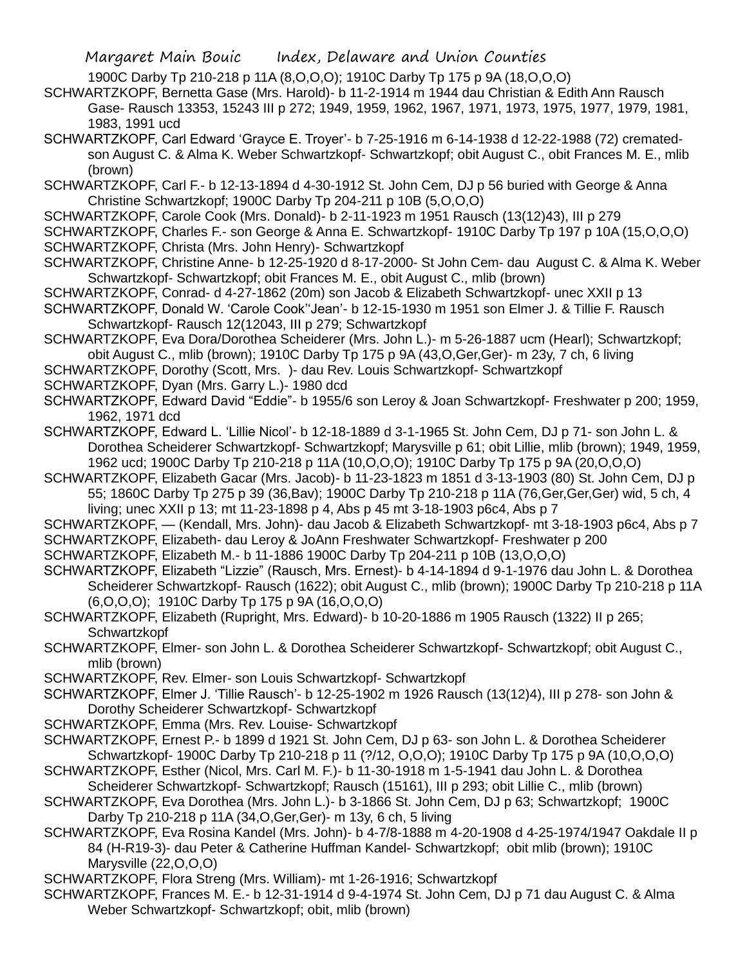- 1900C Darby Tp 210-218 p 11A (8,O,O,O); 1910C Darby Tp 175 p 9A (18,O,O,O)
- SCHWARTZKOPF, Bernetta Gase (Mrs. Harold)- b 11-2-1914 m 1944 dau Christian & Edith Ann Rausch Gase- Rausch 13353, 15243 III p 272; 1949, 1959, 1962, 1967, 1971, 1973, 1975, 1977, 1979, 1981, 1983, 1991 ucd
- SCHWARTZKOPF, Carl Edward 'Grayce E. Troyer'- b 7-25-1916 m 6-14-1938 d 12-22-1988 (72) crematedson August C. & Alma K. Weber Schwartzkopf- Schwartzkopf; obit August C., obit Frances M. E., mlib (brown)
- SCHWARTZKOPF, Carl F.- b 12-13-1894 d 4-30-1912 St. John Cem, DJ p 56 buried with George & Anna Christine Schwartzkopf; 1900C Darby Tp 204-211 p 10B (5,O,O,O)
- SCHWARTZKOPF, Carole Cook (Mrs. Donald)- b 2-11-1923 m 1951 Rausch (13(12)43), III p 279
- SCHWARTZKOPF, Charles F.- son George & Anna E. Schwartzkopf- 1910C Darby Tp 197 p 10A (15,O,O,O) SCHWARTZKOPF, Christa (Mrs. John Henry)- Schwartzkopf
- SCHWARTZKOPF, Christine Anne- b 12-25-1920 d 8-17-2000- St John Cem- dau August C. & Alma K. Weber Schwartzkopf- Schwartzkopf; obit Frances M. E., obit August C., mlib (brown)
- SCHWARTZKOPF, Conrad- d 4-27-1862 (20m) son Jacob & Elizabeth Schwartzkopf- unec XXII p 13
- SCHWARTZKOPF, Donald W. 'Carole Cook''Jean'- b 12-15-1930 m 1951 son Elmer J. & Tillie F. Rausch Schwartzkopf- Rausch 12(12043, III p 279; Schwartzkopf
- SCHWARTZKOPF, Eva Dora/Dorothea Scheiderer (Mrs. John L.)- m 5-26-1887 ucm (Hearl); Schwartzkopf; obit August C., mlib (brown); 1910C Darby Tp 175 p 9A (43,O,Ger,Ger)- m 23y, 7 ch, 6 living
- SCHWARTZKOPF, Dorothy (Scott, Mrs. )- dau Rev. Louis Schwartzkopf- Schwartzkopf
- SCHWARTZKOPF, Dyan (Mrs. Garry L.)- 1980 dcd
- SCHWARTZKOPF, Edward David "Eddie"- b 1955/6 son Leroy & Joan Schwartzkopf- Freshwater p 200; 1959, 1962, 1971 dcd
- SCHWARTZKOPF, Edward L. 'Lillie Nicol'- b 12-18-1889 d 3-1-1965 St. John Cem, DJ p 71- son John L. & Dorothea Scheiderer Schwartzkopf- Schwartzkopf; Marysville p 61; obit Lillie, mlib (brown); 1949, 1959, 1962 ucd; 1900C Darby Tp 210-218 p 11A (10,O,O,O); 1910C Darby Tp 175 p 9A (20,O,O,O)
- SCHWARTZKOPF, Elizabeth Gacar (Mrs. Jacob)- b 11-23-1823 m 1851 d 3-13-1903 (80) St. John Cem, DJ p 55; 1860C Darby Tp 275 p 39 (36,Bav); 1900C Darby Tp 210-218 p 11A (76,Ger,Ger,Ger) wid, 5 ch, 4 living; unec XXII p 13; mt 11-23-1898 p 4, Abs p 45 mt 3-18-1903 p6c4, Abs p 7
- SCHWARTZKOPF, (Kendall, Mrs. John)- dau Jacob & Elizabeth Schwartzkopf- mt 3-18-1903 p6c4, Abs p 7 SCHWARTZKOPF, Elizabeth- dau Leroy & JoAnn Freshwater Schwartzkopf- Freshwater p 200
- SCHWARTZKOPF, Elizabeth M.- b 11-1886 1900C Darby Tp 204-211 p 10B (13,O,O,O)
- SCHWARTZKOPF, Elizabeth "Lizzie" (Rausch, Mrs. Ernest)- b 4-14-1894 d 9-1-1976 dau John L. & Dorothea Scheiderer Schwartzkopf- Rausch (1622); obit August C., mlib (brown); 1900C Darby Tp 210-218 p 11A (6,O,O,O); 1910C Darby Tp 175 p 9A (16,O,O,O)
- SCHWARTZKOPF, Elizabeth (Rupright, Mrs. Edward)- b 10-20-1886 m 1905 Rausch (1322) II p 265; Schwartzkopf
- SCHWARTZKOPF, Elmer- son John L. & Dorothea Scheiderer Schwartzkopf- Schwartzkopf; obit August C., mlib (brown)
- SCHWARTZKOPF, Rev. Elmer- son Louis Schwartzkopf- Schwartzkopf
- SCHWARTZKOPF, Elmer J. 'Tillie Rausch'- b 12-25-1902 m 1926 Rausch (13(12)4), III p 278- son John & Dorothy Scheiderer Schwartzkopf- Schwartzkopf
- SCHWARTZKOPF, Emma (Mrs. Rev. Louise- Schwartzkopf
- SCHWARTZKOPF, Ernest P.- b 1899 d 1921 St. John Cem, DJ p 63- son John L. & Dorothea Scheiderer Schwartzkopf- 1900C Darby Tp 210-218 p 11 (?/12, O,O,O); 1910C Darby Tp 175 p 9A (10,O,O,O)
- SCHWARTZKOPF, Esther (Nicol, Mrs. Carl M. F.)- b 11-30-1918 m 1-5-1941 dau John L. & Dorothea Scheiderer Schwartzkopf- Schwartzkopf; Rausch (15161), III p 293; obit Lillie C., mlib (brown)
- SCHWARTZKOPF, Eva Dorothea (Mrs. John L.)- b 3-1866 St. John Cem, DJ p 63; Schwartzkopf; 1900C Darby Tp 210-218 p 11A (34,O,Ger,Ger)- m 13y, 6 ch, 5 living
- SCHWARTZKOPF, Eva Rosina Kandel (Mrs. John)- b 4-7/8-1888 m 4-20-1908 d 4-25-1974/1947 Oakdale II p 84 (H-R19-3)- dau Peter & Catherine Huffman Kandel- Schwartzkopf; obit mlib (brown); 1910C Marysville (22,O,O,O)
- SCHWARTZKOPF, Flora Streng (Mrs. William)- mt 1-26-1916; Schwartzkopf
- SCHWARTZKOPF, Frances M. E.- b 12-31-1914 d 9-4-1974 St. John Cem, DJ p 71 dau August C. & Alma Weber Schwartzkopf- Schwartzkopf; obit, mlib (brown)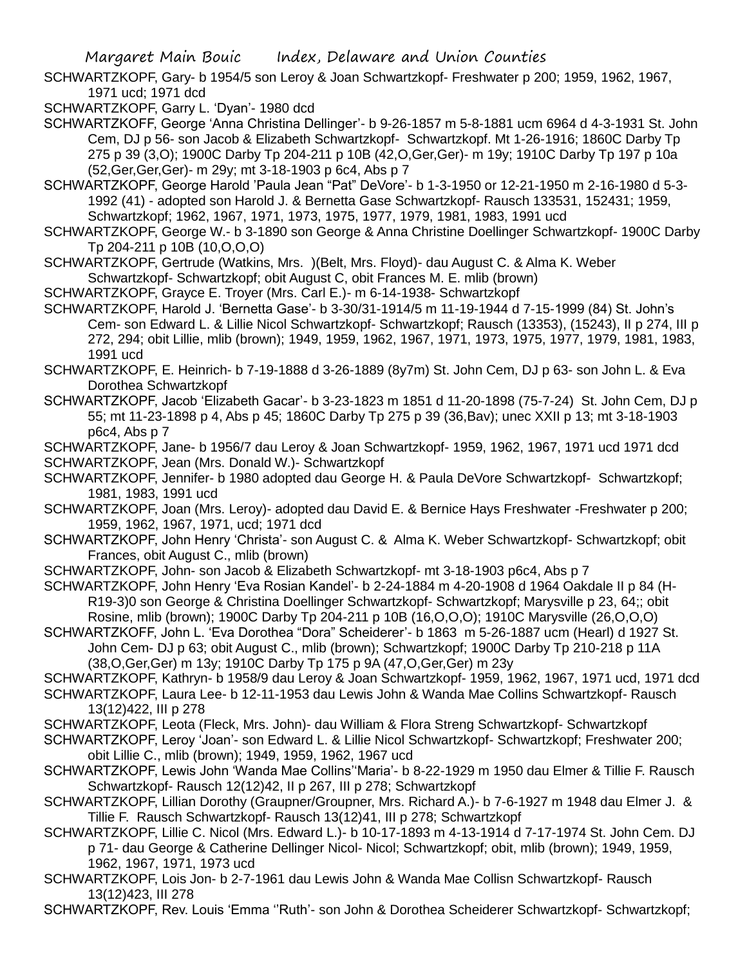SCHWARTZKOPF, Gary- b 1954/5 son Leroy & Joan Schwartzkopf- Freshwater p 200; 1959, 1962, 1967, 1971 ucd; 1971 dcd

SCHWARTZKOPF, Garry L. 'Dyan'- 1980 dcd

SCHWARTZKOFF, George 'Anna Christina Dellinger'- b 9-26-1857 m 5-8-1881 ucm 6964 d 4-3-1931 St. John Cem, DJ p 56- son Jacob & Elizabeth Schwartzkopf- Schwartzkopf. Mt 1-26-1916; 1860C Darby Tp 275 p 39 (3,O); 1900C Darby Tp 204-211 p 10B (42,O,Ger,Ger)- m 19y; 1910C Darby Tp 197 p 10a (52,Ger,Ger,Ger)- m 29y; mt 3-18-1903 p 6c4, Abs p 7

SCHWARTZKOPF, George Harold 'Paula Jean "Pat" DeVore'- b 1-3-1950 or 12-21-1950 m 2-16-1980 d 5-3- 1992 (41) - adopted son Harold J. & Bernetta Gase Schwartzkopf- Rausch 133531, 152431; 1959, Schwartzkopf; 1962, 1967, 1971, 1973, 1975, 1977, 1979, 1981, 1983, 1991 ucd

SCHWARTZKOPF, George W.- b 3-1890 son George & Anna Christine Doellinger Schwartzkopf- 1900C Darby Tp 204-211 p 10B (10,O,O,O)

SCHWARTZKOPF, Gertrude (Watkins, Mrs. )(Belt, Mrs. Floyd)- dau August C. & Alma K. Weber Schwartzkopf- Schwartzkopf; obit August C, obit Frances M. E. mlib (brown)

SCHWARTZKOPF, Grayce E. Troyer (Mrs. Carl E.)- m 6-14-1938- Schwartzkopf

SCHWARTZKOPF, Harold J. 'Bernetta Gase'- b 3-30/31-1914/5 m 11-19-1944 d 7-15-1999 (84) St. John's Cem- son Edward L. & Lillie Nicol Schwartzkopf- Schwartzkopf; Rausch (13353), (15243), II p 274, III p 272, 294; obit Lillie, mlib (brown); 1949, 1959, 1962, 1967, 1971, 1973, 1975, 1977, 1979, 1981, 1983, 1991 ucd

SCHWARTZKOPF, E. Heinrich- b 7-19-1888 d 3-26-1889 (8y7m) St. John Cem, DJ p 63- son John L. & Eva Dorothea Schwartzkopf

SCHWARTZKOPF, Jacob 'Elizabeth Gacar'- b 3-23-1823 m 1851 d 11-20-1898 (75-7-24) St. John Cem, DJ p 55; mt 11-23-1898 p 4, Abs p 45; 1860C Darby Tp 275 p 39 (36,Bav); unec XXII p 13; mt 3-18-1903 p6c4, Abs p 7

SCHWARTZKOPF, Jane- b 1956/7 dau Leroy & Joan Schwartzkopf- 1959, 1962, 1967, 1971 ucd 1971 dcd SCHWARTZKOPF, Jean (Mrs. Donald W.)- Schwartzkopf

SCHWARTZKOPF, Jennifer- b 1980 adopted dau George H. & Paula DeVore Schwartzkopf- Schwartzkopf; 1981, 1983, 1991 ucd

SCHWARTZKOPF, Joan (Mrs. Leroy)- adopted dau David E. & Bernice Hays Freshwater -Freshwater p 200; 1959, 1962, 1967, 1971, ucd; 1971 dcd

SCHWARTZKOPF, John Henry 'Christa'- son August C. & Alma K. Weber Schwartzkopf- Schwartzkopf; obit Frances, obit August C., mlib (brown)

SCHWARTZKOPF, John- son Jacob & Elizabeth Schwartzkopf- mt 3-18-1903 p6c4, Abs p 7

SCHWARTZKOPF, John Henry 'Eva Rosian Kandel'- b 2-24-1884 m 4-20-1908 d 1964 Oakdale II p 84 (H-R19-3)0 son George & Christina Doellinger Schwartzkopf- Schwartzkopf; Marysville p 23, 64;; obit Rosine, mlib (brown); 1900C Darby Tp 204-211 p 10B (16,O,O,O); 1910C Marysville (26,O,O,O)

SCHWARTZKOFF, John L. 'Eva Dorothea "Dora" Scheiderer'- b 1863 m 5-26-1887 ucm (Hearl) d 1927 St. John Cem- DJ p 63; obit August C., mlib (brown); Schwartzkopf; 1900C Darby Tp 210-218 p 11A (38,O,Ger,Ger) m 13y; 1910C Darby Tp 175 p 9A (47,O,Ger,Ger) m 23y

SCHWARTZKOPF, Kathryn- b 1958/9 dau Leroy & Joan Schwartzkopf- 1959, 1962, 1967, 1971 ucd, 1971 dcd

SCHWARTZKOPF, Laura Lee- b 12-11-1953 dau Lewis John & Wanda Mae Collins Schwartzkopf- Rausch 13(12)422, III p 278

SCHWARTZKOPF, Leota (Fleck, Mrs. John)- dau William & Flora Streng Schwartzkopf- Schwartzkopf

SCHWARTZKOPF, Leroy 'Joan'- son Edward L. & Lillie Nicol Schwartzkopf- Schwartzkopf; Freshwater 200; obit Lillie C., mlib (brown); 1949, 1959, 1962, 1967 ucd

- SCHWARTZKOPF, Lewis John 'Wanda Mae Collins''Maria'- b 8-22-1929 m 1950 dau Elmer & Tillie F. Rausch Schwartzkopf- Rausch 12(12)42, II p 267, III p 278; Schwartzkopf
- SCHWARTZKOPF, Lillian Dorothy (Graupner/Groupner, Mrs. Richard A.)- b 7-6-1927 m 1948 dau Elmer J. & Tillie F. Rausch Schwartzkopf- Rausch 13(12)41, III p 278; Schwartzkopf

SCHWARTZKOPF, Lillie C. Nicol (Mrs. Edward L.)- b 10-17-1893 m 4-13-1914 d 7-17-1974 St. John Cem. DJ p 71- dau George & Catherine Dellinger Nicol- Nicol; Schwartzkopf; obit, mlib (brown); 1949, 1959, 1962, 1967, 1971, 1973 ucd

SCHWARTZKOPF, Lois Jon- b 2-7-1961 dau Lewis John & Wanda Mae Collisn Schwartzkopf- Rausch 13(12)423, III 278

SCHWARTZKOPF, Rev. Louis 'Emma ''Ruth'- son John & Dorothea Scheiderer Schwartzkopf- Schwartzkopf;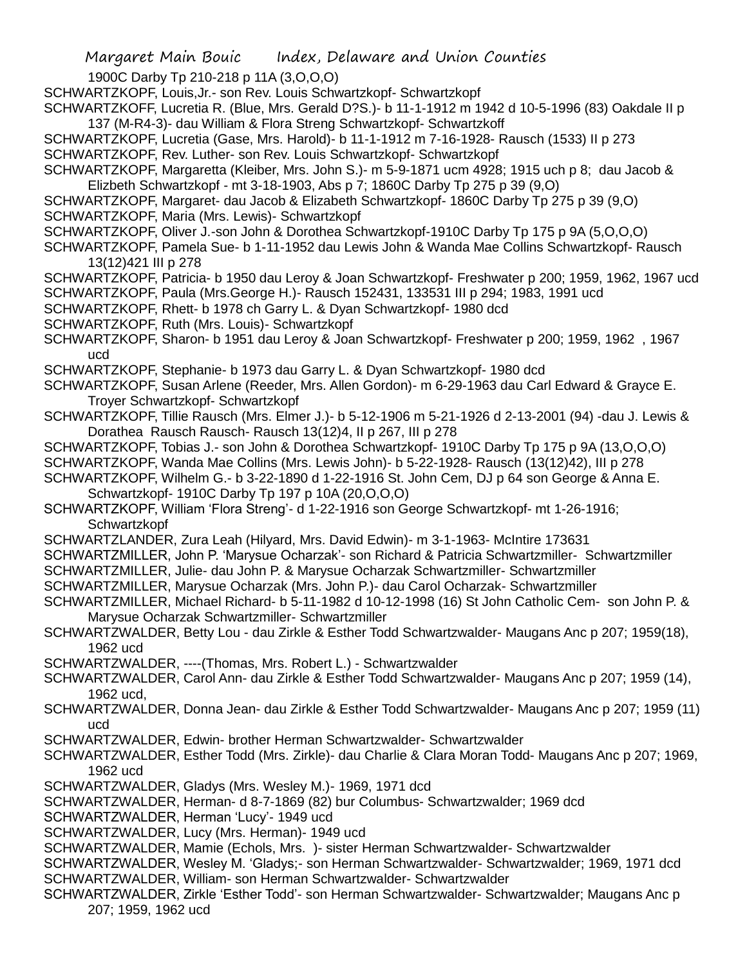1900C Darby Tp 210-218 p 11A (3,O,O,O)

- SCHWARTZKOPF, Louis,Jr.- son Rev. Louis Schwartzkopf- Schwartzkopf
- SCHWARTZKOFF, Lucretia R. (Blue, Mrs. Gerald D?S.)- b 11-1-1912 m 1942 d 10-5-1996 (83) Oakdale II p 137 (M-R4-3)- dau William & Flora Streng Schwartzkopf- Schwartzkoff
- SCHWARTZKOPF, Lucretia (Gase, Mrs. Harold)- b 11-1-1912 m 7-16-1928- Rausch (1533) II p 273 SCHWARTZKOPF, Rev. Luther- son Rev. Louis Schwartzkopf- Schwartzkopf
- SCHWARTZKOPF, Margaretta (Kleiber, Mrs. John S.)- m 5-9-1871 ucm 4928; 1915 uch p 8; dau Jacob & Elizbeth Schwartzkopf - mt 3-18-1903, Abs p 7; 1860C Darby Tp 275 p 39 (9,O)
- SCHWARTZKOPF, Margaret- dau Jacob & Elizabeth Schwartzkopf- 1860C Darby Tp 275 p 39 (9,O)
- SCHWARTZKOPF, Maria (Mrs. Lewis)- Schwartzkopf
- SCHWARTZKOPF, Oliver J.-son John & Dorothea Schwartzkopf-1910C Darby Tp 175 p 9A (5,O,O,O)
- SCHWARTZKOPF, Pamela Sue- b 1-11-1952 dau Lewis John & Wanda Mae Collins Schwartzkopf- Rausch 13(12)421 III p 278
- SCHWARTZKOPF, Patricia- b 1950 dau Leroy & Joan Schwartzkopf- Freshwater p 200; 1959, 1962, 1967 ucd SCHWARTZKOPF, Paula (Mrs.George H.)- Rausch 152431, 133531 III p 294; 1983, 1991 ucd
- SCHWARTZKOPF, Rhett- b 1978 ch Garry L. & Dyan Schwartzkopf- 1980 dcd
- SCHWARTZKOPF, Ruth (Mrs. Louis)- Schwartzkopf
- SCHWARTZKOPF, Sharon- b 1951 dau Leroy & Joan Schwartzkopf- Freshwater p 200; 1959, 1962 , 1967 ucd
- SCHWARTZKOPF, Stephanie- b 1973 dau Garry L. & Dyan Schwartzkopf- 1980 dcd
- SCHWARTZKOPF, Susan Arlene (Reeder, Mrs. Allen Gordon)- m 6-29-1963 dau Carl Edward & Grayce E. Troyer Schwartzkopf- Schwartzkopf
- SCHWARTZKOPF, Tillie Rausch (Mrs. Elmer J.)- b 5-12-1906 m 5-21-1926 d 2-13-2001 (94) -dau J. Lewis & Dorathea Rausch Rausch- Rausch 13(12)4, II p 267, III p 278
- SCHWARTZKOPF, Tobias J.- son John & Dorothea Schwartzkopf- 1910C Darby Tp 175 p 9A (13,O,O,O)
- SCHWARTZKOPF, Wanda Mae Collins (Mrs. Lewis John)- b 5-22-1928- Rausch (13(12)42), III p 278
- SCHWARTZKOPF, Wilhelm G.- b 3-22-1890 d 1-22-1916 St. John Cem, DJ p 64 son George & Anna E.
	- Schwartzkopf- 1910C Darby Tp 197 p 10A (20,O,O,O)
- SCHWARTZKOPF, William 'Flora Streng'- d 1-22-1916 son George Schwartzkopf- mt 1-26-1916; **Schwartzkopf**
- SCHWARTZLANDER, Zura Leah (Hilyard, Mrs. David Edwin)- m 3-1-1963- McIntire 173631
- SCHWARTZMILLER, John P. 'Marysue Ocharzak'- son Richard & Patricia Schwartzmiller- Schwartzmiller
- SCHWARTZMILLER, Julie- dau John P. & Marysue Ocharzak Schwartzmiller- Schwartzmiller
- SCHWARTZMILLER, Marysue Ocharzak (Mrs. John P.)- dau Carol Ocharzak- Schwartzmiller
- SCHWARTZMILLER, Michael Richard- b 5-11-1982 d 10-12-1998 (16) St John Catholic Cem- son John P. & Marysue Ocharzak Schwartzmiller- Schwartzmiller
- SCHWARTZWALDER, Betty Lou dau Zirkle & Esther Todd Schwartzwalder- Maugans Anc p 207; 1959(18), 1962 ucd
- SCHWARTZWALDER, ----(Thomas, Mrs. Robert L.) Schwartzwalder
- SCHWARTZWALDER, Carol Ann- dau Zirkle & Esther Todd Schwartzwalder- Maugans Anc p 207; 1959 (14), 1962 ucd,
- SCHWARTZWALDER, Donna Jean- dau Zirkle & Esther Todd Schwartzwalder- Maugans Anc p 207; 1959 (11) ucd
- SCHWARTZWALDER, Edwin- brother Herman Schwartzwalder- Schwartzwalder
- SCHWARTZWALDER, Esther Todd (Mrs. Zirkle)- dau Charlie & Clara Moran Todd- Maugans Anc p 207; 1969, 1962 ucd
- SCHWARTZWALDER, Gladys (Mrs. Wesley M.)- 1969, 1971 dcd
- SCHWARTZWALDER, Herman- d 8-7-1869 (82) bur Columbus- Schwartzwalder; 1969 dcd
- SCHWARTZWALDER, Herman 'Lucy'- 1949 ucd
- SCHWARTZWALDER, Lucy (Mrs. Herman)- 1949 ucd
- SCHWARTZWALDER, Mamie (Echols, Mrs. )- sister Herman Schwartzwalder- Schwartzwalder
- SCHWARTZWALDER, Wesley M. 'Gladys;- son Herman Schwartzwalder- Schwartzwalder; 1969, 1971 dcd SCHWARTZWALDER, William- son Herman Schwartzwalder- Schwartzwalder
- 
- SCHWARTZWALDER, Zirkle 'Esther Todd'- son Herman Schwartzwalder- Schwartzwalder; Maugans Anc p 207; 1959, 1962 ucd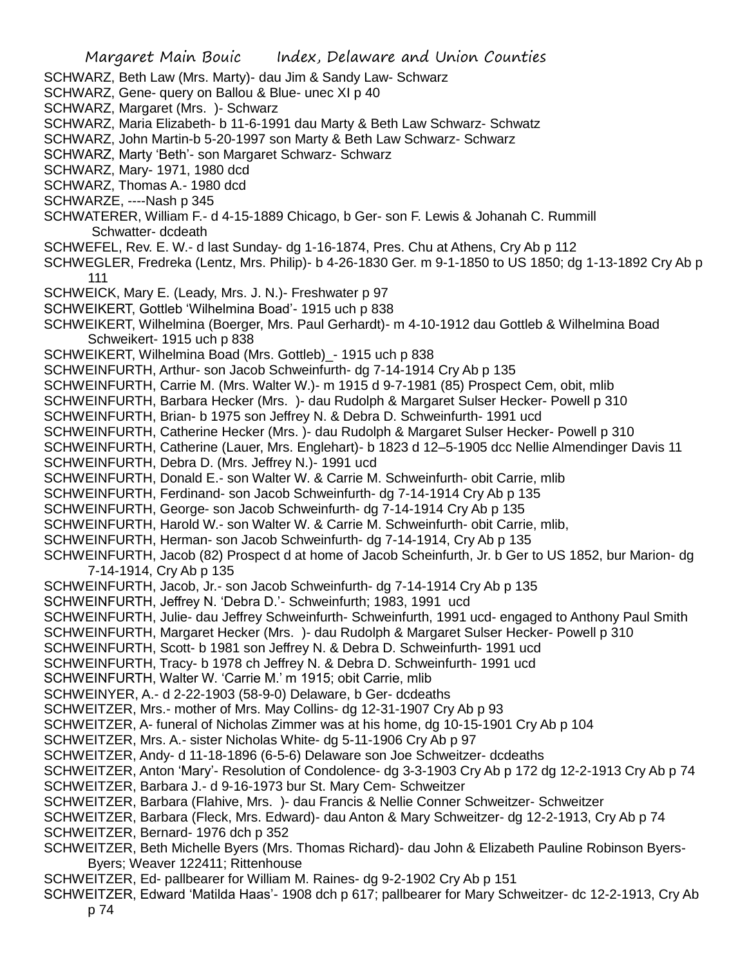SCHWARZ, Beth Law (Mrs. Marty)- dau Jim & Sandy Law- Schwarz

- SCHWARZ, Gene- query on Ballou & Blue- unec XI p 40
- SCHWARZ, Margaret (Mrs. )- Schwarz
- SCHWARZ, Maria Elizabeth- b 11-6-1991 dau Marty & Beth Law Schwarz- Schwatz
- SCHWARZ, John Martin-b 5-20-1997 son Marty & Beth Law Schwarz- Schwarz
- SCHWARZ, Marty 'Beth'- son Margaret Schwarz- Schwarz
- SCHWARZ, Mary- 1971, 1980 dcd
- SCHWARZ, Thomas A.- 1980 dcd
- SCHWARZE, ----Nash p 345
- SCHWATERER, William F.- d 4-15-1889 Chicago, b Ger- son F. Lewis & Johanah C. Rummill Schwatter- dcdeath
- SCHWEFEL, Rev. E. W.- d last Sunday- dg 1-16-1874, Pres. Chu at Athens, Cry Ab p 112
- SCHWEGLER, Fredreka (Lentz, Mrs. Philip)- b 4-26-1830 Ger. m 9-1-1850 to US 1850; dg 1-13-1892 Cry Ab p 111
- SCHWEICK, Mary E. (Leady, Mrs. J. N.)- Freshwater p 97
- SCHWEIKERT, Gottleb 'Wilhelmina Boad'- 1915 uch p 838
- SCHWEIKERT, Wilhelmina (Boerger, Mrs. Paul Gerhardt)- m 4-10-1912 dau Gottleb & Wilhelmina Boad Schweikert- 1915 uch p 838
- SCHWEIKERT, Wilhelmina Boad (Mrs. Gottleb)\_- 1915 uch p 838
- SCHWEINFURTH, Arthur- son Jacob Schweinfurth- dg 7-14-1914 Cry Ab p 135
- SCHWEINFURTH, Carrie M. (Mrs. Walter W.)- m 1915 d 9-7-1981 (85) Prospect Cem, obit, mlib
- SCHWEINFURTH, Barbara Hecker (Mrs. )- dau Rudolph & Margaret Sulser Hecker- Powell p 310
- SCHWEINFURTH, Brian- b 1975 son Jeffrey N. & Debra D. Schweinfurth- 1991 ucd
- SCHWEINFURTH, Catherine Hecker (Mrs. )- dau Rudolph & Margaret Sulser Hecker- Powell p 310
- SCHWEINFURTH, Catherine (Lauer, Mrs. Englehart)- b 1823 d 12–5-1905 dcc Nellie Almendinger Davis 11 SCHWEINFURTH, Debra D. (Mrs. Jeffrey N.)- 1991 ucd
- SCHWEINFURTH, Donald E.- son Walter W. & Carrie M. Schweinfurth- obit Carrie, mlib
- SCHWEINFURTH, Ferdinand- son Jacob Schweinfurth- dg 7-14-1914 Cry Ab p 135
- SCHWEINFURTH, George- son Jacob Schweinfurth- dg 7-14-1914 Cry Ab p 135
- SCHWEINFURTH, Harold W.- son Walter W. & Carrie M. Schweinfurth- obit Carrie, mlib,
- SCHWEINFURTH, Herman- son Jacob Schweinfurth- dg 7-14-1914, Cry Ab p 135
- SCHWEINFURTH, Jacob (82) Prospect d at home of Jacob Scheinfurth, Jr. b Ger to US 1852, bur Marion- dg 7-14-1914, Cry Ab p 135
- SCHWEINFURTH, Jacob, Jr.- son Jacob Schweinfurth- dg 7-14-1914 Cry Ab p 135
- SCHWEINFURTH, Jeffrey N. 'Debra D.'- Schweinfurth; 1983, 1991 ucd
- SCHWEINFURTH, Julie- dau Jeffrey Schweinfurth- Schweinfurth, 1991 ucd- engaged to Anthony Paul Smith
- SCHWEINFURTH, Margaret Hecker (Mrs. )- dau Rudolph & Margaret Sulser Hecker- Powell p 310
- SCHWEINFURTH, Scott- b 1981 son Jeffrey N. & Debra D. Schweinfurth- 1991 ucd
- SCHWEINFURTH, Tracy- b 1978 ch Jeffrey N. & Debra D. Schweinfurth- 1991 ucd
- SCHWEINFURTH, Walter W. 'Carrie M.' m 1915; obit Carrie, mlib
- SCHWEINYER, A.- d 2-22-1903 (58-9-0) Delaware, b Ger- dcdeaths
- SCHWEITZER, Mrs.- mother of Mrs. May Collins- dg 12-31-1907 Cry Ab p 93
- SCHWEITZER, A- funeral of Nicholas Zimmer was at his home, dg 10-15-1901 Cry Ab p 104
- SCHWEITZER, Mrs. A.- sister Nicholas White- dg 5-11-1906 Cry Ab p 97
- SCHWEITZER, Andy- d 11-18-1896 (6-5-6) Delaware son Joe Schweitzer- dcdeaths
- SCHWEITZER, Anton 'Mary'- Resolution of Condolence- dg 3-3-1903 Cry Ab p 172 dg 12-2-1913 Cry Ab p 74
- SCHWEITZER, Barbara J.- d 9-16-1973 bur St. Mary Cem- Schweitzer
- SCHWEITZER, Barbara (Flahive, Mrs. )- dau Francis & Nellie Conner Schweitzer- Schweitzer
- SCHWEITZER, Barbara (Fleck, Mrs. Edward)- dau Anton & Mary Schweitzer- dg 12-2-1913, Cry Ab p 74
- SCHWEITZER, Bernard- 1976 dch p 352
- SCHWEITZER, Beth Michelle Byers (Mrs. Thomas Richard)- dau John & Elizabeth Pauline Robinson Byers-Byers; Weaver 122411; Rittenhouse
- SCHWEITZER, Ed- pallbearer for William M. Raines- dg 9-2-1902 Cry Ab p 151
- SCHWEITZER, Edward 'Matilda Haas'- 1908 dch p 617; pallbearer for Mary Schweitzer- dc 12-2-1913, Cry Ab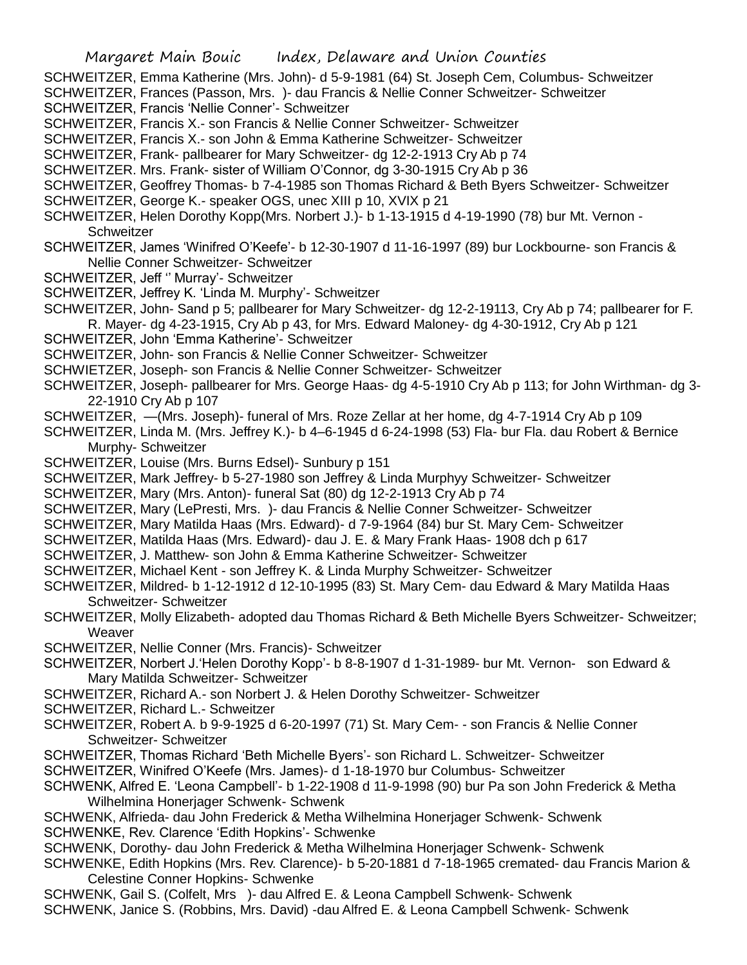- SCHWEITZER, Emma Katherine (Mrs. John)- d 5-9-1981 (64) St. Joseph Cem, Columbus- Schweitzer
- SCHWEITZER, Frances (Passon, Mrs. )- dau Francis & Nellie Conner Schweitzer- Schweitzer
- SCHWEITZER, Francis 'Nellie Conner'- Schweitzer
- SCHWEITZER, Francis X.- son Francis & Nellie Conner Schweitzer- Schweitzer
- SCHWEITZER, Francis X.- son John & Emma Katherine Schweitzer- Schweitzer
- SCHWEITZER, Frank- pallbearer for Mary Schweitzer- dg 12-2-1913 Cry Ab p 74
- SCHWEITZER. Mrs. Frank- sister of William O'Connor, dg 3-30-1915 Cry Ab p 36
- SCHWEITZER, Geoffrey Thomas- b 7-4-1985 son Thomas Richard & Beth Byers Schweitzer- Schweitzer
- SCHWEITZER, George K.- speaker OGS, unec XIII p 10, XVIX p 21
- SCHWEITZER, Helen Dorothy Kopp(Mrs. Norbert J.)- b 1-13-1915 d 4-19-1990 (78) bur Mt. Vernon **Schweitzer**
- SCHWEITZER, James 'Winifred O'Keefe'- b 12-30-1907 d 11-16-1997 (89) bur Lockbourne- son Francis & Nellie Conner Schweitzer- Schweitzer
- SCHWEITZER, Jeff '' Murray'- Schweitzer
- SCHWEITZER, Jeffrey K. 'Linda M. Murphy'- Schweitzer
- SCHWEITZER, John- Sand p 5; pallbearer for Mary Schweitzer- dg 12-2-19113, Cry Ab p 74; pallbearer for F. R. Mayer- dg 4-23-1915, Cry Ab p 43, for Mrs. Edward Maloney- dg 4-30-1912, Cry Ab p 121
- SCHWEITZER, John 'Emma Katherine'- Schweitzer
- SCHWEITZER, John- son Francis & Nellie Conner Schweitzer- Schweitzer
- SCHWIETZER, Joseph- son Francis & Nellie Conner Schweitzer- Schweitzer
- SCHWEITZER, Joseph- pallbearer for Mrs. George Haas- dg 4-5-1910 Cry Ab p 113; for John Wirthman- dg 3- 22-1910 Cry Ab p 107
- SCHWEITZER, —(Mrs. Joseph)- funeral of Mrs. Roze Zellar at her home, dg 4-7-1914 Cry Ab p 109
- SCHWEITZER, Linda M. (Mrs. Jeffrey K.)- b 4–6-1945 d 6-24-1998 (53) Fla- bur Fla. dau Robert & Bernice Murphy- Schweitzer
- SCHWEITZER, Louise (Mrs. Burns Edsel)- Sunbury p 151
- SCHWEITZER, Mark Jeffrey- b 5-27-1980 son Jeffrey & Linda Murphyy Schweitzer- Schweitzer
- SCHWEITZER, Mary (Mrs. Anton)- funeral Sat (80) dg 12-2-1913 Cry Ab p 74
- SCHWEITZER, Mary (LePresti, Mrs. )- dau Francis & Nellie Conner Schweitzer- Schweitzer
- SCHWEITZER, Mary Matilda Haas (Mrs. Edward)- d 7-9-1964 (84) bur St. Mary Cem- Schweitzer
- SCHWEITZER, Matilda Haas (Mrs. Edward)- dau J. E. & Mary Frank Haas- 1908 dch p 617
- SCHWEITZER, J. Matthew- son John & Emma Katherine Schweitzer- Schweitzer
- SCHWEITZER, Michael Kent son Jeffrey K. & Linda Murphy Schweitzer- Schweitzer
- SCHWEITZER, Mildred- b 1-12-1912 d 12-10-1995 (83) St. Mary Cem- dau Edward & Mary Matilda Haas Schweitzer- Schweitzer
- SCHWEITZER, Molly Elizabeth- adopted dau Thomas Richard & Beth Michelle Byers Schweitzer- Schweitzer; **Weaver**
- SCHWEITZER, Nellie Conner (Mrs. Francis)- Schweitzer
- SCHWEITZER, Norbert J.'Helen Dorothy Kopp'- b 8-8-1907 d 1-31-1989- bur Mt. Vernon- son Edward & Mary Matilda Schweitzer- Schweitzer
- SCHWEITZER, Richard A.- son Norbert J. & Helen Dorothy Schweitzer- Schweitzer
- SCHWEITZER, Richard L.- Schweitzer
- SCHWEITZER, Robert A. b 9-9-1925 d 6-20-1997 (71) St. Mary Cem- son Francis & Nellie Conner Schweitzer- Schweitzer
- SCHWEITZER, Thomas Richard 'Beth Michelle Byers'- son Richard L. Schweitzer- Schweitzer
- SCHWEITZER, Winifred O'Keefe (Mrs. James)- d 1-18-1970 bur Columbus- Schweitzer
- SCHWENK, Alfred E. 'Leona Campbell'- b 1-22-1908 d 11-9-1998 (90) bur Pa son John Frederick & Metha Wilhelmina Honerjager Schwenk- Schwenk
- SCHWENK, Alfrieda- dau John Frederick & Metha Wilhelmina Honerjager Schwenk- Schwenk SCHWENKE, Rev. Clarence 'Edith Hopkins'- Schwenke
- SCHWENK, Dorothy- dau John Frederick & Metha Wilhelmina Honerjager Schwenk- Schwenk
- SCHWENKE, Edith Hopkins (Mrs. Rev. Clarence)- b 5-20-1881 d 7-18-1965 cremated- dau Francis Marion & Celestine Conner Hopkins- Schwenke
- SCHWENK, Gail S. (Colfelt, Mrs )- dau Alfred E. & Leona Campbell Schwenk- Schwenk SCHWENK, Janice S. (Robbins, Mrs. David) -dau Alfred E. & Leona Campbell Schwenk- Schwenk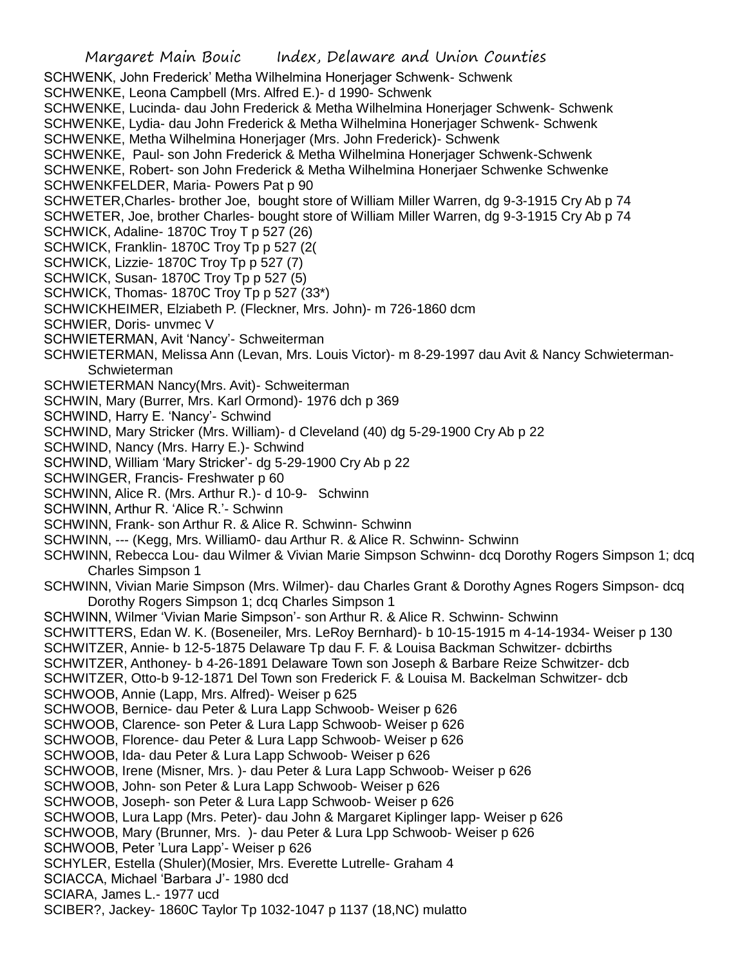SCHWENK, John Frederick' Metha Wilhelmina Honerjager Schwenk- Schwenk

SCHWENKE, Leona Campbell (Mrs. Alfred E.)- d 1990- Schwenk

SCHWENKE, Lucinda- dau John Frederick & Metha Wilhelmina Honerjager Schwenk- Schwenk

SCHWENKE, Lydia- dau John Frederick & Metha Wilhelmina Honerjager Schwenk- Schwenk SCHWENKE, Metha Wilhelmina Honerjager (Mrs. John Frederick)- Schwenk

SCHWENKE, Paul- son John Frederick & Metha Wilhelmina Honerjager Schwenk-Schwenk

SCHWENKE, Robert- son John Frederick & Metha Wilhelmina Honerjaer Schwenke Schwenke SCHWENKFELDER, Maria- Powers Pat p 90

SCHWETER,Charles- brother Joe, bought store of William Miller Warren, dg 9-3-1915 Cry Ab p 74 SCHWETER, Joe, brother Charles- bought store of William Miller Warren, dg 9-3-1915 Cry Ab p 74

SCHWICK, Adaline- 1870C Troy T p 527 (26)

SCHWICK, Franklin- 1870C Troy Tp p 527 (2(

SCHWICK, Lizzie- 1870C Troy Tp p 527 (7)

SCHWICK, Susan- 1870C Troy Tp p 527 (5)

SCHWICK, Thomas- 1870C Troy Tp p 527 (33\*)

SCHWICKHEIMER, Elziabeth P. (Fleckner, Mrs. John)- m 726-1860 dcm

SCHWIER, Doris- unvmec V

SCHWIETERMAN, Avit 'Nancy'- Schweiterman

SCHWIETERMAN, Melissa Ann (Levan, Mrs. Louis Victor)- m 8-29-1997 dau Avit & Nancy Schwieterman-**Schwieterman** 

SCHWIETERMAN Nancy(Mrs. Avit)- Schweiterman

SCHWIN, Mary (Burrer, Mrs. Karl Ormond)- 1976 dch p 369

SCHWIND, Harry E. 'Nancy'- Schwind

SCHWIND, Mary Stricker (Mrs. William)- d Cleveland (40) dg 5-29-1900 Cry Ab p 22

SCHWIND, Nancy (Mrs. Harry E.)- Schwind

SCHWIND, William 'Mary Stricker'- dg 5-29-1900 Cry Ab p 22

SCHWINGER, Francis- Freshwater p 60

SCHWINN, Alice R. (Mrs. Arthur R.)- d 10-9- Schwinn

SCHWINN, Arthur R. 'Alice R.'- Schwinn

SCHWINN, Frank- son Arthur R. & Alice R. Schwinn- Schwinn

SCHWINN, --- (Kegg, Mrs. William0- dau Arthur R. & Alice R. Schwinn- Schwinn

SCHWINN, Rebecca Lou- dau Wilmer & Vivian Marie Simpson Schwinn- dcq Dorothy Rogers Simpson 1; dcq Charles Simpson 1

SCHWINN, Vivian Marie Simpson (Mrs. Wilmer)- dau Charles Grant & Dorothy Agnes Rogers Simpson- dcq Dorothy Rogers Simpson 1; dcq Charles Simpson 1

SCHWINN, Wilmer 'Vivian Marie Simpson'- son Arthur R. & Alice R. Schwinn- Schwinn

SCHWITTERS, Edan W. K. (Boseneiler, Mrs. LeRoy Bernhard)- b 10-15-1915 m 4-14-1934- Weiser p 130

SCHWITZER, Annie- b 12-5-1875 Delaware Tp dau F. F. & Louisa Backman Schwitzer- dcbirths

SCHWITZER, Anthoney- b 4-26-1891 Delaware Town son Joseph & Barbare Reize Schwitzer- dcb

SCHWITZER, Otto-b 9-12-1871 Del Town son Frederick F. & Louisa M. Backelman Schwitzer- dcb SCHWOOB, Annie (Lapp, Mrs. Alfred)- Weiser p 625

SCHWOOB, Bernice- dau Peter & Lura Lapp Schwoob- Weiser p 626

SCHWOOB, Clarence- son Peter & Lura Lapp Schwoob- Weiser p 626

SCHWOOB, Florence- dau Peter & Lura Lapp Schwoob- Weiser p 626

SCHWOOB, Ida- dau Peter & Lura Lapp Schwoob- Weiser p 626

SCHWOOB, Irene (Misner, Mrs. )- dau Peter & Lura Lapp Schwoob- Weiser p 626

SCHWOOB, John- son Peter & Lura Lapp Schwoob- Weiser p 626

SCHWOOB, Joseph- son Peter & Lura Lapp Schwoob- Weiser p 626

SCHWOOB, Lura Lapp (Mrs. Peter)- dau John & Margaret Kiplinger lapp- Weiser p 626

SCHWOOB, Mary (Brunner, Mrs. )- dau Peter & Lura Lpp Schwoob- Weiser p 626

SCHWOOB, Peter 'Lura Lapp'- Weiser p 626

SCHYLER, Estella (Shuler)(Mosier, Mrs. Everette Lutrelle- Graham 4

SCIACCA, Michael 'Barbara J'- 1980 dcd

SCIARA, James L.- 1977 ucd

SCIBER?, Jackey- 1860C Taylor Tp 1032-1047 p 1137 (18,NC) mulatto